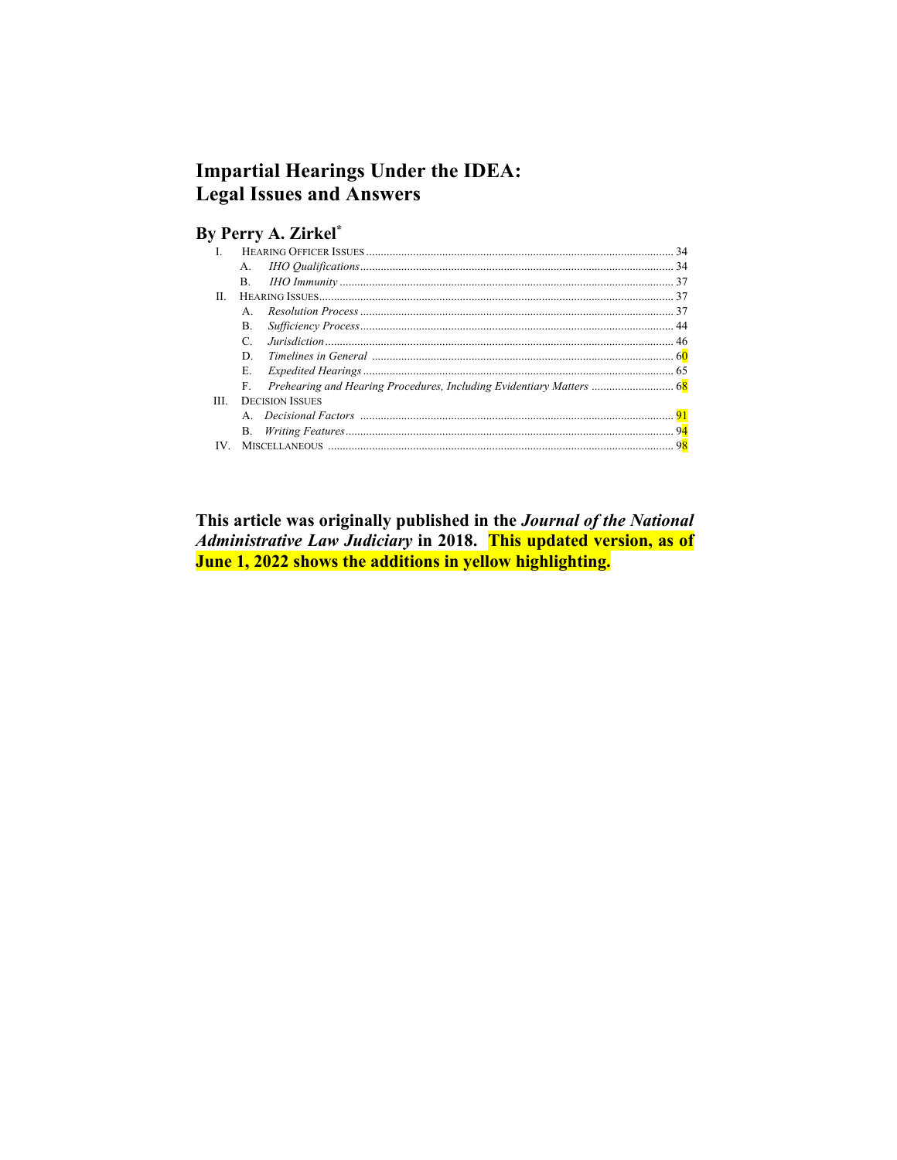# **Impartial Hearings Under the IDEA: Legal Issues and Answers**

## By Perry A. Zirkel\*

| L.  |                |                                                                           |  |
|-----|----------------|---------------------------------------------------------------------------|--|
|     | А.             |                                                                           |  |
|     | В.             |                                                                           |  |
| II. |                |                                                                           |  |
|     | $\mathbf{A}$ . |                                                                           |  |
|     | В.             |                                                                           |  |
|     | $\mathcal{C}$  |                                                                           |  |
|     | D.             | Timelines in General <i>manumumumumumumumumumumumumumumumumumu</i> mum 60 |  |
|     | E.             |                                                                           |  |
|     | F.             | Prehearing and Hearing Procedures, Including Evidentiary Matters  68      |  |
| HL. |                | <b>DECISION ISSUES</b>                                                    |  |
|     |                |                                                                           |  |
|     | В.             |                                                                           |  |
| IV. |                |                                                                           |  |
|     |                |                                                                           |  |

This article was originally published in the Journal of the National Administrative Law Judiciary in 2018. This updated version, as of June 1, 2022 shows the additions in yellow highlighting.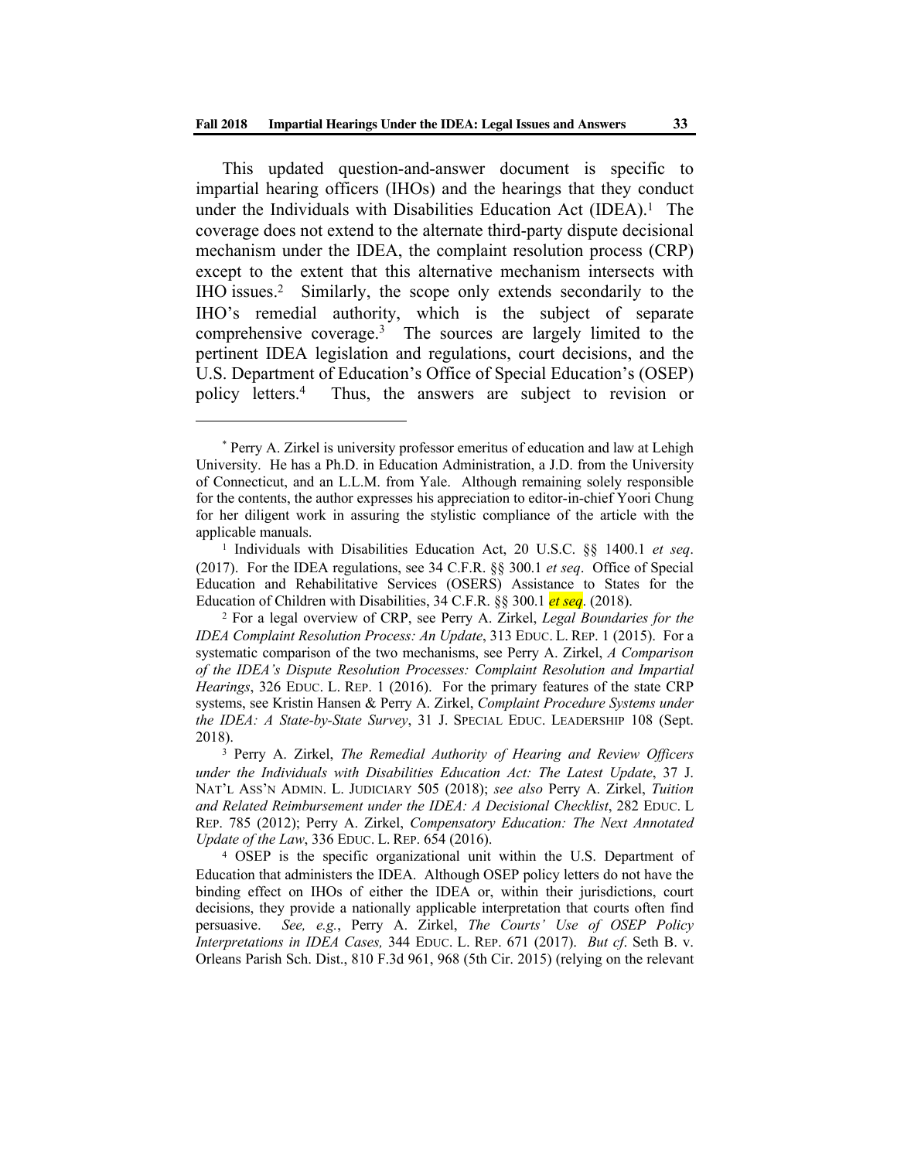This updated question-and-answer document is specific to impartial hearing officers (IHOs) and the hearings that they conduct under the Individuals with Disabilities Education Act (IDEA).<sup>1</sup> The coverage does not extend to the alternate third-party dispute decisional mechanism under the IDEA, the complaint resolution process (CRP) except to the extent that this alternative mechanism intersects with IHO issues.2 Similarly, the scope only extends secondarily to the IHO's remedial authority, which is the subject of separate comprehensive coverage.<sup>3</sup> The sources are largely limited to the pertinent IDEA legislation and regulations, court decisions, and the U.S. Department of Education's Office of Special Education's (OSEP) policy letters. 4 Thus, the answers are subject to revision or

<sup>\*</sup> Perry A. Zirkel is university professor emeritus of education and law at Lehigh University. He has a Ph.D. in Education Administration, a J.D. from the University of Connecticut, and an L.L.M. from Yale. Although remaining solely responsible for the contents, the author expresses his appreciation to editor-in-chief Yoori Chung for her diligent work in assuring the stylistic compliance of the article with the applicable manuals.

<sup>1</sup> Individuals with Disabilities Education Act, 20 U.S.C. §§ 1400.1 *et seq*. (2017). For the IDEA regulations, see 34 C.F.R. §§ 300.1 *et seq*. Office of Special Education and Rehabilitative Services (OSERS) Assistance to States for the Education of Children with Disabilities, 34 C.F.R. §§ 300.1 *et seq*. (2018).

<sup>2</sup> For a legal overview of CRP, see Perry A. Zirkel, *Legal Boundaries for the IDEA Complaint Resolution Process: An Update*, 313 EDUC. L. REP. 1 (2015). For a systematic comparison of the two mechanisms, see Perry A. Zirkel, *A Comparison of the IDEA's Dispute Resolution Processes: Complaint Resolution and Impartial Hearings*, 326 EDUC. L. REP. 1 (2016). For the primary features of the state CRP systems, see Kristin Hansen & Perry A. Zirkel, *Complaint Procedure Systems under the IDEA: A State-by-State Survey*, 31 J. SPECIAL EDUC. LEADERSHIP 108 (Sept. 2018).

<sup>3</sup> Perry A. Zirkel, *The Remedial Authority of Hearing and Review Officers under the Individuals with Disabilities Education Act: The Latest Update*, 37 J. NAT'L ASS'N ADMIN. L. JUDICIARY 505 (2018); *see also* Perry A. Zirkel, *Tuition and Related Reimbursement under the IDEA: A Decisional Checklist*, 282 EDUC. L REP. 785 (2012); Perry A. Zirkel, *Compensatory Education: The Next Annotated Update of the Law*, 336 EDUC. L. REP. 654 (2016).

<sup>4</sup> OSEP is the specific organizational unit within the U.S. Department of Education that administers the IDEA. Although OSEP policy letters do not have the binding effect on IHOs of either the IDEA or, within their jurisdictions, court decisions, they provide a nationally applicable interpretation that courts often find persuasive. *See, e.g.*, Perry A. Zirkel, *The Courts' Use of OSEP Policy Interpretations in IDEA Cases,* 344 EDUC. L. REP. 671 (2017). *But cf*. Seth B. v. Orleans Parish Sch. Dist., 810 F.3d 961, 968 (5th Cir. 2015) (relying on the relevant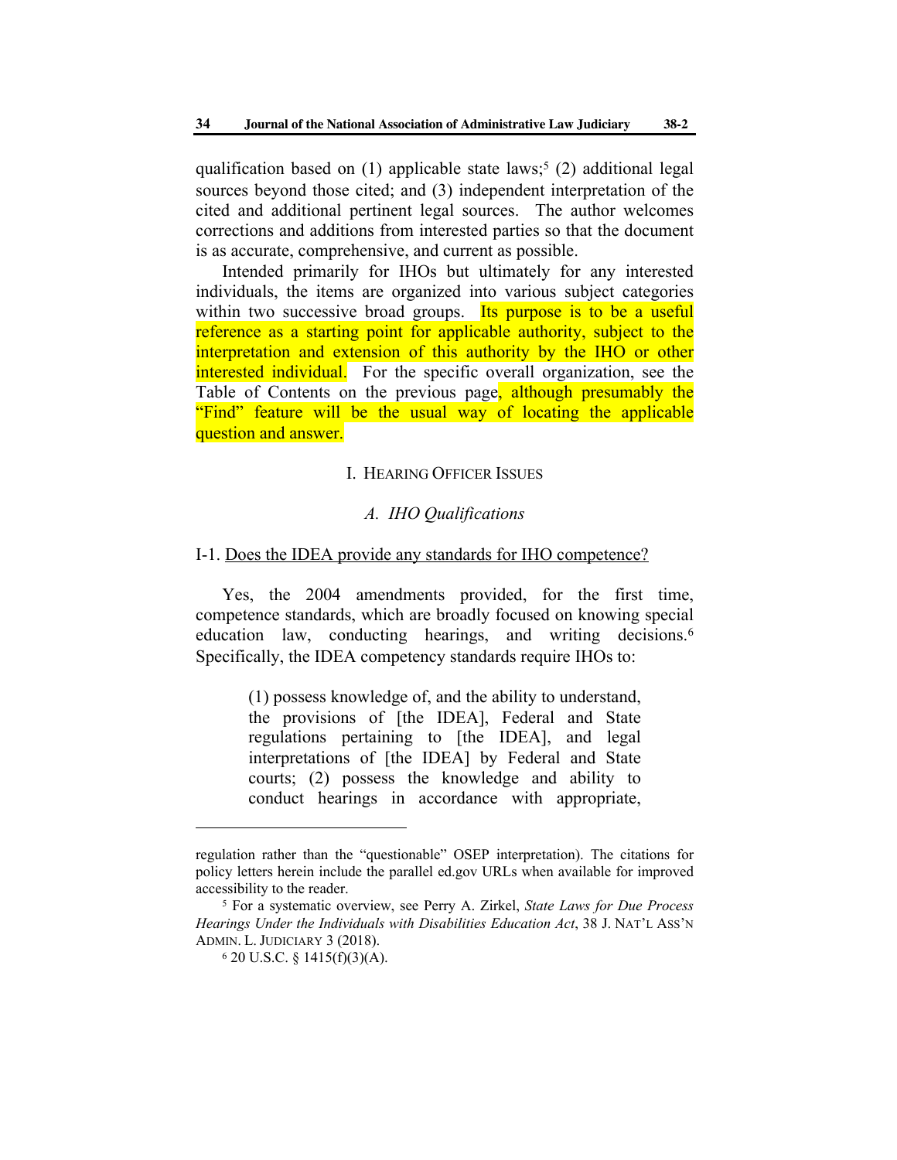qualification based on (1) applicable state laws;<sup>5</sup> (2) additional legal sources beyond those cited; and (3) independent interpretation of the cited and additional pertinent legal sources. The author welcomes corrections and additions from interested parties so that the document is as accurate, comprehensive, and current as possible.

Intended primarily for IHOs but ultimately for any interested individuals, the items are organized into various subject categories within two successive broad groups. Its purpose is to be a useful reference as a starting point for applicable authority, subject to the interpretation and extension of this authority by the IHO or other interested individual. For the specific overall organization, see the Table of Contents on the previous page, although presumably the "Find" feature will be the usual way of locating the applicable question and answer.

#### I. HEARING OFFICER ISSUES

### *A. IHO Qualifications*

### I-1. Does the IDEA provide any standards for IHO competence?

Yes, the 2004 amendments provided, for the first time, competence standards, which are broadly focused on knowing special education law, conducting hearings, and writing decisions.<sup>6</sup> Specifically, the IDEA competency standards require IHOs to:

> (1) possess knowledge of, and the ability to understand, the provisions of [the IDEA], Federal and State regulations pertaining to [the IDEA], and legal interpretations of [the IDEA] by Federal and State courts; (2) possess the knowledge and ability to conduct hearings in accordance with appropriate,

regulation rather than the "questionable" OSEP interpretation). The citations for policy letters herein include the parallel ed.gov URLs when available for improved accessibility to the reader.

<sup>5</sup> For a systematic overview, see Perry A. Zirkel, *State Laws for Due Process Hearings Under the Individuals with Disabilities Education Act*, 38 J. NAT'L ASS'N ADMIN. L. JUDICIARY 3 (2018).

 $6$  20 U.S.C. § 1415(f)(3)(A).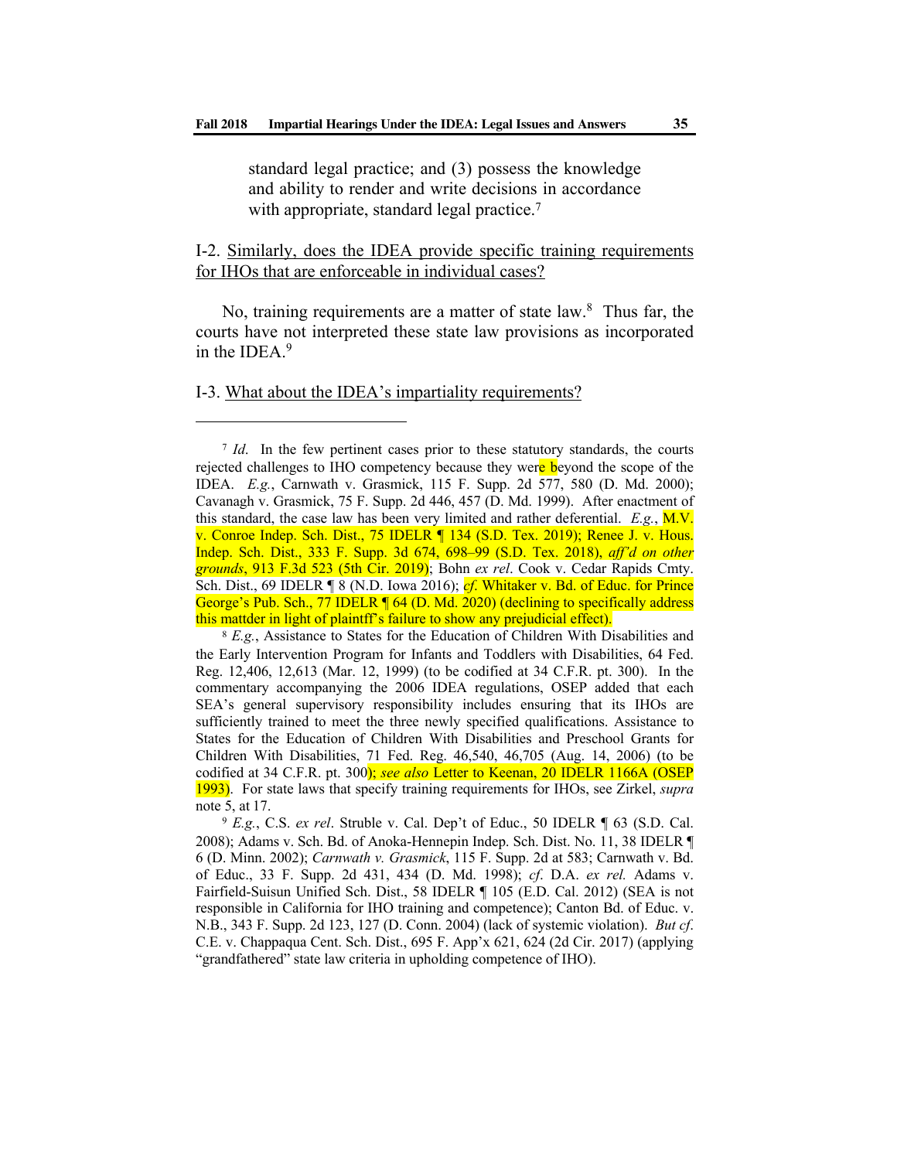standard legal practice; and (3) possess the knowledge and ability to render and write decisions in accordance with appropriate, standard legal practice.<sup>7</sup>

I-2. Similarly, does the IDEA provide specific training requirements for IHOs that are enforceable in individual cases?

No, training requirements are a matter of state law. <sup>8</sup> Thus far, the courts have not interpreted these state law provisions as incorporated in the IDEA.9

I-3. What about the IDEA's impartiality requirements?

<sup>&</sup>lt;sup>7</sup> *Id*. In the few pertinent cases prior to these statutory standards, the courts rejected challenges to IHO competency because they were beyond the scope of the IDEA. *E.g.*, Carnwath v. Grasmick, 115 F. Supp. 2d 577, 580 (D. Md. 2000); Cavanagh v. Grasmick, 75 F. Supp. 2d 446, 457 (D. Md. 1999). After enactment of this standard, the case law has been very limited and rather deferential. *E.g.*, M.V. v. Conroe Indep. Sch. Dist., 75 IDELR ¶ 134 (S.D. Tex. 2019); Renee J. v. Hous. Indep. Sch. Dist., 333 F. Supp. 3d 674, 698–99 (S.D. Tex. 2018), *aff'd on other grounds*, 913 F.3d 523 (5th Cir. 2019); Bohn *ex rel*. Cook v. Cedar Rapids Cmty. Sch. Dist., 69 IDELR ¶ 8 (N.D. Iowa 2016); *cf*. Whitaker v. Bd. of Educ. for Prince George's Pub. Sch., 77 IDELR ¶ 64 (D. Md. 2020) (declining to specifically address this mattder in light of plaintff's failure to show any prejudicial effect).

<sup>8</sup> *E.g.*, Assistance to States for the Education of Children With Disabilities and the Early Intervention Program for Infants and Toddlers with Disabilities, 64 Fed. Reg. 12,406, 12,613 (Mar. 12, 1999) (to be codified at 34 C.F.R. pt. 300). In the commentary accompanying the 2006 IDEA regulations, OSEP added that each SEA's general supervisory responsibility includes ensuring that its IHOs are sufficiently trained to meet the three newly specified qualifications. Assistance to States for the Education of Children With Disabilities and Preschool Grants for Children With Disabilities, 71 Fed. Reg. 46,540, 46,705 (Aug. 14, 2006) (to be codified at 34 C.F.R. pt. 300); *see also* Letter to Keenan, 20 IDELR 1166A (OSEP 1993). For state laws that specify training requirements for IHOs, see Zirkel, *supra* note 5, at 17.

<sup>9</sup> *E.g.*, C.S. *ex rel*. Struble v. Cal. Dep't of Educ., 50 IDELR ¶ 63 (S.D. Cal. 2008); Adams v. Sch. Bd. of Anoka-Hennepin Indep. Sch. Dist. No. 11, 38 IDELR ¶ 6 (D. Minn. 2002); *Carnwath v. Grasmick*, 115 F. Supp. 2d at 583; Carnwath v. Bd. of Educ., 33 F. Supp. 2d 431, 434 (D. Md. 1998); *cf*. D.A. *ex rel.* Adams v. Fairfield-Suisun Unified Sch. Dist., 58 IDELR ¶ 105 (E.D. Cal. 2012) (SEA is not responsible in California for IHO training and competence); Canton Bd. of Educ. v. N.B., 343 F. Supp. 2d 123, 127 (D. Conn. 2004) (lack of systemic violation). *But cf*. C.E. v. Chappaqua Cent. Sch. Dist., 695 F. App'x 621, 624 (2d Cir. 2017) (applying "grandfathered" state law criteria in upholding competence of IHO).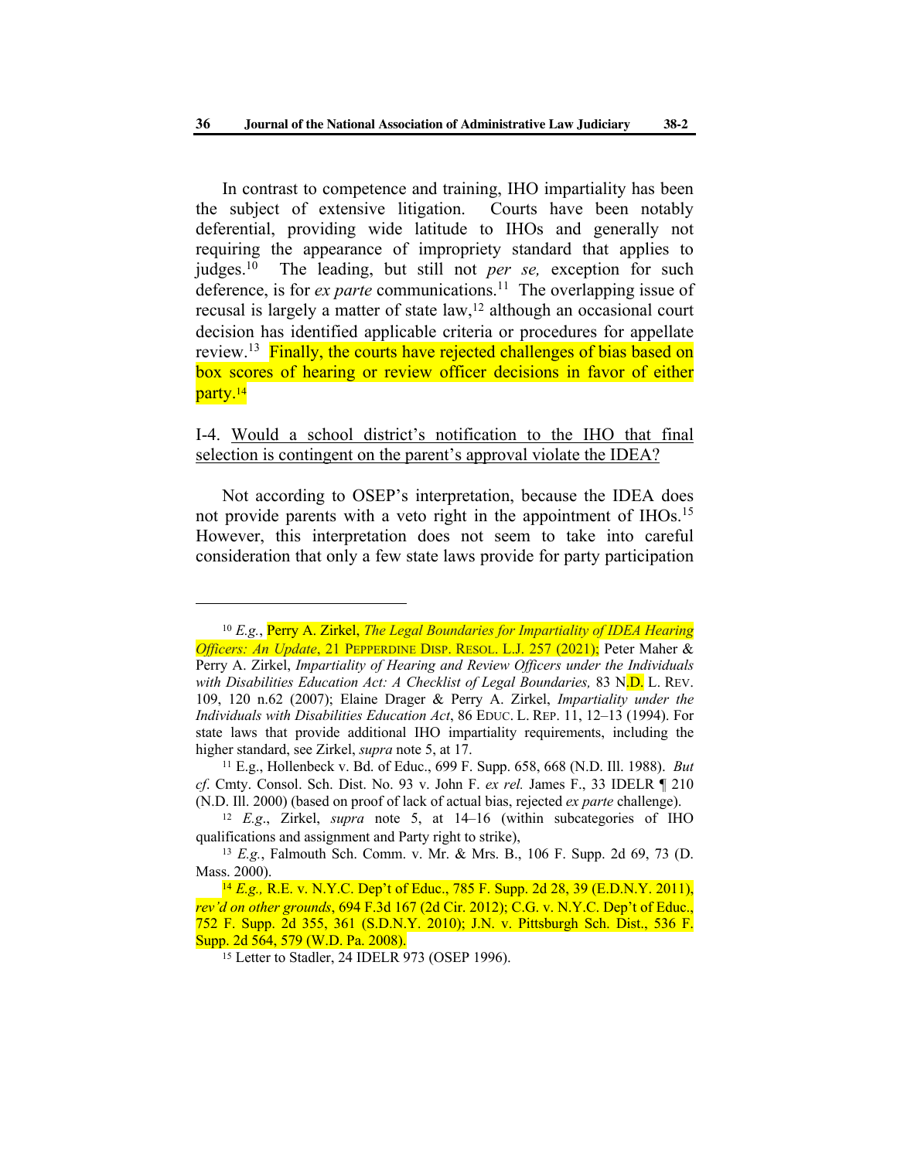In contrast to competence and training, IHO impartiality has been the subject of extensive litigation. Courts have been notably deferential, providing wide latitude to IHOs and generally not requiring the appearance of impropriety standard that applies to judges.10 The leading, but still not *per se,* exception for such deference, is for *ex parte* communications.<sup>11</sup> The overlapping issue of recusal is largely a matter of state law,12 although an occasional court decision has identified applicable criteria or procedures for appellate review.<sup>13</sup> Finally, the courts have rejected challenges of bias based on box scores of hearing or review officer decisions in favor of either party.<sup>14</sup>

I-4. Would a school district's notification to the IHO that final selection is contingent on the parent's approval violate the IDEA?

Not according to OSEP's interpretation, because the IDEA does not provide parents with a veto right in the appointment of IHOs.<sup>15</sup> However, this interpretation does not seem to take into careful consideration that only a few state laws provide for party participation

<sup>10</sup> *E.g.*, Perry A. Zirkel, *The Legal Boundaries for Impartiality of IDEA Hearing Officers: An Update*, 21 PEPPERDINE DISP. RESOL. L.J. 257 (2021); Peter Maher & Perry A. Zirkel, *Impartiality of Hearing and Review Officers under the Individuals with Disabilities Education Act: A Checklist of Legal Boundaries,* 83 N.D. L. REV. 109, 120 n.62 (2007); Elaine Drager & Perry A. Zirkel, *Impartiality under the Individuals with Disabilities Education Act*, 86 EDUC. L. REP. 11, 12–13 (1994). For state laws that provide additional IHO impartiality requirements, including the higher standard, see Zirkel, *supra* note 5, at 17.

<sup>11</sup> E.g., Hollenbeck v. Bd. of Educ., 699 F. Supp. 658, 668 (N.D. Ill. 1988). *But cf*. Cmty. Consol. Sch. Dist. No. 93 v. John F. *ex rel.* James F., 33 IDELR ¶ 210

<sup>(</sup>N.D. Ill. 2000) (based on proof of lack of actual bias, rejected *ex parte* challenge). 12 *E.g*., Zirkel, *supra* note 5, at 14–16 (within subcategories of IHO qualifications and assignment and Party right to strike), <sup>13</sup> *E.g.*, Falmouth Sch. Comm. v. Mr. & Mrs. B., 106 F. Supp. 2d 69, 73 (D.

Mass. 2000).

<sup>14</sup> *E.g.,* R.E. v. N.Y.C. Dep't of Educ., 785 F. Supp. 2d 28, 39 (E.D.N.Y. 2011), *rev'd on other grounds*, 694 F.3d 167 (2d Cir. 2012); C.G. v. N.Y.C. Dep't of Educ., 752 F. Supp. 2d 355, 361 (S.D.N.Y. 2010); J.N. v. Pittsburgh Sch. Dist., 536 F. Supp. 2d 564, 579 (W.D. Pa. 2008).

<sup>15</sup> Letter to Stadler, 24 IDELR 973 (OSEP 1996).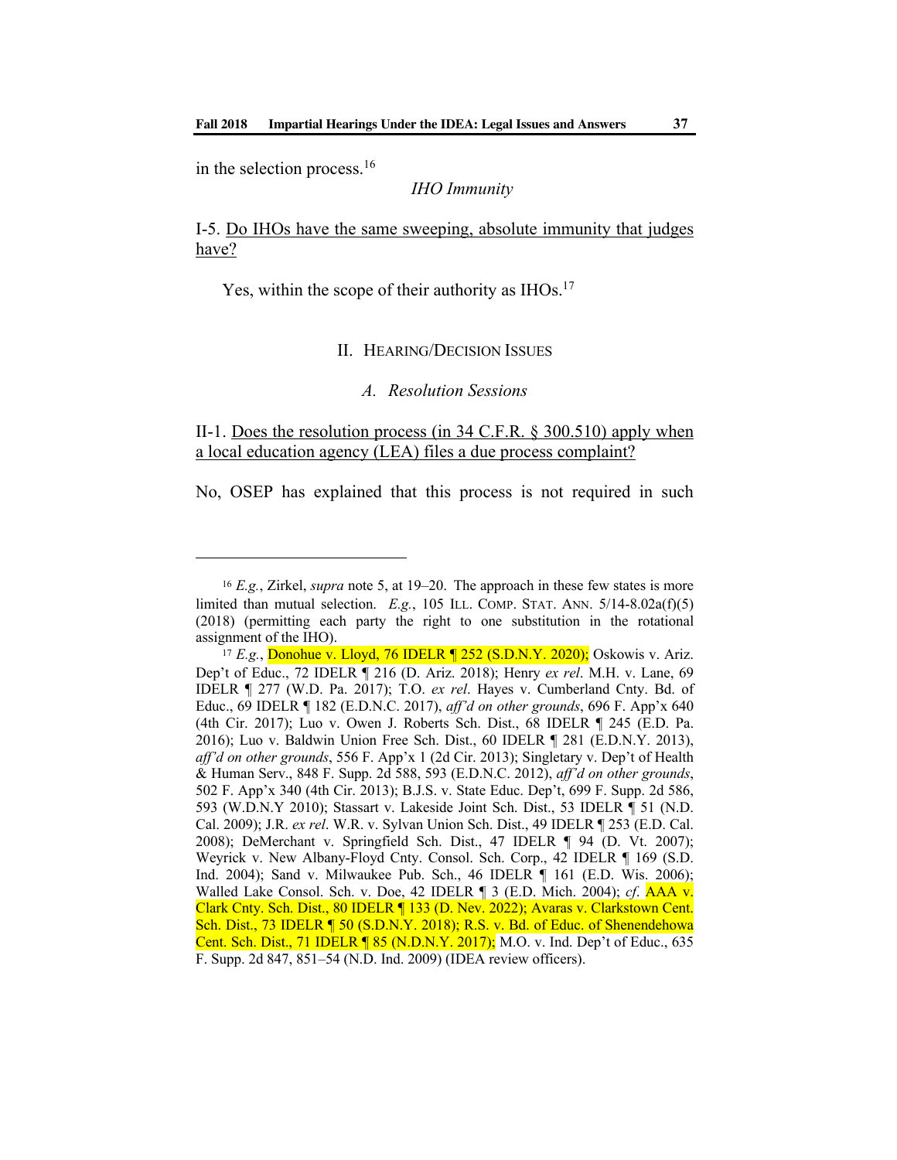in the selection process. 16

 *IHO Immunity*

I-5. Do IHOs have the same sweeping, absolute immunity that judges have?

Yes, within the scope of their authority as  $IHOs$ .<sup>17</sup>

#### II. HEARING/DECISION ISSUES

### *A. Resolution Sessions*

II-1. Does the resolution process (in 34 C.F.R. § 300.510) apply when a local education agency (LEA) files a due process complaint?

No, OSEP has explained that this process is not required in such

<sup>16</sup> *E.g.*, Zirkel, *supra* note 5, at 19–20. The approach in these few states is more limited than mutual selection. *E.g.*, 105 ILL. COMP. STAT. ANN. 5/14-8.02a(f)(5) (2018) (permitting each party the right to one substitution in the rotational assignment of the IHO).

<sup>17</sup> *E.g.*, Donohue v. Lloyd, 76 IDELR ¶ 252 (S.D.N.Y. 2020); Oskowis v. Ariz. Dep't of Educ., 72 IDELR ¶ 216 (D. Ariz. 2018); Henry *ex rel*. M.H. v. Lane, 69 IDELR ¶ 277 (W.D. Pa. 2017); T.O. *ex rel*. Hayes v. Cumberland Cnty. Bd. of Educ., 69 IDELR ¶ 182 (E.D.N.C. 2017), *aff'd on other grounds*, 696 F. App'x 640 (4th Cir. 2017); Luo v. Owen J. Roberts Sch. Dist., 68 IDELR ¶ 245 (E.D. Pa. 2016); Luo v. Baldwin Union Free Sch. Dist., 60 IDELR ¶ 281 (E.D.N.Y. 2013), *aff'd on other grounds*, 556 F. App'x 1 (2d Cir. 2013); Singletary v. Dep't of Health & Human Serv., 848 F. Supp. 2d 588, 593 (E.D.N.C. 2012), *aff'd on other grounds*, 502 F. App'x 340 (4th Cir. 2013); B.J.S. v. State Educ. Dep't, 699 F. Supp. 2d 586, 593 (W.D.N.Y 2010); Stassart v. Lakeside Joint Sch. Dist., 53 IDELR ¶ 51 (N.D. Cal. 2009); J.R. *ex rel*. W.R. v. Sylvan Union Sch. Dist., 49 IDELR ¶ 253 (E.D. Cal. 2008); DeMerchant v. Springfield Sch. Dist., 47 IDELR ¶ 94 (D. Vt. 2007); Weyrick v. New Albany-Floyd Cnty. Consol. Sch. Corp., 42 IDELR ¶ 169 (S.D. Ind. 2004); Sand v. Milwaukee Pub. Sch., 46 IDELR ¶ 161 (E.D. Wis. 2006); Walled Lake Consol. Sch. v. Doe, 42 IDELR ¶ 3 (E.D. Mich. 2004); *cf*. AAA v. Clark Cnty. Sch. Dist., 80 IDELR ¶ 133 (D. Nev. 2022); Avaras v. Clarkstown Cent. Sch. Dist., 73 IDELR **[ 50 (S.D.N.Y. 2018)**; R.S. v. Bd. of Educ. of Shenendehowa Cent. Sch. Dist., 71 IDELR **[85 (N.D.N.Y. 2017);** M.O. v. Ind. Dep't of Educ., 635 F. Supp. 2d 847, 851–54 (N.D. Ind. 2009) (IDEA review officers).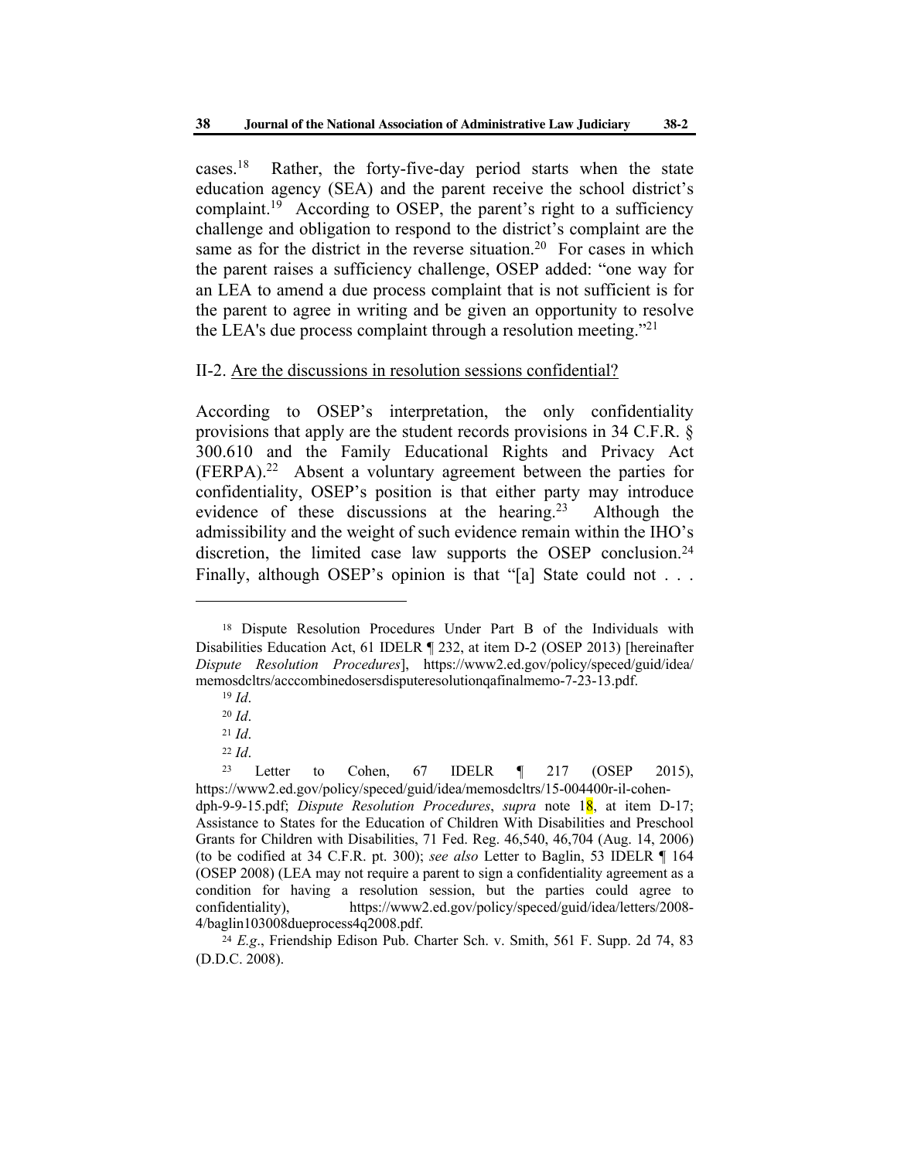cases.18 Rather, the forty-five-day period starts when the state education agency (SEA) and the parent receive the school district's complaint.19 According to OSEP, the parent's right to a sufficiency challenge and obligation to respond to the district's complaint are the same as for the district in the reverse situation.<sup>20</sup> For cases in which the parent raises a sufficiency challenge, OSEP added: "one way for an LEA to amend a due process complaint that is not sufficient is for the parent to agree in writing and be given an opportunity to resolve the LEA's due process complaint through a resolution meeting."21

### II-2. Are the discussions in resolution sessions confidential?

According to OSEP's interpretation, the only confidentiality provisions that apply are the student records provisions in 34 C.F.R. § 300.610 and the Family Educational Rights and Privacy Act (FERPA).22 Absent a voluntary agreement between the parties for confidentiality, OSEP's position is that either party may introduce evidence of these discussions at the hearing.<sup>23</sup> Although the admissibility and the weight of such evidence remain within the IHO's discretion, the limited case law supports the OSEP conclusion. 24 Finally, although OSEP's opinion is that "[a] State could not . . .

<sup>18</sup> Dispute Resolution Procedures Under Part B of the Individuals with Disabilities Education Act, 61 IDELR ¶ 232, at item D-2 (OSEP 2013) [hereinafter *Dispute Resolution Procedures*], https://www2.ed.gov/policy/speced/guid/idea/ memosdcltrs/acccombinedosersdisputeresolutionqafinalmemo-7-23-13.pdf.

<sup>19</sup> *Id*.

<sup>20</sup> *Id*.

<sup>21</sup> *Id*.

<sup>&</sup>lt;sup>22 Id</sup>.<br><sup>23</sup> Letter to Cohen, 67 IDELR ¶ 217 (OSEP 2015), https://www2.ed.gov/policy/speced/guid/idea/memosdcltrs/15-004400r-il-cohendph-9-9-15.pdf; *Dispute Resolution Procedures*, *supra* note 18, at item D-17; Assistance to States for the Education of Children With Disabilities and Preschool Grants for Children with Disabilities, 71 Fed. Reg. 46,540, 46,704 (Aug. 14, 2006) (to be codified at 34 C.F.R. pt. 300); *see also* Letter to Baglin, 53 IDELR ¶ 164 (OSEP 2008) (LEA may not require a parent to sign a confidentiality agreement as a condition for having a resolution session, but the parties could agree to confidentiality), https://www2.ed.gov/policy/speced/guid/idea/letters/2008- 4/baglin103008dueprocess4q2008.pdf.

<sup>24</sup> *E.g*., Friendship Edison Pub. Charter Sch. v. Smith, 561 F. Supp. 2d 74, 83 (D.D.C. 2008).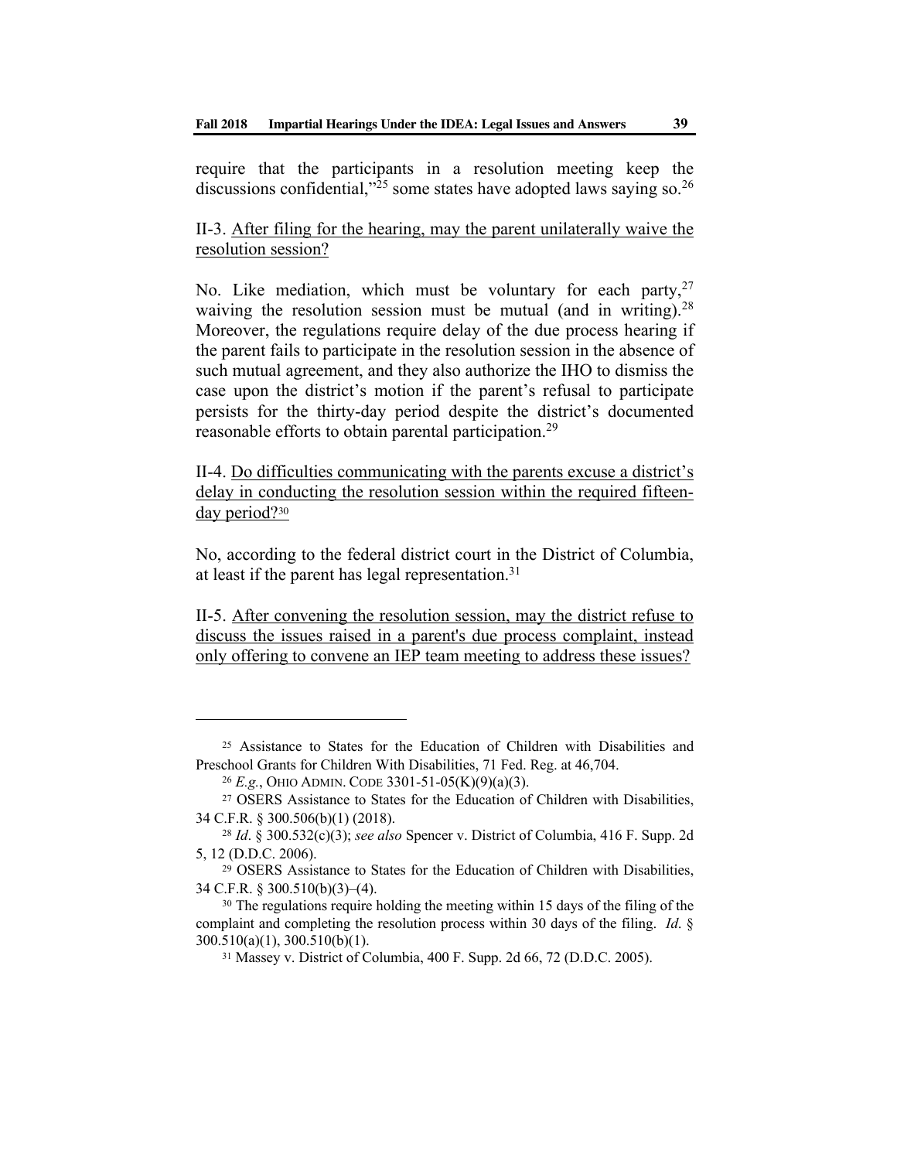require that the participants in a resolution meeting keep the discussions confidential, $^{225}$  some states have adopted laws saying so.<sup>26</sup>

II-3. After filing for the hearing, may the parent unilaterally waive the resolution session?

No. Like mediation, which must be voluntary for each party,  $27$ waiving the resolution session must be mutual (and in writing).<sup>28</sup> Moreover, the regulations require delay of the due process hearing if the parent fails to participate in the resolution session in the absence of such mutual agreement, and they also authorize the IHO to dismiss the case upon the district's motion if the parent's refusal to participate persists for the thirty-day period despite the district's documented reasonable efforts to obtain parental participation.<sup>29</sup>

II-4. Do difficulties communicating with the parents excuse a district's delay in conducting the resolution session within the required fifteenday period?<sup>30</sup>

No, according to the federal district court in the District of Columbia, at least if the parent has legal representation.<sup>31</sup>

II-5. After convening the resolution session, may the district refuse to discuss the issues raised in a parent's due process complaint, instead only offering to convene an IEP team meeting to address these issues?

<sup>25</sup> Assistance to States for the Education of Children with Disabilities and Preschool Grants for Children With Disabilities, 71 Fed. Reg. at 46,704.

<sup>26</sup> *E.g.*, OHIO ADMIN. CODE 3301-51-05(K)(9)(a)(3).

<sup>27</sup> OSERS Assistance to States for the Education of Children with Disabilities, 34 C.F.R. § 300.506(b)(1) (2018).

<sup>28</sup> *Id*. § 300.532(c)(3); *see also* Spencer v. District of Columbia, 416 F. Supp. 2d 5, 12 (D.D.C. 2006).

<sup>29</sup> OSERS Assistance to States for the Education of Children with Disabilities, 34 C.F.R. § 300.510(b)(3)–(4).

<sup>&</sup>lt;sup>30</sup> The regulations require holding the meeting within 15 days of the filing of the complaint and completing the resolution process within 30 days of the filing. *Id*. § 300.510(a)(1), 300.510(b)(1).

<sup>31</sup> Massey v. District of Columbia, 400 F. Supp. 2d 66, 72 (D.D.C. 2005).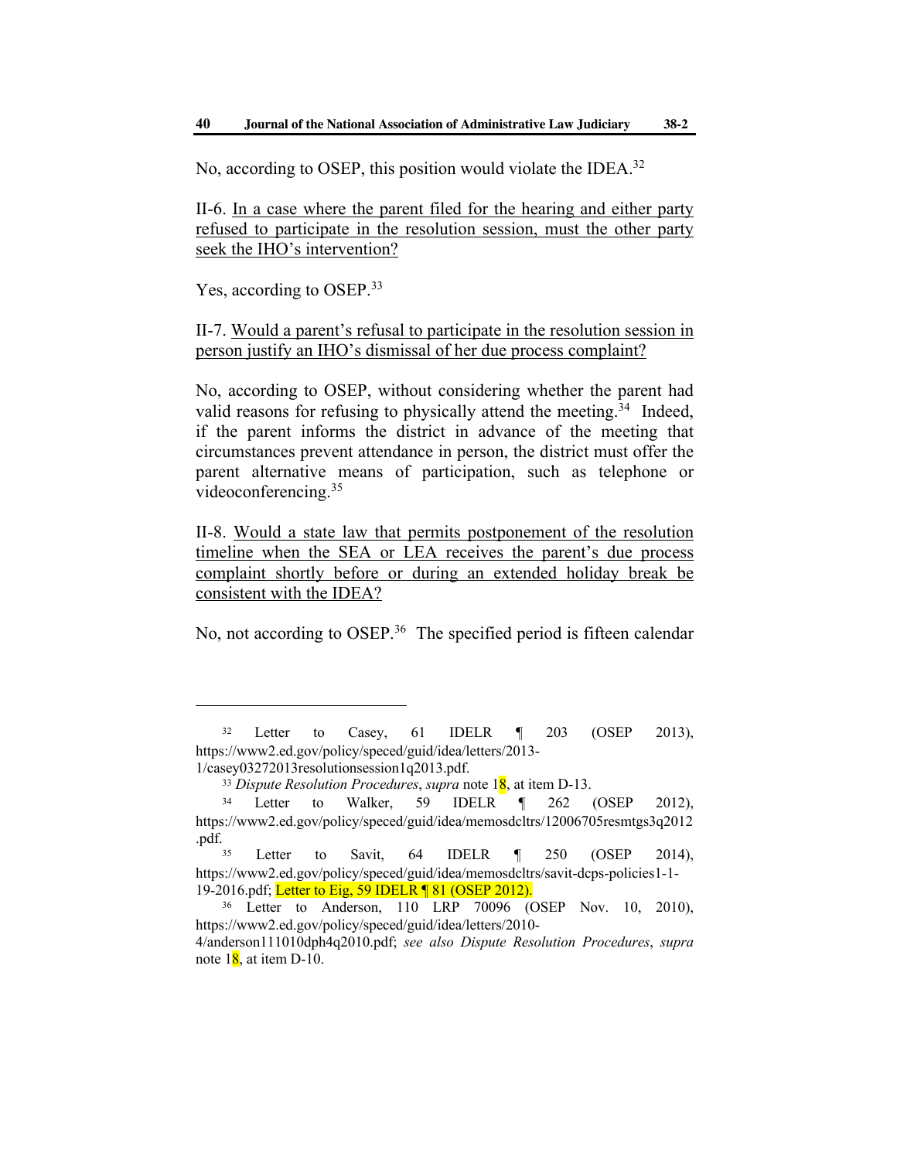No, according to OSEP, this position would violate the IDEA.<sup>32</sup>

II-6. In a case where the parent filed for the hearing and either party refused to participate in the resolution session, must the other party seek the IHO's intervention?

Yes, according to OSEP.<sup>33</sup>

II-7. Would a parent's refusal to participate in the resolution session in person justify an IHO's dismissal of her due process complaint?

No, according to OSEP, without considering whether the parent had valid reasons for refusing to physically attend the meeting.<sup>34</sup> Indeed, if the parent informs the district in advance of the meeting that circumstances prevent attendance in person, the district must offer the parent alternative means of participation, such as telephone or videoconferencing.35

II-8. Would a state law that permits postponement of the resolution timeline when the SEA or LEA receives the parent's due process complaint shortly before or during an extended holiday break be consistent with the IDEA?

No, not according to OSEP.<sup>36</sup> The specified period is fifteen calendar

 $32$  Letter to Casey, 61 IDELR  $\parallel$  203 (OSEP 2013), https://www2.ed.gov/policy/speced/guid/idea/letters/2013- 1/casey03272013resolutionsession1q2013.pdf.

<sup>33</sup> *Dispute Resolution Procedures*, *supra* note 18, at item D-13.

<sup>&</sup>lt;sup>34</sup> Letter to Walker, 59 IDELR  $\parallel$  262 (OSEP 2012), https://www2.ed.gov/policy/speced/guid/idea/memosdcltrs/12006705resmtgs3q2012 .pdf.<br> $35$  Letter to Savit, 64 IDELR ¶ 250 (OSEP 2014),

https://www2.ed.gov/policy/speced/guid/idea/memosdcltrs/savit-dcps-policies1-1- 19-2016.pdf; Letter to Eig, 59 IDELR ¶ 81 (OSEP 2012).

<sup>36</sup> Letter to Anderson, 110 LRP 70096 (OSEP Nov. 10, 2010), https://www2.ed.gov/policy/speced/guid/idea/letters/2010-

<sup>4/</sup>anderson111010dph4q2010.pdf; *see also Dispute Resolution Procedures*, *supra*  note  $18$ , at item D-10.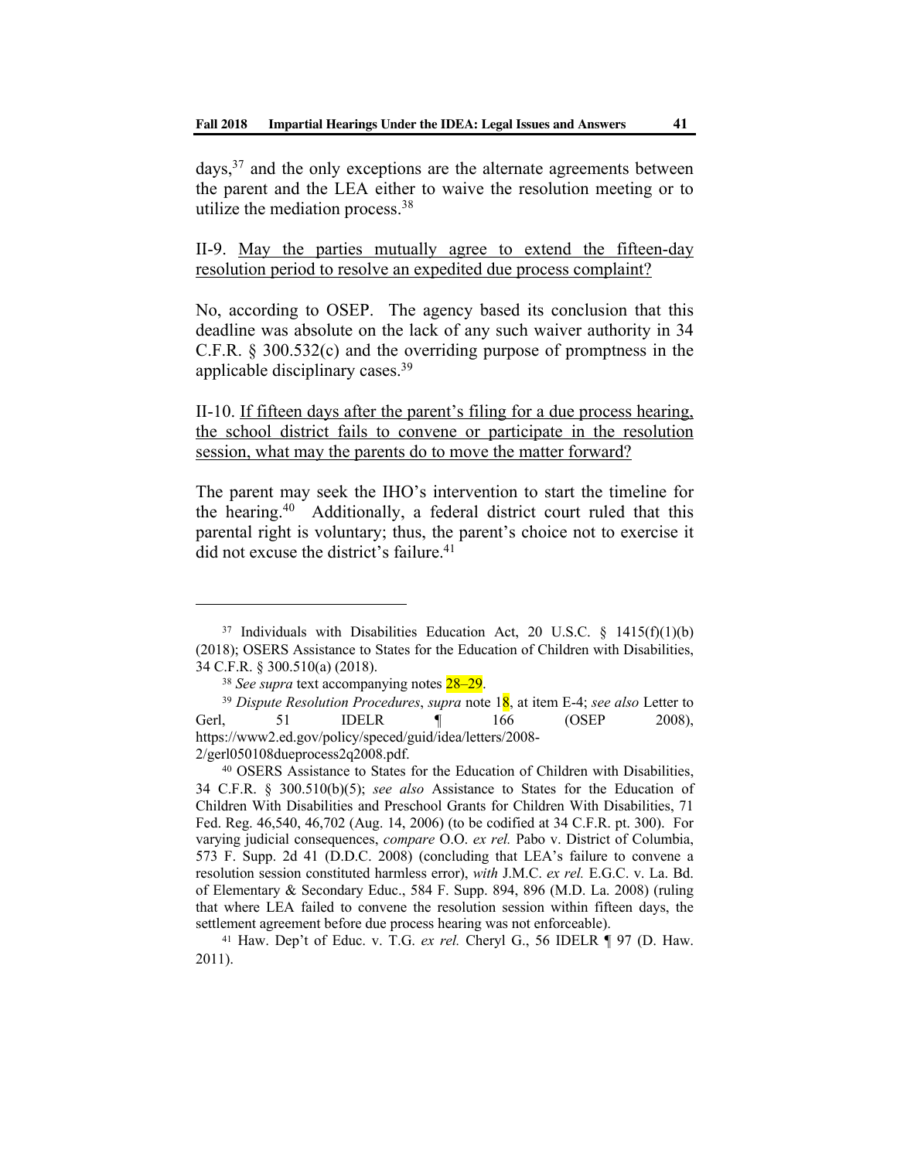days,37 and the only exceptions are the alternate agreements between the parent and the LEA either to waive the resolution meeting or to utilize the mediation process.38

II-9. May the parties mutually agree to extend the fifteen-day resolution period to resolve an expedited due process complaint?

No, according to OSEP. The agency based its conclusion that this deadline was absolute on the lack of any such waiver authority in 34 C.F.R. § 300.532(c) and the overriding purpose of promptness in the applicable disciplinary cases.39

II-10. If fifteen days after the parent's filing for a due process hearing, the school district fails to convene or participate in the resolution session, what may the parents do to move the matter forward?

The parent may seek the IHO's intervention to start the timeline for the hearing.40 Additionally, a federal district court ruled that this parental right is voluntary; thus, the parent's choice not to exercise it did not excuse the district's failure.<sup>41</sup>

<sup>37</sup> Individuals with Disabilities Education Act, 20 U.S.C. § 1415(f)(1)(b) (2018); OSERS Assistance to States for the Education of Children with Disabilities, 34 C.F.R. § 300.510(a) (2018). 38 *See supra* text accompanying notes 28–29.

<sup>39</sup> *Dispute Resolution Procedures*, *supra* note 18, at item E-4; *see also* Letter to Gerl, 51 IDELR ¶ 166 (OSEP 2008), https://www2.ed.gov/policy/speced/guid/idea/letters/2008- 2/gerl050108dueprocess2q2008.pdf.

<sup>40</sup> OSERS Assistance to States for the Education of Children with Disabilities, 34 C.F.R. § 300.510(b)(5); *see also* Assistance to States for the Education of Children With Disabilities and Preschool Grants for Children With Disabilities, 71 Fed. Reg. 46,540, 46,702 (Aug. 14, 2006) (to be codified at 34 C.F.R. pt. 300). For varying judicial consequences, *compare* O.O. *ex rel.* Pabo v. District of Columbia, 573 F. Supp. 2d 41 (D.D.C. 2008) (concluding that LEA's failure to convene a resolution session constituted harmless error), *with* J.M.C. *ex rel.* E.G.C. v. La. Bd. of Elementary & Secondary Educ., 584 F. Supp. 894, 896 (M.D. La. 2008) (ruling that where LEA failed to convene the resolution session within fifteen days, the settlement agreement before due process hearing was not enforceable).

<sup>&</sup>lt;sup>41</sup> Haw. Dep't of Educ. v. T.G. ex rel. Cheryl G., 56 IDELR ¶ 97 (D. Haw. 2011).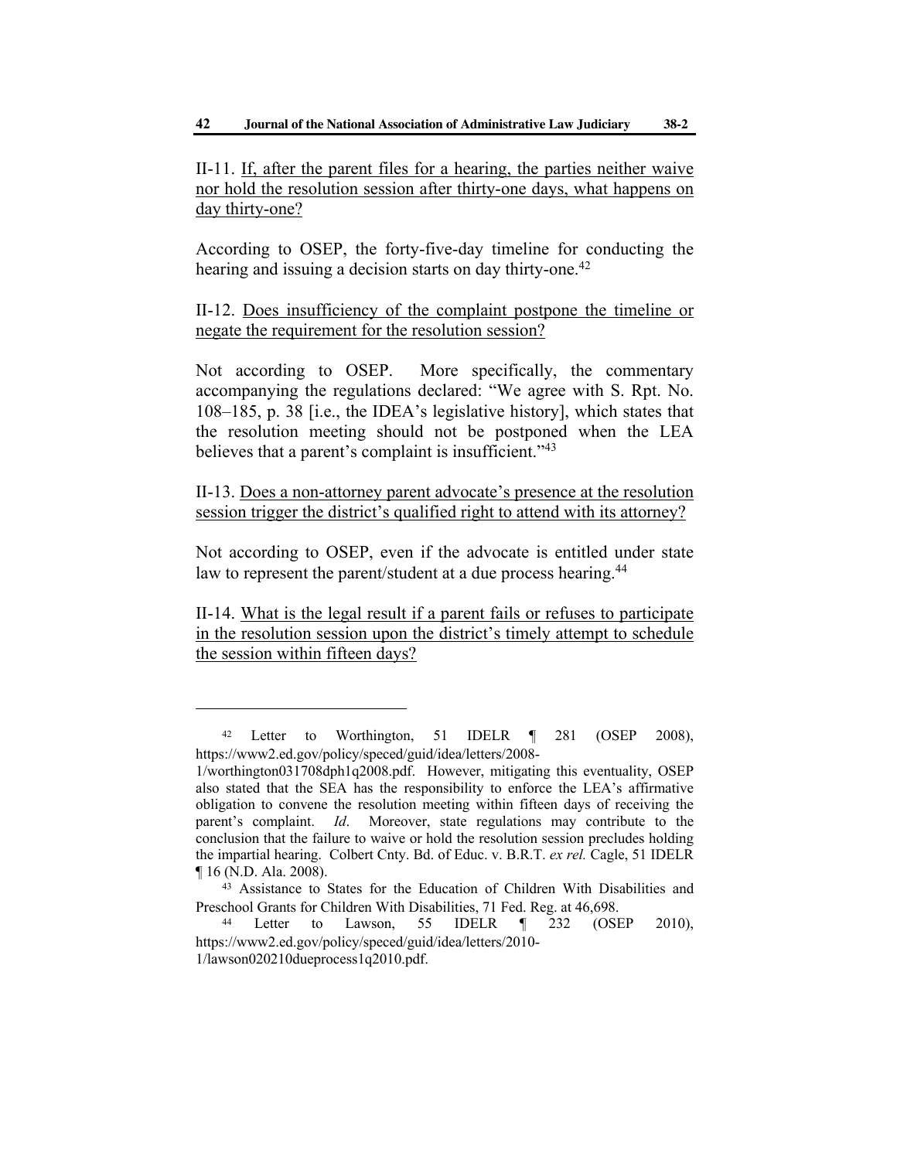II-11. If, after the parent files for a hearing, the parties neither waive nor hold the resolution session after thirty-one days, what happens on day thirty-one?

According to OSEP, the forty-five-day timeline for conducting the hearing and issuing a decision starts on day thirty-one.<sup>42</sup>

II-12. Does insufficiency of the complaint postpone the timeline or negate the requirement for the resolution session?

Not according to OSEP. More specifically, the commentary accompanying the regulations declared: "We agree with S. Rpt. No. 108–185, p. 38 [i.e., the IDEA's legislative history], which states that the resolution meeting should not be postponed when the LEA believes that a parent's complaint is insufficient."<sup>43</sup>

II-13. Does a non-attorney parent advocate's presence at the resolution session trigger the district's qualified right to attend with its attorney?

Not according to OSEP, even if the advocate is entitled under state law to represent the parent/student at a due process hearing.<sup>44</sup>

II-14. What is the legal result if a parent fails or refuses to participate in the resolution session upon the district's timely attempt to schedule the session within fifteen days?

<sup>42</sup> Letter to Worthington, 51 IDELR ¶ 281 (OSEP 2008), https://www2.ed.gov/policy/speced/guid/idea/letters/2008-

<sup>1/</sup>worthington031708dph1q2008.pdf. However, mitigating this eventuality, OSEP also stated that the SEA has the responsibility to enforce the LEA's affirmative obligation to convene the resolution meeting within fifteen days of receiving the parent's complaint. *Id*. Moreover, state regulations may contribute to the conclusion that the failure to waive or hold the resolution session precludes holding the impartial hearing. Colbert Cnty. Bd. of Educ. v. B.R.T. *ex rel.* Cagle, 51 IDELR ¶ 16 (N.D. Ala. 2008).

<sup>43</sup> Assistance to States for the Education of Children With Disabilities and Preschool Grants for Children With Disabilities, 71 Fed. Reg. at 46,698.

<sup>44</sup> Letter to Lawson, 55 IDELR ¶ 232 (OSEP 2010), https://www2.ed.gov/policy/speced/guid/idea/letters/2010- 1/lawson020210dueprocess1q2010.pdf.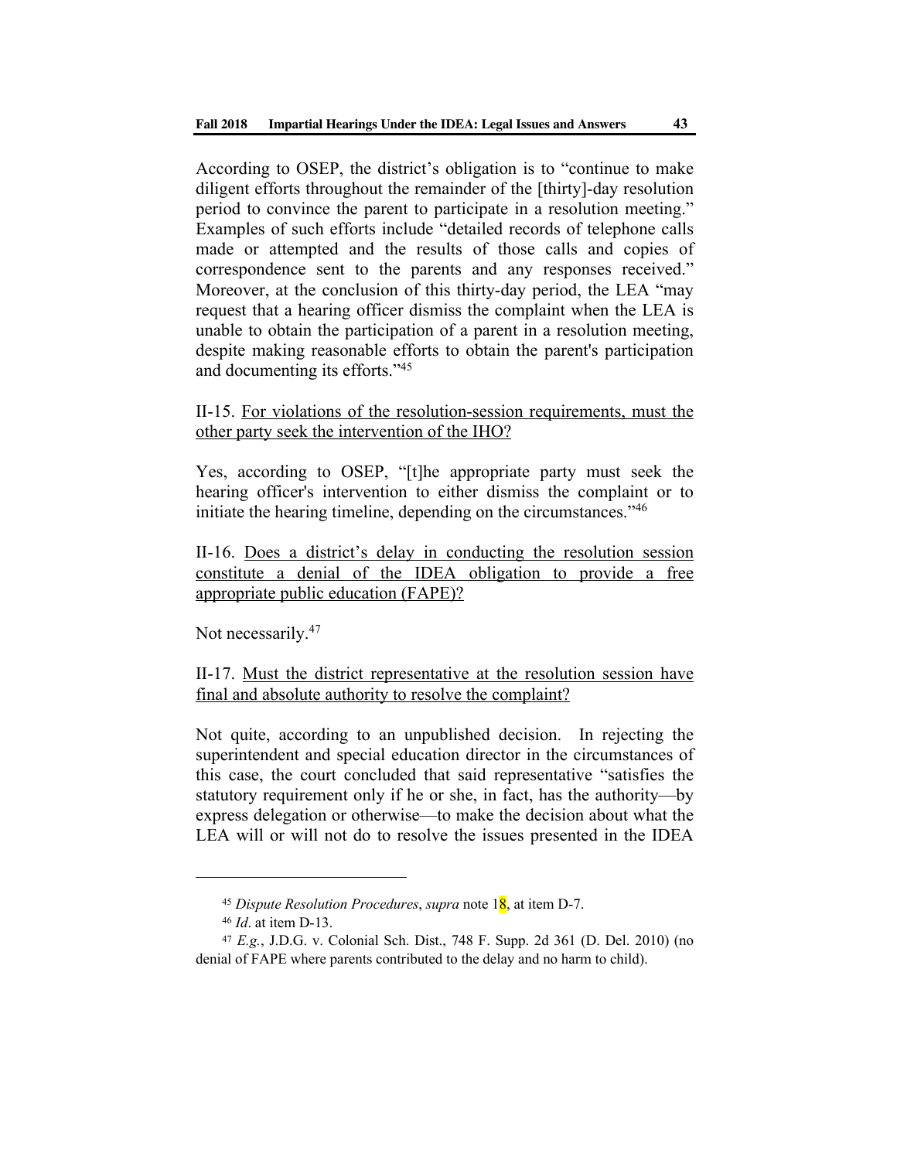According to OSEP, the district's obligation is to "continue to make diligent efforts throughout the remainder of the [thirty]-day resolution period to convince the parent to participate in a resolution meeting." Examples of such efforts include "detailed records of telephone calls made or attempted and the results of those calls and copies of correspondence sent to the parents and any responses received." Moreover, at the conclusion of this thirty-day period, the LEA "may request that a hearing officer dismiss the complaint when the LEA is unable to obtain the participation of a parent in a resolution meeting, despite making reasonable efforts to obtain the parent's participation and documenting its efforts."45

II-15. For violations of the resolution-session requirements, must the other party seek the intervention of the IHO?

Yes, according to OSEP, "[t]he appropriate party must seek the hearing officer's intervention to either dismiss the complaint or to initiate the hearing timeline, depending on the circumstances."46

II-16. Does a district's delay in conducting the resolution session constitute a denial of the IDEA obligation to provide a free appropriate public education (FAPE)?

Not necessarily.<sup>47</sup>

II-17. Must the district representative at the resolution session have final and absolute authority to resolve the complaint?

Not quite, according to an unpublished decision. In rejecting the superintendent and special education director in the circumstances of this case, the court concluded that said representative "satisfies the statutory requirement only if he or she, in fact, has the authority—by express delegation or otherwise—to make the decision about what the LEA will or will not do to resolve the issues presented in the IDEA

<sup>45</sup> *Dispute Resolution Procedures*, *supra* note 18, at item D-7.

<sup>46</sup> *Id*. at item D-13.

<sup>47</sup> *E.g.*, J.D.G. v. Colonial Sch. Dist., 748 F. Supp. 2d 361 (D. Del. 2010) (no denial of FAPE where parents contributed to the delay and no harm to child).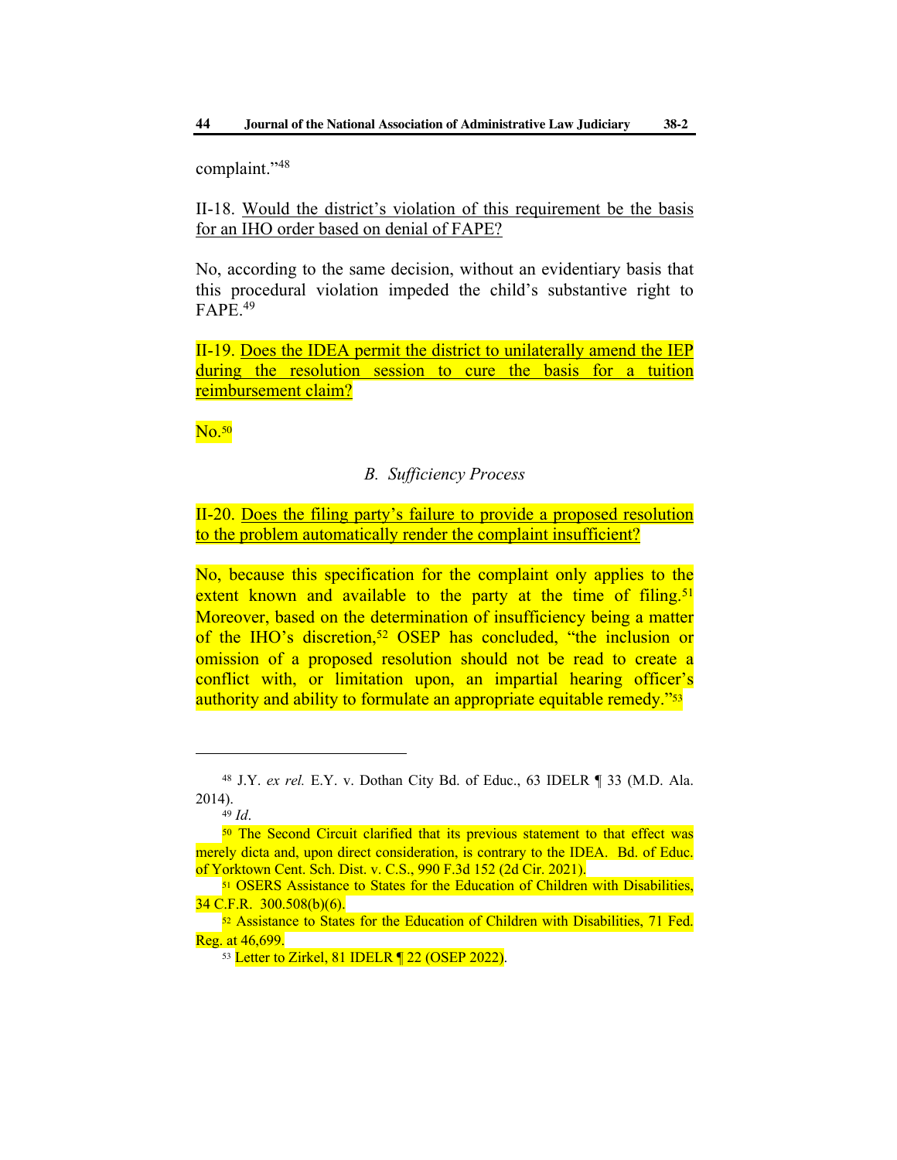complaint."48

II-18. Would the district's violation of this requirement be the basis for an IHO order based on denial of FAPE?

No, according to the same decision, without an evidentiary basis that this procedural violation impeded the child's substantive right to FAPE.49

II-19. Does the IDEA permit the district to unilaterally amend the IEP during the resolution session to cure the basis for a tuition reimbursement claim?

No.<sup>50</sup>

### *B. Sufficiency Process*

II-20. Does the filing party's failure to provide a proposed resolution to the problem automatically render the complaint insufficient?

No, because this specification for the complaint only applies to the extent known and available to the party at the time of filing.<sup>51</sup> Moreover, based on the determination of insufficiency being a matter of the IHO's discretion, <sup>52</sup> OSEP has concluded, "the inclusion or omission of a proposed resolution should not be read to create a conflict with, or limitation upon, an impartial hearing officer's authority and ability to formulate an appropriate equitable remedy."<sup>53</sup>

<sup>48</sup> J.Y. *ex rel.* E.Y. v. Dothan City Bd. of Educ., 63 IDELR ¶ 33 (M.D. Ala. 2014).

<sup>49</sup> *Id*.

<sup>&</sup>lt;sup>50</sup> The Second Circuit clarified that its previous statement to that effect was merely dicta and, upon direct consideration, is contrary to the IDEA. Bd. of Educ. of Yorktown Cent. Sch. Dist. v. C.S., 990 F.3d 152 (2d Cir. 2021).

<sup>&</sup>lt;sup>51</sup> OSERS Assistance to States for the Education of Children with Disabilities, 34 C.F.R. 300.508(b)(6).

<sup>&</sup>lt;sup>52</sup> Assistance to States for the Education of Children with Disabilities, 71 Fed. Reg. at 46,699.

<sup>53</sup> Letter to Zirkel, 81 IDELR ¶ 22 (OSEP 2022).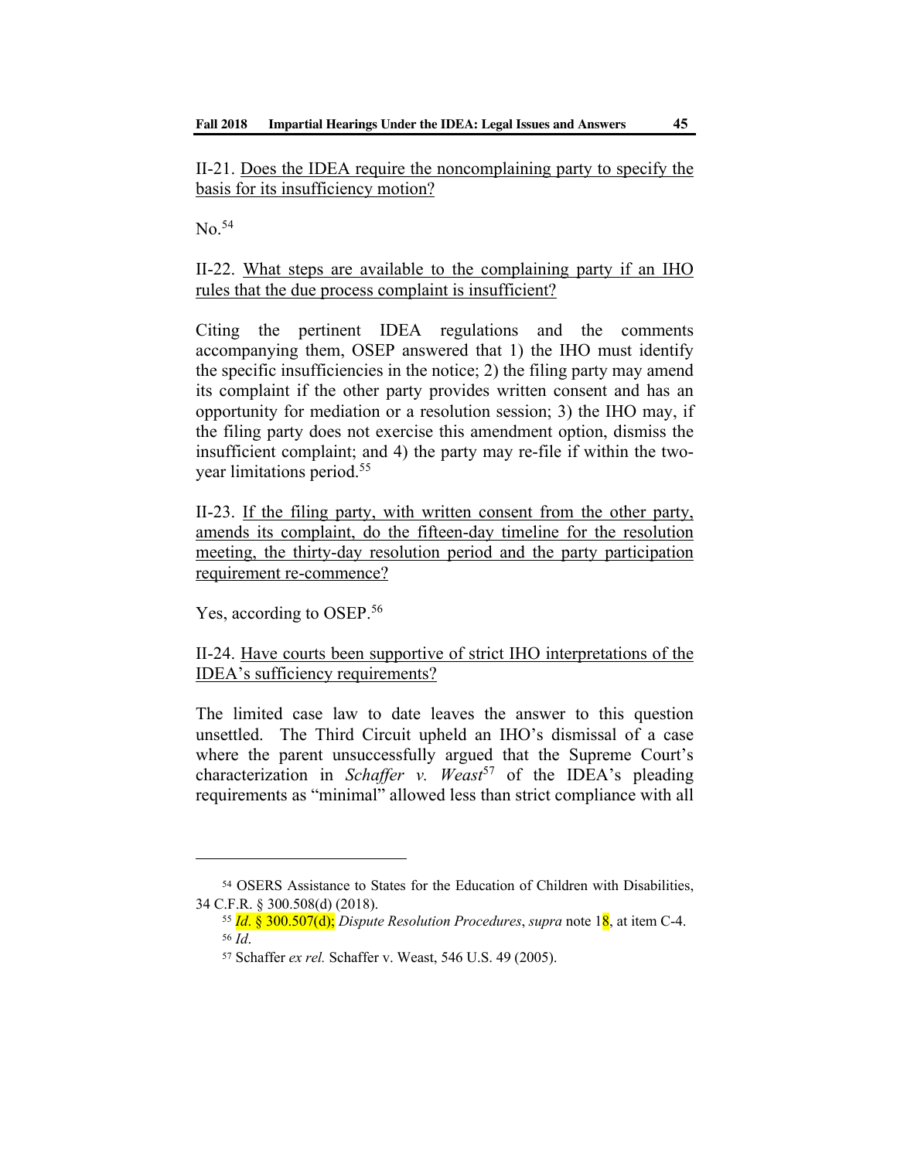II-21. Does the IDEA require the noncomplaining party to specify the basis for its insufficiency motion?

 $No.<sup>54</sup>$ 

II-22. What steps are available to the complaining party if an IHO rules that the due process complaint is insufficient?

Citing the pertinent IDEA regulations and the comments accompanying them, OSEP answered that 1) the IHO must identify the specific insufficiencies in the notice; 2) the filing party may amend its complaint if the other party provides written consent and has an opportunity for mediation or a resolution session; 3) the IHO may, if the filing party does not exercise this amendment option, dismiss the insufficient complaint; and 4) the party may re-file if within the twoyear limitations period.55

II-23. If the filing party, with written consent from the other party, amends its complaint, do the fifteen-day timeline for the resolution meeting, the thirty-day resolution period and the party participation requirement re-commence?

Yes, according to OSEP.<sup>56</sup>

II-24. Have courts been supportive of strict IHO interpretations of the IDEA's sufficiency requirements?

The limited case law to date leaves the answer to this question unsettled. The Third Circuit upheld an IHO's dismissal of a case where the parent unsuccessfully argued that the Supreme Court's characterization in *Schaffer v. Weast<sup>57</sup>* of the IDEA's pleading requirements as "minimal" allowed less than strict compliance with all

<sup>54</sup> OSERS Assistance to States for the Education of Children with Disabilities, 34 C.F.R. § 300.508(d) (2018).

<sup>55</sup> *Id*. § 300.507(d); *Dispute Resolution Procedures*, *supra* note 18, at item C-4. <sup>56</sup> *Id*.

<sup>57</sup> Schaffer *ex rel.* Schaffer v. Weast, 546 U.S. 49 (2005).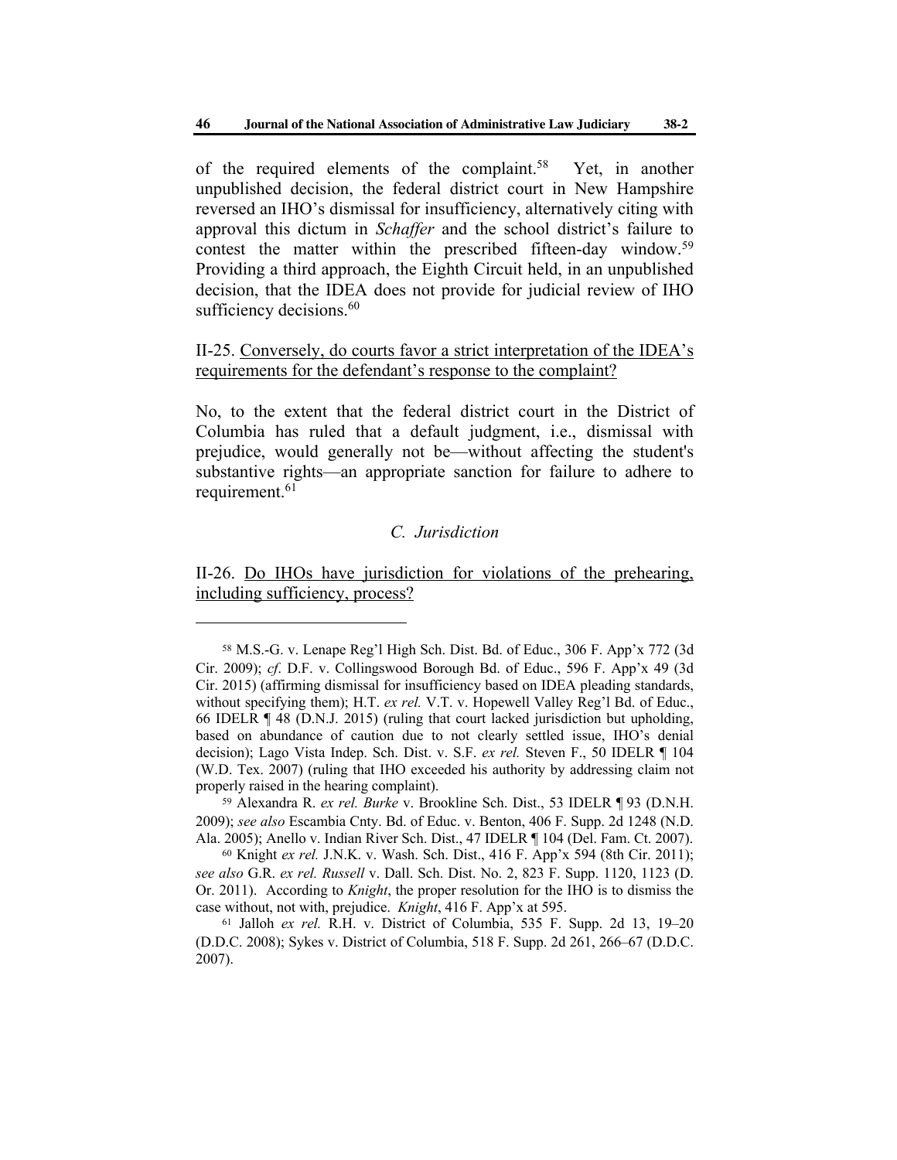of the required elements of the complaint.58 Yet, in another unpublished decision, the federal district court in New Hampshire reversed an IHO's dismissal for insufficiency, alternatively citing with approval this dictum in *Schaffer* and the school district's failure to contest the matter within the prescribed fifteen-day window.59 Providing a third approach, the Eighth Circuit held, in an unpublished decision, that the IDEA does not provide for judicial review of IHO sufficiency decisions.<sup>60</sup>

### II-25. Conversely, do courts favor a strict interpretation of the IDEA's requirements for the defendant's response to the complaint?

No, to the extent that the federal district court in the District of Columbia has ruled that a default judgment, i.e., dismissal with prejudice, would generally not be—without affecting the student's substantive rights—an appropriate sanction for failure to adhere to requirement.<sup>61</sup>

### *C. Jurisdiction*

II-26. Do IHOs have jurisdiction for violations of the prehearing, including sufficiency, process?

<sup>58</sup> M.S.-G. v. Lenape Reg'l High Sch. Dist. Bd. of Educ., 306 F. App'x 772 (3d Cir. 2009); *cf*. D.F. v. Collingswood Borough Bd. of Educ., 596 F. App'x 49 (3d Cir. 2015) (affirming dismissal for insufficiency based on IDEA pleading standards, without specifying them); H.T. *ex rel.* V.T. v. Hopewell Valley Reg'l Bd. of Educ., 66 IDELR ¶ 48 (D.N.J. 2015) (ruling that court lacked jurisdiction but upholding, based on abundance of caution due to not clearly settled issue, IHO's denial decision); Lago Vista Indep. Sch. Dist. v. S.F. *ex rel.* Steven F., 50 IDELR ¶ 104 (W.D. Tex. 2007) (ruling that IHO exceeded his authority by addressing claim not properly raised in the hearing complaint).

<sup>59</sup> Alexandra R. *ex rel. Burke* v. Brookline Sch. Dist., 53 IDELR ¶ 93 (D.N.H. 2009); *see also* Escambia Cnty. Bd. of Educ. v. Benton, 406 F. Supp. 2d 1248 (N.D. Ala. 2005); Anello v. Indian River Sch. Dist., 47 IDELR ¶ 104 (Del. Fam. Ct. 2007). 60 Knight *ex rel.* J.N.K. v. Wash. Sch. Dist., 416 F. App'x 594 (8th Cir. 2011);

*see also* G.R. *ex rel. Russell* v. Dall. Sch. Dist. No. 2, 823 F. Supp. 1120, 1123 (D. Or. 2011). According to *Knight*, the proper resolution for the IHO is to dismiss the case without, not with, prejudice. *Knight*, 416 F. App'x at 595.

<sup>61</sup> Jalloh *ex rel.* R.H. v. District of Columbia, 535 F. Supp. 2d 13, 19–20 (D.D.C. 2008); Sykes v. District of Columbia, 518 F. Supp. 2d 261, 266–67 (D.D.C. 2007).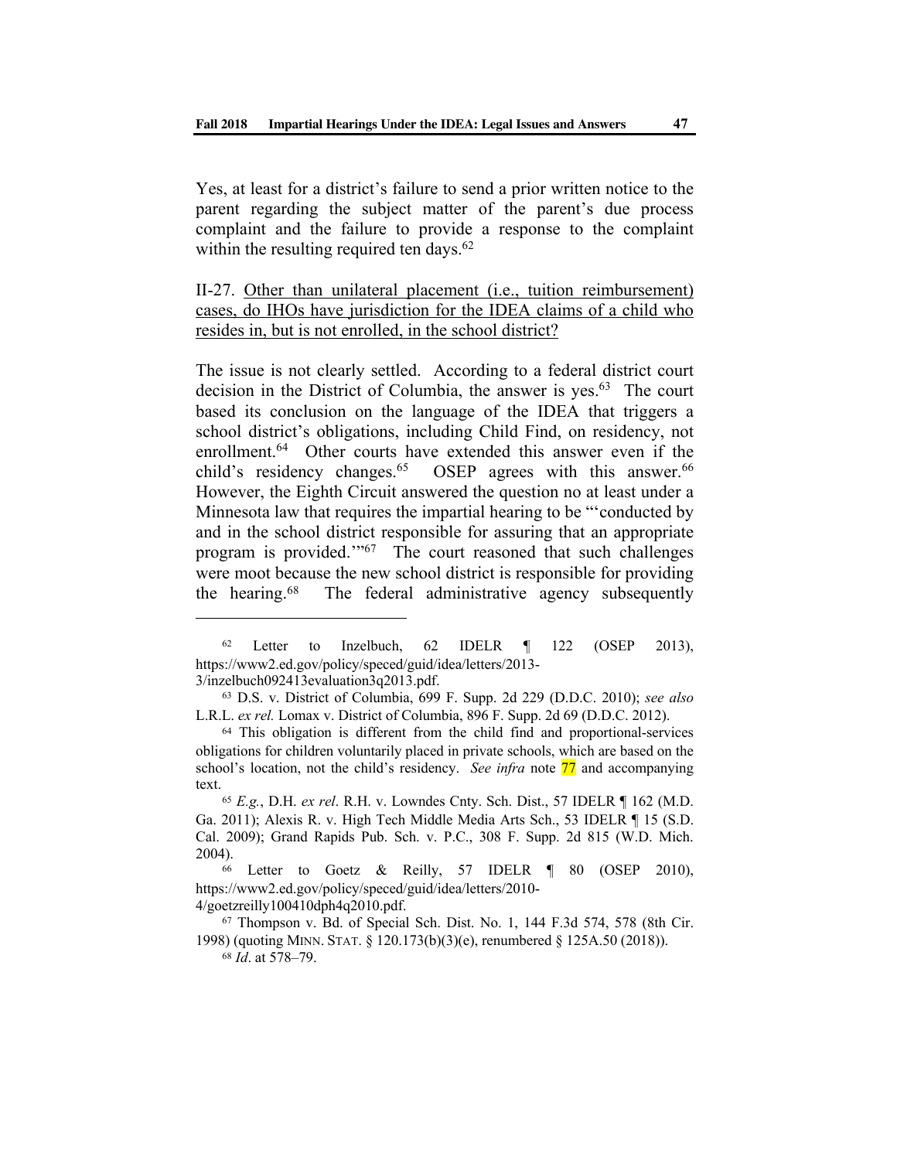Yes, at least for a district's failure to send a prior written notice to the parent regarding the subject matter of the parent's due process complaint and the failure to provide a response to the complaint within the resulting required ten days.<sup>62</sup>

II-27. Other than unilateral placement (i.e., tuition reimbursement) cases, do IHOs have jurisdiction for the IDEA claims of a child who resides in, but is not enrolled, in the school district?

The issue is not clearly settled. According to a federal district court decision in the District of Columbia, the answer is yes.<sup>63</sup> The court based its conclusion on the language of the IDEA that triggers a school district's obligations, including Child Find, on residency, not enrollment.<sup>64</sup> Other courts have extended this answer even if the child's residency changes.<sup>65</sup> OSEP agrees with this answer.<sup>66</sup> However, the Eighth Circuit answered the question no at least under a Minnesota law that requires the impartial hearing to be "'conducted by and in the school district responsible for assuring that an appropriate program is provided.'"67 The court reasoned that such challenges were moot because the new school district is responsible for providing the hearing.68 The federal administrative agency subsequently

3/inzelbuch092413evaluation3q2013.pdf.

 $62$  Letter to Inzelbuch,  $62$  IDELR  $\P$  122 (OSEP 2013), https://www2.ed.gov/policy/speced/guid/idea/letters/2013-

<sup>63</sup> D.S. v. District of Columbia, 699 F. Supp. 2d 229 (D.D.C. 2010); *see also* L.R.L. *ex rel.* Lomax v. District of Columbia, 896 F. Supp. 2d 69 (D.D.C. 2012).

<sup>64</sup> This obligation is different from the child find and proportional-services obligations for children voluntarily placed in private schools, which are based on the school's location, not the child's residency. *See infra* note 77 and accompanying text.65 *E.g.*, D.H. *ex rel*. R.H. v. Lowndes Cnty. Sch. Dist., 57 IDELR ¶ 162 (M.D.

Ga. 2011); Alexis R. v. High Tech Middle Media Arts Sch., 53 IDELR ¶ 15 (S.D. Cal. 2009); Grand Rapids Pub. Sch. v. P.C., 308 F. Supp. 2d 815 (W.D. Mich. 2004). 66 Letter to Goetz & Reilly, 57 IDELR ¶ 80 (OSEP 2010),

https://www2.ed.gov/policy/speced/guid/idea/letters/2010-

<sup>4/</sup>goetzreilly100410dph4q2010.pdf. 67 Thompson v. Bd. of Special Sch. Dist. No. 1, 144 F.3d 574, 578 (8th Cir. 1998) (quoting MINN. STAT. § 120.173(b)(3)(e), renumbered § 125A.50 (2018)).

<sup>68</sup> *Id*. at 578–79.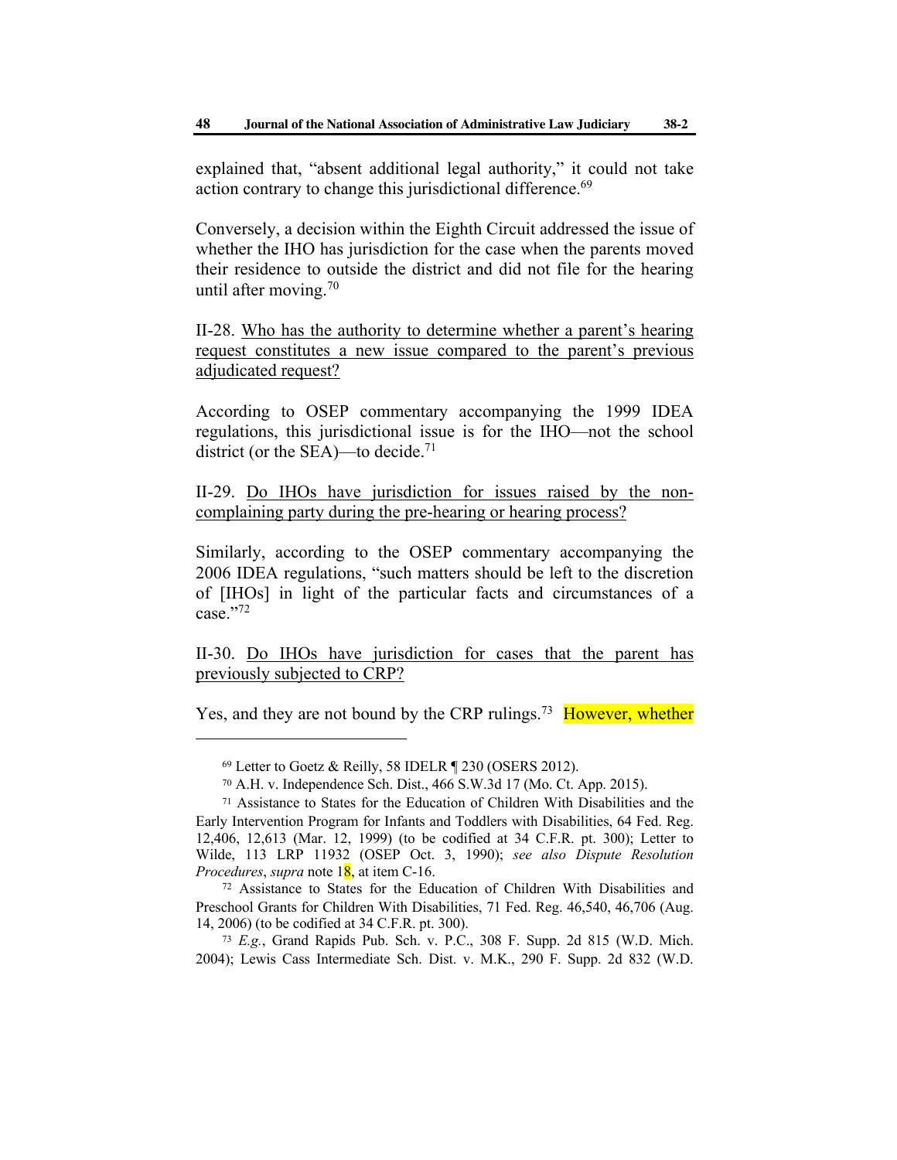explained that, "absent additional legal authority," it could not take action contrary to change this jurisdictional difference.<sup>69</sup>

Conversely, a decision within the Eighth Circuit addressed the issue of whether the IHO has jurisdiction for the case when the parents moved their residence to outside the district and did not file for the hearing until after moving. $70$ 

II-28. Who has the authority to determine whether a parent's hearing request constitutes a new issue compared to the parent's previous adjudicated request?

According to OSEP commentary accompanying the 1999 IDEA regulations, this jurisdictional issue is for the IHO—not the school district (or the SEA)—to decide.<sup>71</sup>

II-29. Do IHOs have jurisdiction for issues raised by the noncomplaining party during the pre-hearing or hearing process?

Similarly, according to the OSEP commentary accompanying the 2006 IDEA regulations, "such matters should be left to the discretion of [IHOs] in light of the particular facts and circumstances of a case."72

II-30. Do IHOs have jurisdiction for cases that the parent has previously subjected to CRP?

Yes, and they are not bound by the CRP rulings.<sup>73</sup> However, whether

<sup>73</sup> *E.g.*, Grand Rapids Pub. Sch. v. P.C., 308 F. Supp. 2d 815 (W.D. Mich. 2004); Lewis Cass Intermediate Sch. Dist. v. M.K., 290 F. Supp. 2d 832 (W.D.

<sup>69</sup> Letter to Goetz & Reilly, 58 IDELR ¶ 230 (OSERS 2012).

<sup>70</sup> A.H. v. Independence Sch. Dist., 466 S.W.3d 17 (Mo. Ct. App. 2015).

<sup>71</sup> Assistance to States for the Education of Children With Disabilities and the Early Intervention Program for Infants and Toddlers with Disabilities, 64 Fed. Reg. 12,406, 12,613 (Mar. 12, 1999) (to be codified at 34 C.F.R. pt. 300); Letter to Wilde, 113 LRP 11932 (OSEP Oct. 3, 1990); *see also Dispute Resolution Procedures, supra* note 18, at item C-16.

<sup>72</sup> Assistance to States for the Education of Children With Disabilities and Preschool Grants for Children With Disabilities, 71 Fed. Reg. 46,540, 46,706 (Aug. 14, 2006) (to be codified at 34 C.F.R. pt. 300).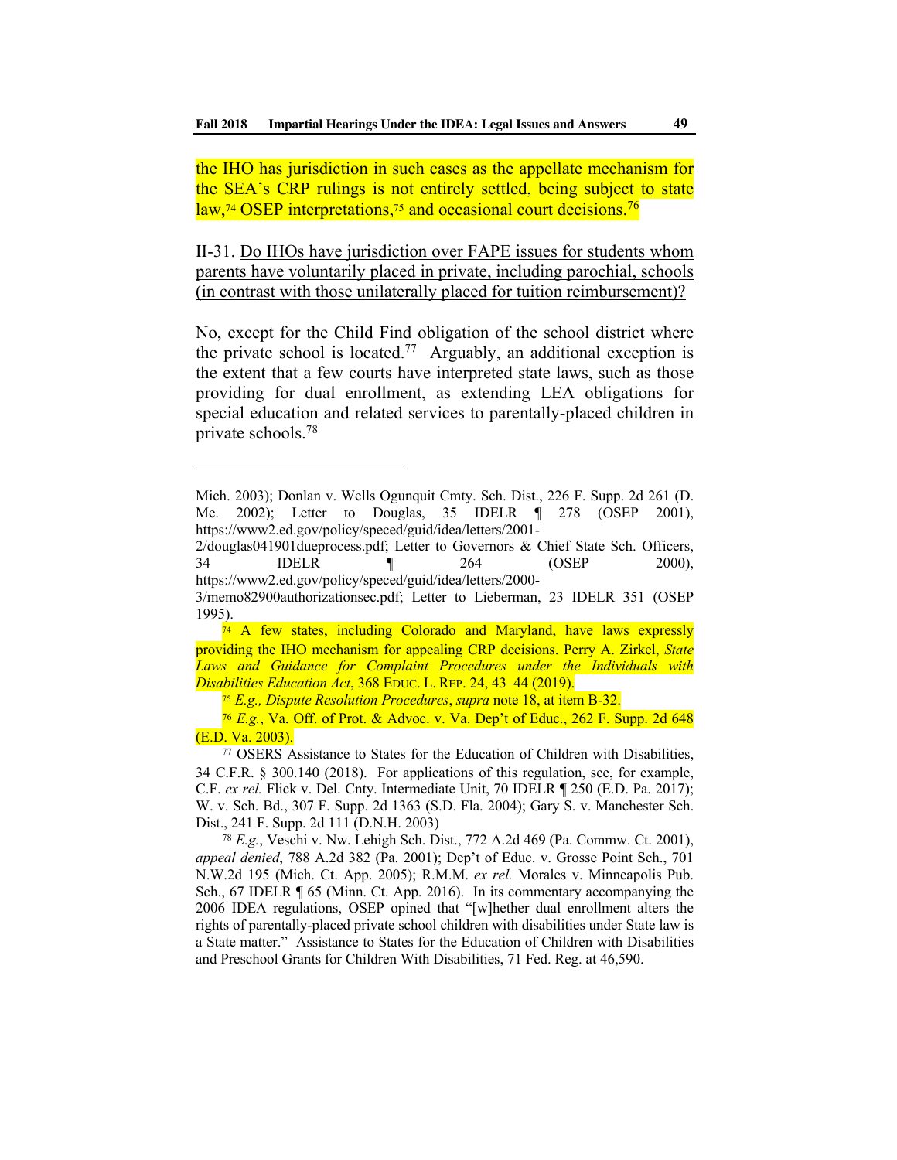the IHO has jurisdiction in such cases as the appellate mechanism for the SEA's CRP rulings is not entirely settled, being subject to state law,<sup>74</sup> OSEP interpretations,<sup>75</sup> and occasional court decisions.<sup>76</sup>

II-31. Do IHOs have jurisdiction over FAPE issues for students whom parents have voluntarily placed in private, including parochial, schools (in contrast with those unilaterally placed for tuition reimbursement)?

No, except for the Child Find obligation of the school district where the private school is located.<sup>77</sup> Arguably, an additional exception is the extent that a few courts have interpreted state laws, such as those providing for dual enrollment, as extending LEA obligations for special education and related services to parentally-placed children in private schools.78

 $74$  A few states, including Colorado and Maryland, have laws expressly providing the IHO mechanism for appealing CRP decisions. Perry A. Zirkel, *State Laws and Guidance for Complaint Procedures under the Individuals with Disabilities Education Act*, 368 EDUC. L. REP. 24, 43–44 (2019).

<sup>75</sup> *E.g., Dispute Resolution Procedures*, *supra* note 18, at item B-32.

<sup>76</sup> *E.g.*, Va. Off. of Prot. & Advoc. v. Va. Dep't of Educ., 262 F. Supp. 2d 648 (E.D. Va. 2003).

<sup>77</sup> OSERS Assistance to States for the Education of Children with Disabilities, 34 C.F.R. § 300.140 (2018). For applications of this regulation, see, for example, C.F. *ex rel.* Flick v. Del. Cnty. Intermediate Unit, 70 IDELR ¶ 250 (E.D. Pa. 2017); W. v. Sch. Bd., 307 F. Supp. 2d 1363 (S.D. Fla. 2004); Gary S. v. Manchester Sch. Dist., 241 F. Supp. 2d 111 (D.N.H. 2003)

<sup>78</sup> *E.g.*, Veschi v. Nw. Lehigh Sch. Dist., 772 A.2d 469 (Pa. Commw. Ct. 2001), *appeal denied*, 788 A.2d 382 (Pa. 2001); Dep't of Educ. v. Grosse Point Sch., 701 N.W.2d 195 (Mich. Ct. App. 2005); R.M.M. *ex rel.* Morales v. Minneapolis Pub. Sch., 67 IDELR ¶ 65 (Minn. Ct. App. 2016). In its commentary accompanying the 2006 IDEA regulations, OSEP opined that "[w]hether dual enrollment alters the rights of parentally-placed private school children with disabilities under State law is a State matter." Assistance to States for the Education of Children with Disabilities and Preschool Grants for Children With Disabilities, 71 Fed. Reg. at 46,590.

Mich. 2003); Donlan v. Wells Ogunquit Cmty. Sch. Dist., 226 F. Supp. 2d 261 (D. Me. 2002); Letter to Douglas, 35 IDELR ¶ 278 (OSEP 2001), https://www2.ed.gov/policy/speced/guid/idea/letters/2001-

<sup>2/</sup>douglas041901dueprocess.pdf; Letter to Governors & Chief State Sch. Officers, 34 IDELR ¶ 264 (OSEP 2000), https://www2.ed.gov/policy/speced/guid/idea/letters/2000-

<sup>3/</sup>memo82900authorizationsec.pdf; Letter to Lieberman, 23 IDELR 351 (OSEP 1995).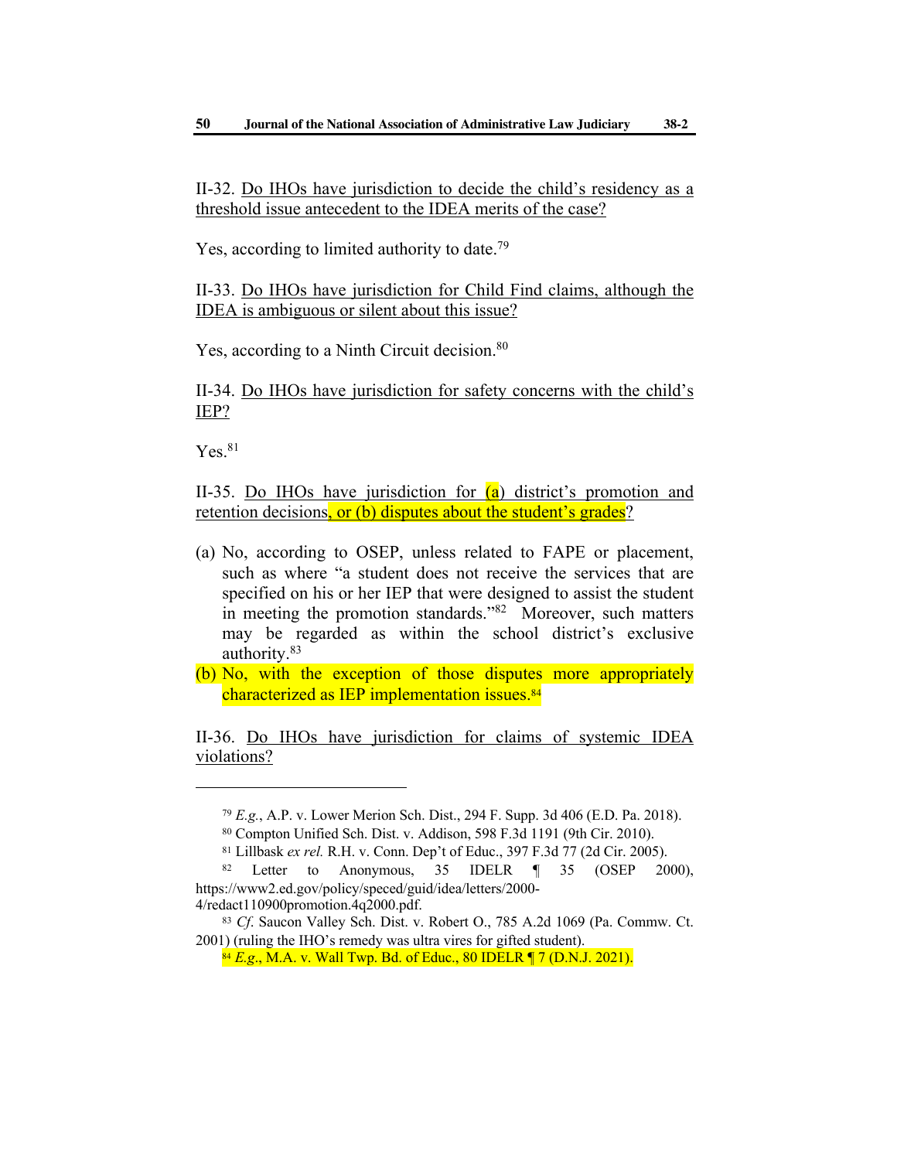II-32. Do IHOs have jurisdiction to decide the child's residency as a threshold issue antecedent to the IDEA merits of the case?

Yes, according to limited authority to date.<sup>79</sup>

II-33. Do IHOs have jurisdiction for Child Find claims, although the IDEA is ambiguous or silent about this issue?

Yes, according to a Ninth Circuit decision.<sup>80</sup>

II-34. Do IHOs have jurisdiction for safety concerns with the child's IEP?

 $Yes.<sup>81</sup>$ 

II-35. Do IHOs have jurisdiction for  $(a)$  district's promotion and retention decisions, or (b) disputes about the student's grades?

(a) No, according to OSEP, unless related to FAPE or placement, such as where "a student does not receive the services that are specified on his or her IEP that were designed to assist the student in meeting the promotion standards."82 Moreover, such matters may be regarded as within the school district's exclusive authority.83

(b) No, with the exception of those disputes more appropriately characterized as IEP implementation issues.<sup>84</sup>

II-36. Do IHOs have jurisdiction for claims of systemic IDEA violations?

<sup>79</sup> *E.g.*, A.P. v. Lower Merion Sch. Dist., 294 F. Supp. 3d 406 (E.D. Pa. 2018).

<sup>80</sup> Compton Unified Sch. Dist. v. Addison, 598 F.3d 1191 (9th Cir. 2010).

<sup>81</sup> Lillbask *ex rel.* R.H. v. Conn. Dep't of Educ., 397 F.3d 77 (2d Cir. 2005).

<sup>82</sup> Letter to Anonymous,  $35$  IDELR  $\parallel$   $35$  (OSEP 2000), https://www2.ed.gov/policy/speced/guid/idea/letters/2000- 4/redact110900promotion.4q2000.pdf.

<sup>83</sup> *Cf*. Saucon Valley Sch. Dist. v. Robert O., 785 A.2d 1069 (Pa. Commw. Ct. 2001) (ruling the IHO's remedy was ultra vires for gifted student).

<sup>84</sup> *E.g*., M.A. v. Wall Twp. Bd. of Educ., 80 IDELR ¶ 7 (D.N.J. 2021).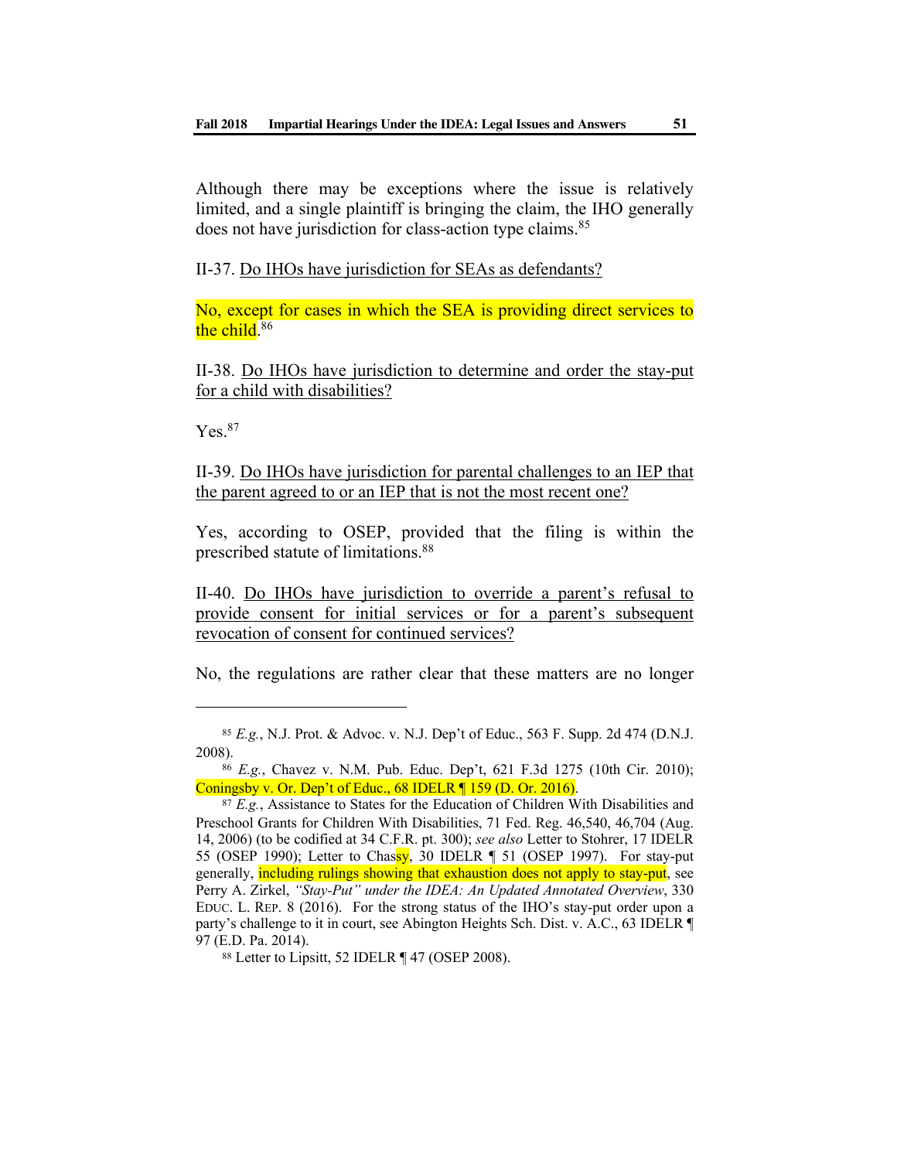Although there may be exceptions where the issue is relatively limited, and a single plaintiff is bringing the claim, the IHO generally does not have jurisdiction for class-action type claims.<sup>85</sup>

II-37. Do IHOs have jurisdiction for SEAs as defendants?

No, except for cases in which the SEA is providing direct services to <mark>the child</mark>.<sup>86</sup>

II-38. Do IHOs have jurisdiction to determine and order the stay-put for a child with disabilities?

 $Yes.<sup>87</sup>$ 

II-39. Do IHOs have jurisdiction for parental challenges to an IEP that the parent agreed to or an IEP that is not the most recent one?

Yes, according to OSEP, provided that the filing is within the prescribed statute of limitations.88

II-40. Do IHOs have jurisdiction to override a parent's refusal to provide consent for initial services or for a parent's subsequent revocation of consent for continued services?

No, the regulations are rather clear that these matters are no longer

<sup>85</sup> *E.g.*, N.J. Prot. & Advoc. v. N.J. Dep't of Educ., 563 F. Supp. 2d 474 (D.N.J. 2008).

<sup>86</sup> *E.g.*, Chavez v. N.M. Pub. Educ. Dep't, 621 F.3d 1275 (10th Cir. 2010); Coningsby v. Or. Dep't of Educ., 68 IDELR ¶ 159 (D. Or. 2016).

<sup>87</sup> *E.g.*, Assistance to States for the Education of Children With Disabilities and Preschool Grants for Children With Disabilities, 71 Fed. Reg. 46,540, 46,704 (Aug. 14, 2006) (to be codified at 34 C.F.R. pt. 300); *see also* Letter to Stohrer, 17 IDELR 55 (OSEP 1990); Letter to Chassy, 30 IDELR | 51 (OSEP 1997). For stay-put generally, including rulings showing that exhaustion does not apply to stay-put, see Perry A. Zirkel, *"Stay-Put" under the IDEA: An Updated Annotated Overview*, 330 EDUC. L. REP. 8 (2016). For the strong status of the IHO's stay-put order upon a party's challenge to it in court, see Abington Heights Sch. Dist. v. A.C., 63 IDELR ¶ 97 (E.D. Pa. 2014).

<sup>88</sup> Letter to Lipsitt, 52 IDELR ¶ 47 (OSEP 2008).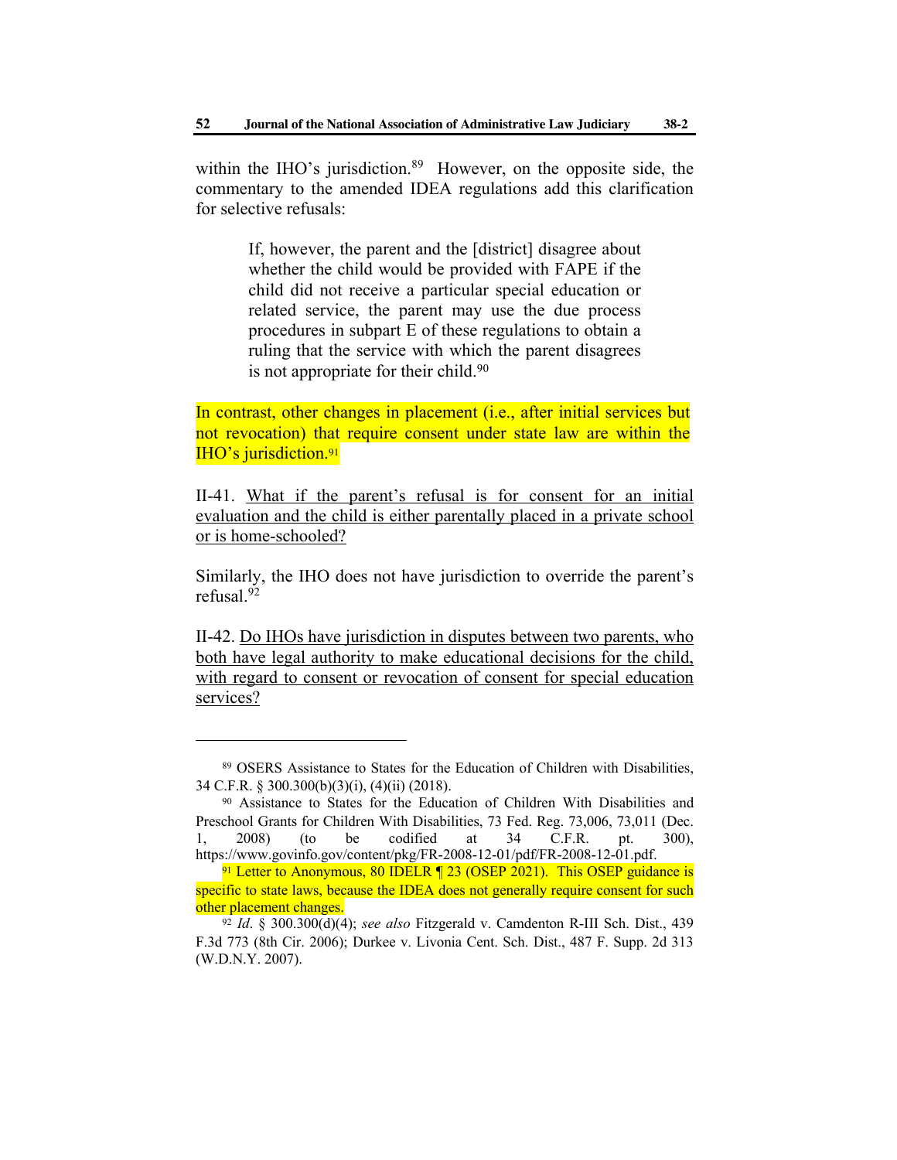within the IHO's jurisdiction.<sup>89</sup> However, on the opposite side, the commentary to the amended IDEA regulations add this clarification for selective refusals:

> If, however, the parent and the [district] disagree about whether the child would be provided with FAPE if the child did not receive a particular special education or related service, the parent may use the due process procedures in subpart E of these regulations to obtain a ruling that the service with which the parent disagrees is not appropriate for their child.<sup>90</sup>

In contrast, other changes in placement (i.e., after initial services but not revocation) that require consent under state law are within the IHO's jurisdiction.<sup>91</sup>

II-41. What if the parent's refusal is for consent for an initial evaluation and the child is either parentally placed in a private school or is home-schooled?

Similarly, the IHO does not have jurisdiction to override the parent's refusal.92

II-42. Do IHOs have jurisdiction in disputes between two parents, who both have legal authority to make educational decisions for the child, with regard to consent or revocation of consent for special education services?

<sup>89</sup> OSERS Assistance to States for the Education of Children with Disabilities, 34 C.F.R. § 300.300(b)(3)(i), (4)(ii) (2018).

<sup>90</sup> Assistance to States for the Education of Children With Disabilities and Preschool Grants for Children With Disabilities, 73 Fed. Reg. 73,006, 73,011 (Dec. 1, 2008) (to be codified at 34 C.F.R. pt. 300), https://www.govinfo.gov/content/pkg/FR-2008-12-01/pdf/FR-2008-12-01.pdf.

<sup>&</sup>lt;sup>91</sup> Letter to Anonymous, 80 IDELR 123 (OSEP 2021). This OSEP guidance is specific to state laws, because the IDEA does not generally require consent for such other placement changes. 92 *Id*. § 300.300(d)(4); *see also* Fitzgerald v. Camdenton R-III Sch. Dist., 439

F.3d 773 (8th Cir. 2006); Durkee v. Livonia Cent. Sch. Dist., 487 F. Supp. 2d 313 (W.D.N.Y. 2007).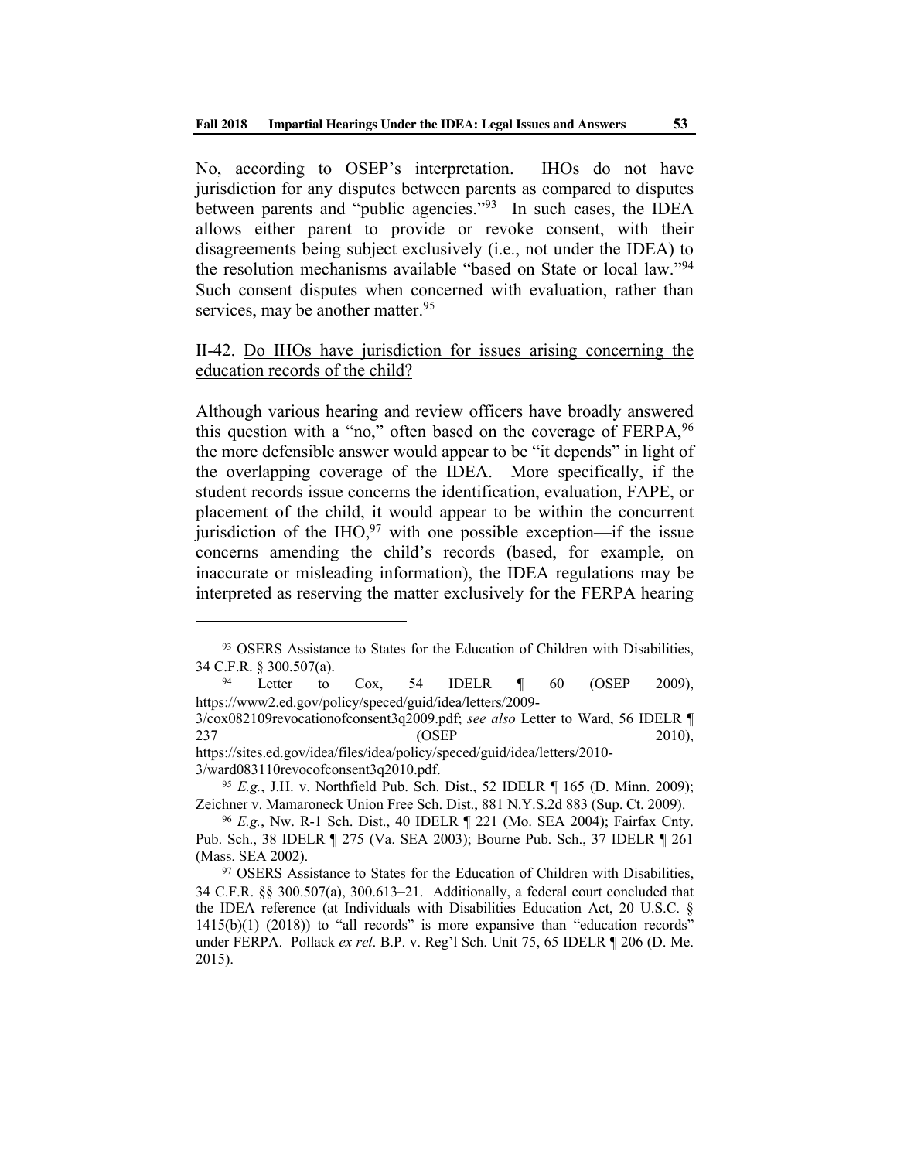No, according to OSEP's interpretation. IHOs do not have jurisdiction for any disputes between parents as compared to disputes between parents and "public agencies."93 In such cases, the IDEA allows either parent to provide or revoke consent, with their disagreements being subject exclusively (i.e., not under the IDEA) to the resolution mechanisms available "based on State or local law."94 Such consent disputes when concerned with evaluation, rather than services, may be another matter.<sup>95</sup>

### II-42. Do IHOs have jurisdiction for issues arising concerning the education records of the child?

Although various hearing and review officers have broadly answered this question with a "no," often based on the coverage of FERPA, 96 the more defensible answer would appear to be "it depends" in light of the overlapping coverage of the IDEA. More specifically, if the student records issue concerns the identification, evaluation, FAPE, or placement of the child, it would appear to be within the concurrent jurisdiction of the IHO, $97$  with one possible exception—if the issue concerns amending the child's records (based, for example, on inaccurate or misleading information), the IDEA regulations may be interpreted as reserving the matter exclusively for the FERPA hearing

<sup>93</sup> OSERS Assistance to States for the Education of Children with Disabilities, 34 C.F.R. § 300.507(a).

<sup>&</sup>lt;sup>94</sup> Letter to Cox, 54 IDELR  $\parallel$  60 (OSEP 2009), https://www2.ed.gov/policy/speced/guid/idea/letters/2009-

<sup>3/</sup>cox082109revocationofconsent3q2009.pdf; *see also* Letter to Ward, 56 IDELR ¶ 237 (OSEP 2010),

https://sites.ed.gov/idea/files/idea/policy/speced/guid/idea/letters/2010- 3/ward083110revocofconsent3q2010.pdf.

<sup>95</sup> *E.g.*, J.H. v. Northfield Pub. Sch. Dist., 52 IDELR ¶ 165 (D. Minn. 2009); Zeichner v. Mamaroneck Union Free Sch. Dist., 881 N.Y.S.2d 883 (Sup. Ct. 2009).

<sup>96</sup> *E.g.*, Nw. R-1 Sch. Dist., 40 IDELR ¶ 221 (Mo. SEA 2004); Fairfax Cnty. Pub. Sch., 38 IDELR ¶ 275 (Va. SEA 2003); Bourne Pub. Sch., 37 IDELR ¶ 261 (Mass. SEA 2002).  $\frac{97}{2}$  OSERS Assistance to States for the Education of Children with Disabilities,

<sup>34</sup> C.F.R. §§ 300.507(a), 300.613–21. Additionally, a federal court concluded that the IDEA reference (at Individuals with Disabilities Education Act, 20 U.S.C. §  $1415(b)(1)$   $(2018)$ ) to "all records" is more expansive than "education records" under FERPA. Pollack *ex rel*. B.P. v. Reg'l Sch. Unit 75, 65 IDELR ¶ 206 (D. Me. 2015).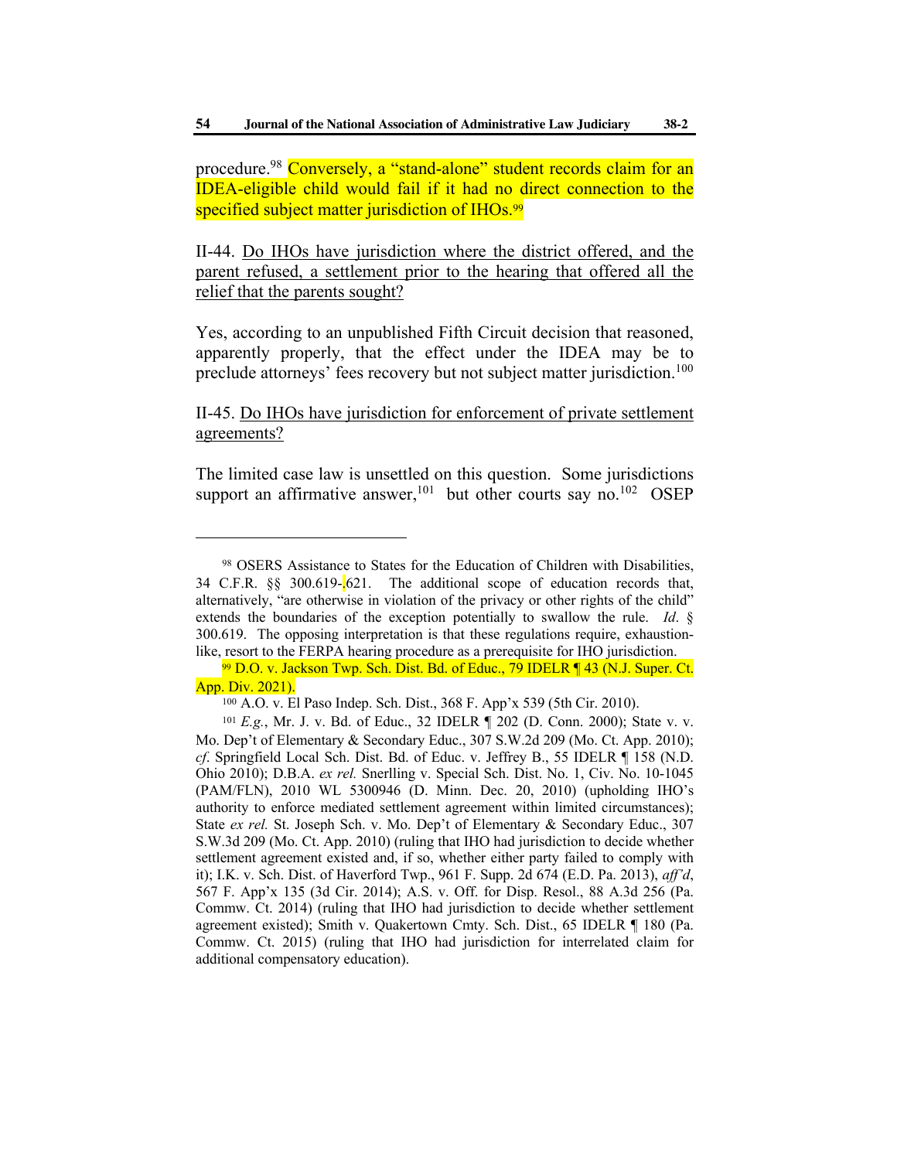procedure.<sup>98</sup> Conversely, a "stand-alone" student records claim for an IDEA-eligible child would fail if it had no direct connection to the specified subject matter jurisdiction of IHOs.<sup>99</sup>

II-44. Do IHOs have jurisdiction where the district offered, and the parent refused, a settlement prior to the hearing that offered all the relief that the parents sought?

Yes, according to an unpublished Fifth Circuit decision that reasoned, apparently properly, that the effect under the IDEA may be to preclude attorneys' fees recovery but not subject matter jurisdiction.<sup>100</sup>

II-45. Do IHOs have jurisdiction for enforcement of private settlement agreements?

The limited case law is unsettled on this question. Some jurisdictions support an affirmative answer,<sup>101</sup> but other courts say no.<sup>102</sup> OSEP

<sup>98</sup> OSERS Assistance to States for the Education of Children with Disabilities, 34 C.F.R.  $\S$  300.619- $621$ . The additional scope of education records that, alternatively, "are otherwise in violation of the privacy or other rights of the child" extends the boundaries of the exception potentially to swallow the rule. *Id*. § 300.619. The opposing interpretation is that these regulations require, exhaustionlike, resort to the FERPA hearing procedure as a prerequisite for IHO jurisdiction.

<sup>99</sup> D.O. v. Jackson Twp. Sch. Dist. Bd. of Educ., 79 IDELR ¶ 43 (N.J. Super. Ct. App. Div. 2021).

<sup>100</sup> A.O. v. El Paso Indep. Sch. Dist., 368 F. App'x 539 (5th Cir. 2010).

<sup>101</sup> *E.g.*, Mr. J. v. Bd. of Educ., 32 IDELR ¶ 202 (D. Conn. 2000); State v. v. Mo. Dep't of Elementary & Secondary Educ., 307 S.W.2d 209 (Mo. Ct. App. 2010); *cf*. Springfield Local Sch. Dist. Bd. of Educ. v. Jeffrey B., 55 IDELR ¶ 158 (N.D. Ohio 2010); D.B.A. *ex rel.* Snerlling v. Special Sch. Dist. No. 1, Civ. No. 10-1045 (PAM/FLN), 2010 WL 5300946 (D. Minn. Dec. 20, 2010) (upholding IHO's authority to enforce mediated settlement agreement within limited circumstances); State *ex rel.* St. Joseph Sch. v. Mo. Dep't of Elementary & Secondary Educ., 307 S.W.3d 209 (Mo. Ct. App. 2010) (ruling that IHO had jurisdiction to decide whether settlement agreement existed and, if so, whether either party failed to comply with it); I.K. v. Sch. Dist. of Haverford Twp., 961 F. Supp. 2d 674 (E.D. Pa. 2013), *aff'd*, 567 F. App'x 135 (3d Cir. 2014); A.S. v. Off. for Disp. Resol., 88 A.3d 256 (Pa. Commw. Ct. 2014) (ruling that IHO had jurisdiction to decide whether settlement agreement existed); Smith v. Quakertown Cmty. Sch. Dist., 65 IDELR ¶ 180 (Pa. Commw. Ct. 2015) (ruling that IHO had jurisdiction for interrelated claim for additional compensatory education).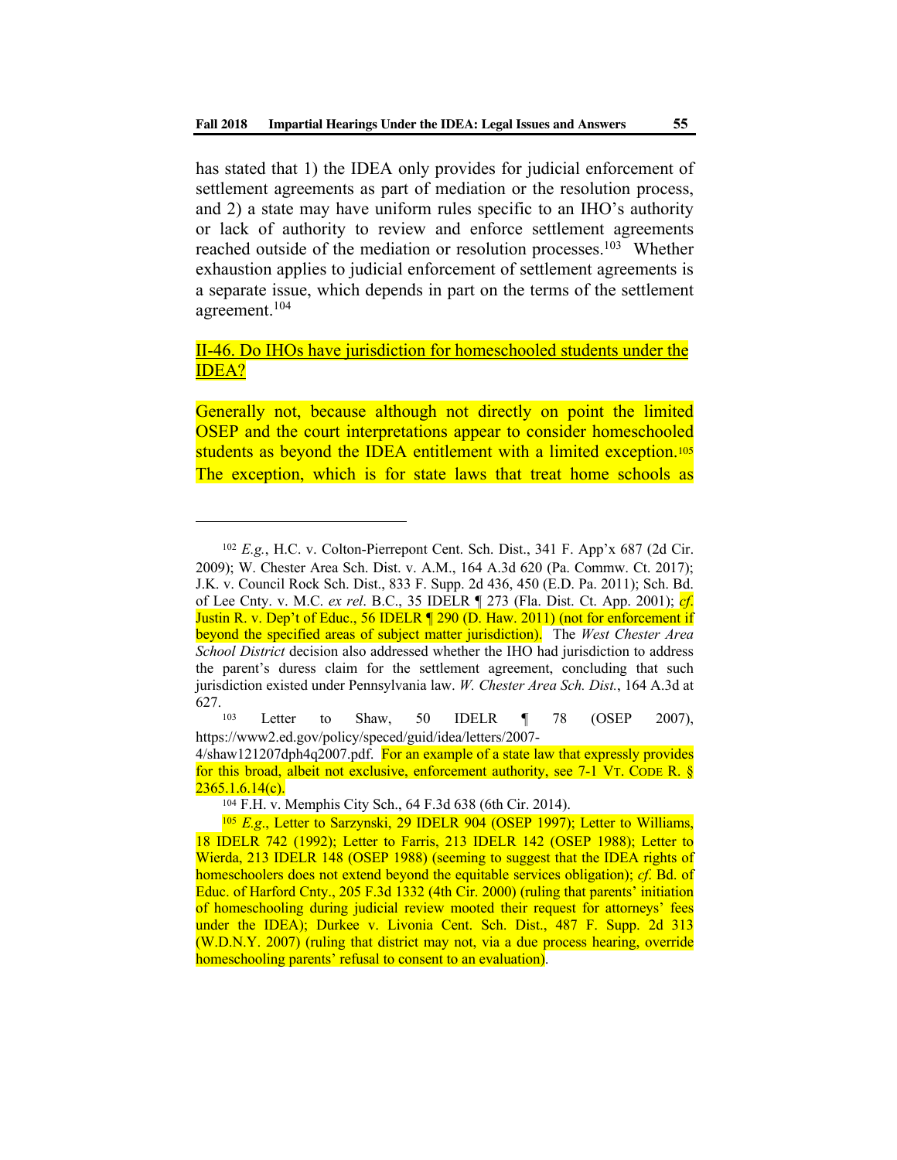has stated that 1) the IDEA only provides for judicial enforcement of settlement agreements as part of mediation or the resolution process, and 2) a state may have uniform rules specific to an IHO's authority or lack of authority to review and enforce settlement agreements reached outside of the mediation or resolution processes.<sup>103</sup> Whether exhaustion applies to judicial enforcement of settlement agreements is a separate issue, which depends in part on the terms of the settlement agreement.104

II-46. Do IHOs have jurisdiction for homeschooled students under the IDEA?

Generally not, because although not directly on point the limited OSEP and the court interpretations appear to consider homeschooled students as beyond the IDEA entitlement with a limited exception.<sup>105</sup> The exception, which is for state laws that treat home schools as

<sup>102</sup> *E.g.*, H.C. v. Colton-Pierrepont Cent. Sch. Dist., 341 F. App'x 687 (2d Cir. 2009); W. Chester Area Sch. Dist. v. A.M., 164 A.3d 620 (Pa. Commw. Ct. 2017); J.K. v. Council Rock Sch. Dist., 833 F. Supp. 2d 436, 450 (E.D. Pa. 2011); Sch. Bd. of Lee Cnty. v. M.C. *ex rel*. B.C., 35 IDELR ¶ 273 (Fla. Dist. Ct. App. 2001); *cf*. Justin R. v. Dep't of Educ., 56 IDELR ¶ 290 (D. Haw. 2011) (not for enforcement if beyond the specified areas of subject matter jurisdiction). The *West Chester Area School District* decision also addressed whether the IHO had jurisdiction to address the parent's duress claim for the settlement agreement, concluding that such jurisdiction existed under Pennsylvania law. *W. Chester Area Sch. Dist.*, 164 A.3d at

<sup>627.&</sup>lt;br><sup>103</sup> Letter to Shaw, 50 IDELR ¶ 78 (OSEP 2007), https://www2.ed.gov/policy/speced/guid/idea/letters/2007-

<sup>4/</sup>shaw121207dph4q2007.pdf. For an example of a state law that expressly provides for this broad, albeit not exclusive, enforcement authority, see 7-1 VT. CODE R. §  $2365.1.6.14(c)$ .

<sup>104</sup> F.H. v. Memphis City Sch., 64 F.3d 638 (6th Cir. 2014).

<sup>&</sup>lt;sup>105</sup> *E.g.*, Letter to Sarzynski, 29 IDELR 904 (OSEP 1997); Letter to Williams, 18 IDELR 742 (1992); Letter to Farris, 213 IDELR 142 (OSEP 1988); Letter to Wierda, 213 IDELR 148 (OSEP 1988) (seeming to suggest that the IDEA rights of homeschoolers does not extend beyond the equitable services obligation); *cf*. Bd. of Educ. of Harford Cnty., 205 F.3d 1332 (4th Cir. 2000) (ruling that parents' initiation of homeschooling during judicial review mooted their request for attorneys' fees under the IDEA); Durkee v. Livonia Cent. Sch. Dist., 487 F. Supp. 2d 313 (W.D.N.Y. 2007) (ruling that district may not, via a due process hearing, override homeschooling parents' refusal to consent to an evaluation).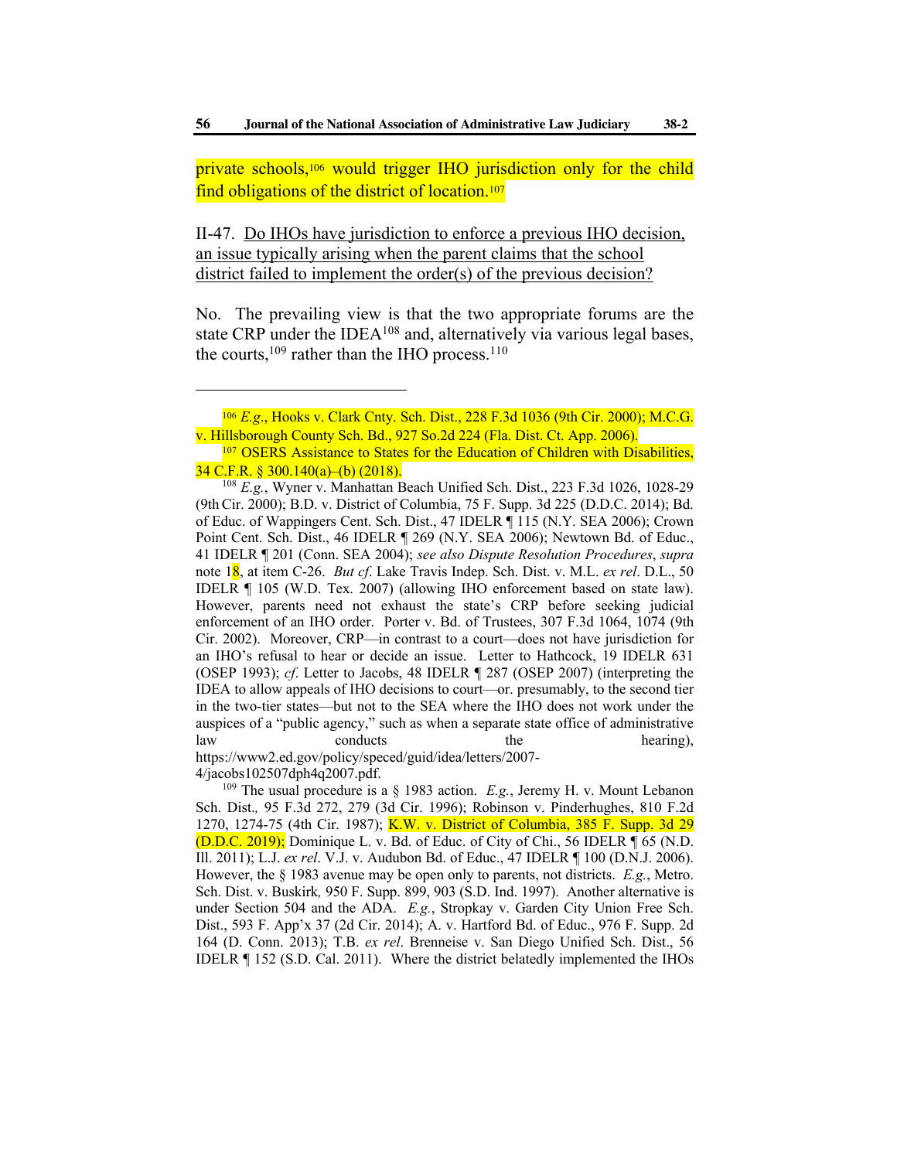private schools,<sup>106</sup> would trigger IHO jurisdiction only for the child find obligations of the district of location.<sup>107</sup>

II-47. Do IHOs have jurisdiction to enforce a previous IHO decision, an issue typically arising when the parent claims that the school district failed to implement the order(s) of the previous decision?

No. The prevailing view is that the two appropriate forums are the state CRP under the IDE $A^{108}$  and, alternatively via various legal bases, the courts,  $109$  rather than the IHO process.  $110$ 

<sup>109</sup> The usual procedure is a § 1983 action. *E.g.*, Jeremy H. v. Mount Lebanon Sch. Dist.*,* 95 F.3d 272, 279 (3d Cir. 1996); Robinson v. Pinderhughes, 810 F.2d 1270, 1274-75 (4th Cir. 1987); **K.W. v. District of Columbia, 385 F. Supp. 3d 29** (D.D.C. 2019); Dominique L. v. Bd. of Educ. of City of Chi., 56 IDELR ¶ 65 (N.D. Ill. 2011); L.J. *ex rel*. V.J. v. Audubon Bd. of Educ., 47 IDELR ¶ 100 (D.N.J. 2006). However, the § 1983 avenue may be open only to parents, not districts. *E.g.*, Metro. Sch. Dist. v. Buskirk*,* 950 F. Supp. 899, 903 (S.D. Ind. 1997). Another alternative is under Section 504 and the ADA. *E.g.*, Stropkay v. Garden City Union Free Sch. Dist., 593 F. App'x 37 (2d Cir. 2014); A. v. Hartford Bd. of Educ., 976 F. Supp. 2d 164 (D. Conn. 2013); T.B. *ex rel*. Brenneise v. San Diego Unified Sch. Dist., 56 IDELR ¶ 152 (S.D. Cal. 2011). Where the district belatedly implemented the IHOs

<sup>106</sup> *E.g*., Hooks v. Clark Cnty. Sch. Dist., 228 F.3d 1036 (9th Cir. 2000); M.C.G. v. Hillsborough County Sch. Bd., 927 So.2d 224 (Fla. Dist. Ct. App. 2006).

<sup>&</sup>lt;sup>107</sup> OSERS Assistance to States for the Education of Children with Disabilities, 34 C.F.R. § 300.140(a)–(b) (2018).

<sup>108</sup> *E.g.*, Wyner v. Manhattan Beach Unified Sch. Dist., 223 F.3d 1026, 1028-29 (9thCir. 2000); B.D. v. District of Columbia, 75 F. Supp. 3d 225 (D.D.C. 2014); Bd. of Educ. of Wappingers Cent. Sch. Dist., 47 IDELR ¶ 115 (N.Y. SEA 2006); Crown Point Cent. Sch. Dist., 46 IDELR ¶ 269 (N.Y. SEA 2006); Newtown Bd. of Educ., 41 IDELR ¶ 201 (Conn. SEA 2004); *see also Dispute Resolution Procedures*, *supra*  note 18, at item C-26. *But cf*. Lake Travis Indep. Sch. Dist. v. M.L. *ex rel*. D.L., 50 IDELR ¶ 105 (W.D. Tex. 2007) (allowing IHO enforcement based on state law). However, parents need not exhaust the state's CRP before seeking judicial enforcement of an IHO order. Porter v. Bd. of Trustees, 307 F.3d 1064, 1074 (9th Cir. 2002). Moreover, CRP—in contrast to a court—does not have jurisdiction for an IHO's refusal to hear or decide an issue. Letter to Hathcock, 19 IDELR 631 (OSEP 1993); *cf*. Letter to Jacobs, 48 IDELR ¶ 287 (OSEP 2007) (interpreting the IDEA to allow appeals of IHO decisions to court—or. presumably, to the second tier in the two-tier states—but not to the SEA where the IHO does not work under the auspices of a "public agency," such as when a separate state office of administrative law conducts the hearing), https://www2.ed.gov/policy/speced/guid/idea/letters/2007- 4/jacobs102507dph4q2007.pdf.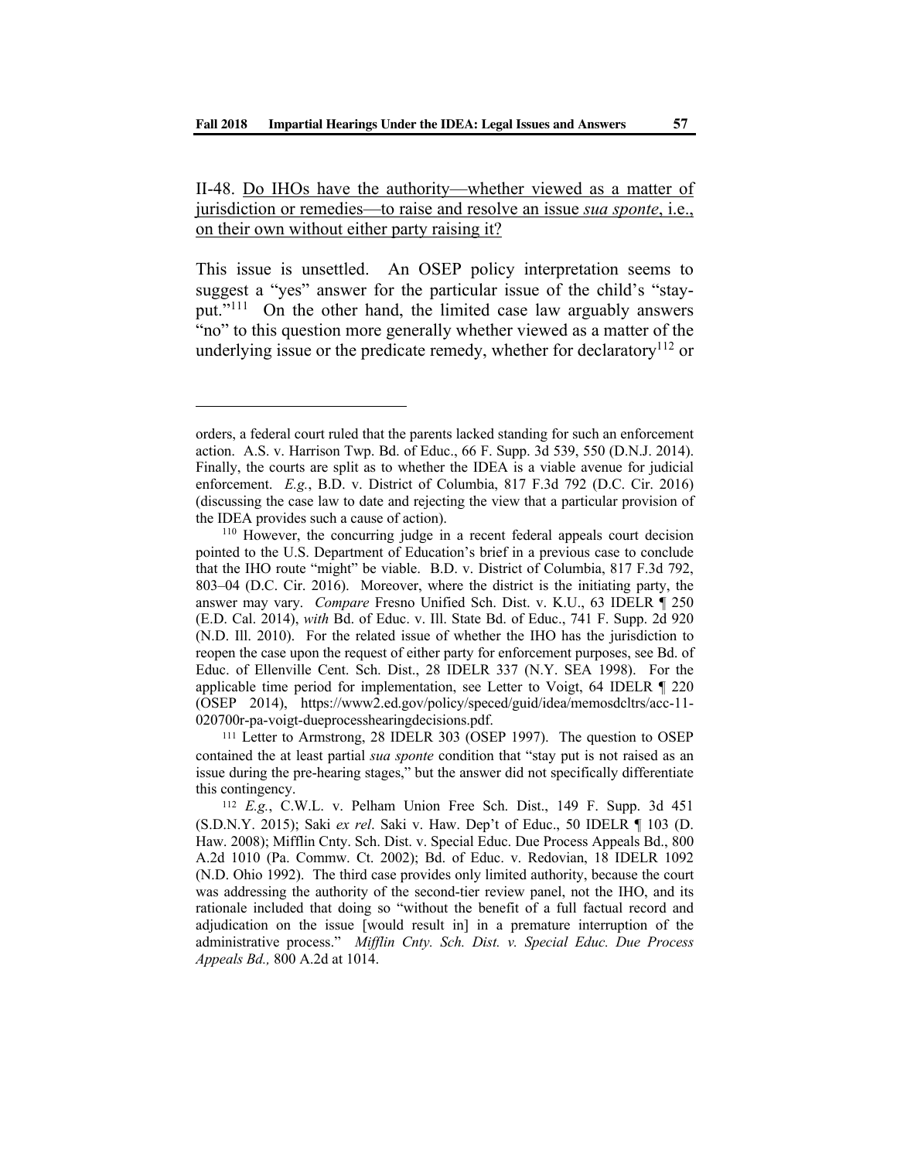II-48. Do IHOs have the authority—whether viewed as a matter of jurisdiction or remedies—to raise and resolve an issue *sua sponte*, i.e., on their own without either party raising it?

This issue is unsettled. An OSEP policy interpretation seems to suggest a "yes" answer for the particular issue of the child's "stayput."111 On the other hand, the limited case law arguably answers "no" to this question more generally whether viewed as a matter of the underlying issue or the predicate remedy, whether for declaratory<sup>112</sup> or

<sup>111</sup> Letter to Armstrong, 28 IDELR 303 (OSEP 1997). The question to OSEP contained the at least partial *sua sponte* condition that "stay put is not raised as an issue during the pre-hearing stages," but the answer did not specifically differentiate this contingency.

orders, a federal court ruled that the parents lacked standing for such an enforcement action. A.S. v. Harrison Twp. Bd. of Educ., 66 F. Supp. 3d 539, 550 (D.N.J. 2014). Finally, the courts are split as to whether the IDEA is a viable avenue for judicial enforcement. *E.g.*, B.D. v. District of Columbia, 817 F.3d 792 (D.C. Cir. 2016) (discussing the case law to date and rejecting the view that a particular provision of the IDEA provides such a cause of action).

<sup>&</sup>lt;sup>110</sup> However, the concurring judge in a recent federal appeals court decision pointed to the U.S. Department of Education's brief in a previous case to conclude that the IHO route "might" be viable. B.D. v. District of Columbia, 817 F.3d 792, 803–04 (D.C. Cir. 2016). Moreover, where the district is the initiating party, the answer may vary. *Compare* Fresno Unified Sch. Dist. v. K.U., 63 IDELR ¶ 250 (E.D. Cal. 2014), *with* Bd. of Educ. v. Ill. State Bd. of Educ., 741 F. Supp. 2d 920 (N.D. Ill. 2010). For the related issue of whether the IHO has the jurisdiction to reopen the case upon the request of either party for enforcement purposes, see Bd. of Educ. of Ellenville Cent. Sch. Dist., 28 IDELR 337 (N.Y. SEA 1998). For the applicable time period for implementation, see Letter to Voigt, 64 IDELR ¶ 220 (OSEP 2014), https://www2.ed.gov/policy/speced/guid/idea/memosdcltrs/acc-11- 020700r-pa-voigt-dueprocesshearingdecisions.pdf.

<sup>112</sup> *E.g.*, C.W.L. v. Pelham Union Free Sch. Dist., 149 F. Supp. 3d 451 (S.D.N.Y. 2015); Saki *ex rel*. Saki v. Haw. Dep't of Educ., 50 IDELR ¶ 103 (D. Haw. 2008); Mifflin Cnty. Sch. Dist. v. Special Educ. Due Process Appeals Bd., 800 A.2d 1010 (Pa. Commw. Ct. 2002); Bd. of Educ. v. Redovian, 18 IDELR 1092 (N.D. Ohio 1992). The third case provides only limited authority, because the court was addressing the authority of the second-tier review panel, not the IHO, and its rationale included that doing so "without the benefit of a full factual record and adjudication on the issue [would result in] in a premature interruption of the administrative process." *Mifflin Cnty. Sch. Dist. v. Special Educ. Due Process Appeals Bd.,* 800 A.2d at 1014.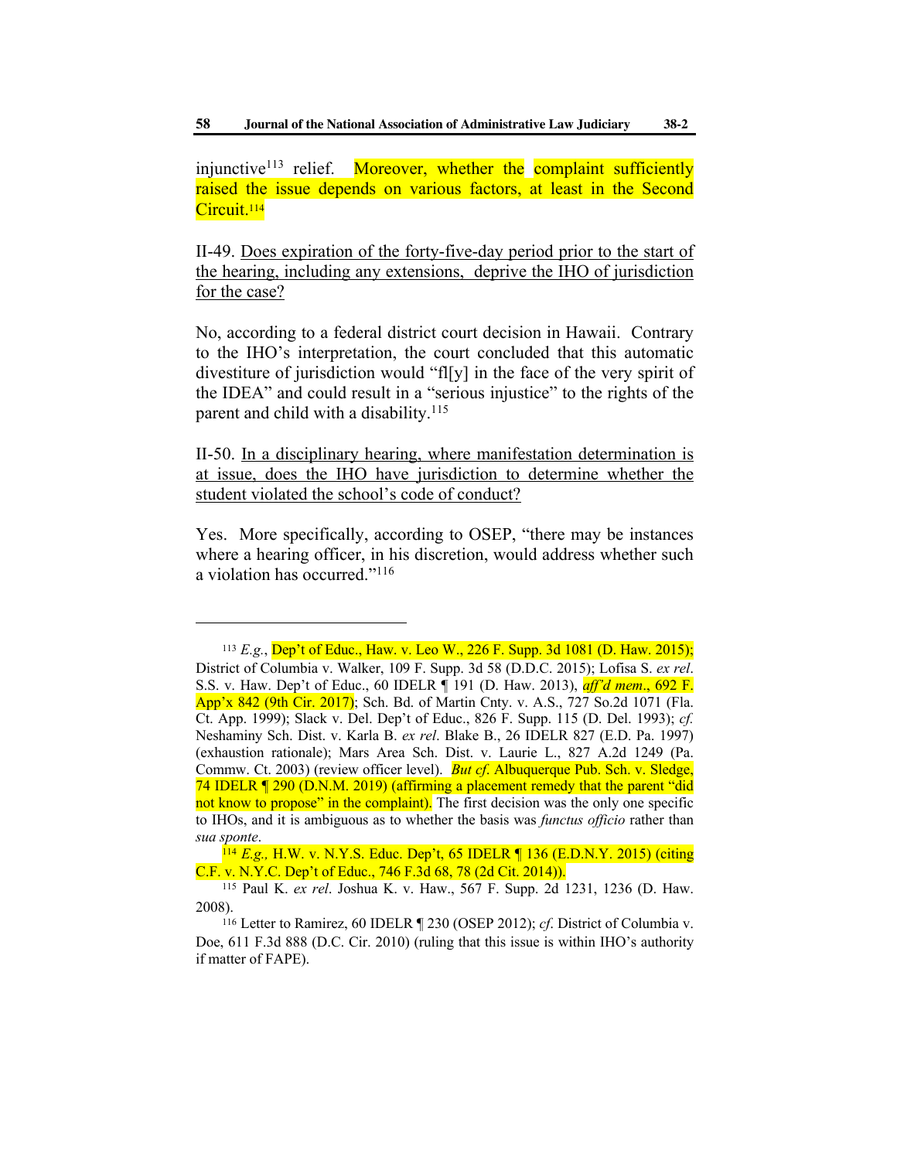injunctive<sup>113</sup> relief. Moreover, whether the complaint sufficiently raised the issue depends on various factors, at least in the Second Circuit.<sup>114</sup>

II-49. Does expiration of the forty-five-day period prior to the start of the hearing, including any extensions, deprive the IHO of jurisdiction for the case?

No, according to a federal district court decision in Hawaii. Contrary to the IHO's interpretation, the court concluded that this automatic divestiture of jurisdiction would "fl[y] in the face of the very spirit of the IDEA" and could result in a "serious injustice" to the rights of the parent and child with a disability.<sup>115</sup>

II-50. In a disciplinary hearing, where manifestation determination is at issue, does the IHO have jurisdiction to determine whether the student violated the school's code of conduct?

Yes. More specifically, according to OSEP, "there may be instances where a hearing officer, in his discretion, would address whether such a violation has occurred."116

<sup>113</sup> *E.g.*, Dep't of Educ., Haw. v. Leo W., 226 F. Supp. 3d 1081 (D. Haw. 2015); District of Columbia v. Walker, 109 F. Supp. 3d 58 (D.D.C. 2015); Lofisa S. *ex rel*. S.S. v. Haw. Dep't of Educ., 60 IDELR ¶ 191 (D. Haw. 2013), *aff'd mem*., 692 F. App'x 842 (9th Cir. 2017); Sch. Bd. of Martin Cnty. v. A.S., 727 So.2d 1071 (Fla. Ct. App. 1999); Slack v. Del. Dep't of Educ., 826 F. Supp. 115 (D. Del. 1993); *cf.* Neshaminy Sch. Dist. v. Karla B. *ex rel*. Blake B., 26 IDELR 827 (E.D. Pa. 1997) (exhaustion rationale); Mars Area Sch. Dist. v. Laurie L., 827 A.2d 1249 (Pa. Commw. Ct. 2003) (review officer level). *But cf*. Albuquerque Pub. Sch. v. Sledge, 74 IDELR ¶ 290 (D.N.M. 2019) (affirming a placement remedy that the parent "did not know to propose" in the complaint). The first decision was the only one specific to IHOs, and it is ambiguous as to whether the basis was *functus officio* rather than *sua sponte*.

<sup>114</sup> *E.g.,* H.W. v. N.Y.S. Educ. Dep't, 65 IDELR ¶ 136 (E.D.N.Y. 2015) (citing C.F. v. N.Y.C. Dep't of Educ., 746 F.3d 68, 78 (2d Cit. 2014)).

<sup>115</sup> Paul K. *ex rel*. Joshua K. v. Haw., 567 F. Supp. 2d 1231, 1236 (D. Haw. 2008).

<sup>116</sup> Letter to Ramirez, 60 IDELR ¶ 230 (OSEP 2012); *cf*. District of Columbia v. Doe, 611 F.3d 888 (D.C. Cir. 2010) (ruling that this issue is within IHO's authority if matter of FAPE).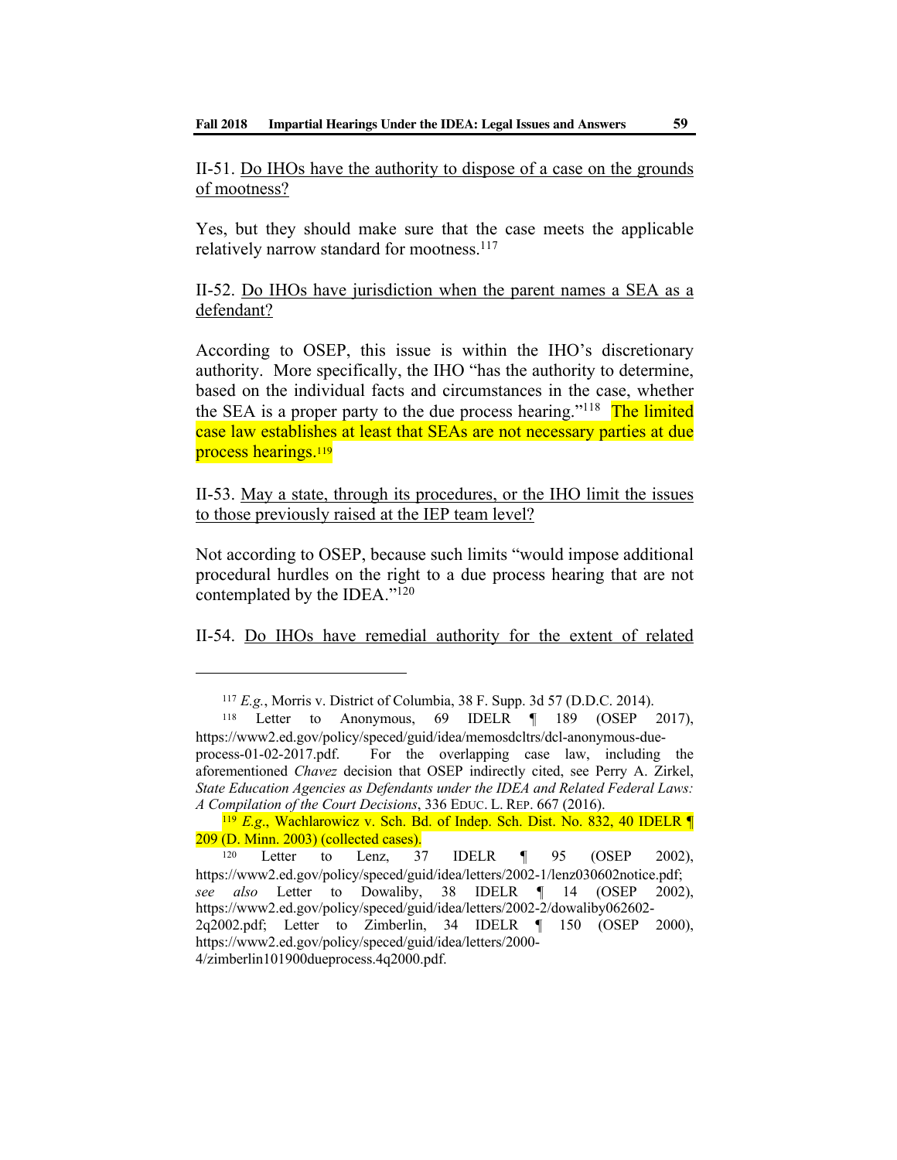II-51. Do IHOs have the authority to dispose of a case on the grounds of mootness?

Yes, but they should make sure that the case meets the applicable relatively narrow standard for mootness.<sup>117</sup>

II-52. Do IHOs have jurisdiction when the parent names a SEA as a defendant?

According to OSEP, this issue is within the IHO's discretionary authority. More specifically, the IHO "has the authority to determine, based on the individual facts and circumstances in the case, whether the SEA is a proper party to the due process hearing."<sup>118</sup> The limited case law establishes at least that SEAs are not necessary parties at due process hearings.<sup>119</sup>

II-53. May a state, through its procedures, or the IHO limit the issues to those previously raised at the IEP team level?

Not according to OSEP, because such limits "would impose additional procedural hurdles on the right to a due process hearing that are not contemplated by the IDEA."120

II-54. Do IHOs have remedial authority for the extent of related

<sup>117</sup> *E.g.*, Morris v. District of Columbia, 38 F. Supp. 3d 57 (D.D.C. 2014).

<sup>118</sup> Letter to Anonymous, 69 IDELR ¶ 189 (OSEP 2017), https://www2.ed.gov/policy/speced/guid/idea/memosdcltrs/dcl-anonymous-dueprocess-01-02-2017.pdf. For the overlapping case law, including the aforementioned *Chavez* decision that OSEP indirectly cited, see Perry A. Zirkel, *State Education Agencies as Defendants under the IDEA and Related Federal Laws: A Compilation of the Court Decisions*, 336 EDUC. L. REP. 667 (2016).

<sup>119</sup> *E.g*., Wachlarowicz v. Sch. Bd. of Indep. Sch. Dist. No. 832, 40 IDELR ¶ 209 (D. Minn. 2003) (collected cases).

<sup>120</sup> Letter to Lenz, 37 IDELR ¶ 95 (OSEP 2002), https://www2.ed.gov/policy/speced/guid/idea/letters/2002-1/lenz030602notice.pdf; *see also* Letter to Dowaliby, 38 IDELR ¶ 14 (OSEP 2002), https://www2.ed.gov/policy/speced/guid/idea/letters/2002-2/dowaliby062602- 2q2002.pdf; Letter to Zimberlin, 34 IDELR ¶ 150 (OSEP 2000), https://www2.ed.gov/policy/speced/guid/idea/letters/2000- 4/zimberlin101900dueprocess.4q2000.pdf.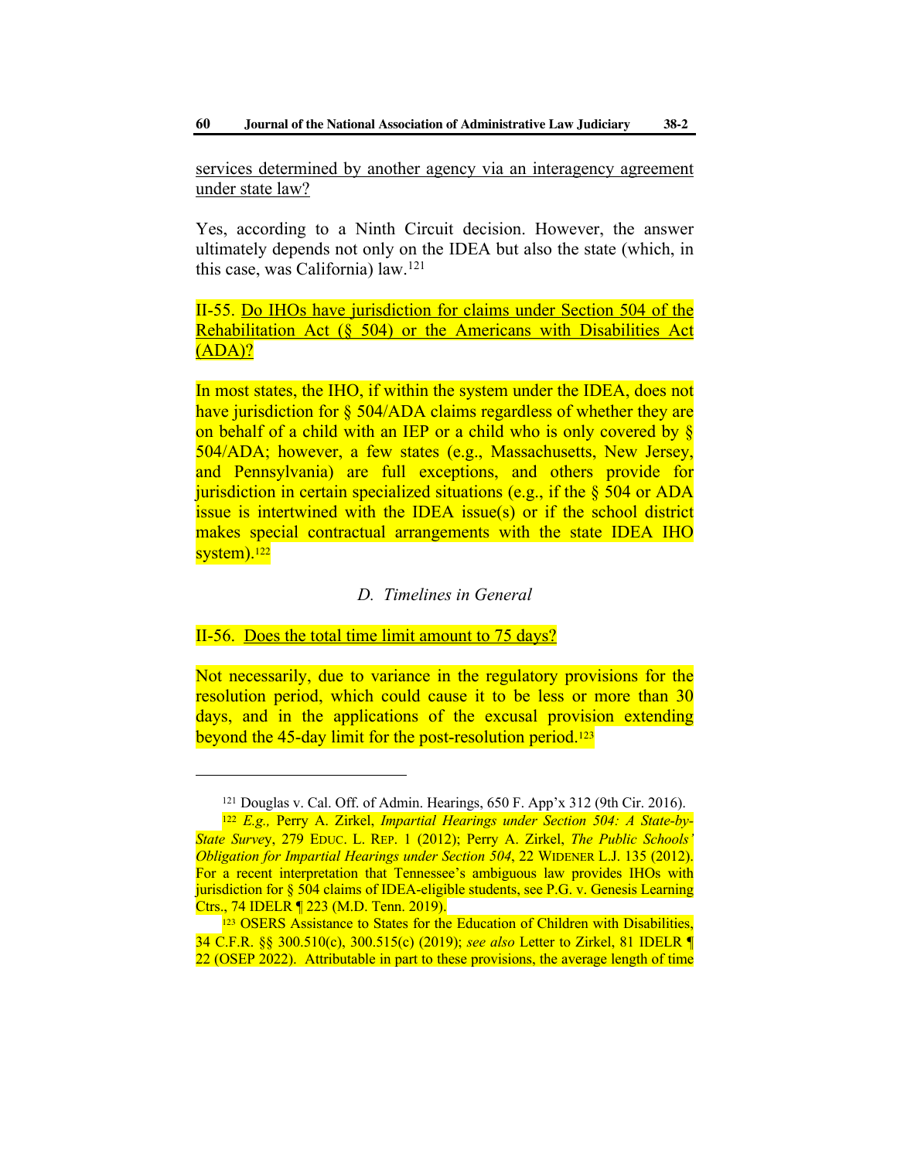services determined by another agency via an interagency agreement under state law?

Yes, according to a Ninth Circuit decision. However, the answer ultimately depends not only on the IDEA but also the state (which, in this case, was California) law.121

II-55. Do IHOs have jurisdiction for claims under Section 504 of the Rehabilitation Act (§ 504) or the Americans with Disabilities Act (ADA)?

In most states, the IHO, if within the system under the IDEA, does not have jurisdiction for § 504/ADA claims regardless of whether they are on behalf of a child with an IEP or a child who is only covered by § 504/ADA; however, a few states (e.g., Massachusetts, New Jersey, and Pennsylvania) are full exceptions, and others provide for jurisdiction in certain specialized situations (e.g., if the  $\S$  504 or ADA issue is intertwined with the IDEA issue(s) or if the school district makes special contractual arrangements with the state IDEA IHO system).<sup>122</sup>

### *D. Timelines in General*

II-56. Does the total time limit amount to 75 days?

Not necessarily, due to variance in the regulatory provisions for the resolution period, which could cause it to be less or more than 30 days, and in the applications of the excusal provision extending beyond the 45-day limit for the post-resolution period.<sup>123</sup>

<sup>121</sup> Douglas v. Cal. Off. of Admin. Hearings, 650 F. App'x 312 (9th Cir. 2016).

<sup>122</sup> *E.g.,* Perry A. Zirkel, *Impartial Hearings under Section 504: A State-by-State Surve*y, 279 EDUC. L. REP. 1 (2012); Perry A. Zirkel, *The Public Schools' Obligation for Impartial Hearings under Section 504*, 22 WIDENER L.J. 135 (2012). For a recent interpretation that Tennessee's ambiguous law provides IHOs with jurisdiction for § 504 claims of IDEA-eligible students, see P.G. v. Genesis Learning Ctrs., 74 IDELR ¶ 223 (M.D. Tenn. 2019).

<sup>123</sup> OSERS Assistance to States for the Education of Children with Disabilities, 34 C.F.R. §§ 300.510(c), 300.515(c) (2019); *see also* Letter to Zirkel, 81 IDELR ¶ 22 (OSEP 2022). Attributable in part to these provisions, the average length of time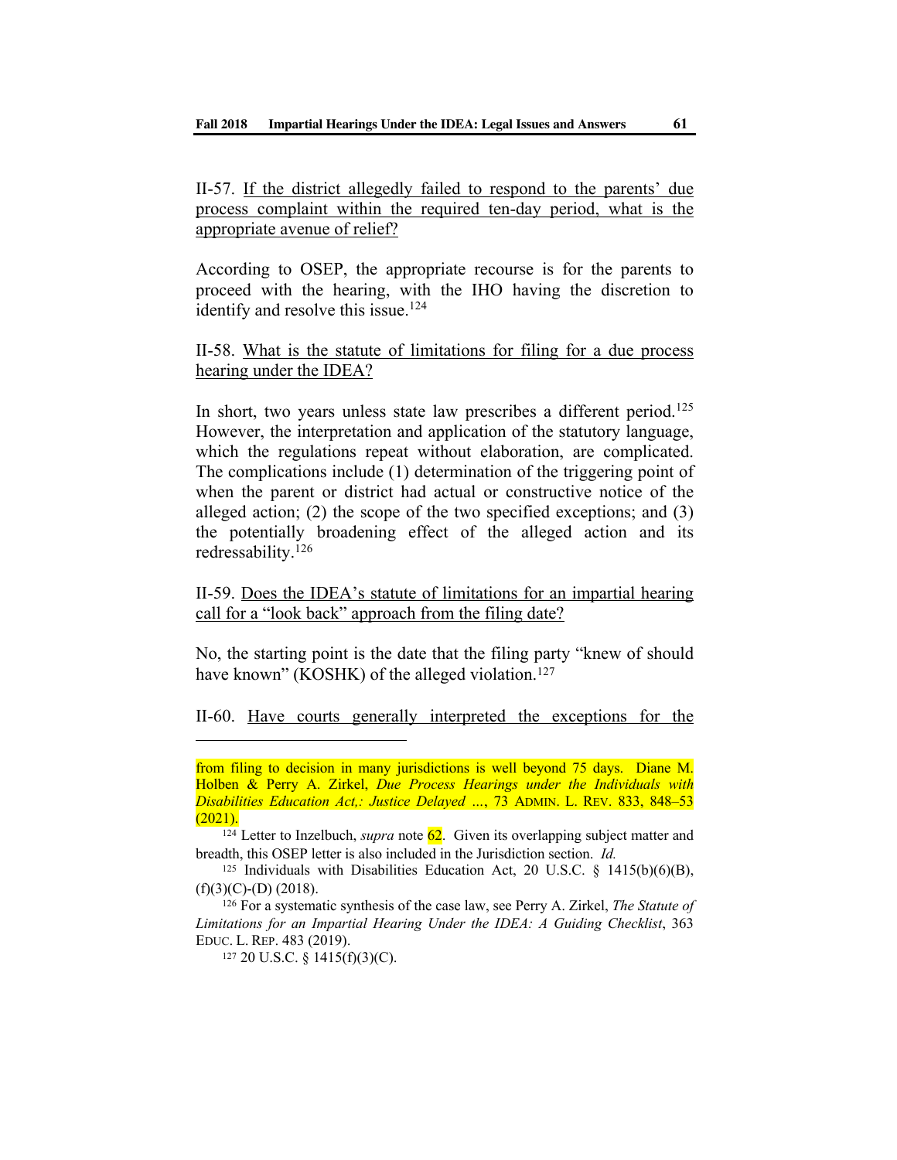II-57. If the district allegedly failed to respond to the parents' due process complaint within the required ten-day period, what is the appropriate avenue of relief?

According to OSEP, the appropriate recourse is for the parents to proceed with the hearing, with the IHO having the discretion to identify and resolve this issue.<sup>124</sup>

II-58. What is the statute of limitations for filing for a due process hearing under the IDEA?

In short, two years unless state law prescribes a different period.<sup>125</sup> However, the interpretation and application of the statutory language, which the regulations repeat without elaboration, are complicated. The complications include (1) determination of the triggering point of when the parent or district had actual or constructive notice of the alleged action; (2) the scope of the two specified exceptions; and (3) the potentially broadening effect of the alleged action and its redressability. 126

II-59. Does the IDEA's statute of limitations for an impartial hearing call for a "look back" approach from the filing date?

No, the starting point is the date that the filing party "knew of should have known" (KOSHK) of the alleged violation.<sup>127</sup>

II-60. Have courts generally interpreted the exceptions for the

from filing to decision in many jurisdictions is well beyond 75 days. Diane M. Holben & Perry A. Zirkel, *Due Process Hearings under the Individuals with Disabilities Education Act,: Justice Delayed …*, 73 ADMIN. L. REV. 833, 848–53  $(2021).$ 

<sup>124</sup> Letter to Inzelbuch, *supra* note 62. Given its overlapping subject matter and breadth, this OSEP letter is also included in the Jurisdiction section. *Id.*

<sup>125</sup> Individuals with Disabilities Education Act, 20 U.S.C. § 1415(b)(6)(B), (f)(3)(C)-(D) (2018). <sup>126</sup> For a systematic synthesis of the case law, see Perry A. Zirkel, *The Statute of* 

*Limitations for an Impartial Hearing Under the IDEA: A Guiding Checklist*, 363 EDUC. L. REP. 483 (2019).

<sup>127</sup> 20 U.S.C. § 1415(f)(3)(C).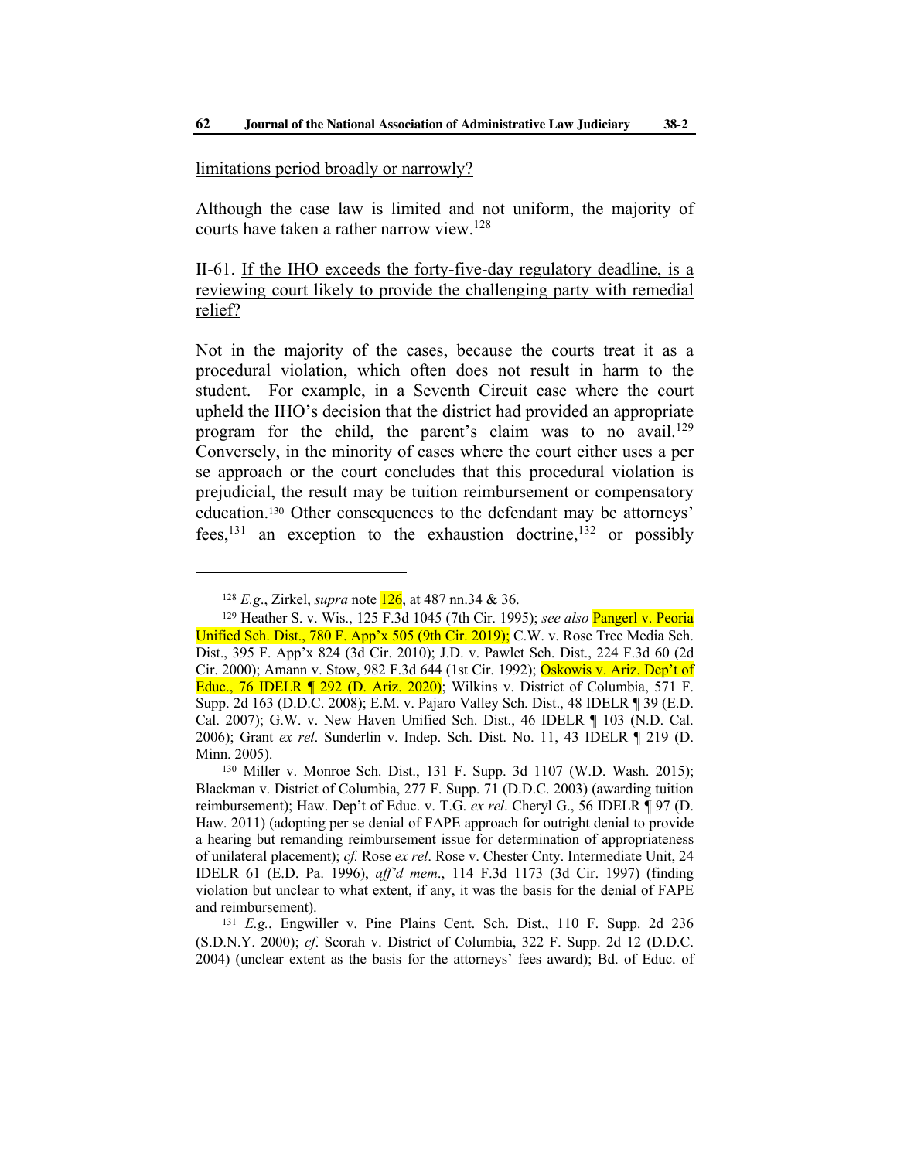### limitations period broadly or narrowly?

Although the case law is limited and not uniform, the majority of courts have taken a rather narrow view.128

II-61. If the IHO exceeds the forty-five-day regulatory deadline, is a reviewing court likely to provide the challenging party with remedial relief?

Not in the majority of the cases, because the courts treat it as a procedural violation, which often does not result in harm to the student. For example, in a Seventh Circuit case where the court upheld the IHO's decision that the district had provided an appropriate program for the child, the parent's claim was to no avail.<sup>129</sup> Conversely, in the minority of cases where the court either uses a per se approach or the court concludes that this procedural violation is prejudicial, the result may be tuition reimbursement or compensatory education.<sup>130</sup> Other consequences to the defendant may be attorneys' fees,<sup>131</sup> an exception to the exhaustion doctrine,<sup>132</sup> or possibly

<sup>128</sup> *E.g*., Zirkel, *supra* note 126, at 487 nn.34 & 36.

<sup>129</sup> Heather S. v. Wis., 125 F.3d 1045 (7th Cir. 1995); *see also* Pangerl v. Peoria Unified Sch. Dist., 780 F. App'x 505 (9th Cir. 2019); C.W. v. Rose Tree Media Sch. Dist., 395 F. App'x 824 (3d Cir. 2010); J.D. v. Pawlet Sch. Dist., 224 F.3d 60 (2d Cir. 2000); Amann v. Stow, 982 F.3d 644 (1st Cir. 1992); Oskowis v. Ariz. Dep't of Educ., 76 IDELR 1 292 (D. Ariz. 2020); Wilkins v. District of Columbia, 571 F. Supp. 2d 163 (D.D.C. 2008); E.M. v. Pajaro Valley Sch. Dist., 48 IDELR ¶ 39 (E.D. Cal. 2007); G.W. v. New Haven Unified Sch. Dist., 46 IDELR ¶ 103 (N.D. Cal. 2006); Grant *ex rel*. Sunderlin v. Indep. Sch. Dist. No. 11, 43 IDELR ¶ 219 (D. Minn. 2005).

<sup>130</sup> Miller v. Monroe Sch. Dist., 131 F. Supp. 3d 1107 (W.D. Wash. 2015); Blackman v. District of Columbia, 277 F. Supp. 71 (D.D.C. 2003) (awarding tuition reimbursement); Haw. Dep't of Educ. v. T.G. *ex rel*. Cheryl G., 56 IDELR ¶ 97 (D. Haw. 2011) (adopting per se denial of FAPE approach for outright denial to provide a hearing but remanding reimbursement issue for determination of appropriateness of unilateral placement); *cf.* Rose *ex rel*. Rose v. Chester Cnty. Intermediate Unit, 24 IDELR 61 (E.D. Pa. 1996), *aff'd mem*., 114 F.3d 1173 (3d Cir. 1997) (finding violation but unclear to what extent, if any, it was the basis for the denial of FAPE and reimbursement).

<sup>131</sup> *E.g.*, Engwiller v. Pine Plains Cent. Sch. Dist., 110 F. Supp. 2d 236 (S.D.N.Y. 2000); *cf*. Scorah v. District of Columbia, 322 F. Supp. 2d 12 (D.D.C. 2004) (unclear extent as the basis for the attorneys' fees award); Bd. of Educ. of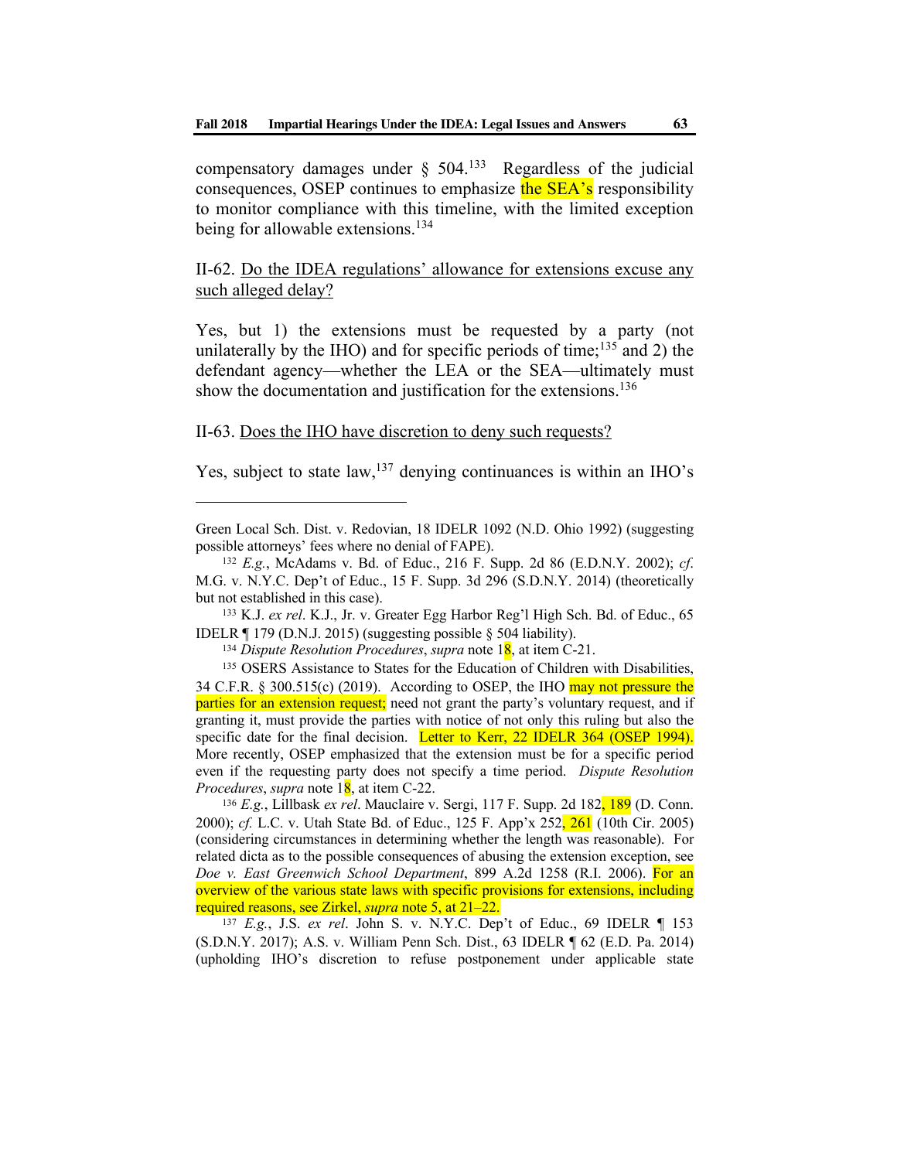compensatory damages under  $\S$  504.<sup>133</sup> Regardless of the judicial consequences, OSEP continues to emphasize the SEA's responsibility to monitor compliance with this timeline, with the limited exception being for allowable extensions.<sup>134</sup>

II-62. Do the IDEA regulations' allowance for extensions excuse any such alleged delay?

Yes, but 1) the extensions must be requested by a party (not unilaterally by the IHO) and for specific periods of time;<sup>135</sup> and 2) the defendant agency—whether the LEA or the SEA—ultimately must show the documentation and justification for the extensions.<sup>136</sup>

### II-63. Does the IHO have discretion to deny such requests?

Yes, subject to state law,<sup>137</sup> denying continuances is within an IHO's

Green Local Sch. Dist. v. Redovian, 18 IDELR 1092 (N.D. Ohio 1992) (suggesting possible attorneys' fees where no denial of FAPE).

<sup>133</sup> K.J. *ex rel*. K.J., Jr. v. Greater Egg Harbor Reg'l High Sch. Bd. of Educ., 65 IDELR ¶ 179 (D.N.J. 2015) (suggesting possible § 504 liability).

<sup>134</sup> *Dispute Resolution Procedures*, *supra* note 18, at item C-21.

<sup>135</sup> OSERS Assistance to States for the Education of Children with Disabilities, 34 C.F.R.  $\frac{8}{300.515(c)}$  (2019). According to OSEP, the IHO may not pressure the parties for an extension request; need not grant the party's voluntary request, and if granting it, must provide the parties with notice of not only this ruling but also the specific date for the final decision. Letter to Kerr, 22 IDELR 364 (OSEP 1994). More recently, OSEP emphasized that the extension must be for a specific period even if the requesting party does not specify a time period. *Dispute Resolution Procedures, supra* note 18, at item C-22.

<sup>136</sup> *E.g.*, Lillbask *ex rel*. Mauclaire v. Sergi, 117 F. Supp. 2d 182, 189 (D. Conn. 2000); *cf.* L.C. v. Utah State Bd. of Educ., 125 F. App'x 252, 261 (10th Cir. 2005) (considering circumstances in determining whether the length was reasonable). For related dicta as to the possible consequences of abusing the extension exception, see *Doe v. East Greenwich School Department*, 899 A.2d 1258 (R.I. 2006). For an overview of the various state laws with specific provisions for extensions, including required reasons, see Zirkel, *supra* note 5, at 21–22.

<sup>137</sup> *E.g.*, J.S. *ex rel*. John S. v. N.Y.C. Dep't of Educ., 69 IDELR ¶ 153 (S.D.N.Y. 2017); A.S. v. William Penn Sch. Dist., 63 IDELR ¶ 62 (E.D. Pa. 2014) (upholding IHO's discretion to refuse postponement under applicable state

<sup>132</sup> *E.g.*, McAdams v. Bd. of Educ., 216 F. Supp. 2d 86 (E.D.N.Y. 2002); *cf*. M.G. v. N.Y.C. Dep't of Educ., 15 F. Supp. 3d 296 (S.D.N.Y. 2014) (theoretically but not established in this case).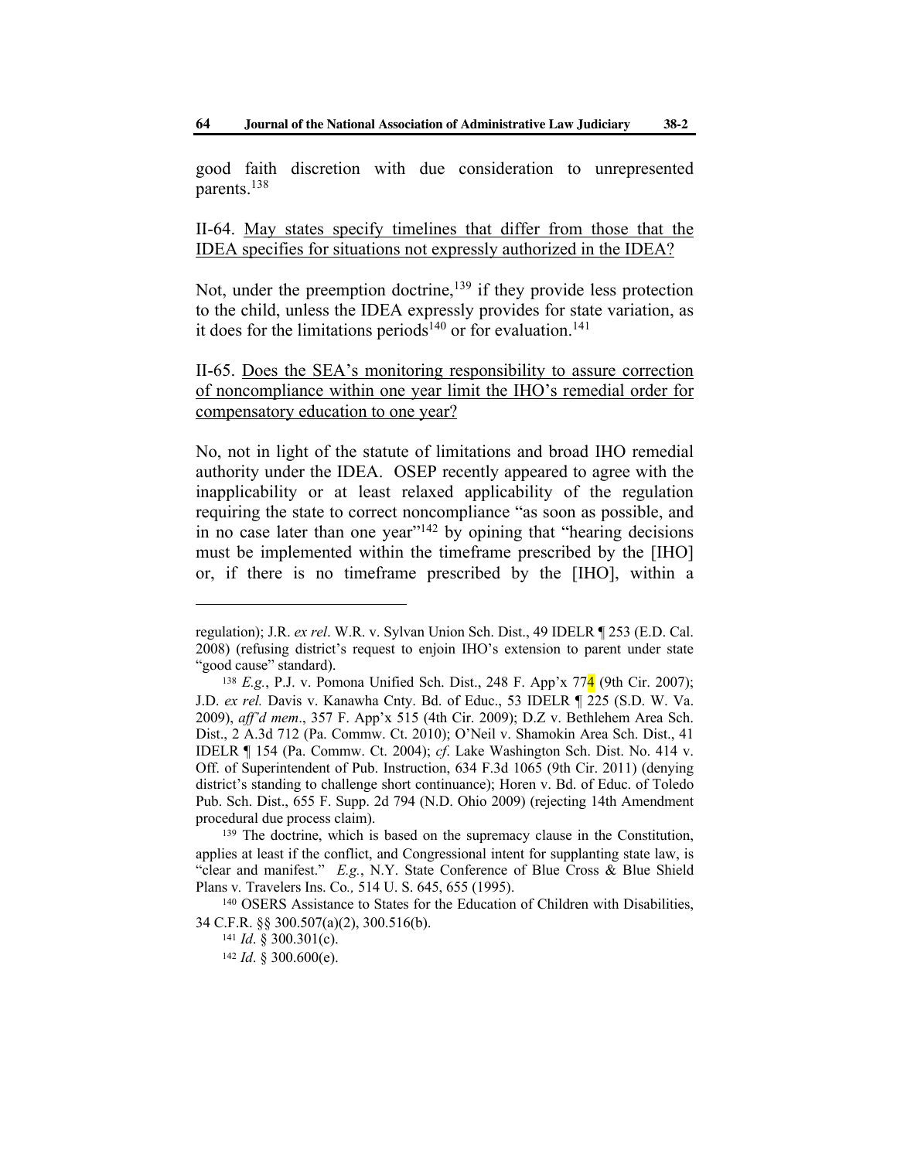good faith discretion with due consideration to unrepresented parents.138

II-64. May states specify timelines that differ from those that the IDEA specifies for situations not expressly authorized in the IDEA?

Not, under the preemption doctrine, $139$  if they provide less protection to the child, unless the IDEA expressly provides for state variation, as it does for the limitations periods<sup>140</sup> or for evaluation.<sup>141</sup>

II-65. Does the SEA's monitoring responsibility to assure correction of noncompliance within one year limit the IHO's remedial order for compensatory education to one year?

No, not in light of the statute of limitations and broad IHO remedial authority under the IDEA. OSEP recently appeared to agree with the inapplicability or at least relaxed applicability of the regulation requiring the state to correct noncompliance "as soon as possible, and in no case later than one year"<sup>142</sup> by opining that "hearing decisions" must be implemented within the timeframe prescribed by the [IHO] or, if there is no timeframe prescribed by the [IHO], within a

regulation); J.R. *ex rel*. W.R. v. Sylvan Union Sch. Dist., 49 IDELR ¶ 253 (E.D. Cal. 2008) (refusing district's request to enjoin IHO's extension to parent under state

<sup>&</sup>quot;good cause" standard). 138 *E.g.*, P.J. v. Pomona Unified Sch. Dist., 248 F. App'x 774 (9th Cir. 2007); J.D. *ex rel.* Davis v. Kanawha Cnty. Bd. of Educ., 53 IDELR ¶ 225 (S.D. W. Va. 2009), *aff'd mem*., 357 F. App'x 515 (4th Cir. 2009); D.Z v. Bethlehem Area Sch. Dist., 2 A.3d 712 (Pa. Commw. Ct. 2010); O'Neil v. Shamokin Area Sch. Dist., 41 IDELR ¶ 154 (Pa. Commw. Ct. 2004); *cf*. Lake Washington Sch. Dist. No. 414 v. Off. of Superintendent of Pub. Instruction, 634 F.3d 1065 (9th Cir. 2011) (denying district's standing to challenge short continuance); Horen v. Bd. of Educ. of Toledo Pub. Sch. Dist., 655 F. Supp. 2d 794 (N.D. Ohio 2009) (rejecting 14th Amendment procedural due process claim).

<sup>&</sup>lt;sup>139</sup> The doctrine, which is based on the supremacy clause in the Constitution, applies at least if the conflict, and Congressional intent for supplanting state law, is "clear and manifest." *E.g.*, N.Y. State Conference of Blue Cross & Blue Shield Plans v*.* Travelers Ins. Co*.,* 514 U. S. 645, 655 (1995).

<sup>140</sup> OSERS Assistance to States for the Education of Children with Disabilities, 34 C.F.R. §§ 300.507(a)(2), 300.516(b).

<sup>141</sup> *Id*. § 300.301(c).

<sup>142</sup> *Id*. § 300.600(e).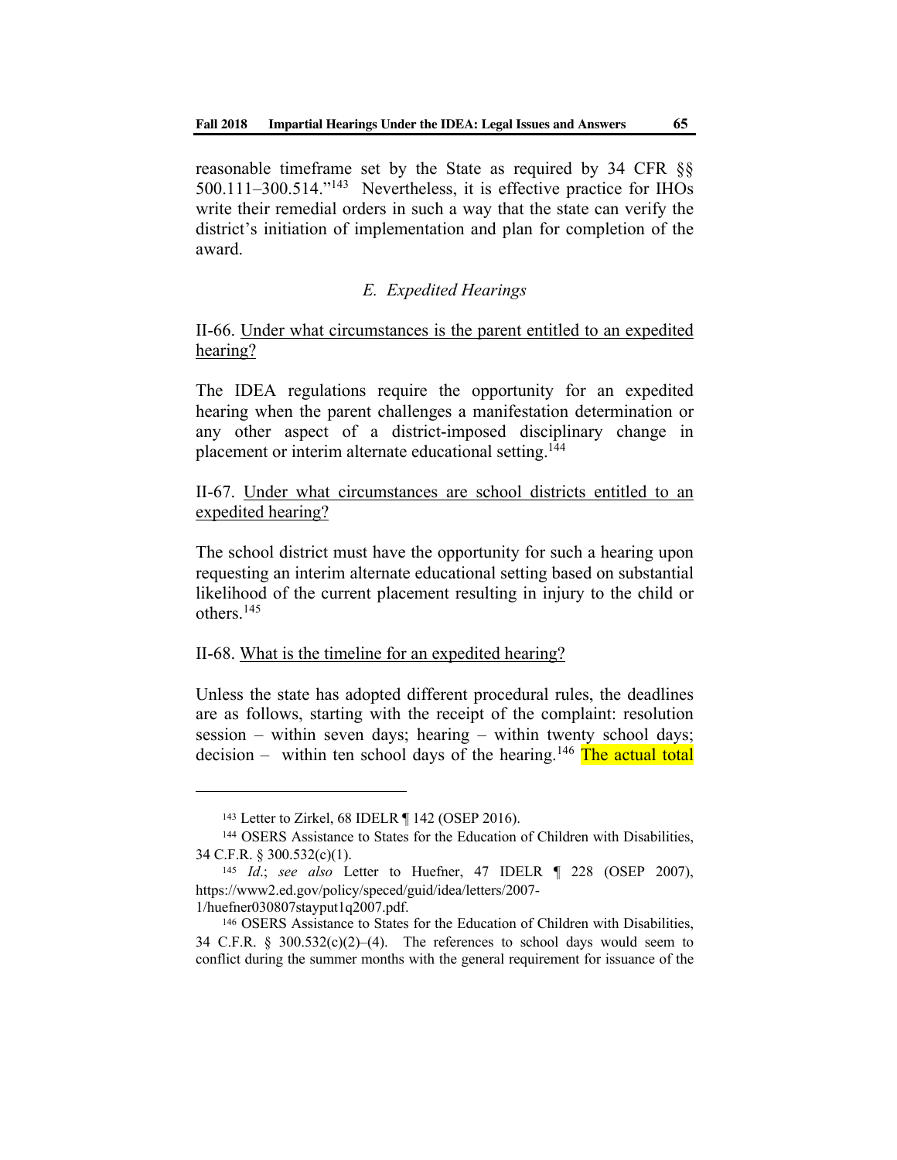reasonable timeframe set by the State as required by 34 CFR §§ 500.111–300.514."143 Nevertheless, it is effective practice for IHOs write their remedial orders in such a way that the state can verify the district's initiation of implementation and plan for completion of the award.

### *E. Expedited Hearings*

II-66. Under what circumstances is the parent entitled to an expedited hearing?

The IDEA regulations require the opportunity for an expedited hearing when the parent challenges a manifestation determination or any other aspect of a district-imposed disciplinary change in placement or interim alternate educational setting.<sup>144</sup>

II-67. Under what circumstances are school districts entitled to an expedited hearing?

The school district must have the opportunity for such a hearing upon requesting an interim alternate educational setting based on substantial likelihood of the current placement resulting in injury to the child or others.145

### II-68. What is the timeline for an expedited hearing?

Unless the state has adopted different procedural rules, the deadlines are as follows, starting with the receipt of the complaint: resolution session – within seven days; hearing – within twenty school days; decision – within ten school days of the hearing.<sup>146</sup> The actual total

<sup>143</sup> Letter to Zirkel, 68 IDELR ¶ 142 (OSEP 2016).

<sup>144</sup> OSERS Assistance to States for the Education of Children with Disabilities, 34 C.F.R. § 300.532(c)(1).

<sup>145</sup> *Id*.; *see also* Letter to Huefner, 47 IDELR ¶ 228 (OSEP 2007), https://www2.ed.gov/policy/speced/guid/idea/letters/2007-

<sup>1/</sup>huefner030807stayput1q2007.pdf.<br><sup>146</sup> OSERS Assistance to States for the Education of Children with Disabilities, 34 C.F.R. § 300.532(c)(2)–(4). The references to school days would seem to conflict during the summer months with the general requirement for issuance of the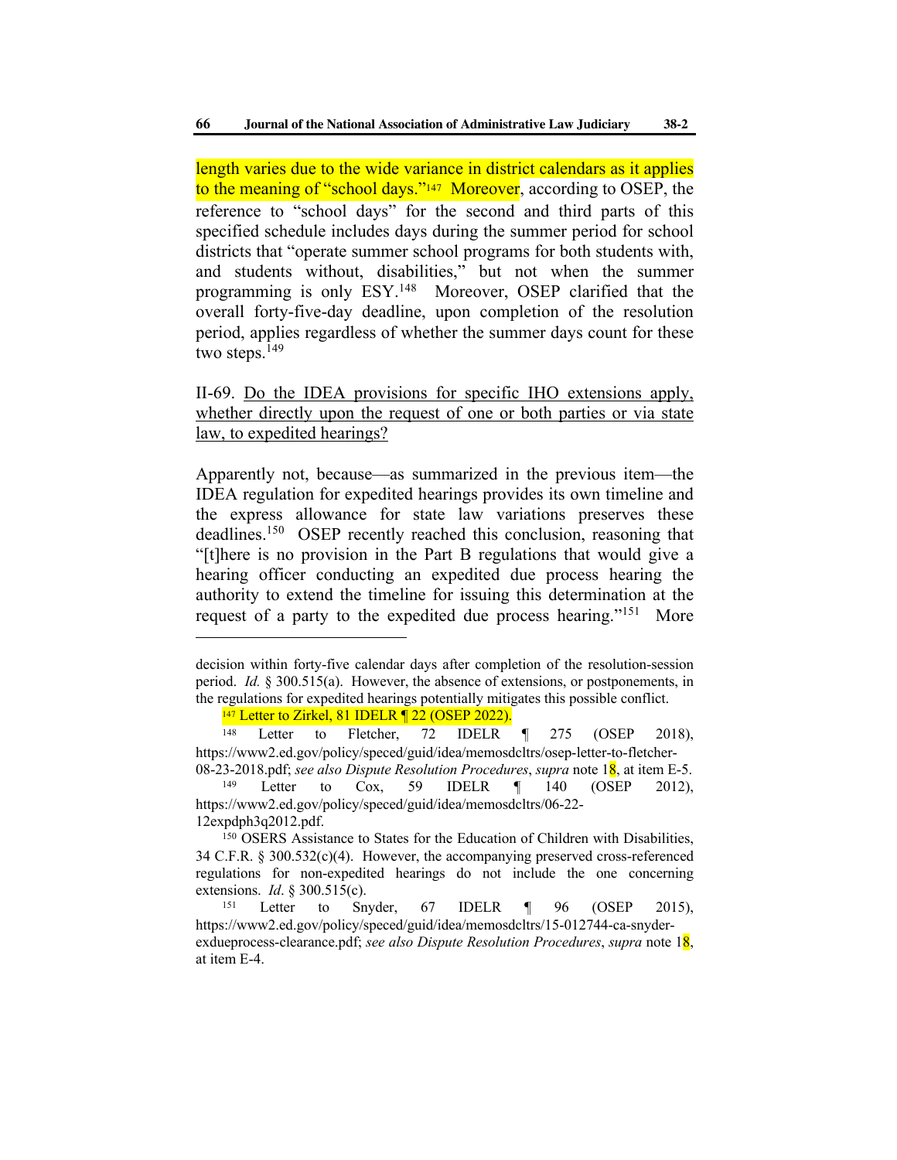length varies due to the wide variance in district calendars as it applies to the meaning of "school days."<sup>147</sup> Moreover, according to OSEP, the reference to "school days" for the second and third parts of this specified schedule includes days during the summer period for school districts that "operate summer school programs for both students with, and students without, disabilities," but not when the summer programming is only ESY.148 Moreover, OSEP clarified that the overall forty-five-day deadline, upon completion of the resolution period, applies regardless of whether the summer days count for these two steps.<sup>149</sup>

II-69. Do the IDEA provisions for specific IHO extensions apply, whether directly upon the request of one or both parties or via state law, to expedited hearings?

Apparently not, because—as summarized in the previous item—the IDEA regulation for expedited hearings provides its own timeline and the express allowance for state law variations preserves these deadlines.<sup>150</sup> OSEP recently reached this conclusion, reasoning that "[t]here is no provision in the Part B regulations that would give a hearing officer conducting an expedited due process hearing the authority to extend the timeline for issuing this determination at the request of a party to the expedited due process hearing."151 More

decision within forty-five calendar days after completion of the resolution-session period. *Id.* § 300.515(a). However, the absence of extensions, or postponements, in the regulations for expedited hearings potentially mitigates this possible conflict.

<sup>&</sup>lt;sup>147</sup> Letter to Zirkel, 81 IDELR ¶ 22 (OSEP 2022).

<sup>148</sup> Letter to Fletcher, 72 IDELR ¶ 275 (OSEP 2018), https://www2.ed.gov/policy/speced/guid/idea/memosdcltrs/osep-letter-to-fletcher-08-23-2018.pdf; *see also Dispute Resolution Procedures*, *supra* note 18, at item E-5.

<sup>149</sup> Letter to Cox, 59 IDELR ¶ 140 (OSEP 2012), https://www2.ed.gov/policy/speced/guid/idea/memosdcltrs/06-22-

<sup>12</sup>expdph3q2012.pdf.

<sup>150</sup> OSERS Assistance to States for the Education of Children with Disabilities, 34 C.F.R. § 300.532(c)(4). However, the accompanying preserved cross-referenced regulations for non-expedited hearings do not include the one concerning extensions. *Id*. § 300.515(c).

<sup>151</sup> Letter to Snyder, 67 IDELR ¶ 96 (OSEP 2015), https://www2.ed.gov/policy/speced/guid/idea/memosdcltrs/15-012744-ca-snyderexdueprocess-clearance.pdf; *see also Dispute Resolution Procedures*, *supra* note 18, at item E-4.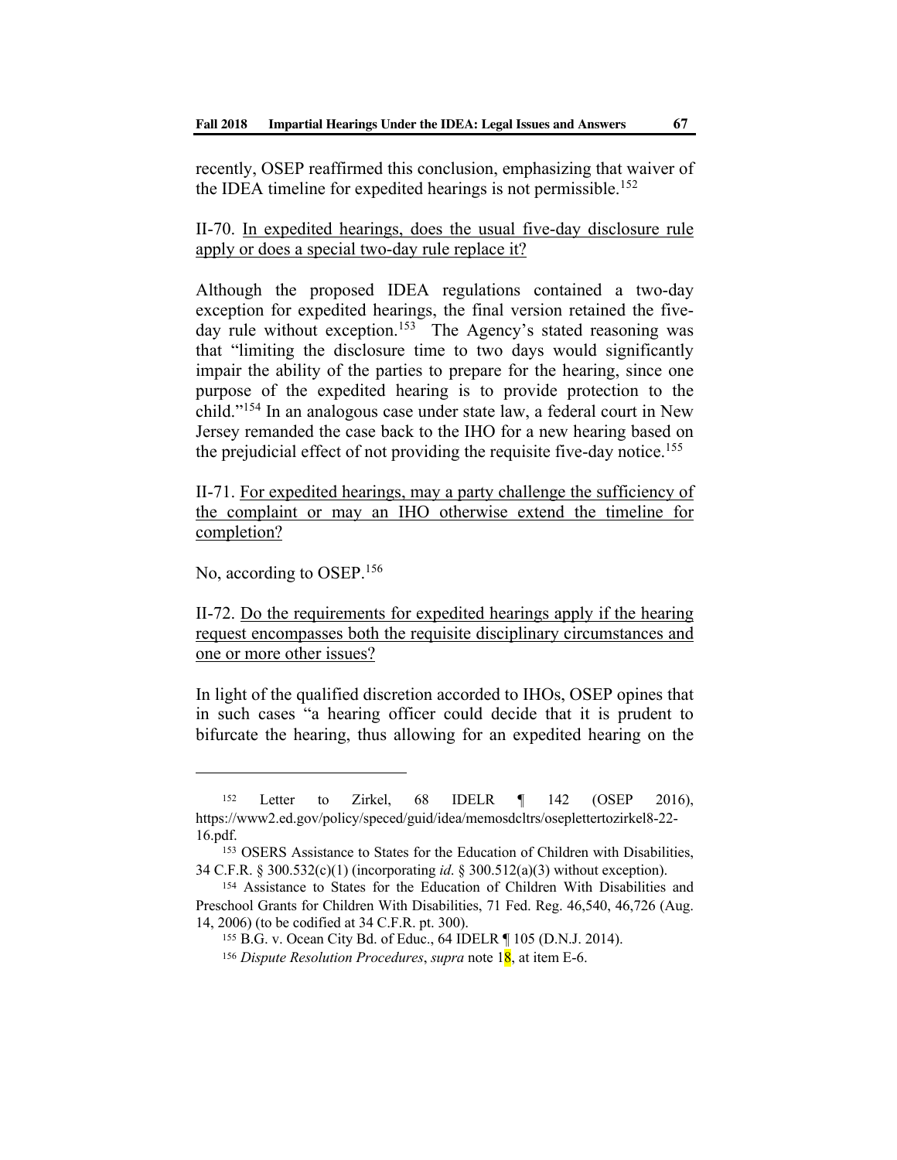recently, OSEP reaffirmed this conclusion, emphasizing that waiver of the IDEA timeline for expedited hearings is not permissible.<sup>152</sup>

II-70. In expedited hearings, does the usual five-day disclosure rule apply or does a special two-day rule replace it?

Although the proposed IDEA regulations contained a two-day exception for expedited hearings, the final version retained the fiveday rule without exception.<sup>153</sup> The Agency's stated reasoning was that "limiting the disclosure time to two days would significantly impair the ability of the parties to prepare for the hearing, since one purpose of the expedited hearing is to provide protection to the child."154 In an analogous case under state law, a federal court in New Jersey remanded the case back to the IHO for a new hearing based on the prejudicial effect of not providing the requisite five-day notice.<sup>155</sup>

II-71. For expedited hearings, may a party challenge the sufficiency of the complaint or may an IHO otherwise extend the timeline for completion?

No, according to OSEP.156

II-72. Do the requirements for expedited hearings apply if the hearing request encompasses both the requisite disciplinary circumstances and one or more other issues?

In light of the qualified discretion accorded to IHOs, OSEP opines that in such cases "a hearing officer could decide that it is prudent to bifurcate the hearing, thus allowing for an expedited hearing on the

<sup>&</sup>lt;sup>152</sup> Letter to Zirkel, 68 IDELR  $\parallel$  142 (OSEP 2016), https://www2.ed.gov/policy/speced/guid/idea/memosdcltrs/oseplettertozirkel8-22- 16.pdf.

<sup>153</sup> OSERS Assistance to States for the Education of Children with Disabilities, 34 C.F.R. § 300.532(c)(1) (incorporating *id*. § 300.512(a)(3) without exception).

<sup>154</sup> Assistance to States for the Education of Children With Disabilities and Preschool Grants for Children With Disabilities, 71 Fed. Reg. 46,540, 46,726 (Aug. 14, 2006) (to be codified at 34 C.F.R. pt. 300).

<sup>155</sup> B.G. v. Ocean City Bd. of Educ., 64 IDELR ¶ 105 (D.N.J. 2014).

<sup>156</sup> *Dispute Resolution Procedures*, *supra* note 18, at item E-6.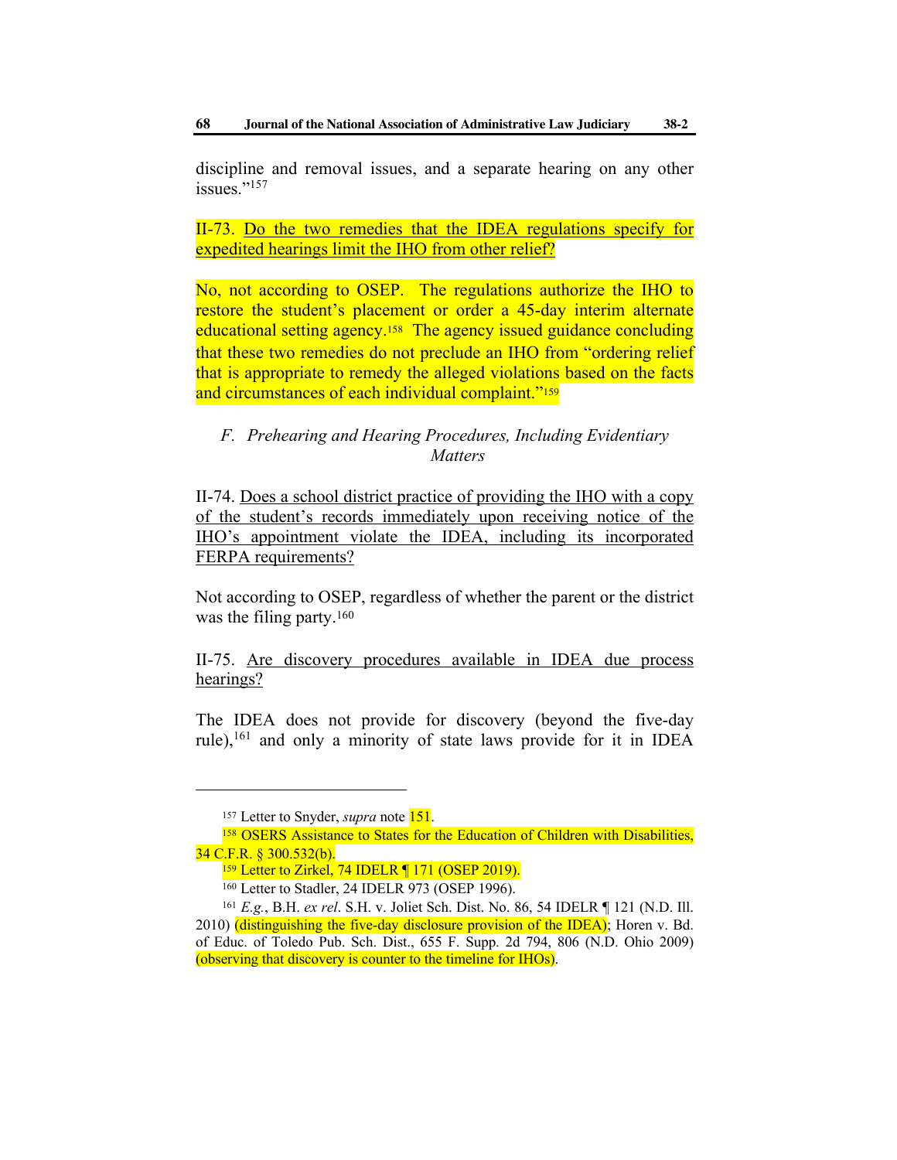discipline and removal issues, and a separate hearing on any other issues."<sup>157</sup>

II-73. Do the two remedies that the IDEA regulations specify for expedited hearings limit the IHO from other relief?

No, not according to OSEP. The regulations authorize the IHO to restore the student's placement or order a 45-day interim alternate educational setting agency.158 The agency issued guidance concluding that these two remedies do not preclude an IHO from "ordering relief that is appropriate to remedy the alleged violations based on the facts and circumstances of each individual complaint."<sup>159</sup>

## *F. Prehearing and Hearing Procedures, Including Evidentiary Matters*

II-74. Does a school district practice of providing the IHO with a copy of the student's records immediately upon receiving notice of the IHO's appointment violate the IDEA, including its incorporated FERPA requirements?

Not according to OSEP, regardless of whether the parent or the district was the filing party. $160$ 

II-75. Are discovery procedures available in IDEA due process hearings?

The IDEA does not provide for discovery (beyond the five-day rule),<sup>161</sup> and only a minority of state laws provide for it in IDEA

<sup>157</sup> Letter to Snyder, *supra* note 151.

<sup>&</sup>lt;sup>158</sup> OSERS Assistance to States for the Education of Children with Disabilities, 34 C.F.R. § 300.532(b).<br><sup>159</sup> Letter to Zirkel, 74 IDELR ¶ 171 (OSEP 2019).

<sup>160</sup> Letter to Stadler, 24 IDELR 973 (OSEP 1996).

<sup>161</sup> *E.g.*, B.H. *ex rel*. S.H. v. Joliet Sch. Dist. No. 86, 54 IDELR ¶ 121 (N.D. Ill.  $2010$ ) (distinguishing the five-day disclosure provision of the IDEA); Horen v. Bd. of Educ. of Toledo Pub. Sch. Dist., 655 F. Supp. 2d 794, 806 (N.D. Ohio 2009) (observing that discovery is counter to the timeline for IHOs).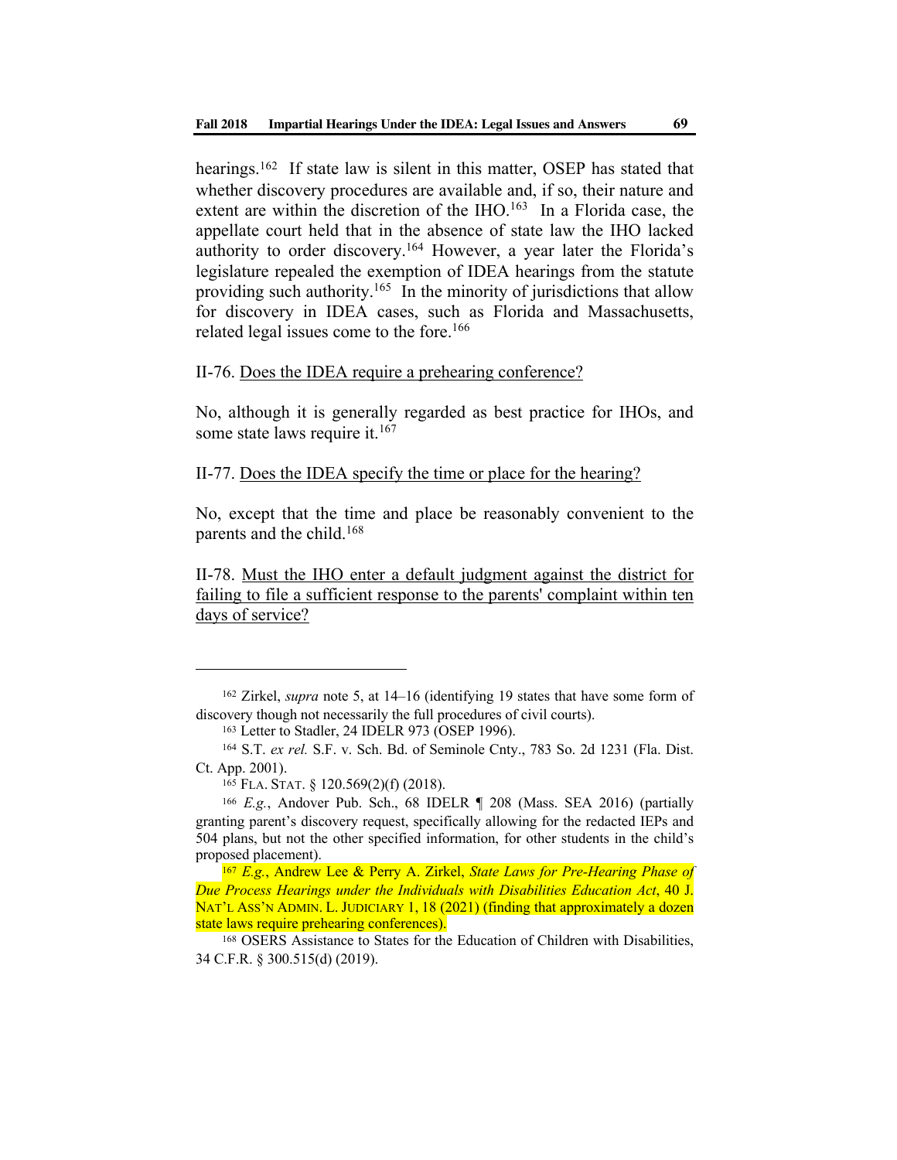hearings.<sup>162</sup> If state law is silent in this matter, OSEP has stated that whether discovery procedures are available and, if so, their nature and extent are within the discretion of the IHO.<sup>163</sup> In a Florida case, the appellate court held that in the absence of state law the IHO lacked authority to order discovery.<sup>164</sup> However, a year later the Florida's legislature repealed the exemption of IDEA hearings from the statute providing such authority.<sup>165</sup> In the minority of jurisdictions that allow for discovery in IDEA cases, such as Florida and Massachusetts, related legal issues come to the fore.<sup>166</sup>

### II-76. Does the IDEA require a prehearing conference?

No, although it is generally regarded as best practice for IHOs, and some state laws require it.<sup>167</sup>

II-77. Does the IDEA specify the time or place for the hearing?

No, except that the time and place be reasonably convenient to the parents and the child.168

II-78. Must the IHO enter a default judgment against the district for failing to file a sufficient response to the parents' complaint within ten days of service?

<sup>162</sup> Zirkel, *supra* note 5, at 14–16 (identifying 19 states that have some form of discovery though not necessarily the full procedures of civil courts).

<sup>163</sup> Letter to Stadler, 24 IDELR 973 (OSEP 1996).

<sup>164</sup> S.T. *ex rel.* S.F. v. Sch. Bd. of Seminole Cnty., 783 So. 2d 1231 (Fla. Dist. Ct. App. 2001).

<sup>165</sup> FLA. STAT. § 120.569(2)(f) (2018). 166 *E.g.*, Andover Pub. Sch., 68 IDELR ¶ 208 (Mass. SEA 2016) (partially granting parent's discovery request, specifically allowing for the redacted IEPs and 504 plans, but not the other specified information, for other students in the child's proposed placement). 167 *E.g.*, Andrew Lee & Perry A. Zirkel, *State Laws for Pre-Hearing Phase of* 

*Due Process Hearings under the Individuals with Disabilities Education Act*, 40 J. NAT'L ASS'N ADMIN. L. JUDICIARY 1, 18 (2021) (finding that approximately a dozen state laws require prehearing conferences).<br><sup>168</sup> OSERS Assistance to States for the Education of Children with Disabilities,

<sup>34</sup> C.F.R. § 300.515(d) (2019).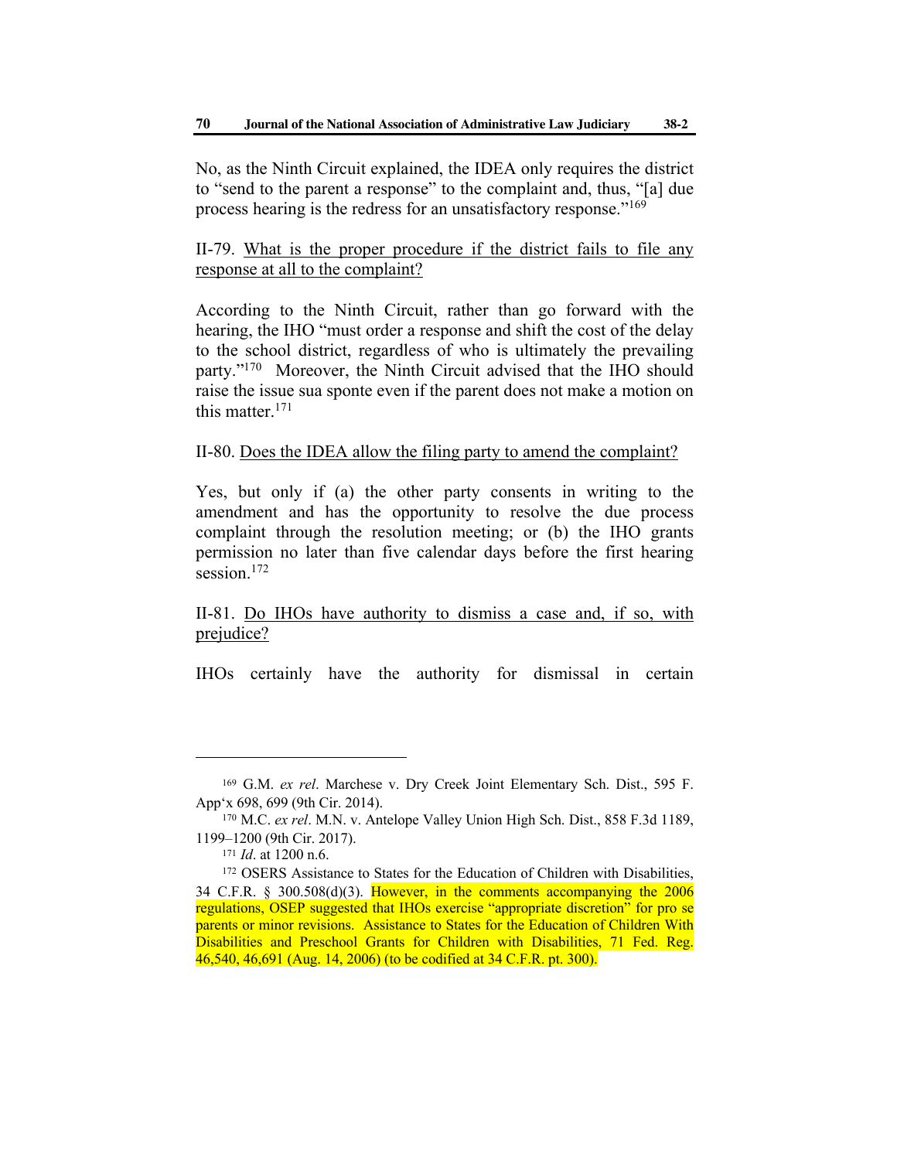No, as the Ninth Circuit explained, the IDEA only requires the district to "send to the parent a response" to the complaint and, thus, "[a] due process hearing is the redress for an unsatisfactory response."169

II-79. What is the proper procedure if the district fails to file any response at all to the complaint?

According to the Ninth Circuit, rather than go forward with the hearing, the IHO "must order a response and shift the cost of the delay to the school district, regardless of who is ultimately the prevailing party."170 Moreover, the Ninth Circuit advised that the IHO should raise the issue sua sponte even if the parent does not make a motion on this matter.171

## II-80. Does the IDEA allow the filing party to amend the complaint?

Yes, but only if (a) the other party consents in writing to the amendment and has the opportunity to resolve the due process complaint through the resolution meeting; or (b) the IHO grants permission no later than five calendar days before the first hearing session.<sup>172</sup>

II-81. Do IHOs have authority to dismiss a case and, if so, with prejudice?

IHOs certainly have the authority for dismissal in certain

<sup>169</sup> G.M. *ex rel*. Marchese v. Dry Creek Joint Elementary Sch. Dist., 595 F. App'x 698, 699 (9th Cir. 2014).

<sup>170</sup> M.C. *ex rel*. M.N. v. Antelope Valley Union High Sch. Dist., 858 F.3d 1189, 1199–1200 (9th Cir. 2017).

<sup>171</sup> *Id*. at 1200 n.6.

<sup>172</sup> OSERS Assistance to States for the Education of Children with Disabilities, 34 C.F.R. § 300.508(d)(3). However, in the comments accompanying the 2006 regulations, OSEP suggested that IHOs exercise "appropriate discretion" for pro se parents or minor revisions. Assistance to States for the Education of Children With Disabilities and Preschool Grants for Children with Disabilities, 71 Fed. Reg. 46,540, 46,691 (Aug. 14, 2006) (to be codified at 34 C.F.R. pt. 300).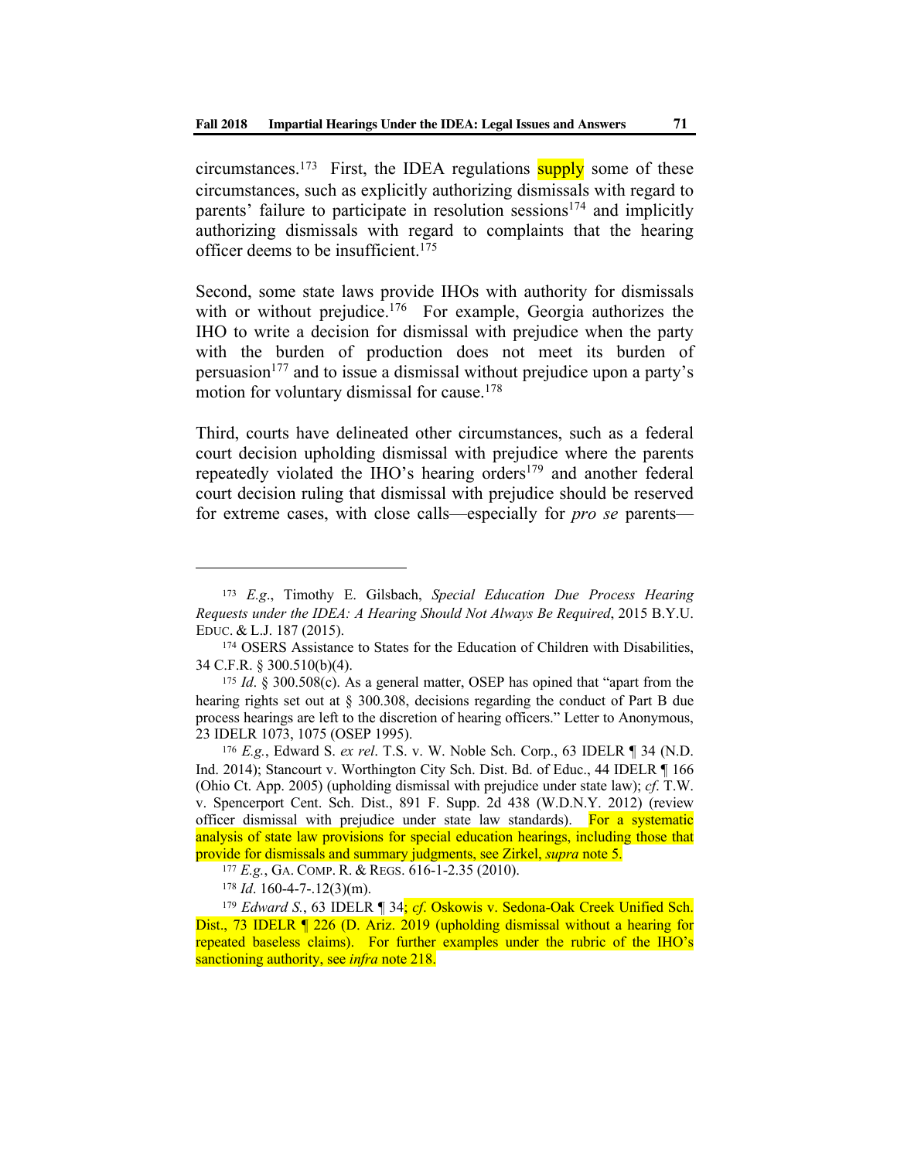circumstances.<sup>173</sup> First, the IDEA regulations  $\frac{\text{supply}}{\text{some of these}}$ circumstances, such as explicitly authorizing dismissals with regard to parents' failure to participate in resolution sessions<sup>174</sup> and implicitly authorizing dismissals with regard to complaints that the hearing officer deems to be insufficient.<sup>175</sup>

Second, some state laws provide IHOs with authority for dismissals with or without prejudice.<sup>176</sup> For example, Georgia authorizes the IHO to write a decision for dismissal with prejudice when the party with the burden of production does not meet its burden of persuasion<sup>177</sup> and to issue a dismissal without prejudice upon a party's motion for voluntary dismissal for cause.<sup>178</sup>

Third, courts have delineated other circumstances, such as a federal court decision upholding dismissal with prejudice where the parents repeatedly violated the IHO's hearing orders<sup>179</sup> and another federal court decision ruling that dismissal with prejudice should be reserved for extreme cases, with close calls—especially for *pro se* parents—

<sup>173</sup> *E.g*., Timothy E. Gilsbach, *Special Education Due Process Hearing Requests under the IDEA: A Hearing Should Not Always Be Required*, 2015 B.Y.U. EDUC. & L.J. 187 (2015).

<sup>174</sup> OSERS Assistance to States for the Education of Children with Disabilities, 34 C.F.R. § 300.510(b)(4).

<sup>175</sup> *Id*. § 300.508(c). As a general matter, OSEP has opined that "apart from the hearing rights set out at § 300.308, decisions regarding the conduct of Part B due process hearings are left to the discretion of hearing officers." Letter to Anonymous, 23 IDELR 1073, 1075 (OSEP 1995).

<sup>176</sup> *E.g.*, Edward S. *ex rel*. T.S. v. W. Noble Sch. Corp., 63 IDELR ¶ 34 (N.D. Ind. 2014); Stancourt v. Worthington City Sch. Dist. Bd. of Educ., 44 IDELR ¶ 166 (Ohio Ct. App. 2005) (upholding dismissal with prejudice under state law); *cf*. T.W. v. Spencerport Cent. Sch. Dist., 891 F. Supp. 2d 438 (W.D.N.Y. 2012) (review officer dismissal with prejudice under state law standards). For a systematic analysis of state law provisions for special education hearings, including those that provide for dismissals and summary judgments, see Zirkel, *supra* note 5.

<sup>177</sup> *E.g.*, GA. COMP. R. & REGS. 616-1-2.35 (2010).

<sup>178</sup> *Id*. 160-4-7-.12(3)(m).

<sup>179</sup> *Edward S.*, 63 IDELR ¶ 34; *cf*. Oskowis v. Sedona-Oak Creek Unified Sch. Dist., 73 IDELR | 226 (D. Ariz. 2019 (upholding dismissal without a hearing for repeated baseless claims). For further examples under the rubric of the IHO's sanctioning authority, see *infra* note 218.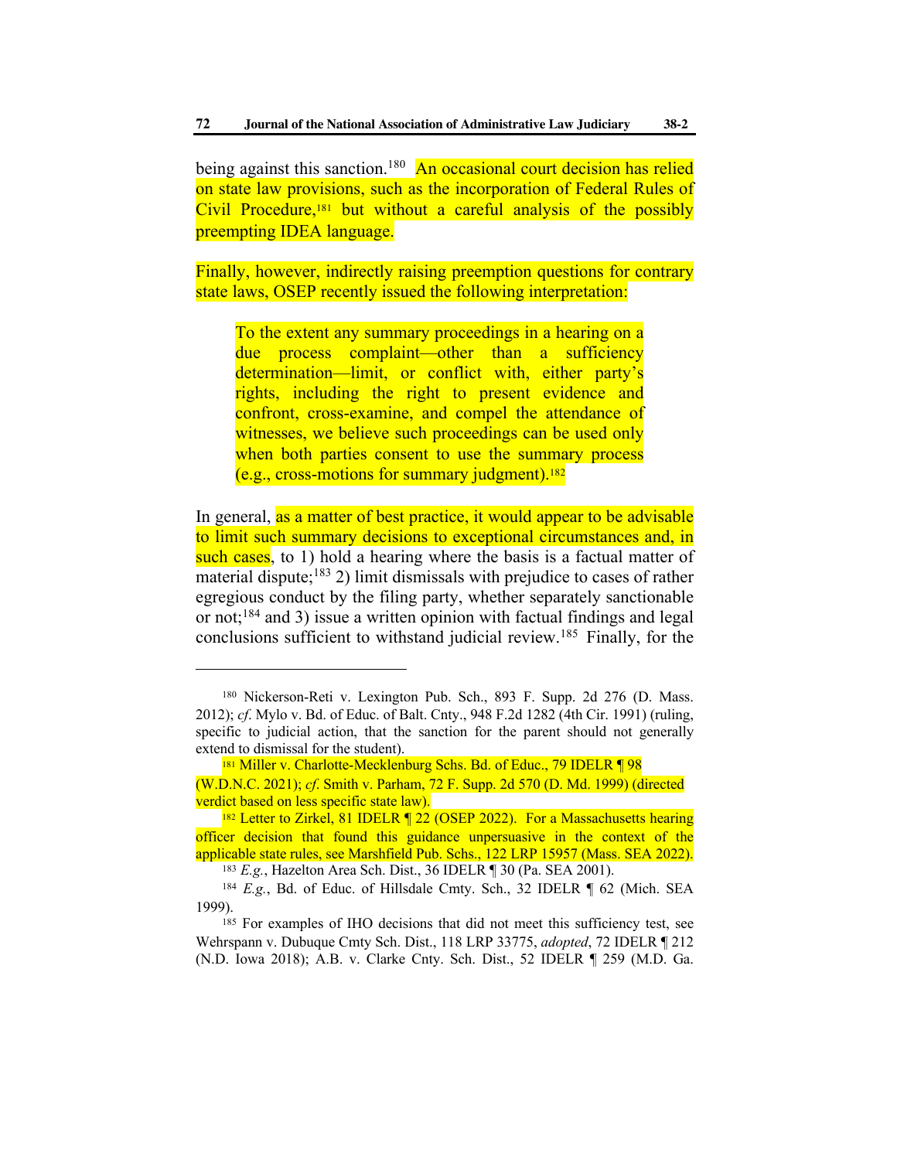being against this sanction.<sup>180</sup> An occasional court decision has relied on state law provisions, such as the incorporation of Federal Rules of Civil Procedure,<sup>181</sup> but without a careful analysis of the possibly preempting IDEA language.

Finally, however, indirectly raising preemption questions for contrary state laws, OSEP recently issued the following interpretation:

To the extent any summary proceedings in a hearing on a due process complaint—other than a sufficiency determination—limit, or conflict with, either party's rights, including the right to present evidence and confront, cross-examine, and compel the attendance of witnesses, we believe such proceedings can be used only when both parties consent to use the summary process  $(e.g., cross-motions for summary judgment).<sup>182</sup>$ 

In general, as a matter of best practice, it would appear to be advisable to limit such summary decisions to exceptional circumstances and, in such cases, to 1) hold a hearing where the basis is a factual matter of material dispute; $183$  2) limit dismissals with prejudice to cases of rather egregious conduct by the filing party, whether separately sanctionable or not;184 and 3) issue a written opinion with factual findings and legal conclusions sufficient to withstand judicial review.185 Finally, for the

<sup>180</sup> Nickerson-Reti v. Lexington Pub. Sch., 893 F. Supp. 2d 276 (D. Mass. 2012); *cf*. Mylo v. Bd. of Educ. of Balt. Cnty., 948 F.2d 1282 (4th Cir. 1991) (ruling, specific to judicial action, that the sanction for the parent should not generally extend to dismissal for the student).

<sup>181</sup> Miller v. Charlotte-Mecklenburg Schs. Bd. of Educ., 79 IDELR 198 (W.D.N.C. 2021); *cf*. Smith v. Parham, 72 F. Supp. 2d 570 (D. Md. 1999) (directed verdict based on less specific state law).

<sup>&</sup>lt;sup>182</sup> Letter to Zirkel, 81 IDELR 122 (OSEP 2022). For a Massachusetts hearing officer decision that found this guidance unpersuasive in the context of the applicable state rules, see Marshfield Pub. Schs., 122 LRP 15957 (Mass. SEA 2022).

<sup>183</sup> *E.g.*, Hazelton Area Sch. Dist., 36 IDELR ¶ 30 (Pa. SEA 2001).

<sup>184</sup> *E.g.*, Bd. of Educ. of Hillsdale Cmty. Sch., 32 IDELR ¶ 62 (Mich. SEA 1999).

<sup>185</sup> For examples of IHO decisions that did not meet this sufficiency test, see Wehrspann v. Dubuque Cmty Sch. Dist., 118 LRP 33775, *adopted*, 72 IDELR ¶ 212 (N.D. Iowa 2018); A.B. v. Clarke Cnty. Sch. Dist., 52 IDELR ¶ 259 (M.D. Ga.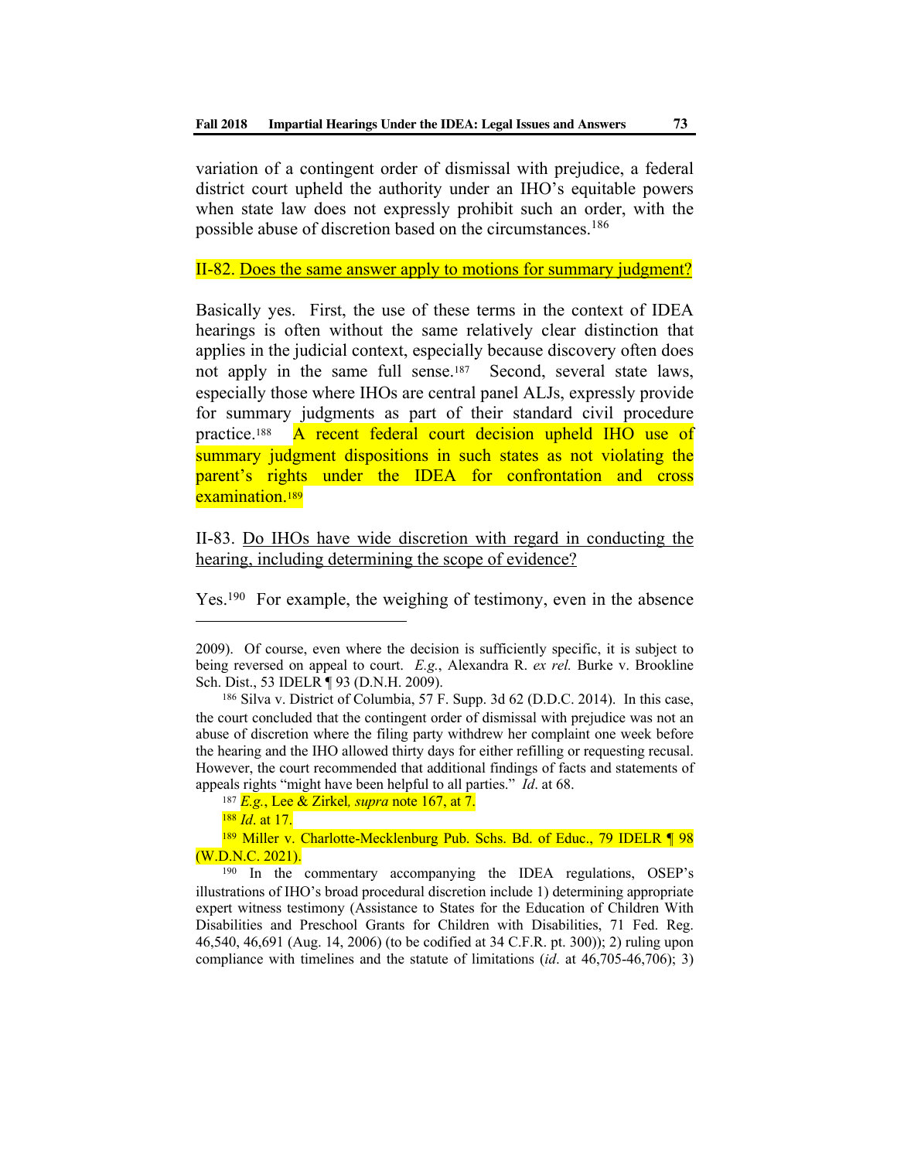variation of a contingent order of dismissal with prejudice, a federal district court upheld the authority under an IHO's equitable powers when state law does not expressly prohibit such an order, with the possible abuse of discretion based on the circumstances.<sup>186</sup>

II-82. Does the same answer apply to motions for summary judgment?

Basically yes. First, the use of these terms in the context of IDEA hearings is often without the same relatively clear distinction that applies in the judicial context, especially because discovery often does not apply in the same full sense.<sup>187</sup> Second, several state laws, especially those where IHOs are central panel ALJs, expressly provide for summary judgments as part of their standard civil procedure practice.188 A recent federal court decision upheld IHO use of summary judgment dispositions in such states as not violating the parent's rights under the IDEA for confrontation and cross examination.<sup>189</sup>

II-83. Do IHOs have wide discretion with regard in conducting the hearing, including determining the scope of evidence?

Yes.190 For example, the weighing of testimony, even in the absence

<sup>2009).</sup> Of course, even where the decision is sufficiently specific, it is subject to being reversed on appeal to court. *E.g.*, Alexandra R. *ex rel.* Burke v. Brookline Sch. Dist., 53 IDELR ¶ 93 (D.N.H. 2009).

<sup>186</sup> Silva v. District of Columbia, 57 F. Supp. 3d 62 (D.D.C. 2014). In this case, the court concluded that the contingent order of dismissal with prejudice was not an abuse of discretion where the filing party withdrew her complaint one week before the hearing and the IHO allowed thirty days for either refilling or requesting recusal. However, the court recommended that additional findings of facts and statements of appeals rights "might have been helpful to all parties." *Id*. at 68.

<sup>187</sup> *E.g.*, Lee & Zirkel*, supra* note 167, at 7.

<sup>188</sup> *Id*. at 17.

<sup>&</sup>lt;sup>189</sup> Miller v. Charlotte-Mecklenburg Pub. Schs. Bd. of Educ., 79 IDELR ¶ 98 (W.D.N.C. 2021).

<sup>190</sup> In the commentary accompanying the IDEA regulations, OSEP's illustrations of IHO's broad procedural discretion include 1) determining appropriate expert witness testimony (Assistance to States for the Education of Children With Disabilities and Preschool Grants for Children with Disabilities, 71 Fed. Reg. 46,540, 46,691 (Aug. 14, 2006) (to be codified at 34 C.F.R. pt. 300)); 2) ruling upon compliance with timelines and the statute of limitations (*id*. at 46,705-46,706); 3)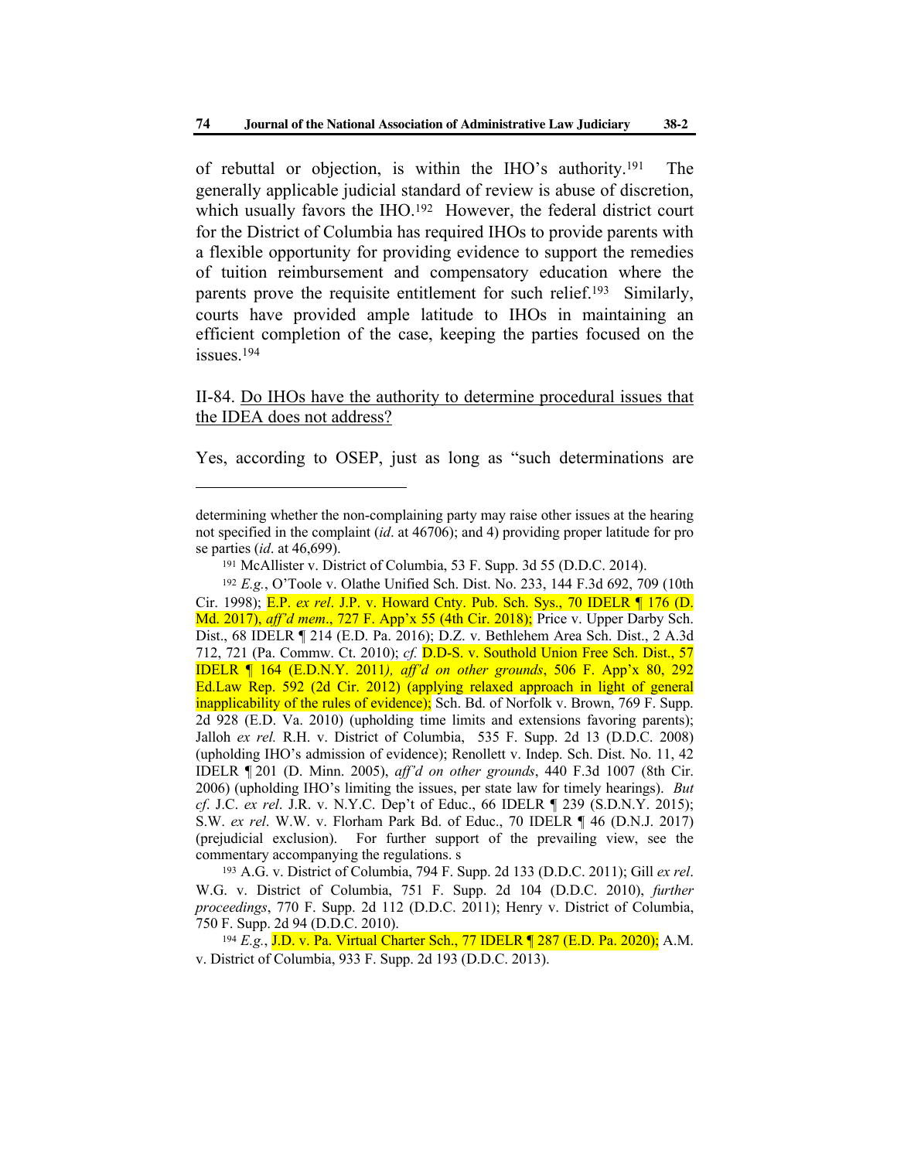of rebuttal or objection, is within the IHO's authority.191 The generally applicable judicial standard of review is abuse of discretion, which usually favors the IHO.<sup>192</sup> However, the federal district court for the District of Columbia has required IHOs to provide parents with a flexible opportunity for providing evidence to support the remedies of tuition reimbursement and compensatory education where the parents prove the requisite entitlement for such relief.193 Similarly, courts have provided ample latitude to IHOs in maintaining an efficient completion of the case, keeping the parties focused on the issues.194

# II-84. Do IHOs have the authority to determine procedural issues that the IDEA does not address?

Yes, according to OSEP, just as long as "such determinations are

<sup>193</sup> A.G. v. District of Columbia, 794 F. Supp. 2d 133 (D.D.C. 2011); Gill *ex rel*. W.G. v. District of Columbia, 751 F. Supp. 2d 104 (D.D.C. 2010), *further proceedings*, 770 F. Supp. 2d 112 (D.D.C. 2011); Henry v. District of Columbia, 750 F. Supp. 2d 94 (D.D.C. 2010).

<sup>194</sup> *E.g.*, J.D. v. Pa. Virtual Charter Sch., 77 IDELR ¶ 287 (E.D. Pa. 2020); A.M. v. District of Columbia, 933 F. Supp. 2d 193 (D.D.C. 2013).

determining whether the non-complaining party may raise other issues at the hearing not specified in the complaint (*id*. at 46706); and 4) providing proper latitude for pro se parties (*id*. at 46,699).

<sup>191</sup> McAllister v. District of Columbia, 53 F. Supp. 3d 55 (D.D.C. 2014).

<sup>192</sup> *E.g.*, O'Toole v. Olathe Unified Sch. Dist. No. 233, 144 F.3d 692, 709 (10th Cir. 1998); E.P. *ex rel*. J.P. v. Howard Cnty. Pub. Sch. Sys., 70 IDELR ¶ 176 (D. Md. 2017), *aff'd mem*., 727 F. App'x 55 (4th Cir. 2018); Price v. Upper Darby Sch. Dist., 68 IDELR ¶ 214 (E.D. Pa. 2016); D.Z. v. Bethlehem Area Sch. Dist., 2 A.3d 712, 721 (Pa. Commw. Ct. 2010); *cf.* D.D-S. v. Southold Union Free Sch. Dist., 57 IDELR ¶ 164 (E.D.N.Y. 2011*), aff'd on other grounds*, 506 F. App'x 80, 292 Ed.Law Rep. 592 (2d Cir. 2012) (applying relaxed approach in light of general inapplicability of the rules of evidence); Sch. Bd. of Norfolk v. Brown, 769 F. Supp. 2d 928 (E.D. Va. 2010) (upholding time limits and extensions favoring parents); Jalloh *ex rel.* R.H. v. District of Columbia, 535 F. Supp. 2d 13 (D.D.C. 2008) (upholding IHO's admission of evidence); Renollett v. Indep. Sch. Dist. No. 11, 42 IDELR ¶ 201 (D. Minn. 2005), *aff'd on other grounds*, 440 F.3d 1007 (8th Cir. 2006) (upholding IHO's limiting the issues, per state law for timely hearings). *But cf*. J.C. *ex rel*. J.R. v. N.Y.C. Dep't of Educ., 66 IDELR ¶ 239 (S.D.N.Y. 2015); S.W. *ex rel*. W.W. v. Florham Park Bd. of Educ., 70 IDELR ¶ 46 (D.N.J. 2017) (prejudicial exclusion). For further support of the prevailing view, see the commentary accompanying the regulations. s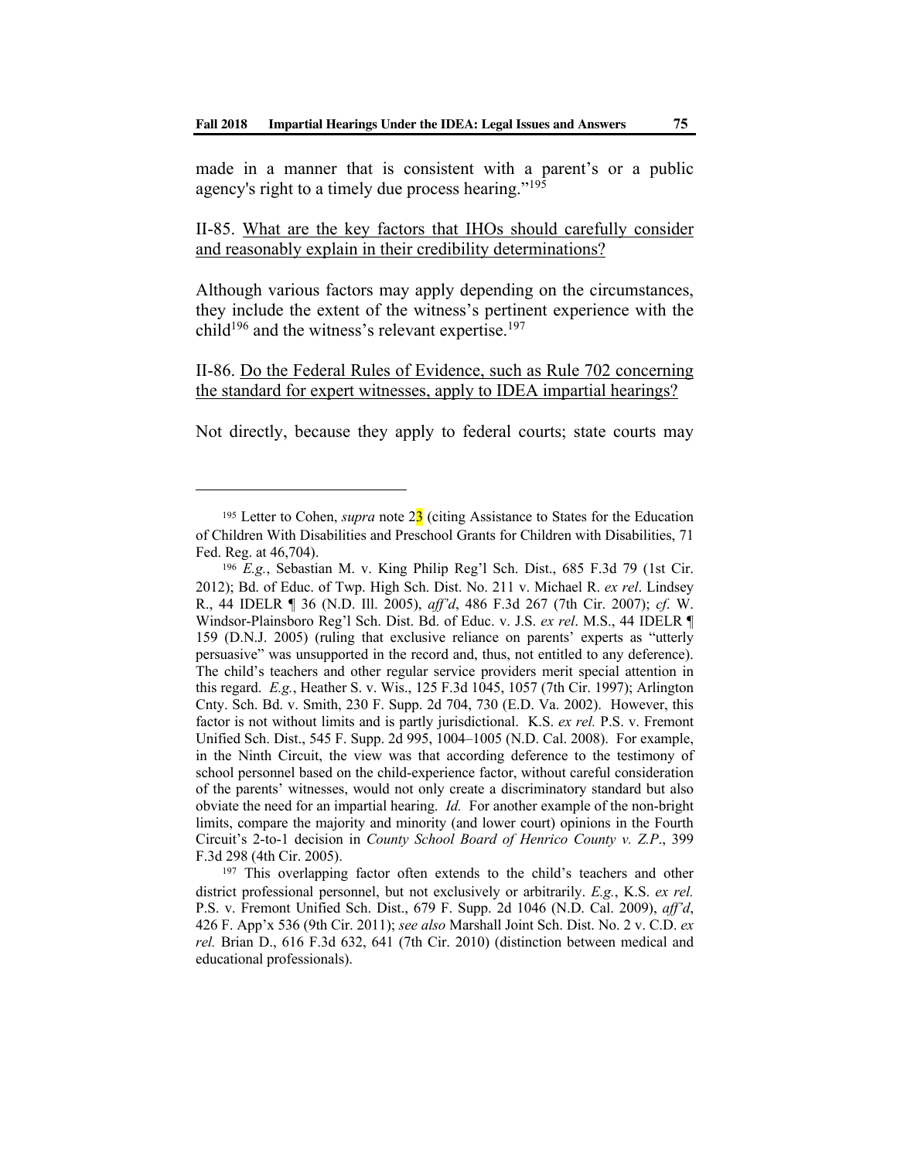made in a manner that is consistent with a parent's or a public agency's right to a timely due process hearing."195

II-85. What are the key factors that IHOs should carefully consider and reasonably explain in their credibility determinations?

Although various factors may apply depending on the circumstances, they include the extent of the witness's pertinent experience with the child<sup>196</sup> and the witness's relevant expertise.<sup>197</sup>

II-86. Do the Federal Rules of Evidence, such as Rule 702 concerning the standard for expert witnesses, apply to IDEA impartial hearings?

Not directly, because they apply to federal courts; state courts may

<sup>195</sup> Letter to Cohen, *supra* note 23 (citing Assistance to States for the Education of Children With Disabilities and Preschool Grants for Children with Disabilities, 71 Fed. Reg. at 46,704).

<sup>196</sup> *E.g.*, Sebastian M. v. King Philip Reg'l Sch. Dist., 685 F.3d 79 (1st Cir. 2012); Bd. of Educ. of Twp. High Sch. Dist. No. 211 v. Michael R. *ex rel*. Lindsey R., 44 IDELR ¶ 36 (N.D. Ill. 2005), *aff'd*, 486 F.3d 267 (7th Cir. 2007); *cf*. W. Windsor-Plainsboro Reg'l Sch. Dist. Bd. of Educ. v. J.S. *ex rel*. M.S., 44 IDELR ¶ 159 (D.N.J. 2005) (ruling that exclusive reliance on parents' experts as "utterly persuasive" was unsupported in the record and, thus, not entitled to any deference). The child's teachers and other regular service providers merit special attention in this regard. *E.g.*, Heather S. v. Wis., 125 F.3d 1045, 1057 (7th Cir. 1997); Arlington Cnty. Sch. Bd. v. Smith, 230 F. Supp. 2d 704, 730 (E.D. Va. 2002). However, this factor is not without limits and is partly jurisdictional. K.S. *ex rel.* P.S. v. Fremont Unified Sch. Dist., 545 F. Supp. 2d 995, 1004–1005 (N.D. Cal. 2008). For example, in the Ninth Circuit, the view was that according deference to the testimony of school personnel based on the child-experience factor, without careful consideration of the parents' witnesses, would not only create a discriminatory standard but also obviate the need for an impartial hearing. *Id.* For another example of the non-bright limits, compare the majority and minority (and lower court) opinions in the Fourth Circuit's 2-to-1 decision in *County School Board of Henrico County v. Z.P*., 399

F.3d 298 (4th Cir. 2005). 197 This overlapping factor often extends to the child's teachers and other district professional personnel, but not exclusively or arbitrarily. *E.g.*, K.S. *ex rel.* P.S. v. Fremont Unified Sch. Dist., 679 F. Supp. 2d 1046 (N.D. Cal. 2009), *aff'd*, 426 F. App'x 536 (9th Cir. 2011); *see also* Marshall Joint Sch. Dist. No. 2 v. C.D. *ex rel.* Brian D., 616 F.3d 632, 641 (7th Cir. 2010) (distinction between medical and educational professionals).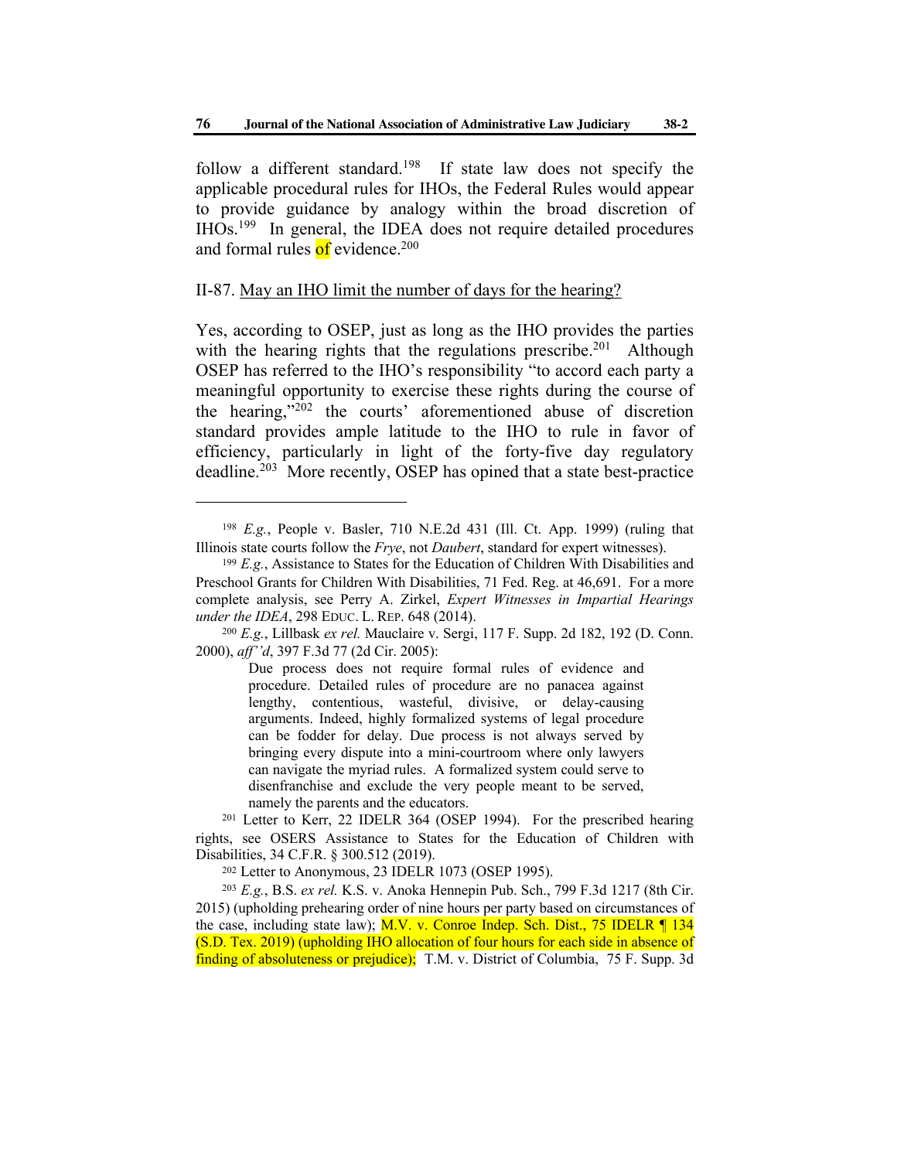follow a different standard.<sup>198</sup> If state law does not specify the applicable procedural rules for IHOs, the Federal Rules would appear to provide guidance by analogy within the broad discretion of IHOs.199 In general, the IDEA does not require detailed procedures and formal rules  $of$  evidence.<sup>200</sup>

### II-87. May an IHO limit the number of days for the hearing?

Yes, according to OSEP, just as long as the IHO provides the parties with the hearing rights that the regulations prescribe.<sup>201</sup> Although OSEP has referred to the IHO's responsibility "to accord each party a meaningful opportunity to exercise these rights during the course of the hearing,"202 the courts' aforementioned abuse of discretion standard provides ample latitude to the IHO to rule in favor of efficiency, particularly in light of the forty-five day regulatory deadline.203 More recently, OSEP has opined that a state best-practice

Due process does not require formal rules of evidence and procedure. Detailed rules of procedure are no panacea against lengthy, contentious, wasteful, divisive, or delay-causing arguments. Indeed, highly formalized systems of legal procedure can be fodder for delay. Due process is not always served by bringing every dispute into a mini-courtroom where only lawyers can navigate the myriad rules. A formalized system could serve to disenfranchise and exclude the very people meant to be served,

<sup>198</sup> *E.g.*, People v. Basler, 710 N.E.2d 431 (Ill. Ct. App. 1999) (ruling that Illinois state courts follow the *Frye*, not *Daubert*, standard for expert witnesses).

<sup>199</sup> *E.g.*, Assistance to States for the Education of Children With Disabilities and Preschool Grants for Children With Disabilities, 71 Fed. Reg. at 46,691. For a more complete analysis, see Perry A. Zirkel, *Expert Witnesses in Impartial Hearings under the IDEA*, 298 EDUC. L. REP. 648 (2014).

<sup>200</sup> *E.g.*, Lillbask *ex rel.* Mauclaire v. Sergi, 117 F. Supp. 2d 182, 192 (D. Conn. 2000), *aff''d*, 397 F.3d 77 (2d Cir. 2005):

namely the parents and the educators.<br><sup>201</sup> Letter to Kerr, 22 IDELR 364 (OSEP 1994). For the prescribed hearing rights, see OSERS Assistance to States for the Education of Children with Disabilities, 34 C.F.R. § 300.512 (2019).

<sup>202</sup> Letter to Anonymous, 23 IDELR 1073 (OSEP 1995).

<sup>203</sup> *E.g.*, B.S. *ex rel.* K.S. v. Anoka Hennepin Pub. Sch., 799 F.3d 1217 (8th Cir. 2015) (upholding prehearing order of nine hours per party based on circumstances of the case, including state law); M.V. v. Conroe Indep. Sch. Dist., 75 IDELR 134 (S.D. Tex. 2019) (upholding IHO allocation of four hours for each side in absence of finding of absoluteness or prejudice); T.M. v. District of Columbia, 75 F. Supp. 3d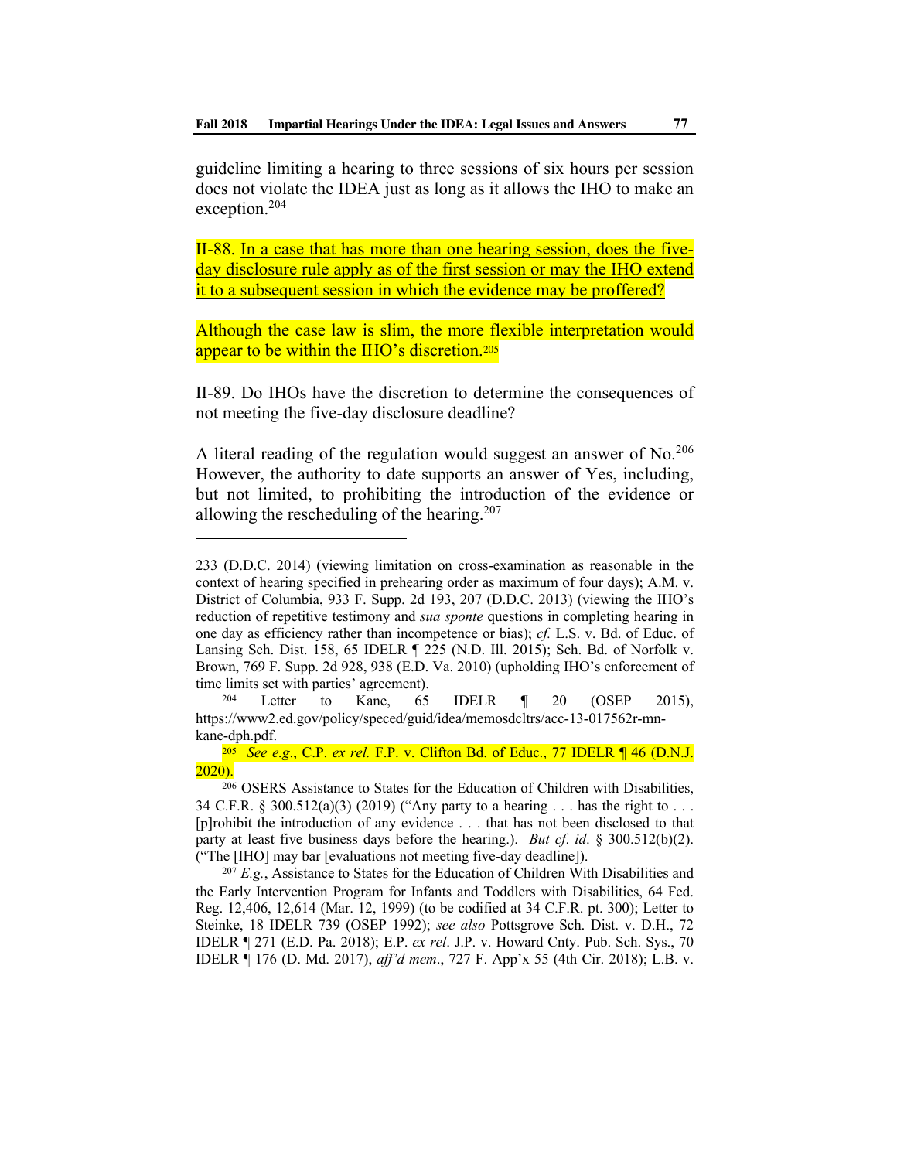guideline limiting a hearing to three sessions of six hours per session does not violate the IDEA just as long as it allows the IHO to make an exception.204

II-88. In a case that has more than one hearing session, does the fiveday disclosure rule apply as of the first session or may the IHO extend it to a subsequent session in which the evidence may be proffered?

Although the case law is slim, the more flexible interpretation would appear to be within the IHO's discretion.<sup>205</sup>

II-89. Do IHOs have the discretion to determine the consequences of not meeting the five-day disclosure deadline?

A literal reading of the regulation would suggest an answer of No.206 However, the authority to date supports an answer of Yes, including, but not limited, to prohibiting the introduction of the evidence or allowing the rescheduling of the hearing.<sup>207</sup>

<sup>233 (</sup>D.D.C. 2014) (viewing limitation on cross-examination as reasonable in the context of hearing specified in prehearing order as maximum of four days); A.M. v. District of Columbia, 933 F. Supp. 2d 193, 207 (D.D.C. 2013) (viewing the IHO's reduction of repetitive testimony and *sua sponte* questions in completing hearing in one day as efficiency rather than incompetence or bias); *cf.* L.S. v. Bd. of Educ. of Lansing Sch. Dist. 158, 65 IDELR ¶ 225 (N.D. Ill. 2015); Sch. Bd. of Norfolk v. Brown, 769 F. Supp. 2d 928, 938 (E.D. Va. 2010) (upholding IHO's enforcement of time limits set with parties' agreement).

<sup>204</sup> Letter to Kane,  $65$  IDELR  $\parallel$  20 (OSEP 2015), https://www2.ed.gov/policy/speced/guid/idea/memosdcltrs/acc-13-017562r-mnkane-dph.pdf.

<sup>205</sup> *See e.g*., C.P. *ex rel.* F.P. v. Clifton Bd. of Educ., 77 IDELR ¶ 46 (D.N.J. 2020).

<sup>206</sup> OSERS Assistance to States for the Education of Children with Disabilities, 34 C.F.R. § 300.512(a)(3) (2019) ("Any party to a hearing . . . has the right to . . . [p]rohibit the introduction of any evidence . . . that has not been disclosed to that party at least five business days before the hearing.). *But cf*. *id*. § 300.512(b)(2). ("The [IHO] may bar [evaluations not meeting five-day deadline]). 207 *E.g.*, Assistance to States for the Education of Children With Disabilities and

the Early Intervention Program for Infants and Toddlers with Disabilities, 64 Fed. Reg. 12,406, 12,614 (Mar. 12, 1999) (to be codified at 34 C.F.R. pt. 300); Letter to Steinke, 18 IDELR 739 (OSEP 1992); *see also* Pottsgrove Sch. Dist. v. D.H., 72 IDELR ¶ 271 (E.D. Pa. 2018); E.P. *ex rel*. J.P. v. Howard Cnty. Pub. Sch. Sys., 70 IDELR ¶ 176 (D. Md. 2017), *aff'd mem*., 727 F. App'x 55 (4th Cir. 2018); L.B. v.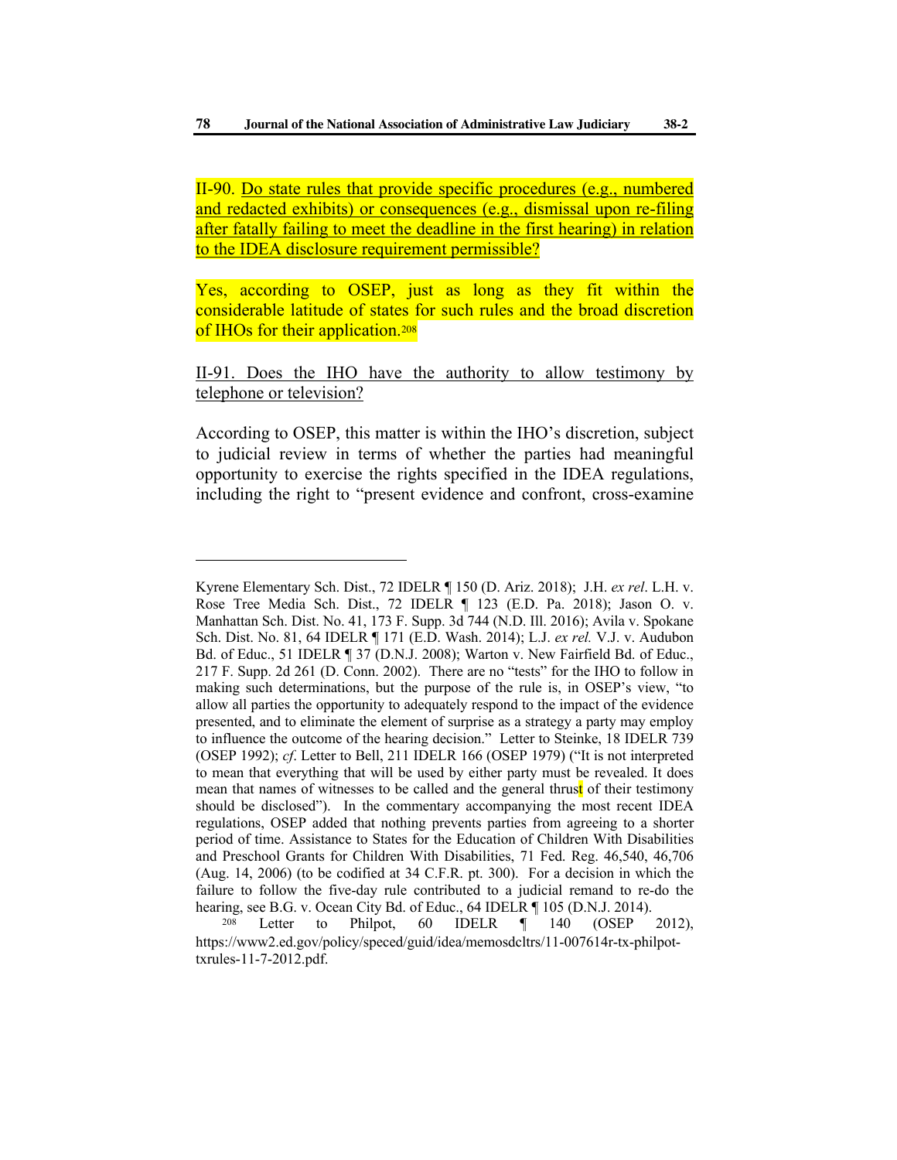II-90. Do state rules that provide specific procedures (e.g., numbered and redacted exhibits) or consequences (e.g., dismissal upon re-filing after fatally failing to meet the deadline in the first hearing) in relation to the IDEA disclosure requirement permissible?

Yes, according to OSEP, just as long as they fit within the considerable latitude of states for such rules and the broad discretion of IHOs for their application.<sup>208</sup>

II-91. Does the IHO have the authority to allow testimony by telephone or television?

According to OSEP, this matter is within the IHO's discretion, subject to judicial review in terms of whether the parties had meaningful opportunity to exercise the rights specified in the IDEA regulations, including the right to "present evidence and confront, cross-examine

<sup>208</sup> Letter to Philpot, 60 IDELR  $\parallel$  140 (OSEP 2012), https://www2.ed.gov/policy/speced/guid/idea/memosdcltrs/11-007614r-tx-philpottxrules-11-7-2012.pdf.

Kyrene Elementary Sch. Dist., 72 IDELR ¶ 150 (D. Ariz. 2018); J.H. *ex rel*. L.H. v. Rose Tree Media Sch. Dist., 72 IDELR ¶ 123 (E.D. Pa. 2018); Jason O. v. Manhattan Sch. Dist. No. 41, 173 F. Supp. 3d 744 (N.D. Ill. 2016); Avila v. Spokane Sch. Dist. No. 81, 64 IDELR ¶ 171 (E.D. Wash. 2014); L.J. *ex rel.* V.J. v. Audubon Bd. of Educ., 51 IDELR ¶ 37 (D.N.J. 2008); Warton v. New Fairfield Bd. of Educ., 217 F. Supp. 2d 261 (D. Conn. 2002). There are no "tests" for the IHO to follow in making such determinations, but the purpose of the rule is, in OSEP's view, "to allow all parties the opportunity to adequately respond to the impact of the evidence presented, and to eliminate the element of surprise as a strategy a party may employ to influence the outcome of the hearing decision." Letter to Steinke, 18 IDELR 739 (OSEP 1992); *cf*. Letter to Bell, 211 IDELR 166 (OSEP 1979) ("It is not interpreted to mean that everything that will be used by either party must be revealed. It does mean that names of witnesses to be called and the general thrust of their testimony should be disclosed"). In the commentary accompanying the most recent IDEA regulations, OSEP added that nothing prevents parties from agreeing to a shorter period of time. Assistance to States for the Education of Children With Disabilities and Preschool Grants for Children With Disabilities, 71 Fed. Reg. 46,540, 46,706 (Aug. 14, 2006) (to be codified at 34 C.F.R. pt. 300). For a decision in which the failure to follow the five-day rule contributed to a judicial remand to re-do the hearing, see B.G. v. Ocean City Bd. of Educ., 64 IDELR ¶ 105 (D.N.J. 2014).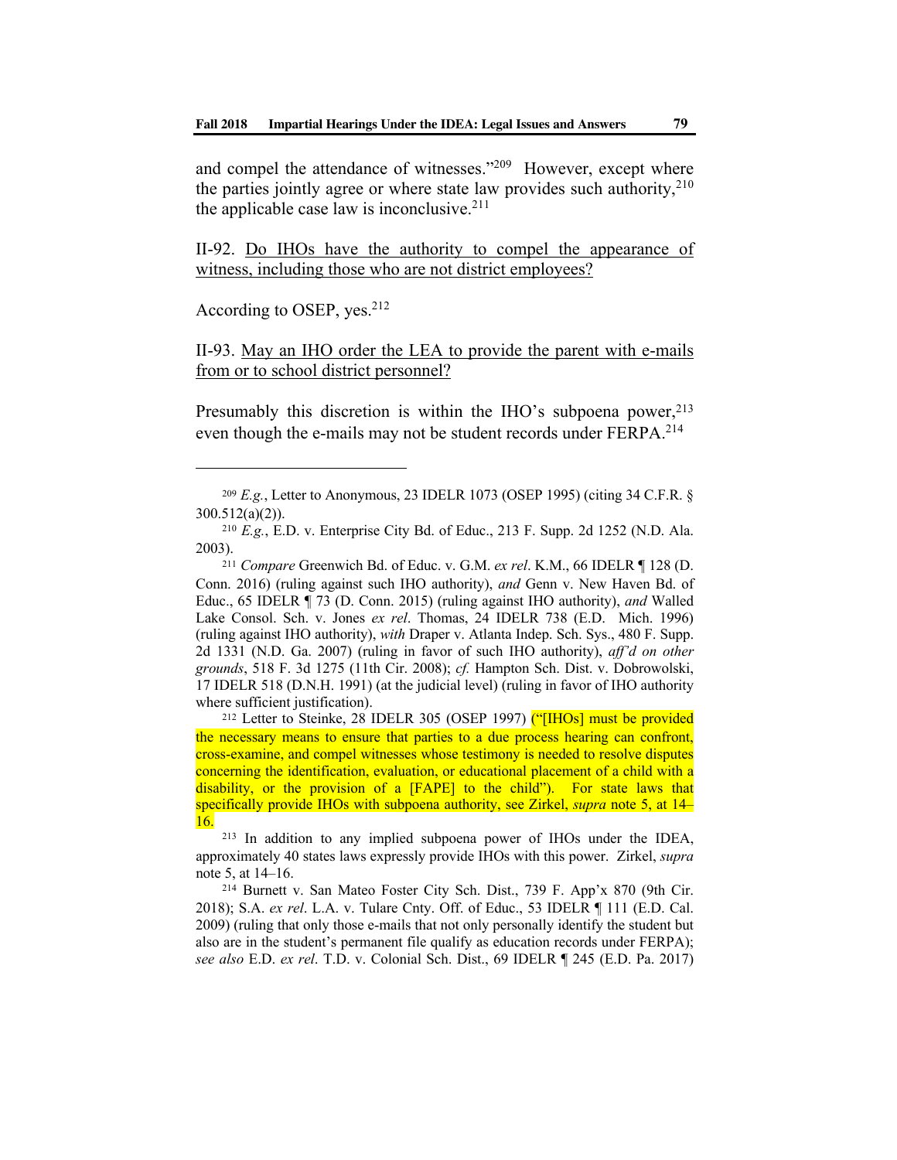and compel the attendance of witnesses."<sup>209</sup> However, except where the parties jointly agree or where state law provides such authority, $210$ the applicable case law is inconclusive. $211$ 

II-92. Do IHOs have the authority to compel the appearance of witness, including those who are not district employees?

According to OSEP, yes.<sup>212</sup>

II-93. May an IHO order the LEA to provide the parent with e-mails from or to school district personnel?

Presumably this discretion is within the IHO's subpoena power, <sup>213</sup> even though the e-mails may not be student records under FERPA.<sup>214</sup>

<sup>209</sup> *E.g.*, Letter to Anonymous, 23 IDELR 1073 (OSEP 1995) (citing 34 C.F.R. § 300.512(a)(2)).

<sup>210</sup> *E.g.*, E.D. v. Enterprise City Bd. of Educ., 213 F. Supp. 2d 1252 (N.D. Ala. 2003).

<sup>211</sup> *Compare* Greenwich Bd. of Educ. v. G.M. *ex rel*. K.M., 66 IDELR ¶ 128 (D. Conn. 2016) (ruling against such IHO authority), *and* Genn v. New Haven Bd. of Educ., 65 IDELR ¶ 73 (D. Conn. 2015) (ruling against IHO authority), *and* Walled Lake Consol. Sch. v. Jones *ex rel*. Thomas, 24 IDELR 738 (E.D. Mich. 1996) (ruling against IHO authority), *with* Draper v. Atlanta Indep. Sch. Sys., 480 F. Supp. 2d 1331 (N.D. Ga. 2007) (ruling in favor of such IHO authority), *aff'd on other grounds*, 518 F. 3d 1275 (11th Cir. 2008); *cf.* Hampton Sch. Dist. v. Dobrowolski, 17 IDELR 518 (D.N.H. 1991) (at the judicial level) (ruling in favor of IHO authority where sufficient justification).<br><sup>212</sup> Letter to Steinke, 28 IDELR 305 (OSEP 1997) ("[IHOs] must be provided

the necessary means to ensure that parties to a due process hearing can confront, cross-examine, and compel witnesses whose testimony is needed to resolve disputes concerning the identification, evaluation, or educational placement of a child with a disability, or the provision of a [FAPE] to the child"). For state laws that specifically provide IHOs with subpoena authority, see Zirkel, *supra* note 5, at 14– 16.

<sup>213</sup> In addition to any implied subpoena power of IHOs under the IDEA, approximately 40 states laws expressly provide IHOs with this power. Zirkel, *supra* note 5, at 14–16.

<sup>214</sup> Burnett v. San Mateo Foster City Sch. Dist., 739 F. App'x 870 (9th Cir. 2018); S.A. *ex rel*. L.A. v. Tulare Cnty. Off. of Educ., 53 IDELR ¶ 111 (E.D. Cal. 2009) (ruling that only those e-mails that not only personally identify the student but also are in the student's permanent file qualify as education records under FERPA); *see also* E.D. *ex rel*. T.D. v. Colonial Sch. Dist., 69 IDELR ¶ 245 (E.D. Pa. 2017)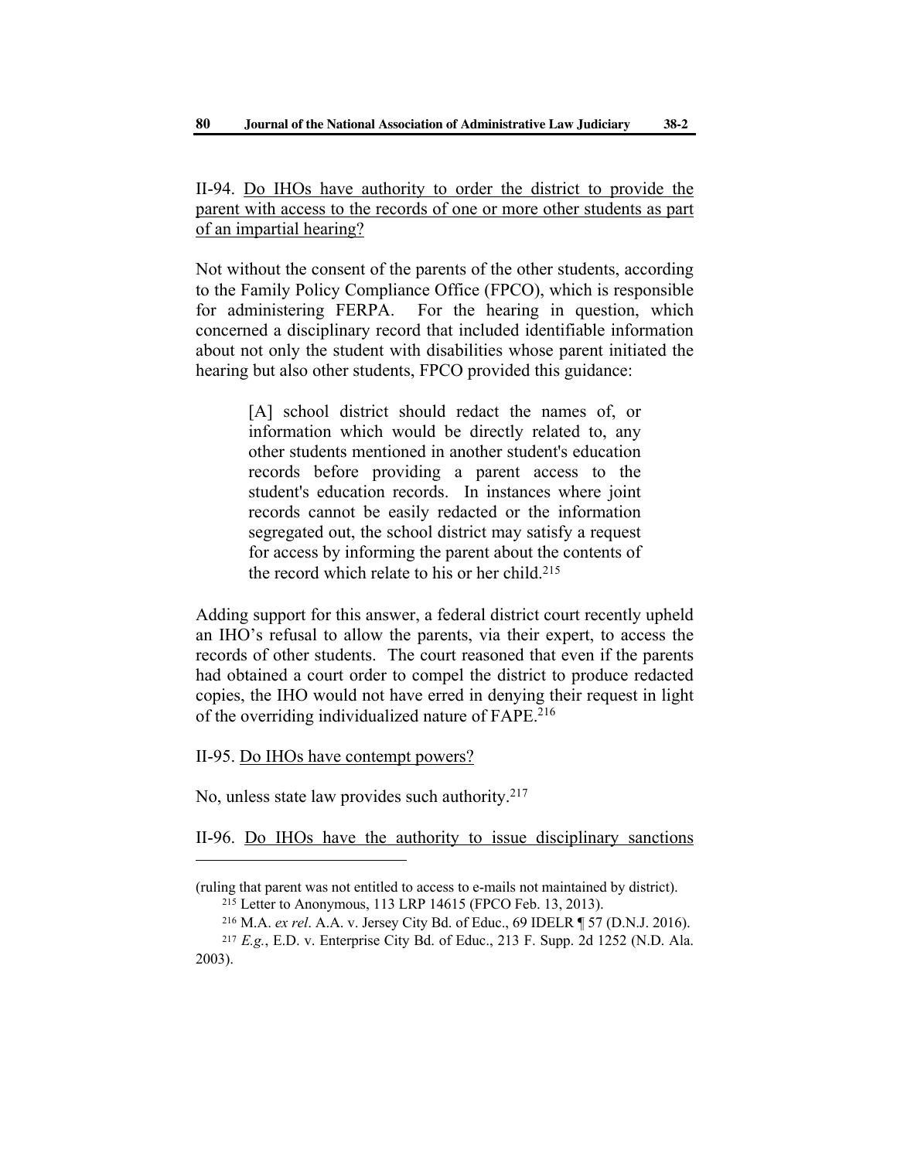II-94. Do IHOs have authority to order the district to provide the parent with access to the records of one or more other students as part of an impartial hearing?

Not without the consent of the parents of the other students, according to the Family Policy Compliance Office (FPCO), which is responsible for administering FERPA. For the hearing in question, which concerned a disciplinary record that included identifiable information about not only the student with disabilities whose parent initiated the hearing but also other students, FPCO provided this guidance:

> [A] school district should redact the names of, or information which would be directly related to, any other students mentioned in another student's education records before providing a parent access to the student's education records. In instances where joint records cannot be easily redacted or the information segregated out, the school district may satisfy a request for access by informing the parent about the contents of the record which relate to his or her child.215

Adding support for this answer, a federal district court recently upheld an IHO's refusal to allow the parents, via their expert, to access the records of other students. The court reasoned that even if the parents had obtained a court order to compel the district to produce redacted copies, the IHO would not have erred in denying their request in light of the overriding individualized nature of FAPE.<sup>216</sup>

II-95. Do IHOs have contempt powers?

No, unless state law provides such authority.<sup>217</sup>

II-96. Do IHOs have the authority to issue disciplinary sanctions

<sup>(</sup>ruling that parent was not entitled to access to e-mails not maintained by district).

<sup>215</sup> Letter to Anonymous, 113 LRP 14615 (FPCO Feb. 13, 2013).

<sup>216</sup> M.A. *ex rel*. A.A. v. Jersey City Bd. of Educ., 69 IDELR ¶ 57 (D.N.J. 2016).

<sup>217</sup> *E.g.*, E.D. v. Enterprise City Bd. of Educ., 213 F. Supp. 2d 1252 (N.D. Ala. 2003).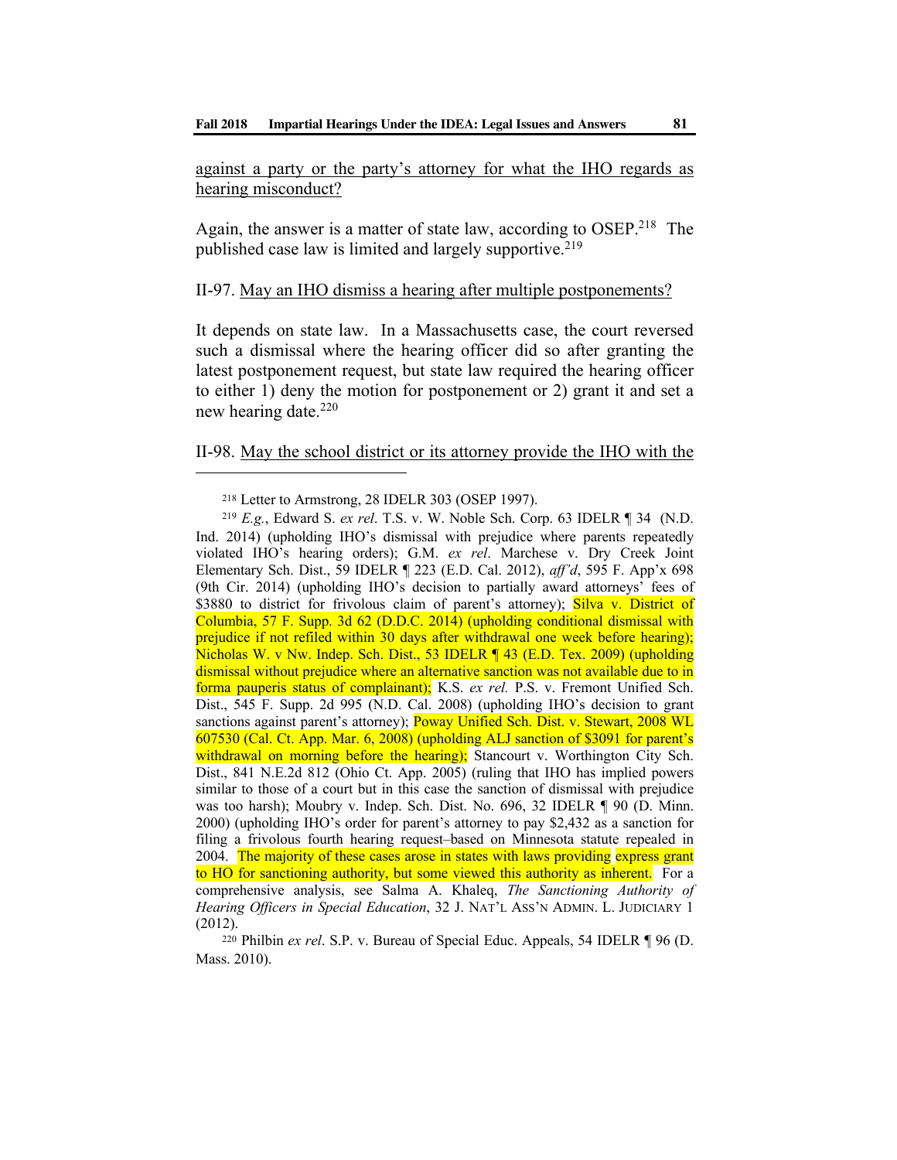against a party or the party's attorney for what the IHO regards as hearing misconduct?

Again, the answer is a matter of state law, according to OSEP.<sup>218</sup> The published case law is limited and largely supportive.<sup>219</sup>

#### II-97. May an IHO dismiss a hearing after multiple postponements?

It depends on state law. In a Massachusetts case, the court reversed such a dismissal where the hearing officer did so after granting the latest postponement request, but state law required the hearing officer to either 1) deny the motion for postponement or 2) grant it and set a new hearing date.<sup>220</sup>

## II-98. May the school district or its attorney provide the IHO with the

<sup>218</sup> Letter to Armstrong, 28 IDELR 303 (OSEP 1997).

<sup>219</sup> *E.g.*, Edward S. *ex rel*. T.S. v. W. Noble Sch. Corp. 63 IDELR ¶ 34 (N.D. Ind. 2014) (upholding IHO's dismissal with prejudice where parents repeatedly violated IHO's hearing orders); G.M. *ex rel*. Marchese v. Dry Creek Joint Elementary Sch. Dist., 59 IDELR ¶ 223 (E.D. Cal. 2012), *aff'd*, 595 F. App'x 698 (9th Cir. 2014) (upholding IHO's decision to partially award attorneys' fees of \$3880 to district for frivolous claim of parent's attorney); Silva v. District of Columbia, 57 F. Supp. 3d 62 (D.D.C. 2014) (upholding conditional dismissal with prejudice if not refiled within 30 days after withdrawal one week before hearing); Nicholas W. v Nw. Indep. Sch. Dist., 53 IDELR ¶ 43 (E.D. Tex. 2009) (upholding dismissal without prejudice where an alternative sanction was not available due to in forma pauperis status of complainant); K.S. *ex rel.* P.S. v. Fremont Unified Sch. Dist., 545 F. Supp. 2d 995 (N.D. Cal. 2008) (upholding IHO's decision to grant sanctions against parent's attorney); Poway Unified Sch. Dist. v. Stewart, 2008 WL 607530 (Cal. Ct. App. Mar. 6, 2008) (upholding ALJ sanction of \$3091 for parent's withdrawal on morning before the hearing); Stancourt v. Worthington City Sch. Dist., 841 N.E.2d 812 (Ohio Ct. App. 2005) (ruling that IHO has implied powers similar to those of a court but in this case the sanction of dismissal with prejudice was too harsh); Moubry v. Indep. Sch. Dist. No. 696, 32 IDELR ¶ 90 (D. Minn. 2000) (upholding IHO's order for parent's attorney to pay \$2,432 as a sanction for filing a frivolous fourth hearing request–based on Minnesota statute repealed in 2004. The majority of these cases arose in states with laws providing express grant to HO for sanctioning authority, but some viewed this authority as inherent. For a comprehensive analysis, see Salma A. Khaleq, *The Sanctioning Authority of Hearing Officers in Special Education*, 32 J. NAT'L ASS'N ADMIN. L. JUDICIARY 1 (2012).

<sup>220</sup> Philbin *ex rel*. S.P. v. Bureau of Special Educ. Appeals, 54 IDELR ¶ 96 (D. Mass. 2010).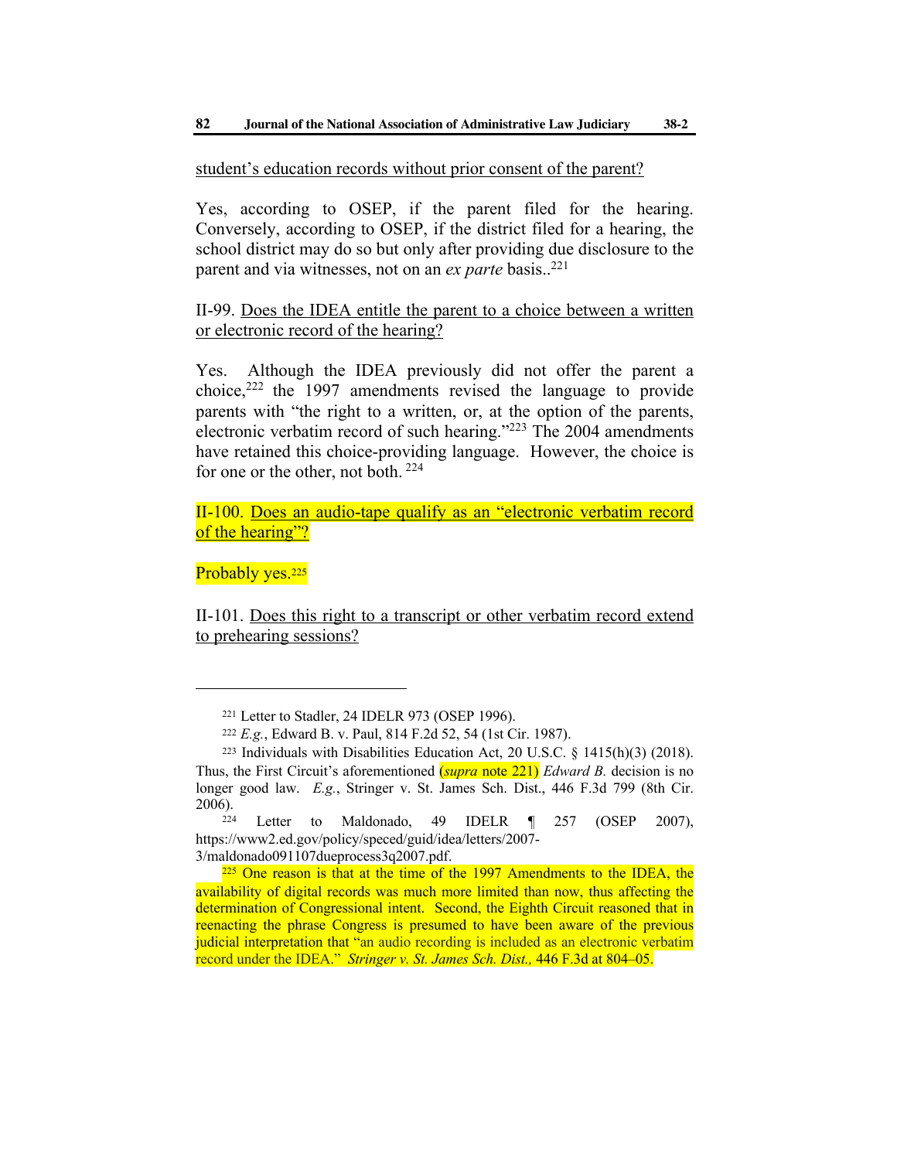student's education records without prior consent of the parent?

Yes, according to OSEP, if the parent filed for the hearing. Conversely, according to OSEP, if the district filed for a hearing, the school district may do so but only after providing due disclosure to the parent and via witnesses, not on an *ex parte* basis..<sup>221</sup>

II-99. Does the IDEA entitle the parent to a choice between a written or electronic record of the hearing?

Yes. Although the IDEA previously did not offer the parent a choice, $222$  the 1997 amendments revised the language to provide parents with "the right to a written, or, at the option of the parents, electronic verbatim record of such hearing."223 The 2004 amendments have retained this choice-providing language. However, the choice is for one or the other, not both. <sup>224</sup>

II-100. Does an audio-tape qualify as an "electronic verbatim record of the hearing"?

Probably yes.<sup>225</sup>

II-101. Does this right to a transcript or other verbatim record extend to prehearing sessions?

<sup>221</sup> Letter to Stadler, 24 IDELR 973 (OSEP 1996).

<sup>222</sup> *E.g.*, Edward B. v. Paul, 814 F.2d 52, 54 (1st Cir. 1987).

<sup>223</sup> Individuals with Disabilities Education Act, 20 U.S.C. § 1415(h)(3) (2018). Thus, the First Circuit's aforementioned (*supra* note 221) *Edward B.* decision is no longer good law. *E.g.*, Stringer v. St. James Sch. Dist., 446 F.3d 799 (8th Cir.  $2006$ ).

Letter to Maldonado, 49 IDELR ¶ 257 (OSEP 2007), https://www2.ed.gov/policy/speced/guid/idea/letters/2007- 3/maldonado091107dueprocess3q2007.pdf.

 $225$  One reason is that at the time of the 1997 Amendments to the IDEA, the availability of digital records was much more limited than now, thus affecting the determination of Congressional intent. Second, the Eighth Circuit reasoned that in reenacting the phrase Congress is presumed to have been aware of the previous judicial interpretation that "an audio recording is included as an electronic verbatim record under the IDEA." *Stringer v. St. James Sch. Dist.,* 446 F.3d at 804–05.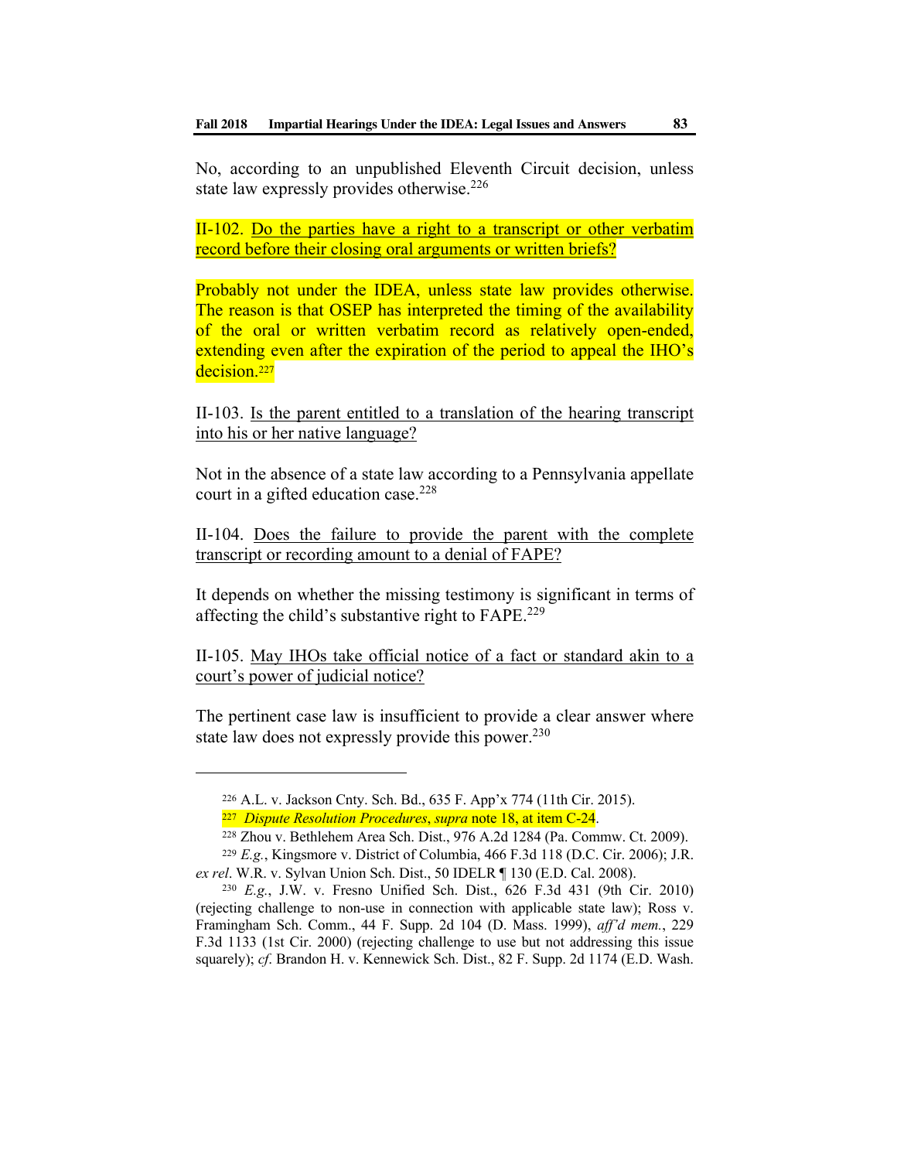No, according to an unpublished Eleventh Circuit decision, unless state law expressly provides otherwise.<sup>226</sup>

II-102. Do the parties have a right to a transcript or other verbatim record before their closing oral arguments or written briefs?

Probably not under the IDEA, unless state law provides otherwise. The reason is that OSEP has interpreted the timing of the availability of the oral or written verbatim record as relatively open-ended, extending even after the expiration of the period to appeal the IHO's decision.<sup>227</sup>

II-103. Is the parent entitled to a translation of the hearing transcript into his or her native language?

Not in the absence of a state law according to a Pennsylvania appellate court in a gifted education case.<sup>228</sup>

II-104. Does the failure to provide the parent with the complete transcript or recording amount to a denial of FAPE?

It depends on whether the missing testimony is significant in terms of affecting the child's substantive right to FAPE.<sup>229</sup>

II-105. May IHOs take official notice of a fact or standard akin to a court's power of judicial notice?

The pertinent case law is insufficient to provide a clear answer where state law does not expressly provide this power.<sup>230</sup>

<sup>226</sup> A.L. v. Jackson Cnty. Sch. Bd., 635 F. App'x 774 (11th Cir. 2015).

<sup>227</sup> *Dispute Resolution Procedures*, *supra* note 18, at item C-24.

<sup>228</sup> Zhou v. Bethlehem Area Sch. Dist., 976 A.2d 1284 (Pa. Commw. Ct. 2009).

<sup>229</sup> *E.g.*, Kingsmore v. District of Columbia, 466 F.3d 118 (D.C. Cir. 2006); J.R. *ex rel*. W.R. v. Sylvan Union Sch. Dist., 50 IDELR ¶ 130 (E.D. Cal. 2008).

<sup>230</sup> *E.g.*, J.W. v. Fresno Unified Sch. Dist., 626 F.3d 431 (9th Cir. 2010) (rejecting challenge to non-use in connection with applicable state law); Ross v. Framingham Sch. Comm., 44 F. Supp. 2d 104 (D. Mass. 1999), *aff'd mem.*, 229 F.3d 1133 (1st Cir. 2000) (rejecting challenge to use but not addressing this issue squarely); *cf*. Brandon H. v. Kennewick Sch. Dist., 82 F. Supp. 2d 1174 (E.D. Wash.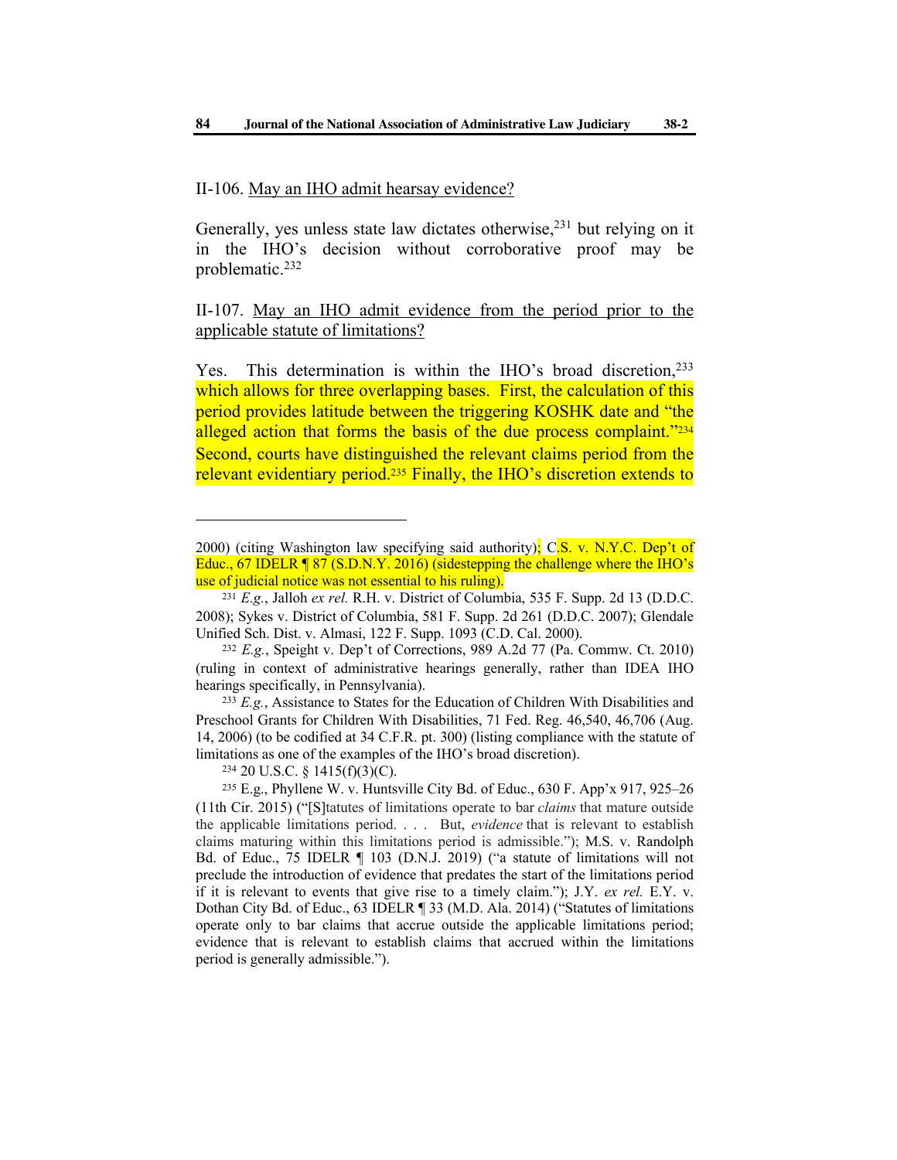#### II-106. May an IHO admit hearsay evidence?

Generally, yes unless state law dictates otherwise,<sup>231</sup> but relying on it in the IHO's decision without corroborative proof may be problematic.232

# II-107. May an IHO admit evidence from the period prior to the applicable statute of limitations?

Yes. This determination is within the IHO's broad discretion,<sup>233</sup> which allows for three overlapping bases. First, the calculation of this period provides latitude between the triggering KOSHK date and "the alleged action that forms the basis of the due process complaint."234 Second, courts have distinguished the relevant claims period from the relevant evidentiary period.<sup>235</sup> Finally, the IHO's discretion extends to

<sup>2000) (</sup>citing Washington law specifying said authority); C.S. v. N.Y.C. Dep't of Educ., 67 IDELR ¶ 87 (S.D.N.Y. 2016) (sidestepping the challenge where the IHO's use of judicial notice was not essential to his ruling).

<sup>231</sup> *E.g.*, Jalloh *ex rel.* R.H. v. District of Columbia, 535 F. Supp. 2d 13 (D.D.C. 2008); Sykes v. District of Columbia, 581 F. Supp. 2d 261 (D.D.C. 2007); Glendale Unified Sch. Dist. v. Almasi, 122 F. Supp. 1093 (C.D. Cal. 2000).

<sup>232</sup> *E.g.*, Speight v. Dep't of Corrections, 989 A.2d 77 (Pa. Commw. Ct. 2010) (ruling in context of administrative hearings generally, rather than IDEA IHO hearings specifically, in Pennsylvania).

<sup>233</sup> *E.g.*, Assistance to States for the Education of Children With Disabilities and Preschool Grants for Children With Disabilities, 71 Fed. Reg. 46,540, 46,706 (Aug. 14, 2006) (to be codified at 34 C.F.R. pt. 300) (listing compliance with the statute of limitations as one of the examples of the IHO's broad discretion).<br><sup>234</sup> 20 U.S.C. § 1415(f)(3)(C).

<sup>235</sup> E.g., Phyllene W. v. Huntsville City Bd. of Educ., 630 F. App'x 917, 925–26 (11th Cir. 2015) ("[S]tatutes of limitations operate to bar *claims* that mature outside the applicable limitations period. . . . But, *evidence* that is relevant to establish claims maturing within this limitations period is admissible."); M.S. v. Randolph Bd. of Educ., 75 IDELR ¶ 103 (D.N.J. 2019) ("a statute of limitations will not preclude the introduction of evidence that predates the start of the limitations period if it is relevant to events that give rise to a timely claim."); J.Y. *ex rel.* E.Y. v. Dothan City Bd. of Educ., 63 IDELR ¶ 33 (M.D. Ala. 2014) ("Statutes of limitations operate only to bar claims that accrue outside the applicable limitations period; evidence that is relevant to establish claims that accrued within the limitations period is generally admissible.").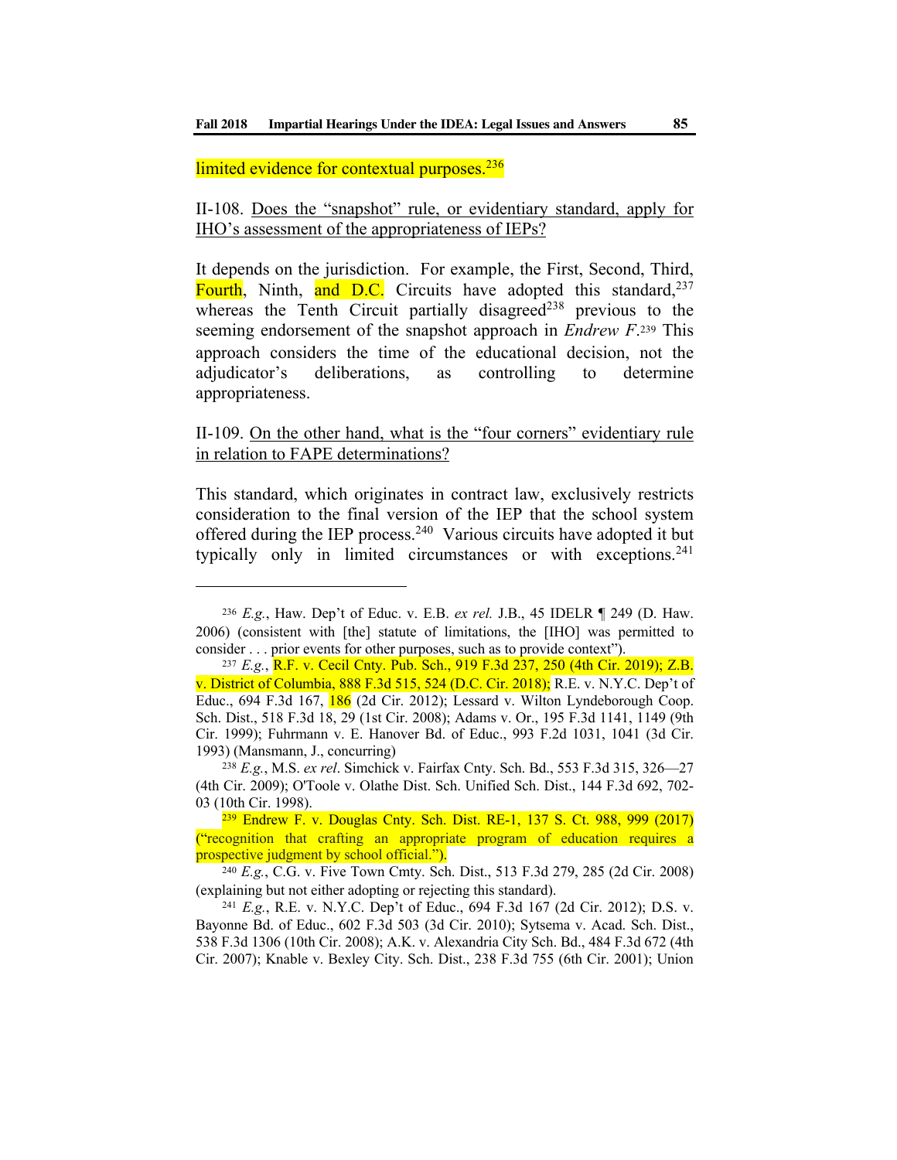limited evidence for contextual purposes.<sup>236</sup>

II-108. Does the "snapshot" rule, or evidentiary standard, apply for IHO's assessment of the appropriateness of IEPs?

It depends on the jurisdiction. For example, the First, Second, Third, Fourth, Ninth, and D.C. Circuits have adopted this standard,  $237$ whereas the Tenth Circuit partially disagreed<sup>238</sup> previous to the seeming endorsement of the snapshot approach in *Endrew F*.<sup>239</sup> This approach considers the time of the educational decision, not the adjudicator's deliberations, as controlling to determine appropriateness.

# II-109. On the other hand, what is the "four corners" evidentiary rule in relation to FAPE determinations?

This standard, which originates in contract law, exclusively restricts consideration to the final version of the IEP that the school system offered during the IEP process.240 Various circuits have adopted it but typically only in limited circumstances or with exceptions.<sup>241</sup>

<sup>236</sup> *E.g.*, Haw. Dep't of Educ. v. E.B. *ex rel.* J.B., 45 IDELR ¶ 249 (D. Haw. 2006) (consistent with [the] statute of limitations, the [IHO] was permitted to consider . . . prior events for other purposes, such as to provide context").

<sup>237</sup> *E.g.*, R.F. v. Cecil Cnty. Pub. Sch., 919 F.3d 237, 250 (4th Cir. 2019); Z.B. v. District of Columbia, 888 F.3d 515, 524 (D.C. Cir. 2018); R.E. v. N.Y.C. Dep't of Educ., 694 F.3d 167, 186 (2d Cir. 2012); Lessard v. Wilton Lyndeborough Coop. Sch. Dist., 518 F.3d 18, 29 (1st Cir. 2008); Adams v. Or., 195 F.3d 1141, 1149 (9th Cir. 1999); Fuhrmann v. E. Hanover Bd. of Educ., 993 F.2d 1031, 1041 (3d Cir. 1993) (Mansmann, J., concurring)

<sup>238</sup> *E.g.*, M.S. *ex rel*. Simchick v. Fairfax Cnty. Sch. Bd., 553 F.3d 315, 326—27 (4th Cir. 2009); O'Toole v. Olathe Dist. Sch. Unified Sch. Dist., 144 F.3d 692, 702- 03 (10th Cir. 1998).

<sup>239</sup> Endrew F. v. Douglas Cnty. Sch. Dist. RE-1, 137 S. Ct. 988, 999 (2017) ("recognition that crafting an appropriate program of education requires a prospective judgment by school official.").

<sup>240</sup> *E.g.*, C.G. v. Five Town Cmty. Sch. Dist., 513 F.3d 279, 285 (2d Cir. 2008) (explaining but not either adopting or rejecting this standard).

<sup>241</sup> *E.g.*, R.E. v. N.Y.C. Dep't of Educ., 694 F.3d 167 (2d Cir. 2012); D.S. v. Bayonne Bd. of Educ., 602 F.3d 503 (3d Cir. 2010); Sytsema v. Acad. Sch. Dist., 538 F.3d 1306 (10th Cir. 2008); A.K. v. Alexandria City Sch. Bd., 484 F.3d 672 (4th Cir. 2007); Knable v. Bexley City. Sch. Dist., 238 F.3d 755 (6th Cir. 2001); Union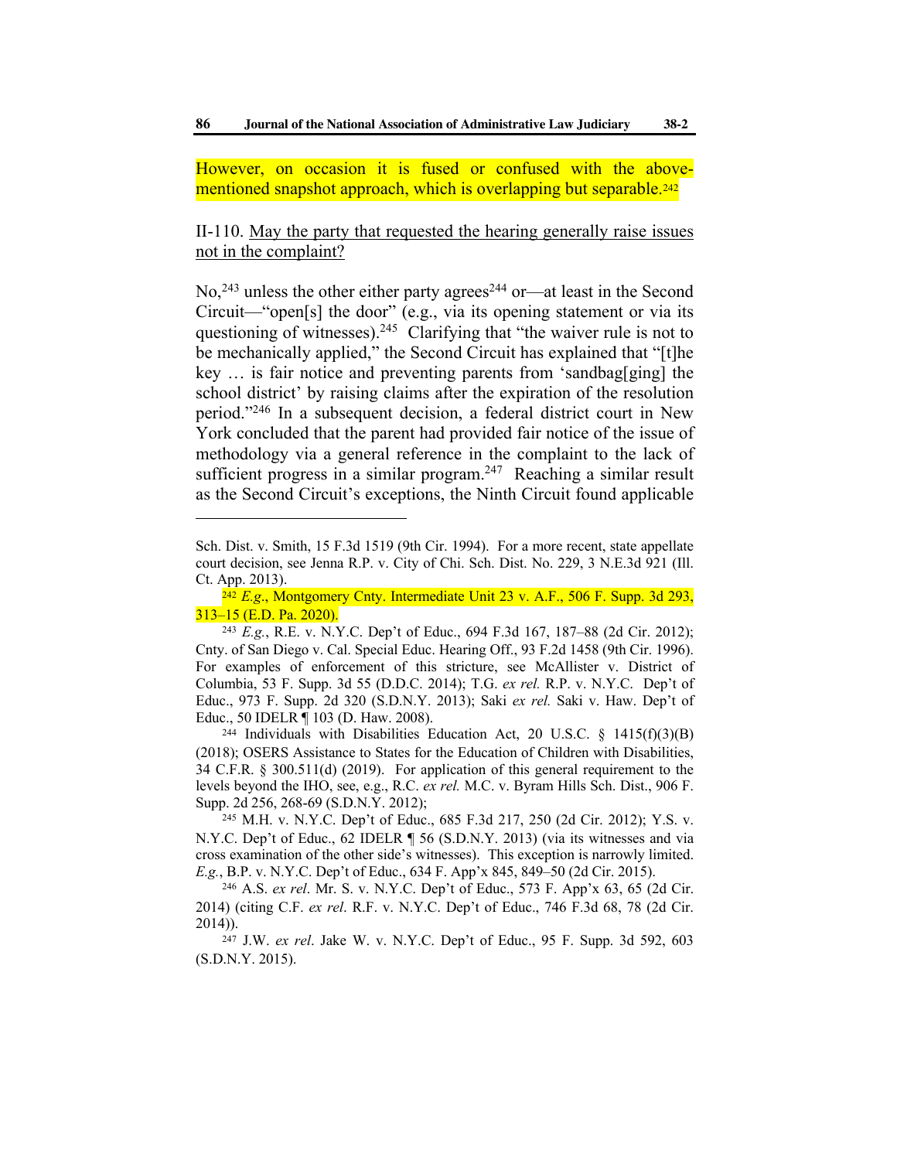However, on occasion it is fused or confused with the abovementioned snapshot approach, which is overlapping but separable.<sup>242</sup>

II-110. May the party that requested the hearing generally raise issues not in the complaint?

No,<sup>243</sup> unless the other either party agrees<sup>244</sup> or—at least in the Second Circuit—"open[s] the door" (e.g., via its opening statement or via its questioning of witnesses).<sup>245</sup> Clarifying that "the waiver rule is not to be mechanically applied," the Second Circuit has explained that "[t]he key … is fair notice and preventing parents from 'sandbag[ging] the school district' by raising claims after the expiration of the resolution period."246 In a subsequent decision, a federal district court in New York concluded that the parent had provided fair notice of the issue of methodology via a general reference in the complaint to the lack of sufficient progress in a similar program.<sup>247</sup> Reaching a similar result as the Second Circuit's exceptions, the Ninth Circuit found applicable

Sch. Dist. v. Smith, 15 F.3d 1519 (9th Cir. 1994). For a more recent, state appellate court decision, see Jenna R.P. v. City of Chi. Sch. Dist. No. 229, 3 N.E.3d 921 (Ill. Ct. App. 2013).

<sup>242</sup> *E.g*., Montgomery Cnty. Intermediate Unit 23 v. A.F., 506 F. Supp. 3d 293, 313–15 (E.D. Pa. 2020).

<sup>243</sup> *E.g.*, R.E. v. N.Y.C. Dep't of Educ., 694 F.3d 167, 187–88 (2d Cir. 2012); Cnty. of San Diego v. Cal. Special Educ. Hearing Off., 93 F.2d 1458 (9th Cir. 1996). For examples of enforcement of this stricture, see McAllister v. District of Columbia, 53 F. Supp. 3d 55 (D.D.C. 2014); T.G. *ex rel.* R.P. v. N.Y.C. Dep't of Educ., 973 F. Supp. 2d 320 (S.D.N.Y. 2013); Saki *ex rel.* Saki v. Haw. Dep't of Educ., 50 IDELR ¶ 103 (D. Haw. 2008).

<sup>&</sup>lt;sup>244</sup> Individuals with Disabilities Education Act, 20 U.S.C.  $\S$  1415(f)(3)(B) (2018); OSERS Assistance to States for the Education of Children with Disabilities, 34 C.F.R. § 300.511(d) (2019). For application of this general requirement to the levels beyond the IHO, see, e.g., R.C. *ex rel.* M.C. v. Byram Hills Sch. Dist., 906 F. Supp. 2d 256, 268-69 (S.D.N.Y. 2012); 245 M.H. v. N.Y.C. Dep't of Educ., 685 F.3d 217, 250 (2d Cir. 2012); Y.S. v.

N.Y.C. Dep't of Educ., 62 IDELR ¶ 56 (S.D.N.Y. 2013) (via its witnesses and via cross examination of the other side's witnesses). This exception is narrowly limited. *E.g.*, B.P. v. N.Y.C. Dep't of Educ., 634 F. App'x 845, 849–50 (2d Cir. 2015). 246 A.S. *ex rel*. Mr. S. v. N.Y.C. Dep't of Educ., 573 F. App'x 63, 65 (2d Cir.

<sup>2014) (</sup>citing C.F. *ex rel*. R.F. v. N.Y.C. Dep't of Educ., 746 F.3d 68, 78 (2d Cir. 2014)).

<sup>247</sup> J.W. *ex rel*. Jake W. v. N.Y.C. Dep't of Educ., 95 F. Supp. 3d 592, 603 (S.D.N.Y. 2015).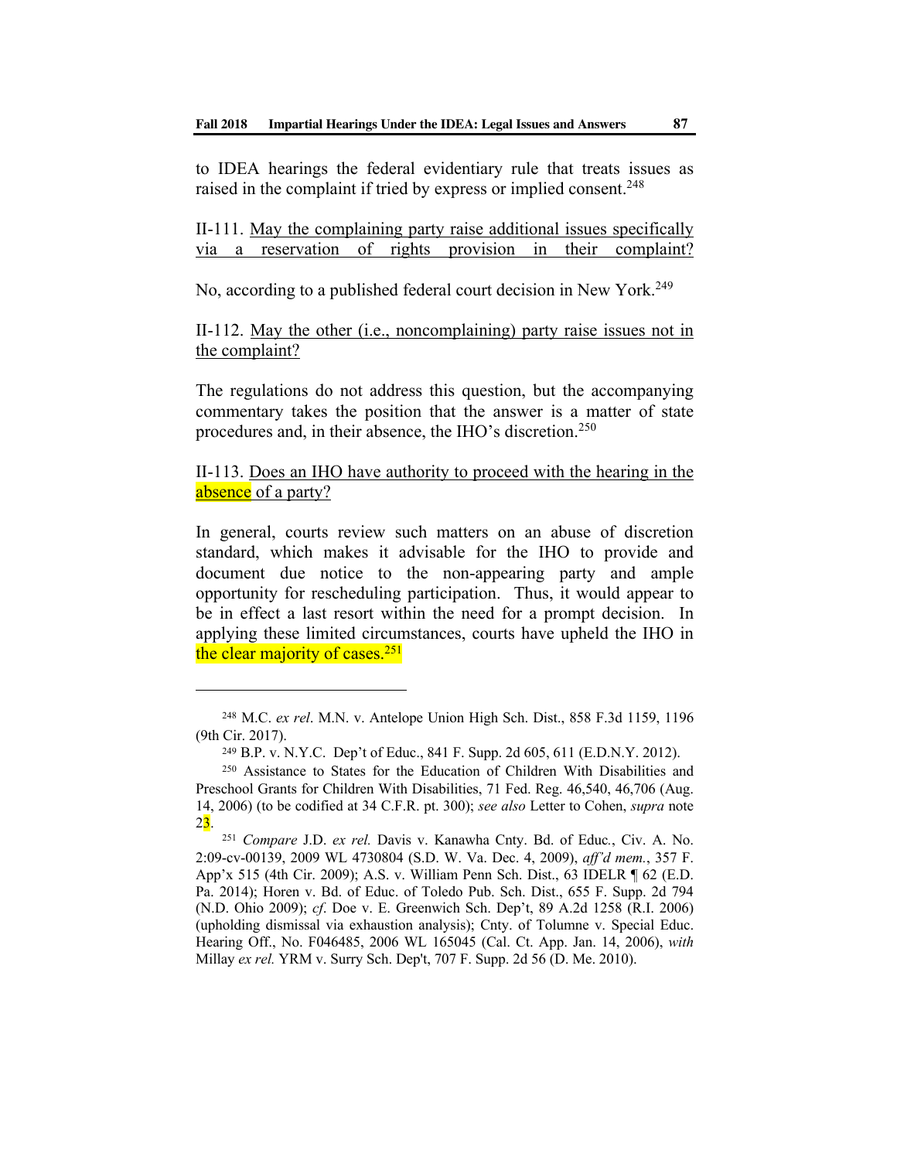to IDEA hearings the federal evidentiary rule that treats issues as raised in the complaint if tried by express or implied consent.<sup>248</sup>

II-111. May the complaining party raise additional issues specifically via a reservation of rights provision in their complaint?

No, according to a published federal court decision in New York.<sup>249</sup>

II-112. May the other (i.e., noncomplaining) party raise issues not in the complaint?

The regulations do not address this question, but the accompanying commentary takes the position that the answer is a matter of state procedures and, in their absence, the IHO's discretion.250

II-113. Does an IHO have authority to proceed with the hearing in the absence of a party?

In general, courts review such matters on an abuse of discretion standard, which makes it advisable for the IHO to provide and document due notice to the non-appearing party and ample opportunity for rescheduling participation. Thus, it would appear to be in effect a last resort within the need for a prompt decision. In applying these limited circumstances, courts have upheld the IHO in the clear majority of cases.<sup>251</sup>

<sup>248</sup> M.C. *ex rel*. M.N. v. Antelope Union High Sch. Dist., 858 F.3d 1159, 1196 (9th Cir. 2017).

<sup>249</sup> B.P. v. N.Y.C. Dep't of Educ., 841 F. Supp. 2d 605, 611 (E.D.N.Y. 2012).

<sup>250</sup> Assistance to States for the Education of Children With Disabilities and Preschool Grants for Children With Disabilities, 71 Fed. Reg. 46,540, 46,706 (Aug. 14, 2006) (to be codified at 34 C.F.R. pt. 300); *see also* Letter to Cohen, *supra* note 23.

<sup>251</sup> *Compare* J.D. *ex rel.* Davis v. Kanawha Cnty. Bd. of Educ*.*, Civ. A. No. 2:09-cv-00139, 2009 WL 4730804 (S.D. W. Va. Dec. 4, 2009), *aff'd mem.*, 357 F. App'x 515 (4th Cir. 2009); A.S. v. William Penn Sch. Dist., 63 IDELR ¶ 62 (E.D. Pa. 2014); Horen v. Bd. of Educ. of Toledo Pub. Sch. Dist., 655 F. Supp. 2d 794 (N.D. Ohio 2009); *cf*. Doe v. E. Greenwich Sch. Dep't, 89 A.2d 1258 (R.I. 2006) (upholding dismissal via exhaustion analysis); Cnty. of Tolumne v. Special Educ. Hearing Off., No. F046485, 2006 WL 165045 (Cal. Ct. App. Jan. 14, 2006), *with* Millay *ex rel.* YRM v. Surry Sch. Dep't, 707 F. Supp. 2d 56 (D. Me. 2010).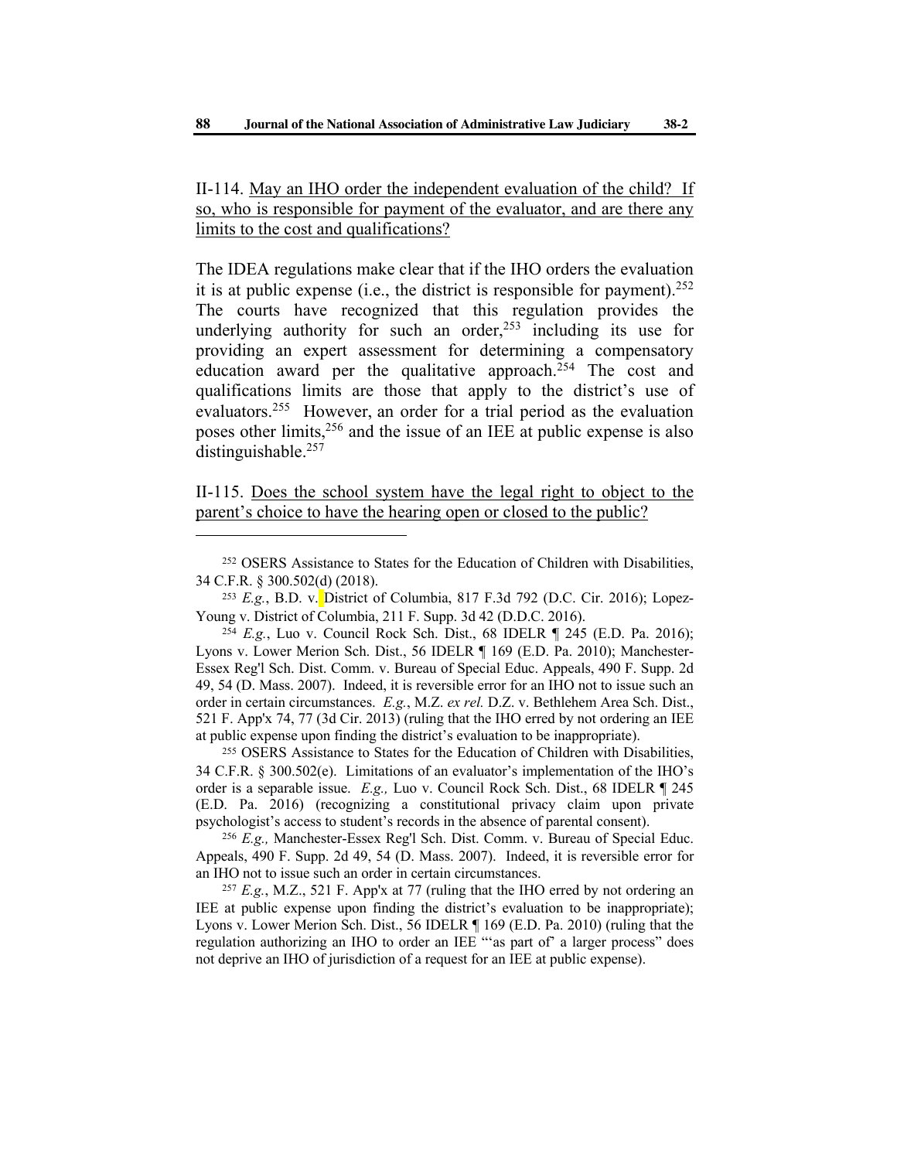II-114. May an IHO order the independent evaluation of the child? If so, who is responsible for payment of the evaluator, and are there any limits to the cost and qualifications?

The IDEA regulations make clear that if the IHO orders the evaluation it is at public expense (i.e., the district is responsible for payment).  $252$ The courts have recognized that this regulation provides the underlying authority for such an order,<sup>253</sup> including its use for providing an expert assessment for determining a compensatory education award per the qualitative approach.254 The cost and qualifications limits are those that apply to the district's use of evaluators.<sup>255</sup> However, an order for a trial period as the evaluation poses other limits,<sup>256</sup> and the issue of an IEE at public expense is also distinguishable.<sup>257</sup>

II-115. Does the school system have the legal right to object to the parent's choice to have the hearing open or closed to the public?

<sup>252</sup> OSERS Assistance to States for the Education of Children with Disabilities, 34 C.F.R. § 300.502(d) (2018).

<sup>253</sup> *E.g.*, B.D. v. District of Columbia, 817 F.3d 792 (D.C. Cir. 2016); Lopez-Young v. District of Columbia, 211 F. Supp. 3d 42 (D.D.C. 2016).

<sup>254</sup> *E.g.*, Luo v. Council Rock Sch. Dist., 68 IDELR ¶ 245 (E.D. Pa. 2016); Lyons v. Lower Merion Sch. Dist., 56 IDELR ¶ 169 (E.D. Pa. 2010); Manchester-Essex Reg'l Sch. Dist. Comm. v. Bureau of Special Educ. Appeals, 490 F. Supp. 2d 49, 54 (D. Mass. 2007). Indeed, it is reversible error for an IHO not to issue such an order in certain circumstances. *E.g.*, M.Z. *ex rel.* D.Z. v. Bethlehem Area Sch. Dist., 521 F. App'x 74, 77 (3d Cir. 2013) (ruling that the IHO erred by not ordering an IEE at public expense upon finding the district's evaluation to be inappropriate).

<sup>255</sup> OSERS Assistance to States for the Education of Children with Disabilities, 34 C.F.R. § 300.502(e). Limitations of an evaluator's implementation of the IHO's order is a separable issue. *E.g.,* Luo v. Council Rock Sch. Dist., 68 IDELR ¶ 245 (E.D. Pa. 2016) (recognizing a constitutional privacy claim upon private psychologist's access to student's records in the absence of parental consent).

<sup>256</sup> *E.g.,* Manchester-Essex Reg'l Sch. Dist. Comm. v. Bureau of Special Educ. Appeals, 490 F. Supp. 2d 49, 54 (D. Mass. 2007). Indeed, it is reversible error for

an IHO not to issue such an order in certain circumstances. 257 *E.g.*, M.Z., 521 F. App'x at 77 (ruling that the IHO erred by not ordering an IEE at public expense upon finding the district's evaluation to be inappropriate); Lyons v. Lower Merion Sch. Dist., 56 IDELR ¶ 169 (E.D. Pa. 2010) (ruling that the regulation authorizing an IHO to order an IEE "'as part of' a larger process" does not deprive an IHO of jurisdiction of a request for an IEE at public expense).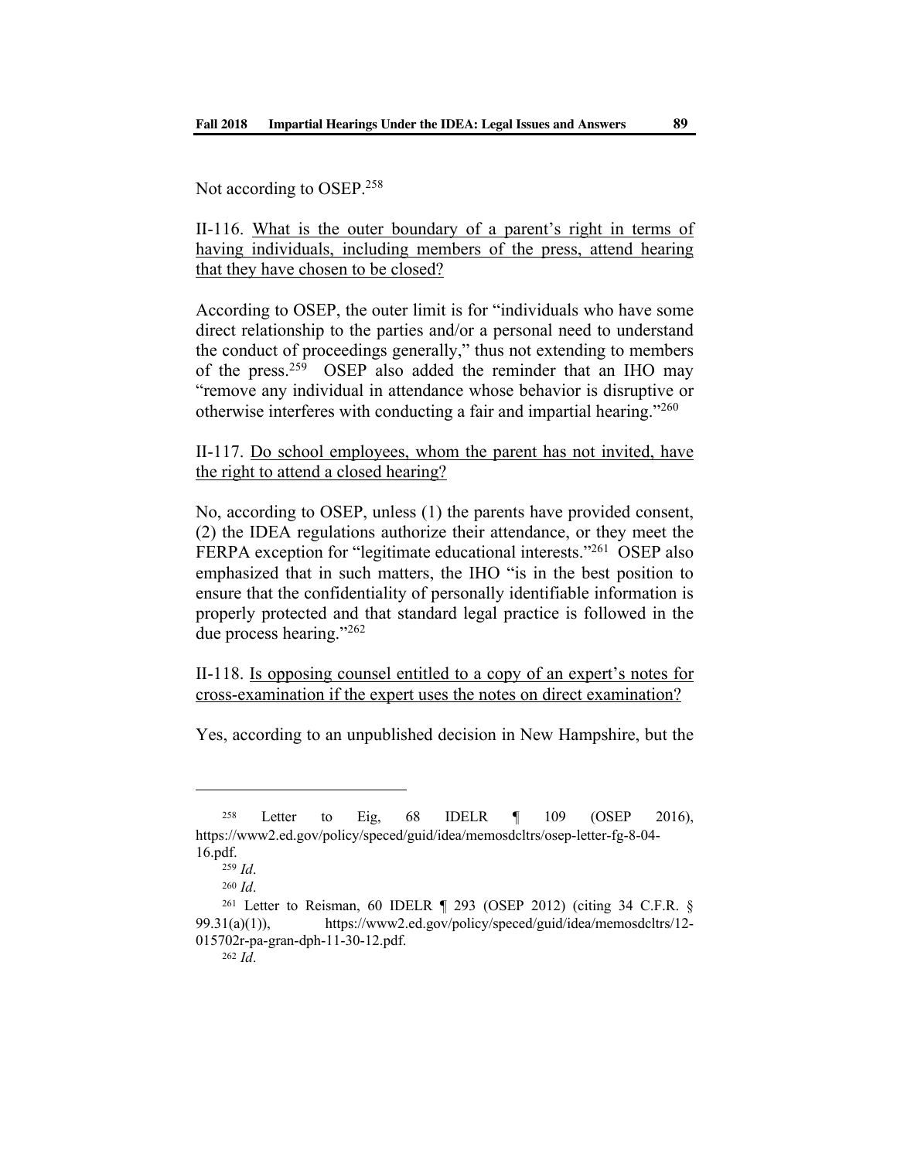Not according to OSEP.<sup>258</sup>

II-116. What is the outer boundary of a parent's right in terms of having individuals, including members of the press, attend hearing that they have chosen to be closed?

According to OSEP, the outer limit is for "individuals who have some direct relationship to the parties and/or a personal need to understand the conduct of proceedings generally," thus not extending to members of the press.259 OSEP also added the reminder that an IHO may "remove any individual in attendance whose behavior is disruptive or otherwise interferes with conducting a fair and impartial hearing."260

II-117. Do school employees, whom the parent has not invited, have the right to attend a closed hearing?

No, according to OSEP, unless (1) the parents have provided consent, (2) the IDEA regulations authorize their attendance, or they meet the FERPA exception for "legitimate educational interests."261 OSEP also emphasized that in such matters, the IHO "is in the best position to ensure that the confidentiality of personally identifiable information is properly protected and that standard legal practice is followed in the due process hearing."262

II-118. Is opposing counsel entitled to a copy of an expert's notes for cross-examination if the expert uses the notes on direct examination?

Yes, according to an unpublished decision in New Hampshire, but the

<sup>&</sup>lt;sup>258</sup> Letter to Eig,  $68$  IDELR  $\parallel$  109 (OSEP 2016), https://www2.ed.gov/policy/speced/guid/idea/memosdcltrs/osep-letter-fg-8-04- 16.pdf.

<sup>259</sup> *Id*.

<sup>260</sup> *Id*.

<sup>&</sup>lt;sup>261</sup> Letter to Reisman, 60 IDELR  $\P$  293 (OSEP 2012) (citing 34 C.F.R. §  $99.31(a)(1)$ , https://www2.ed.gov/policy/speced/guid/idea/memosdcltrs/12-015702r-pa-gran-dph-11-30-12.pdf. 262 *Id*.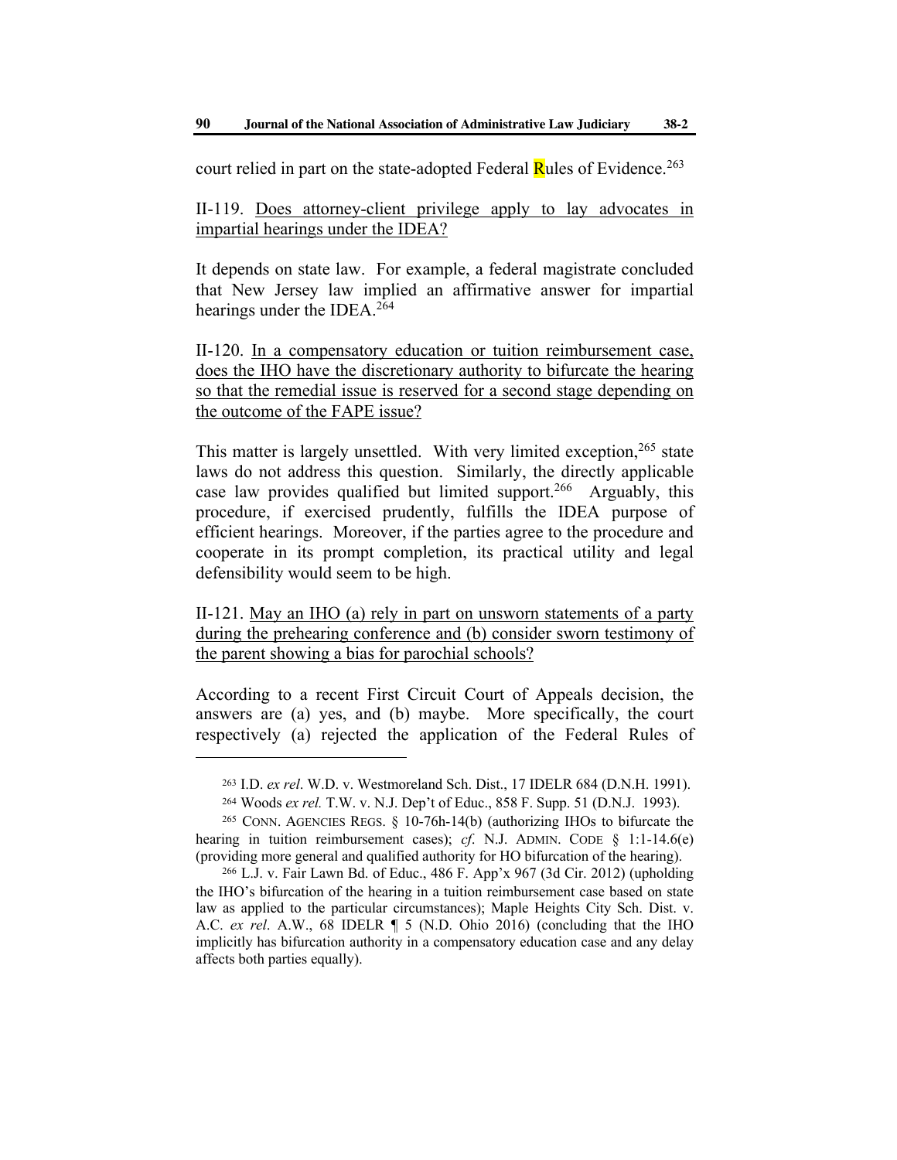court relied in part on the state-adopted Federal <mark>R</mark>ules of Evidence.<sup>263</sup>

II-119. Does attorney-client privilege apply to lay advocates in impartial hearings under the IDEA?

It depends on state law. For example, a federal magistrate concluded that New Jersey law implied an affirmative answer for impartial hearings under the IDEA.<sup>264</sup>

II-120. In a compensatory education or tuition reimbursement case, does the IHO have the discretionary authority to bifurcate the hearing so that the remedial issue is reserved for a second stage depending on the outcome of the FAPE issue?

This matter is largely unsettled. With very limited exception,  $265$  state laws do not address this question. Similarly, the directly applicable case law provides qualified but limited support.<sup>266</sup> Arguably, this procedure, if exercised prudently, fulfills the IDEA purpose of efficient hearings. Moreover, if the parties agree to the procedure and cooperate in its prompt completion, its practical utility and legal defensibility would seem to be high.

II-121. May an IHO (a) rely in part on unsworn statements of a party during the prehearing conference and (b) consider sworn testimony of the parent showing a bias for parochial schools?

According to a recent First Circuit Court of Appeals decision, the answers are (a) yes, and (b) maybe. More specifically, the court respectively (a) rejected the application of the Federal Rules of

<sup>263</sup> I.D. *ex rel*. W.D. v. Westmoreland Sch. Dist., 17 IDELR 684 (D.N.H. 1991).

<sup>264</sup> Woods *ex rel.* T.W. v. N.J. Dep't of Educ., 858 F. Supp. 51 (D.N.J. 1993).

<sup>265</sup> CONN. AGENCIES REGS. § 10-76h-14(b) (authorizing IHOs to bifurcate the hearing in tuition reimbursement cases); *cf*. N.J. ADMIN. CODE § 1:1-14.6(e) (providing more general and qualified authority for HO bifurcation of the hearing).

<sup>266</sup> L.J. v. Fair Lawn Bd. of Educ., 486 F. App'x 967 (3d Cir. 2012) (upholding the IHO's bifurcation of the hearing in a tuition reimbursement case based on state law as applied to the particular circumstances); Maple Heights City Sch. Dist. v. A.C. *ex rel*. A.W., 68 IDELR ¶ 5 (N.D. Ohio 2016) (concluding that the IHO implicitly has bifurcation authority in a compensatory education case and any delay affects both parties equally).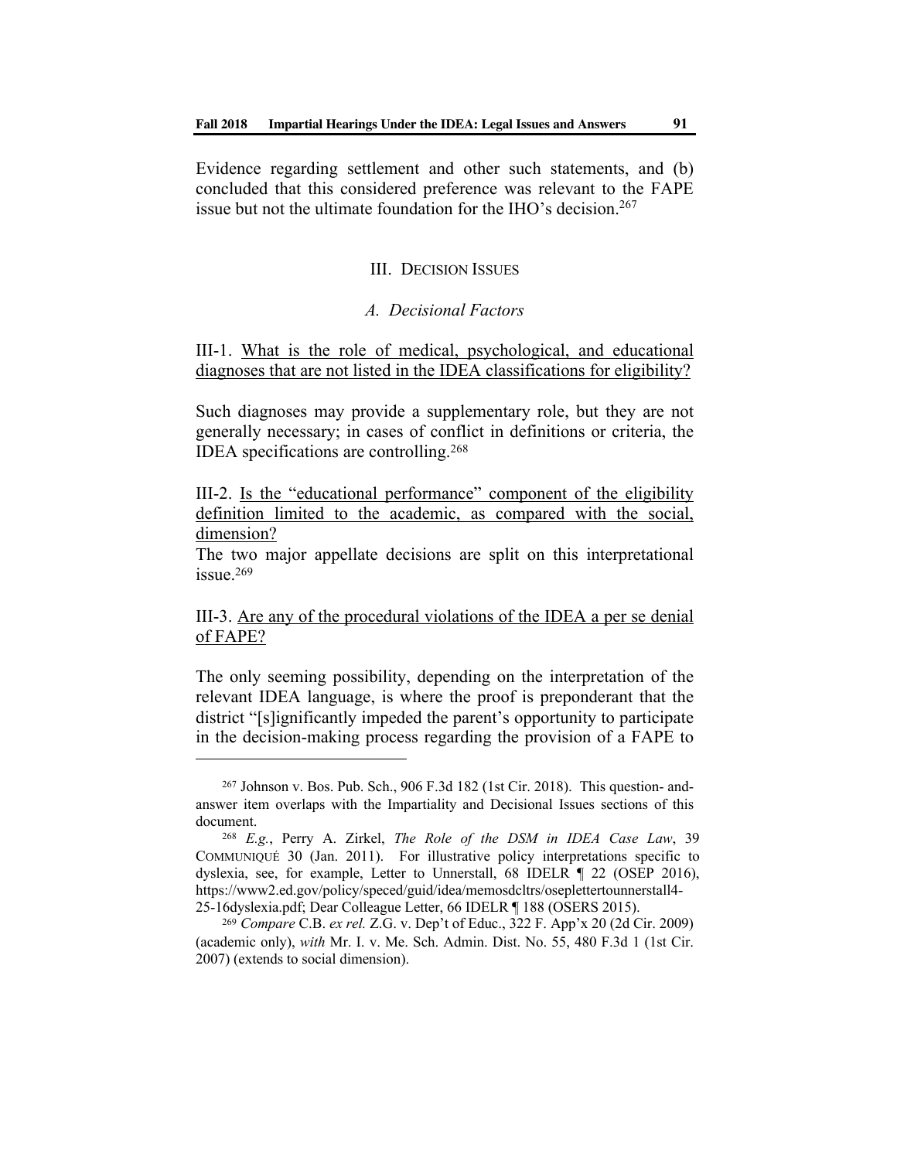Evidence regarding settlement and other such statements, and (b) concluded that this considered preference was relevant to the FAPE issue but not the ultimate foundation for the IHO's decision.<sup>267</sup>

### III. DECISION ISSUES

### *A. Decisional Factors*

III-1. What is the role of medical, psychological, and educational diagnoses that are not listed in the IDEA classifications for eligibility?

Such diagnoses may provide a supplementary role, but they are not generally necessary; in cases of conflict in definitions or criteria, the IDEA specifications are controlling. 268

III-2. Is the "educational performance" component of the eligibility definition limited to the academic, as compared with the social, dimension?

The two major appellate decisions are split on this interpretational issue.269

III-3. Are any of the procedural violations of the IDEA a per se denial of FAPE?

The only seeming possibility, depending on the interpretation of the relevant IDEA language, is where the proof is preponderant that the district "[s]ignificantly impeded the parent's opportunity to participate in the decision-making process regarding the provision of a FAPE to

<sup>267</sup> Johnson v. Bos. Pub. Sch., 906 F.3d 182 (1st Cir. 2018). This question- andanswer item overlaps with the Impartiality and Decisional Issues sections of this document.

<sup>268</sup> *E.g.*, Perry A. Zirkel, *The Role of the DSM in IDEA Case Law*, 39 COMMUNIQUÉ 30 (Jan. 2011). For illustrative policy interpretations specific to dyslexia, see, for example, Letter to Unnerstall, 68 IDELR ¶ 22 (OSEP 2016), https://www2.ed.gov/policy/speced/guid/idea/memosdcltrs/oseplettertounnerstall4- 25-16dyslexia.pdf; Dear Colleague Letter, 66 IDELR ¶ 188 (OSERS 2015).

<sup>269</sup> *Compare* C.B. *ex rel.* Z.G. v. Dep't of Educ., 322 F. App'x 20 (2d Cir. 2009) (academic only), *with* Mr. I. v. Me. Sch. Admin. Dist. No. 55, 480 F.3d 1 (1st Cir. 2007) (extends to social dimension).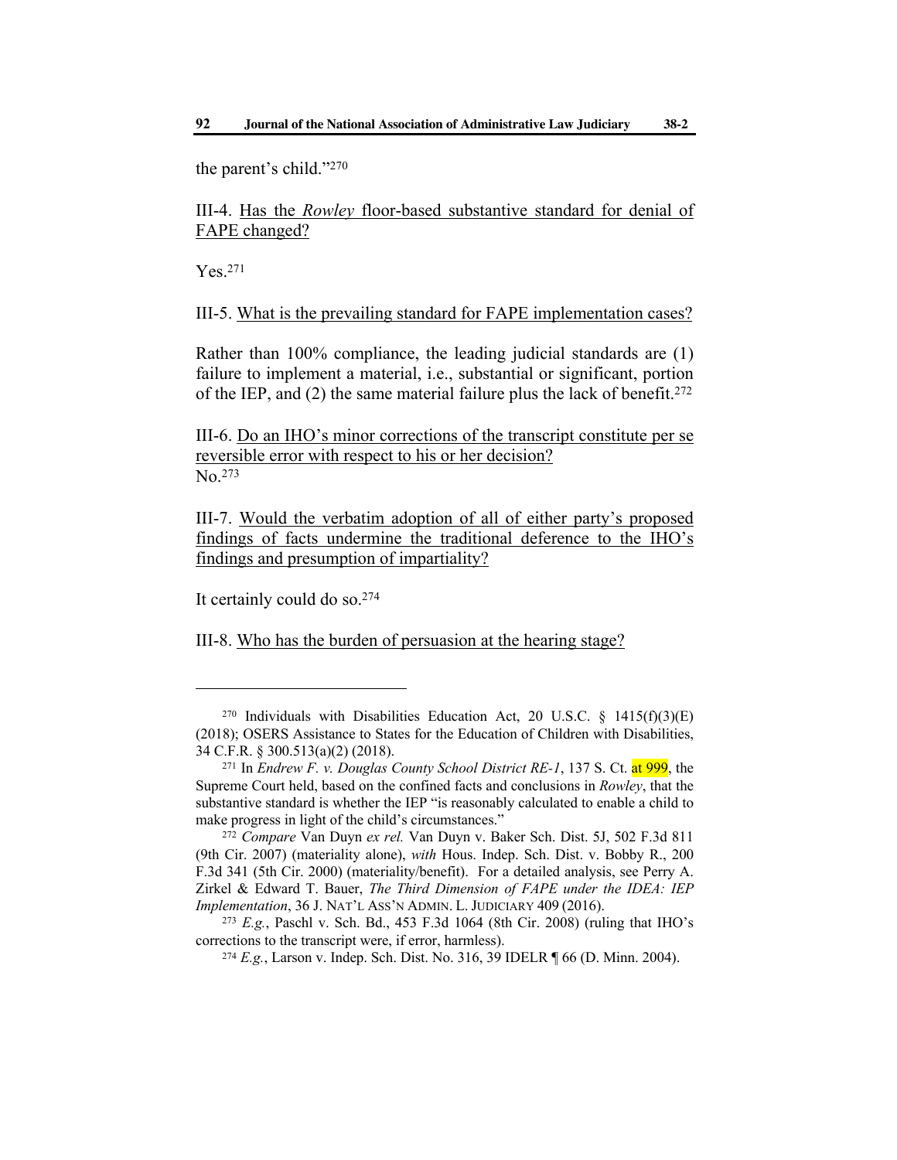the parent's child."270

III-4. Has the *Rowley* floor-based substantive standard for denial of FAPE changed?

Yes.271

III-5. What is the prevailing standard for FAPE implementation cases?

Rather than 100% compliance, the leading judicial standards are (1) failure to implement a material, i.e., substantial or significant, portion of the IEP, and (2) the same material failure plus the lack of benefit.272

III-6. Do an IHO's minor corrections of the transcript constitute per se reversible error with respect to his or her decision? No.273

III-7. Would the verbatim adoption of all of either party's proposed findings of facts undermine the traditional deference to the IHO's findings and presumption of impartiality?

It certainly could do so.274

III-8. Who has the burden of persuasion at the hearing stage?

<sup>&</sup>lt;sup>270</sup> Individuals with Disabilities Education Act, 20 U.S.C. §  $1415(f)(3)(E)$ (2018); OSERS Assistance to States for the Education of Children with Disabilities, 34 C.F.R. § 300.513(a)(2) (2018).

<sup>271</sup> In *Endrew F. v. Douglas County School District RE-1*, 137 S. Ct. at 999, the Supreme Court held, based on the confined facts and conclusions in *Rowley*, that the substantive standard is whether the IEP "is reasonably calculated to enable a child to make progress in light of the child's circumstances." 272 *Compare* Van Duyn *ex rel.* Van Duyn v. Baker Sch. Dist. 5J, 502 F.3d 811

<sup>(9</sup>th Cir. 2007) (materiality alone), *with* Hous. Indep. Sch. Dist. v. Bobby R., 200 F.3d 341 (5th Cir. 2000) (materiality/benefit). For a detailed analysis, see Perry A. Zirkel & Edward T. Bauer, *The Third Dimension of FAPE under the IDEA: IEP Implementation*, 36 J. NAT'L ASS'N ADMIN. L. JUDICIARY 409 (2016).

<sup>273</sup> *E.g.*, Paschl v. Sch. Bd., 453 F.3d 1064 (8th Cir. 2008) (ruling that IHO's corrections to the transcript were, if error, harmless).

<sup>274</sup> *E.g.*, Larson v. Indep. Sch. Dist. No. 316, 39 IDELR ¶ 66 (D. Minn. 2004).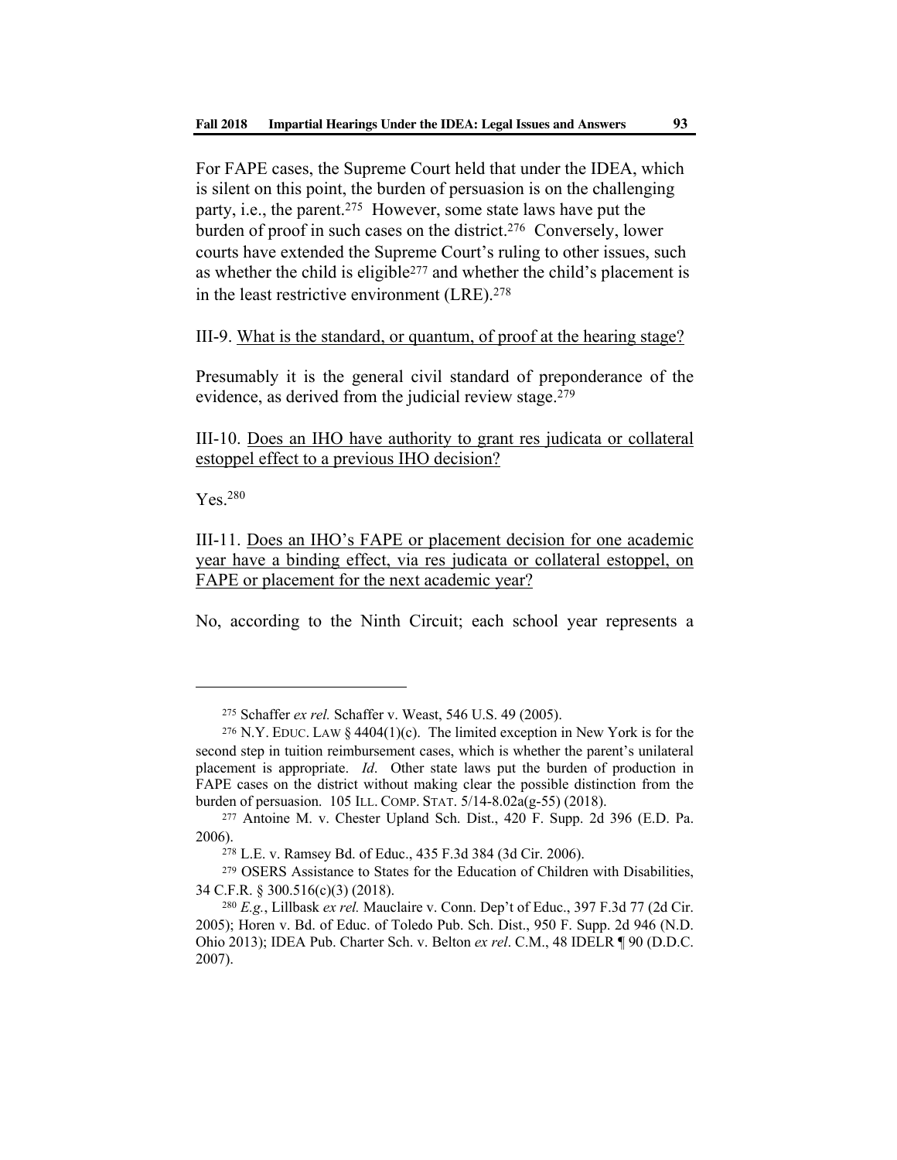For FAPE cases, the Supreme Court held that under the IDEA, which is silent on this point, the burden of persuasion is on the challenging party, i.e., the parent.<sup>275</sup> However, some state laws have put the burden of proof in such cases on the district.276 Conversely, lower courts have extended the Supreme Court's ruling to other issues, such as whether the child is eligible277 and whether the child's placement is in the least restrictive environment (LRE).278

III-9. What is the standard, or quantum, of proof at the hearing stage?

Presumably it is the general civil standard of preponderance of the evidence, as derived from the judicial review stage.279

III-10. Does an IHO have authority to grant res judicata or collateral estoppel effect to a previous IHO decision?

Yes.280

III-11. Does an IHO's FAPE or placement decision for one academic year have a binding effect, via res judicata or collateral estoppel, on FAPE or placement for the next academic year?

No, according to the Ninth Circuit; each school year represents a

<sup>275</sup> Schaffer *ex rel.* Schaffer v. Weast, 546 U.S. 49 (2005).

<sup>&</sup>lt;sup>276</sup> N.Y. EDUC. LAW § 4404(1)(c). The limited exception in New York is for the second step in tuition reimbursement cases, which is whether the parent's unilateral placement is appropriate. *Id*. Other state laws put the burden of production in FAPE cases on the district without making clear the possible distinction from the burden of persuasion. 105 ILL. COMP. STAT. 5/14-8.02a(g-55) (2018).

<sup>277</sup> Antoine M. v. Chester Upland Sch. Dist., 420 F. Supp. 2d 396 (E.D. Pa. 2006).

<sup>278</sup> L.E. v. Ramsey Bd. of Educ., 435 F.3d 384 (3d Cir. 2006).

<sup>279</sup> OSERS Assistance to States for the Education of Children with Disabilities, 34 C.F.R. § 300.516(c)(3) (2018).

<sup>280</sup> *E.g.*, Lillbask *ex rel.* Mauclaire v. Conn. Dep't of Educ., 397 F.3d 77 (2d Cir. 2005); Horen v. Bd. of Educ. of Toledo Pub. Sch. Dist., 950 F. Supp. 2d 946 (N.D. Ohio 2013); IDEA Pub. Charter Sch. v. Belton *ex rel*. C.M., 48 IDELR ¶ 90 (D.D.C. 2007).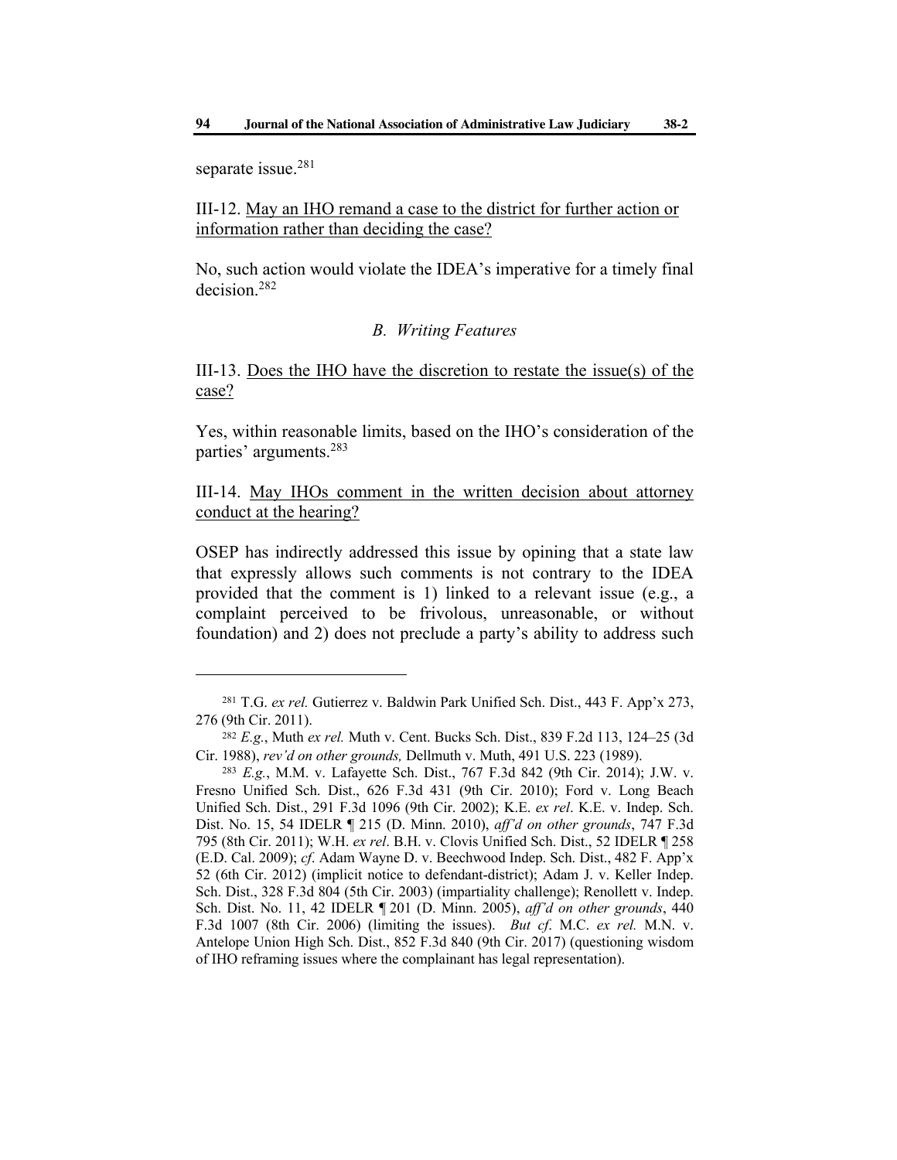separate issue.<sup>281</sup>

III-12. May an IHO remand a case to the district for further action or information rather than deciding the case?

No, such action would violate the IDEA's imperative for a timely final decision.282

## *B. Writing Features*

III-13. Does the IHO have the discretion to restate the issue(s) of the case?

Yes, within reasonable limits, based on the IHO's consideration of the parties' arguments.283

III-14. May IHOs comment in the written decision about attorney conduct at the hearing?

OSEP has indirectly addressed this issue by opining that a state law that expressly allows such comments is not contrary to the IDEA provided that the comment is 1) linked to a relevant issue (e.g., a complaint perceived to be frivolous, unreasonable, or without foundation) and 2) does not preclude a party's ability to address such

<sup>281</sup> T.G. *ex rel.* Gutierrez v. Baldwin Park Unified Sch. Dist., 443 F. App'x 273, 276 (9th Cir. 2011).

<sup>282</sup> *E.g.*, Muth *ex rel.* Muth v. Cent. Bucks Sch. Dist., 839 F.2d 113, 124–25 (3d Cir. 1988), *rev'd on other grounds,* Dellmuth v. Muth, 491 U.S. 223 (1989).

<sup>283</sup> *E.g.*, M.M. v. Lafayette Sch. Dist., 767 F.3d 842 (9th Cir. 2014); J.W. v. Fresno Unified Sch. Dist., 626 F.3d 431 (9th Cir. 2010); Ford v. Long Beach Unified Sch. Dist., 291 F.3d 1096 (9th Cir. 2002); K.E. *ex rel*. K.E. v. Indep. Sch. Dist. No. 15, 54 IDELR ¶ 215 (D. Minn. 2010), *aff'd on other grounds*, 747 F.3d 795 (8th Cir. 2011); W.H. *ex rel*. B.H. v. Clovis Unified Sch. Dist., 52 IDELR ¶ 258 (E.D. Cal. 2009); *cf*. Adam Wayne D. v. Beechwood Indep. Sch. Dist., 482 F. App'x 52 (6th Cir. 2012) (implicit notice to defendant-district); Adam J. v. Keller Indep. Sch. Dist., 328 F.3d 804 (5th Cir. 2003) (impartiality challenge); Renollett v. Indep. Sch. Dist. No. 11, 42 IDELR ¶ 201 (D. Minn. 2005), *aff'd on other grounds*, 440 F.3d 1007 (8th Cir. 2006) (limiting the issues). *But cf*. M.C. *ex rel.* M.N. v. Antelope Union High Sch. Dist., 852 F.3d 840 (9th Cir. 2017) (questioning wisdom of IHO reframing issues where the complainant has legal representation).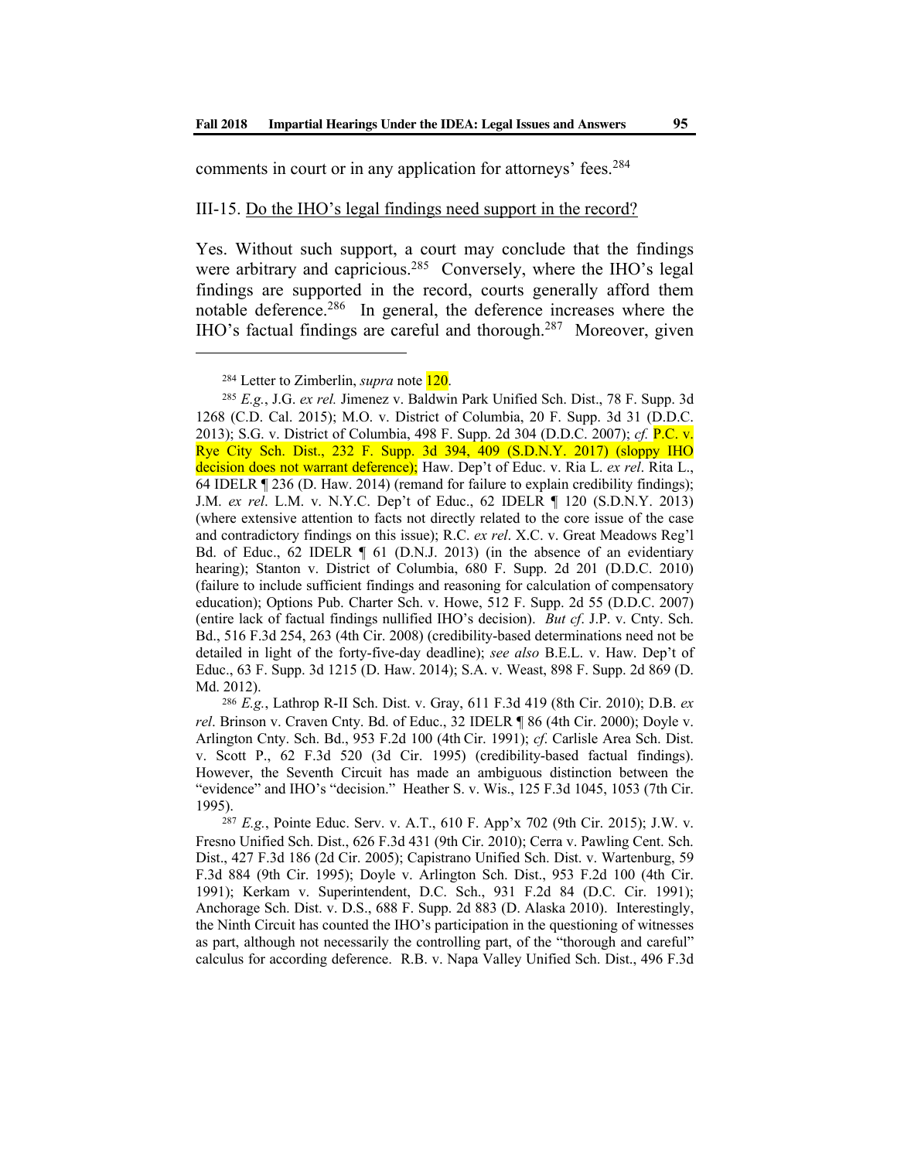comments in court or in any application for attorneys' fees.<sup>284</sup>

### III-15. Do the IHO's legal findings need support in the record?

Yes. Without such support, a court may conclude that the findings were arbitrary and capricious.<sup>285</sup> Conversely, where the IHO's legal findings are supported in the record, courts generally afford them notable deference.<sup>286</sup> In general, the deference increases where the IHO's factual findings are careful and thorough.287 Moreover, given

<sup>286</sup> *E.g.*, Lathrop R-II Sch. Dist. v. Gray, 611 F.3d 419 (8th Cir. 2010); D.B. *ex rel*. Brinson v. Craven Cnty. Bd. of Educ., 32 IDELR ¶ 86 (4th Cir. 2000); Doyle v. Arlington Cnty. Sch. Bd., 953 F.2d 100 (4th Cir. 1991); *cf*. Carlisle Area Sch. Dist. v. Scott P., 62 F.3d 520 (3d Cir. 1995) (credibility-based factual findings). However, the Seventh Circuit has made an ambiguous distinction between the "evidence" and IHO's "decision." Heather S. v. Wis., 125 F.3d 1045, 1053 (7th Cir. 1995).

<sup>287</sup> *E.g.*, Pointe Educ. Serv. v. A.T., 610 F. App'x 702 (9th Cir. 2015); J.W. v. Fresno Unified Sch. Dist., 626 F.3d 431 (9th Cir. 2010); Cerra v. Pawling Cent. Sch. Dist., 427 F.3d 186 (2d Cir. 2005); Capistrano Unified Sch. Dist. v. Wartenburg, 59 F.3d 884 (9th Cir. 1995); Doyle v. Arlington Sch. Dist., 953 F.2d 100 (4th Cir. 1991); Kerkam v. Superintendent, D.C. Sch., 931 F.2d 84 (D.C. Cir. 1991); Anchorage Sch. Dist. v. D.S., 688 F. Supp. 2d 883 (D. Alaska 2010). Interestingly, the Ninth Circuit has counted the IHO's participation in the questioning of witnesses as part, although not necessarily the controlling part, of the "thorough and careful" calculus for according deference. R.B. v. Napa Valley Unified Sch. Dist., 496 F.3d

<sup>284</sup> Letter to Zimberlin, *supra* note 120.

<sup>285</sup> *E.g.*, J.G. *ex rel.* Jimenez v. Baldwin Park Unified Sch. Dist., 78 F. Supp. 3d 1268 (C.D. Cal. 2015); M.O. v. District of Columbia, 20 F. Supp. 3d 31 (D.D.C. 2013); S.G. v. District of Columbia, 498 F. Supp. 2d 304 (D.D.C. 2007); *cf.* P.C. v. Rye City Sch. Dist., 232 F. Supp. 3d 394, 409 (S.D.N.Y. 2017) (sloppy IHO decision does not warrant deference); Haw. Dep't of Educ. v. Ria L. *ex rel*. Rita L., 64 IDELR ¶ 236 (D. Haw. 2014) (remand for failure to explain credibility findings); J.M. *ex rel*. L.M. v. N.Y.C. Dep't of Educ., 62 IDELR ¶ 120 (S.D.N.Y. 2013) (where extensive attention to facts not directly related to the core issue of the case and contradictory findings on this issue); R.C. *ex rel*. X.C. v. Great Meadows Reg'l Bd. of Educ., 62 IDELR ¶ 61 (D.N.J. 2013) (in the absence of an evidentiary hearing); Stanton v. District of Columbia, 680 F. Supp. 2d 201 (D.D.C. 2010) (failure to include sufficient findings and reasoning for calculation of compensatory education); Options Pub. Charter Sch. v. Howe, 512 F. Supp. 2d 55 (D.D.C. 2007) (entire lack of factual findings nullified IHO's decision). *But cf*. J.P. v. Cnty. Sch. Bd., 516 F.3d 254, 263 (4th Cir. 2008) (credibility-based determinations need not be detailed in light of the forty-five-day deadline); *see also* B.E.L. v. Haw. Dep't of Educ., 63 F. Supp. 3d 1215 (D. Haw. 2014); S.A. v. Weast, 898 F. Supp. 2d 869 (D. Md. 2012).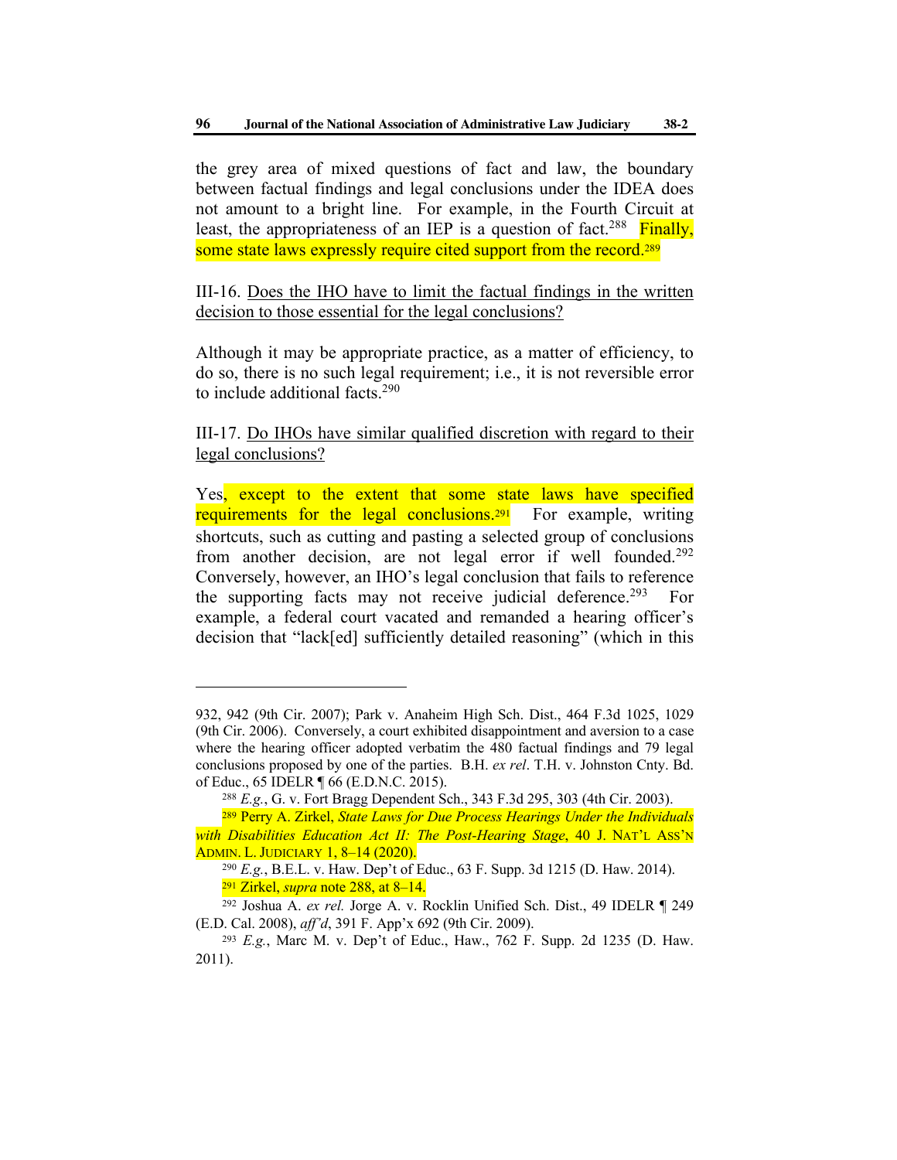the grey area of mixed questions of fact and law, the boundary between factual findings and legal conclusions under the IDEA does not amount to a bright line. For example, in the Fourth Circuit at least, the appropriateness of an IEP is a question of fact.<sup>288</sup> Finally, some state laws expressly require cited support from the record.<sup>289</sup>

III-16. Does the IHO have to limit the factual findings in the written decision to those essential for the legal conclusions?

Although it may be appropriate practice, as a matter of efficiency, to do so, there is no such legal requirement; i.e., it is not reversible error to include additional facts.290

III-17. Do IHOs have similar qualified discretion with regard to their legal conclusions?

Yes, except to the extent that some state laws have specified requirements for the legal conclusions.<sup>291</sup> For example, writing shortcuts, such as cutting and pasting a selected group of conclusions from another decision, are not legal error if well founded.<sup>292</sup> Conversely, however, an IHO's legal conclusion that fails to reference the supporting facts may not receive judicial deference.<sup>293</sup> For example, a federal court vacated and remanded a hearing officer's decision that "lack[ed] sufficiently detailed reasoning" (which in this

<sup>932, 942 (9</sup>th Cir. 2007); Park v. Anaheim High Sch. Dist., 464 F.3d 1025, 1029 (9th Cir. 2006). Conversely, a court exhibited disappointment and aversion to a case where the hearing officer adopted verbatim the 480 factual findings and 79 legal conclusions proposed by one of the parties. B.H. *ex rel*. T.H. v. Johnston Cnty. Bd. of Educ., 65 IDELR ¶ 66 (E.D.N.C. 2015). 288 *E.g.*, G. v. Fort Bragg Dependent Sch., 343 F.3d 295, 303 (4th Cir. 2003).

<sup>289</sup> Perry A. Zirkel, *State Laws for Due Process Hearings Under the Individuals with Disabilities Education Act II: The Post-Hearing Stage*, 40 J. NAT'L ASS'N ADMIN. L. JUDICIARY 1, 8–14 (2020).

<sup>290</sup> *E.g.*, B.E.L. v. Haw. Dep't of Educ., 63 F. Supp. 3d 1215 (D. Haw. 2014). <sup>291</sup> Zirkel, *supra* note 288, at 8–14.

<sup>292</sup> Joshua A. *ex rel.* Jorge A. v. Rocklin Unified Sch. Dist., 49 IDELR ¶ 249 (E.D. Cal. 2008), *aff'd*, 391 F. App'x 692 (9th Cir. 2009).

<sup>293</sup> *E.g.*, Marc M. v. Dep't of Educ., Haw., 762 F. Supp. 2d 1235 (D. Haw. 2011).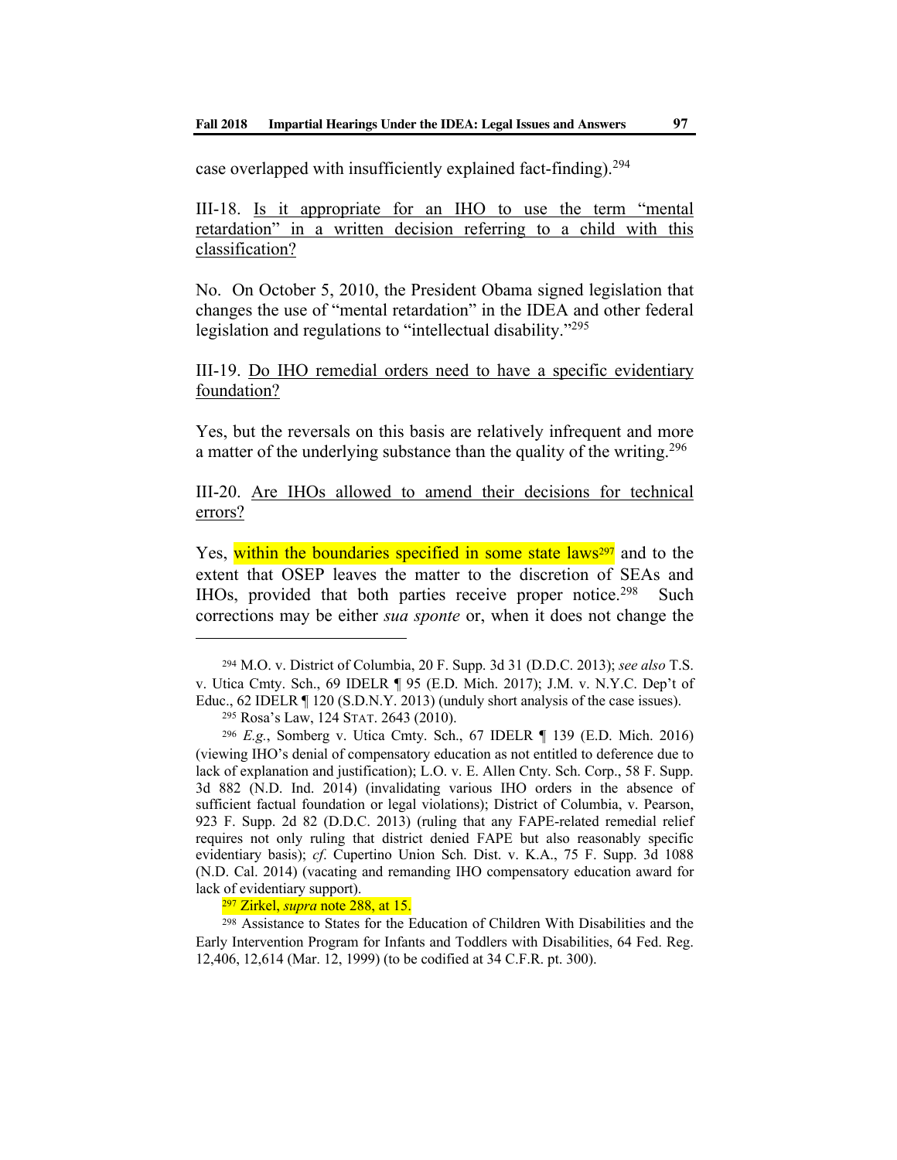case overlapped with insufficiently explained fact-finding).294

III-18. Is it appropriate for an IHO to use the term "mental retardation" in a written decision referring to a child with this classification?

No. On October 5, 2010, the President Obama signed legislation that changes the use of "mental retardation" in the IDEA and other federal legislation and regulations to "intellectual disability."295

III-19. Do IHO remedial orders need to have a specific evidentiary foundation?

Yes, but the reversals on this basis are relatively infrequent and more a matter of the underlying substance than the quality of the writing.<sup>296</sup>

III-20. Are IHOs allowed to amend their decisions for technical errors?

Yes, within the boundaries specified in some state laws<sup>297</sup> and to the extent that OSEP leaves the matter to the discretion of SEAs and IHOs, provided that both parties receive proper notice.<sup>298</sup> Such corrections may be either *sua sponte* or, when it does not change the

<sup>297</sup> Zirkel, *supra* note 288, at 15.

<sup>294</sup> M.O. v. District of Columbia, 20 F. Supp. 3d 31 (D.D.C. 2013); *see also* T.S. v. Utica Cmty. Sch., 69 IDELR ¶ 95 (E.D. Mich. 2017); J.M. v. N.Y.C. Dep't of Educ., 62 IDELR  $\P$  120 (S.D.N.Y. 2013) (unduly short analysis of the case issues).

<sup>295</sup> Rosa's Law, 124 STAT. 2643 (2010).

<sup>296</sup> *E.g.*, Somberg v. Utica Cmty. Sch., 67 IDELR ¶ 139 (E.D. Mich. 2016) (viewing IHO's denial of compensatory education as not entitled to deference due to lack of explanation and justification); L.O. v. E. Allen Cnty. Sch. Corp., 58 F. Supp. 3d 882 (N.D. Ind. 2014) (invalidating various IHO orders in the absence of sufficient factual foundation or legal violations); District of Columbia, v. Pearson, 923 F. Supp. 2d 82 (D.D.C. 2013) (ruling that any FAPE-related remedial relief requires not only ruling that district denied FAPE but also reasonably specific evidentiary basis); *cf*. Cupertino Union Sch. Dist. v. K.A., 75 F. Supp. 3d 1088 (N.D. Cal. 2014) (vacating and remanding IHO compensatory education award for lack of evidentiary support).

<sup>298</sup> Assistance to States for the Education of Children With Disabilities and the Early Intervention Program for Infants and Toddlers with Disabilities, 64 Fed. Reg. 12,406, 12,614 (Mar. 12, 1999) (to be codified at 34 C.F.R. pt. 300).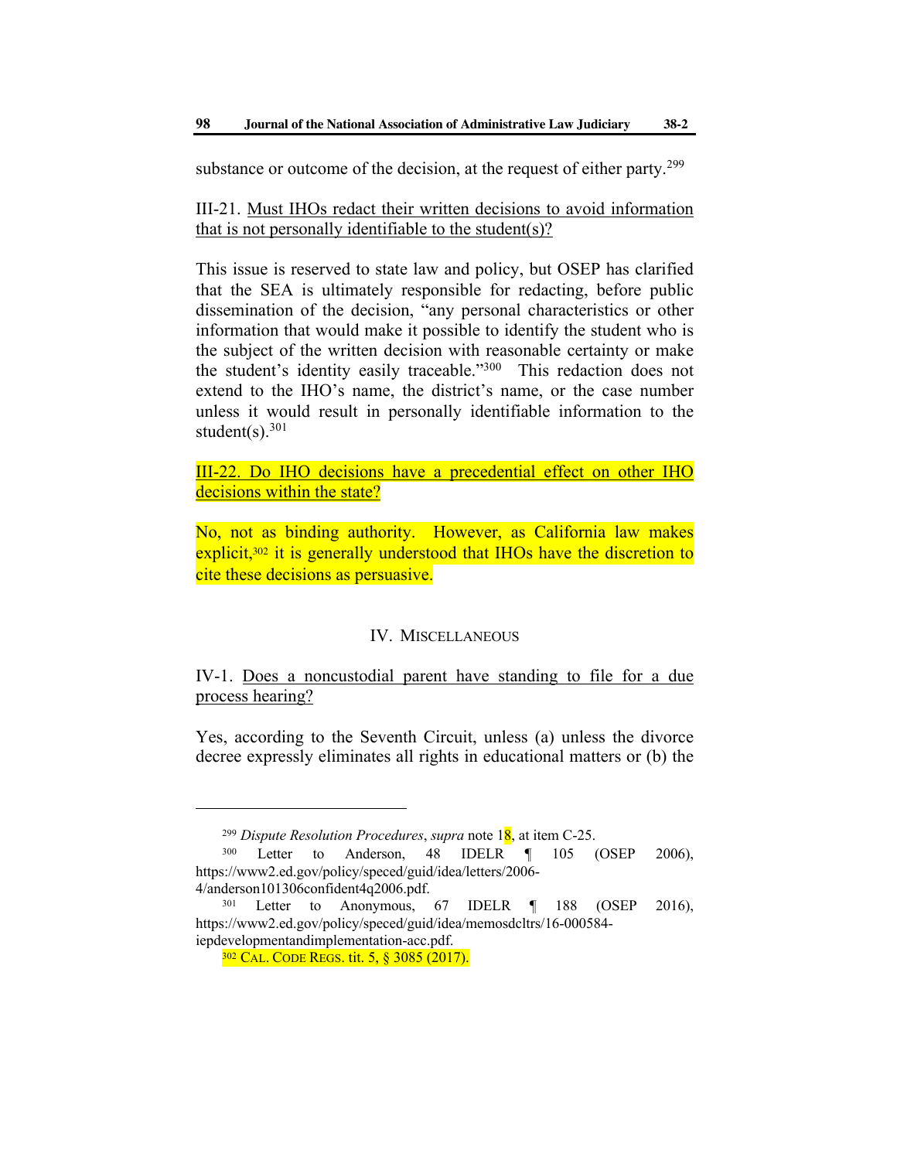substance or outcome of the decision, at the request of either party.<sup>299</sup>

III-21. Must IHOs redact their written decisions to avoid information that is not personally identifiable to the student(s)?

This issue is reserved to state law and policy, but OSEP has clarified that the SEA is ultimately responsible for redacting, before public dissemination of the decision, "any personal characteristics or other information that would make it possible to identify the student who is the subject of the written decision with reasonable certainty or make the student's identity easily traceable."300 This redaction does not extend to the IHO's name, the district's name, or the case number unless it would result in personally identifiable information to the student(s). $301$ 

III-22. Do IHO decisions have a precedential effect on other IHO decisions within the state?

No, not as binding authority. However, as California law makes explicit,<sup>302</sup> it is generally understood that IHOs have the discretion to cite these decisions as persuasive.

#### IV. MISCELLANEOUS

IV-1. Does a noncustodial parent have standing to file for a due process hearing?

Yes, according to the Seventh Circuit, unless (a) unless the divorce decree expressly eliminates all rights in educational matters or (b) the

<sup>299</sup> *Dispute Resolution Procedures*, *supra* note 18, at item C-25.

<sup>300</sup> Letter to Anderson, 48 IDELR ¶ 105 (OSEP 2006), https://www2.ed.gov/policy/speced/guid/idea/letters/2006- 4/anderson101306confident4q2006.pdf.

Letter to Anonymous,  $67$  IDELR  $\parallel$  188 (OSEP 2016), https://www2.ed.gov/policy/speced/guid/idea/memosdcltrs/16-000584 iepdevelopmentandimplementation-acc.pdf.

<sup>302</sup> CAL. CODE REGS. tit. 5, § 3085 (2017).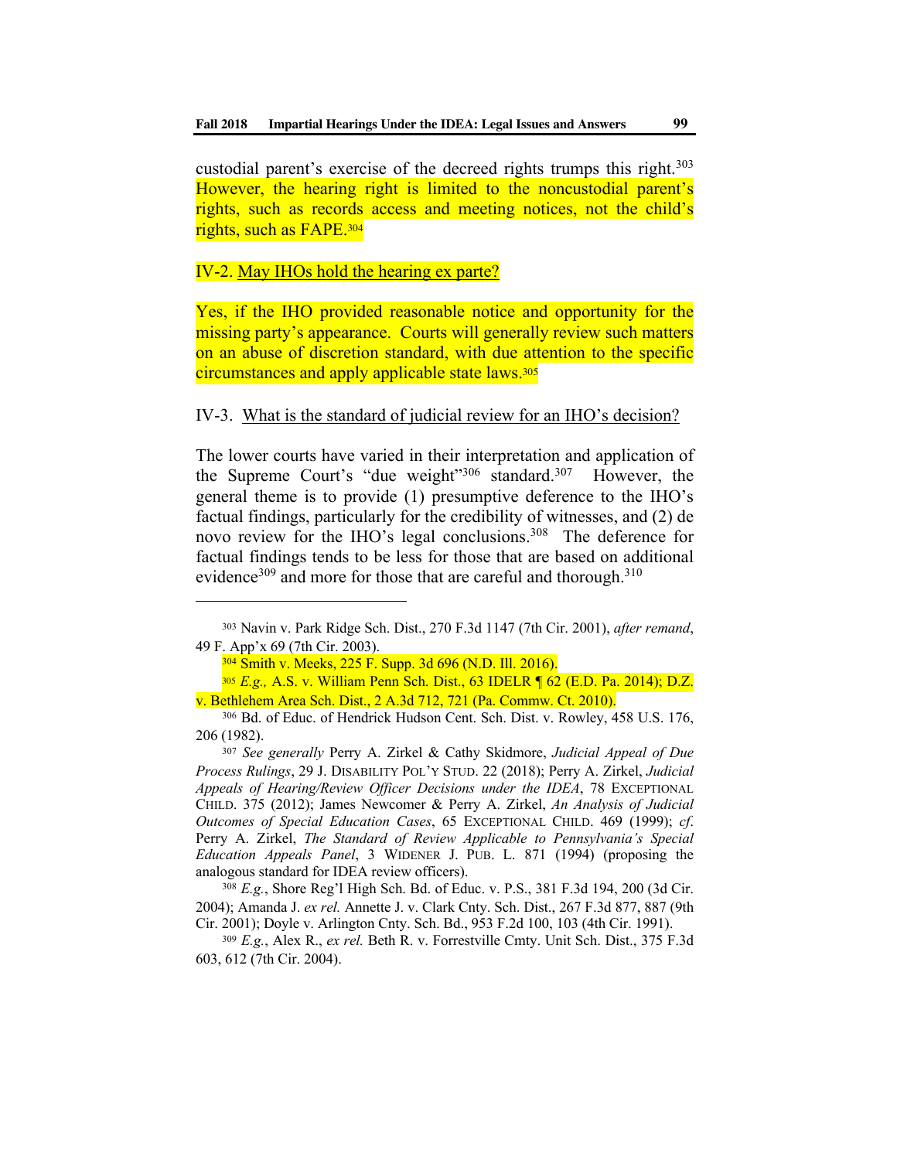custodial parent's exercise of the decreed rights trumps this right.<sup>303</sup> However, the hearing right is limited to the noncustodial parent's rights, such as records access and meeting notices, not the child's rights, such as FAPE.<sup>304</sup>

### IV-2. May IHOs hold the hearing ex parte?

Yes, if the IHO provided reasonable notice and opportunity for the missing party's appearance. Courts will generally review such matters on an abuse of discretion standard, with due attention to the specific circumstances and apply applicable state laws.<sup>305</sup>

## IV-3. What is the standard of judicial review for an IHO's decision?

The lower courts have varied in their interpretation and application of the Supreme Court's "due weight"306 standard.307 However, the general theme is to provide (1) presumptive deference to the IHO's factual findings, particularly for the credibility of witnesses, and (2) de novo review for the IHO's legal conclusions.<sup>308</sup> The deference for factual findings tends to be less for those that are based on additional evidence<sup>309</sup> and more for those that are careful and thorough.<sup>310</sup>

<sup>303</sup> Navin v. Park Ridge Sch. Dist., 270 F.3d 1147 (7th Cir. 2001), *after remand*, 49 F. App'x 69 (7th Cir. 2003).

<sup>304</sup> Smith v. Meeks, 225 F. Supp. 3d 696 (N.D. Ill. 2016).

<sup>305</sup> *E.g.,* A.S. v. William Penn Sch. Dist., 63 IDELR ¶ 62 (E.D. Pa. 2014); D.Z. v. Bethlehem Area Sch. Dist., 2 A.3d 712, 721 (Pa. Commw. Ct. 2010).<br><sup>306</sup> Bd. of Educ. of Hendrick Hudson Cent. Sch. Dist. v. Rowley, 458 U.S. 176,

<sup>206 (1982).</sup>

<sup>307</sup> *See generally* Perry A. Zirkel & Cathy Skidmore, *Judicial Appeal of Due Process Rulings*, 29 J. DISABILITY POL'Y STUD. 22 (2018); Perry A. Zirkel, *Judicial Appeals of Hearing/Review Officer Decisions under the IDEA*, 78 EXCEPTIONAL CHILD. 375 (2012); James Newcomer & Perry A. Zirkel, *An Analysis of Judicial Outcomes of Special Education Cases*, 65 EXCEPTIONAL CHILD. 469 (1999); *cf*. Perry A. Zirkel, *The Standard of Review Applicable to Pennsylvania's Special Education Appeals Panel*, 3 WIDENER J. PUB. L. 871 (1994) (proposing the analogous standard for IDEA review officers). 308 *E.g.*, Shore Reg'l High Sch. Bd. of Educ. v. P.S., 381 F.3d 194, 200 (3d Cir.

<sup>2004);</sup> Amanda J. *ex rel.* Annette J. v. Clark Cnty. Sch. Dist., 267 F.3d 877, 887 (9th Cir. 2001); Doyle v. Arlington Cnty. Sch. Bd., 953 F.2d 100, 103 (4th Cir. 1991).

<sup>309</sup> *E.g.*, Alex R., *ex rel.* Beth R. v. Forrestville Cmty. Unit Sch. Dist., 375 F.3d 603, 612 (7th Cir. 2004).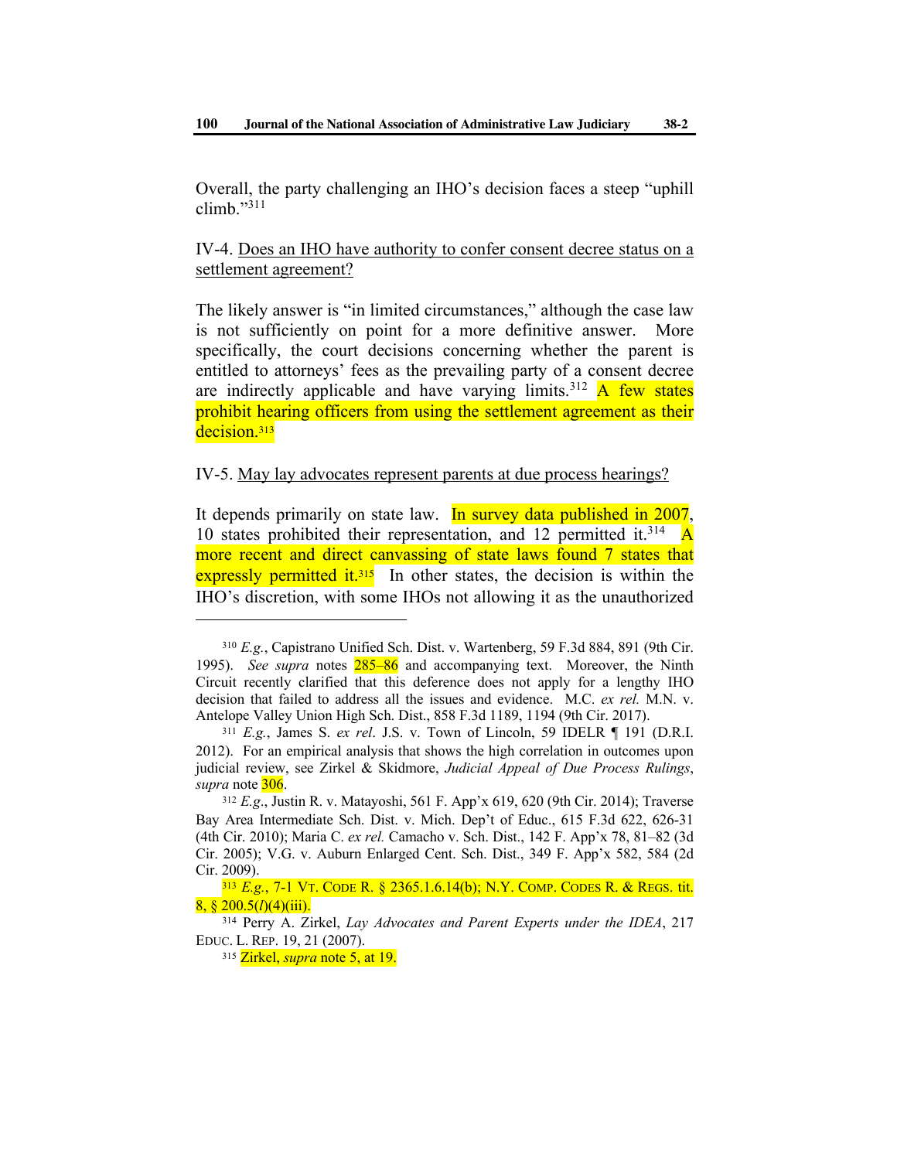Overall, the party challenging an IHO's decision faces a steep "uphill climb."311

# IV-4. Does an IHO have authority to confer consent decree status on a settlement agreement?

The likely answer is "in limited circumstances," although the case law is not sufficiently on point for a more definitive answer. More specifically, the court decisions concerning whether the parent is entitled to attorneys' fees as the prevailing party of a consent decree are indirectly applicable and have varying limits.<sup>312</sup>  $\overline{A}$  few states prohibit hearing officers from using the settlement agreement as their decision.<sup>313</sup>

#### IV-5. May lay advocates represent parents at due process hearings?

It depends primarily on state law. In survey data published in 2007, 10 states prohibited their representation, and 12 permitted it.<sup>314</sup>  $\overline{A}$ more recent and direct canvassing of state laws found 7 states that expressly permitted it.<sup>315</sup> In other states, the decision is within the IHO's discretion, with some IHOs not allowing it as the unauthorized

<sup>310</sup> *E.g.*, Capistrano Unified Sch. Dist. v. Wartenberg, 59 F.3d 884, 891 (9th Cir. 1995). *See supra* notes 285–86 and accompanying text. Moreover, the Ninth Circuit recently clarified that this deference does not apply for a lengthy IHO decision that failed to address all the issues and evidence. M.C. *ex rel.* M.N. v. Antelope Valley Union High Sch. Dist., 858 F.3d 1189, 1194 (9th Cir. 2017).

<sup>311</sup> *E.g.*, James S. *ex rel*. J.S. v. Town of Lincoln, 59 IDELR ¶ 191 (D.R.I. 2012). For an empirical analysis that shows the high correlation in outcomes upon judicial review, see Zirkel & Skidmore, *Judicial Appeal of Due Process Rulings*, *supra* note 306. 312 *E.g*., Justin R. v. Matayoshi, 561 F. App'x 619, 620 (9th Cir. 2014); Traverse

Bay Area Intermediate Sch. Dist. v. Mich. Dep't of Educ., 615 F.3d 622, 626-31 (4th Cir. 2010); Maria C. *ex rel.* Camacho v. Sch. Dist., 142 F. App'x 78, 81–82 (3d Cir. 2005); V.G. v. Auburn Enlarged Cent. Sch. Dist., 349 F. App'x 582, 584 (2d Cir. 2009).

<sup>313</sup> *E.g.*, 7-1 VT. CODE R. § 2365.1.6.14(b); N.Y. COMP. CODES R. & REGS. tit. 8, § 200.5(*l*)(4)(iii).

<sup>314</sup> Perry A. Zirkel, *Lay Advocates and Parent Experts under the IDEA*, 217 EDUC. L. REP. 19, 21 (2007).

<sup>315</sup> Zirkel, *supra* note 5, at 19.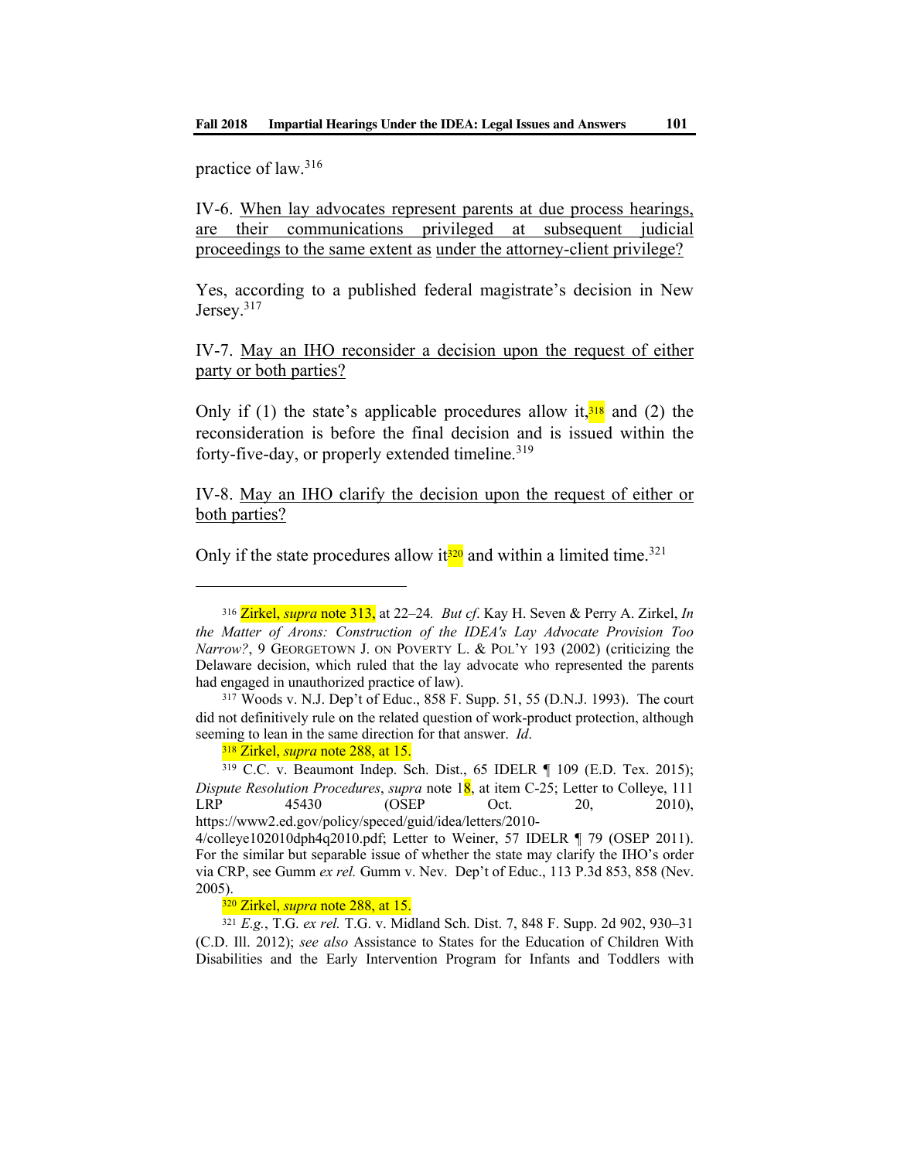practice of law.316

IV-6. When lay advocates represent parents at due process hearings, are their communications privileged at subsequent judicial proceedings to the same extent as under the attorney-client privilege?

Yes, according to a published federal magistrate's decision in New Jersey.<sup>317</sup>

IV-7. May an IHO reconsider a decision upon the request of either party or both parties?

Only if (1) the state's applicable procedures allow it,  $318$  and (2) the reconsideration is before the final decision and is issued within the forty-five-day, or properly extended timeline.<sup>319</sup>

IV-8. May an IHO clarify the decision upon the request of either or both parties?

Only if the state procedures allow it<sup>320</sup> and within a limited time.<sup>321</sup>

<sup>318</sup> Zirkel, *supra* note 288, at 15.

<sup>320</sup> Zirkel, *supra* note 288, at 15.

<sup>316</sup> Zirkel, *supra* note 313, at 22–24*. But cf*. Kay H. Seven & Perry A. Zirkel, *In the Matter of Arons: Construction of the IDEA's Lay Advocate Provision Too Narrow?*, 9 GEORGETOWN J. ON POVERTY L. & POL'Y 193 (2002) (criticizing the Delaware decision, which ruled that the lay advocate who represented the parents had engaged in unauthorized practice of law).

<sup>317</sup> Woods v. N.J. Dep't of Educ., 858 F. Supp. 51, 55 (D.N.J. 1993). The court did not definitively rule on the related question of work-product protection, although seeming to lean in the same direction for that answer. *Id*.

<sup>319</sup> C.C. v. Beaumont Indep. Sch. Dist., 65 IDELR ¶ 109 (E.D. Tex. 2015); *Dispute Resolution Procedures, supra* note 18, at item C-25; Letter to Colleye, 111 LRP 45430 (OSEP Oct. 20, 2010), https://www2.ed.gov/policy/speced/guid/idea/letters/2010- 4/colleye102010dph4q2010.pdf; Letter to Weiner, 57 IDELR ¶ 79 (OSEP 2011).

For the similar but separable issue of whether the state may clarify the IHO's order via CRP, see Gumm *ex rel.* Gumm v. Nev. Dep't of Educ., 113 P.3d 853, 858 (Nev. 2005).

<sup>321</sup> *E.g.*, T.G. *ex rel.* T.G. v. Midland Sch. Dist. 7, 848 F. Supp. 2d 902, 930–31 (C.D. Ill. 2012); *see also* Assistance to States for the Education of Children With Disabilities and the Early Intervention Program for Infants and Toddlers with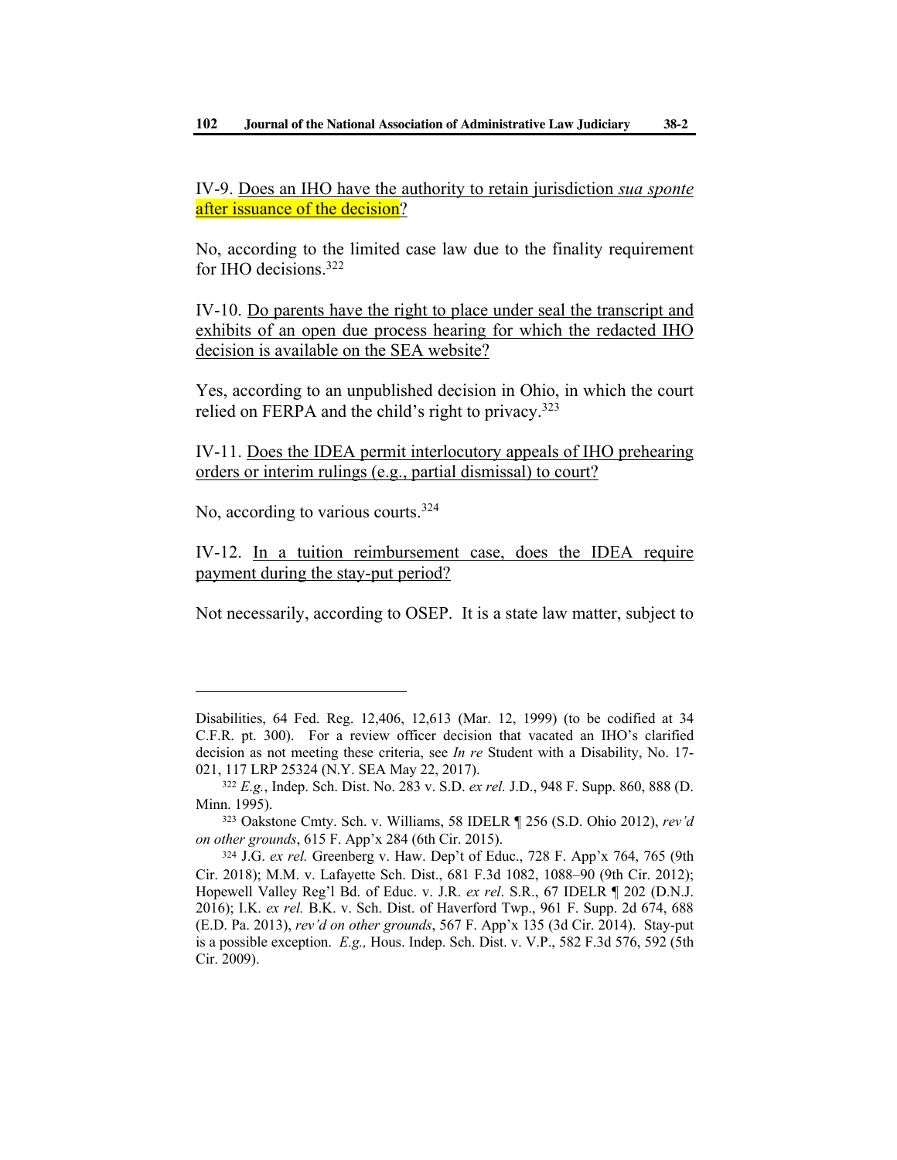IV-9. Does an IHO have the authority to retain jurisdiction *sua sponte* after issuance of the decision?

No, according to the limited case law due to the finality requirement for IHO decisions.322

IV-10. Do parents have the right to place under seal the transcript and exhibits of an open due process hearing for which the redacted IHO decision is available on the SEA website?

Yes, according to an unpublished decision in Ohio, in which the court relied on FERPA and the child's right to privacy.<sup>323</sup>

IV-11. Does the IDEA permit interlocutory appeals of IHO prehearing orders or interim rulings (e.g., partial dismissal) to court?

No, according to various courts.<sup>324</sup>

IV-12. In a tuition reimbursement case, does the IDEA require payment during the stay-put period?

Not necessarily, according to OSEP. It is a state law matter, subject to

Disabilities, 64 Fed. Reg. 12,406, 12,613 (Mar. 12, 1999) (to be codified at 34 C.F.R. pt. 300). For a review officer decision that vacated an IHO's clarified decision as not meeting these criteria, see *In re* Student with a Disability, No. 17- 021, 117 LRP 25324 (N.Y. SEA May 22, 2017). 322 *E.g.*, Indep. Sch. Dist. No. 283 v. S.D. *ex rel.* J.D., 948 F. Supp. 860, 888 (D.

Minn. 1995).

<sup>323</sup> Oakstone Cmty. Sch. v. Williams, 58 IDELR ¶ 256 (S.D. Ohio 2012), *rev'd on other grounds*, 615 F. App'x 284 (6th Cir. 2015).

<sup>324</sup> J.G. *ex rel.* Greenberg v. Haw. Dep't of Educ., 728 F. App'x 764, 765 (9th Cir. 2018); M.M. v. Lafayette Sch. Dist., 681 F.3d 1082, 1088–90 (9th Cir. 2012); Hopewell Valley Reg'l Bd. of Educ. v. J.R. *ex rel*. S.R., 67 IDELR ¶ 202 (D.N.J. 2016); I.K. *ex rel.* B.K. v. Sch. Dist. of Haverford Twp., 961 F. Supp. 2d 674, 688 (E.D. Pa. 2013), *rev'd on other grounds*, 567 F. App'x 135 (3d Cir. 2014). Stay-put is a possible exception. *E.g.,* Hous. Indep. Sch. Dist. v. V.P., 582 F.3d 576, 592 (5th Cir. 2009).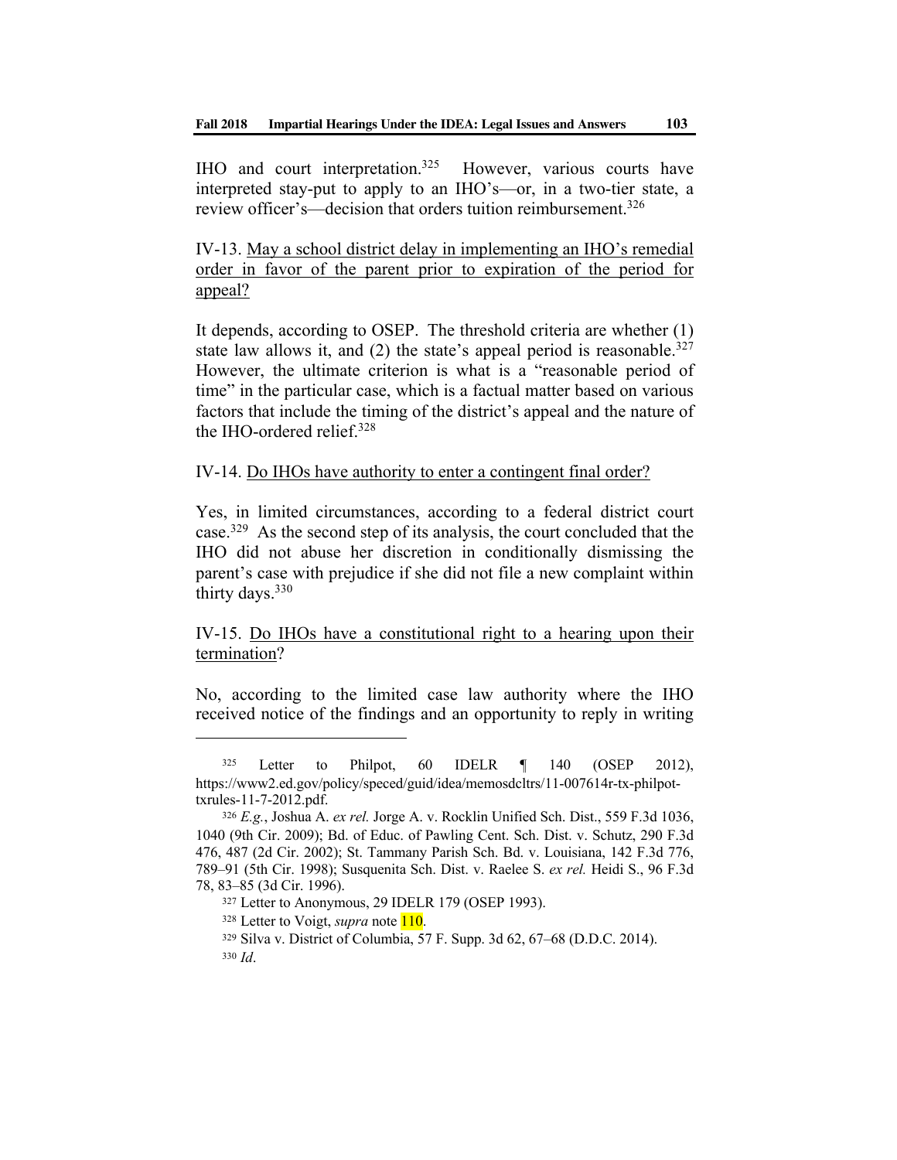IHO and court interpretation.<sup>325</sup> However, various courts have interpreted stay-put to apply to an IHO's—or, in a two-tier state, a review officer's—decision that orders tuition reimbursement.<sup>326</sup>

IV-13. May a school district delay in implementing an IHO's remedial order in favor of the parent prior to expiration of the period for appeal?

It depends, according to OSEP. The threshold criteria are whether (1) state law allows it, and (2) the state's appeal period is reasonable.<sup>327</sup> However, the ultimate criterion is what is a "reasonable period of time" in the particular case, which is a factual matter based on various factors that include the timing of the district's appeal and the nature of the IHO-ordered relief.328

### IV-14. Do IHOs have authority to enter a contingent final order?

Yes, in limited circumstances, according to a federal district court case.329 As the second step of its analysis, the court concluded that the IHO did not abuse her discretion in conditionally dismissing the parent's case with prejudice if she did not file a new complaint within thirty days.330

IV-15. Do IHOs have a constitutional right to a hearing upon their termination?

No, according to the limited case law authority where the IHO received notice of the findings and an opportunity to reply in writing

 $325$  Letter to Philpot, 60 IDELR ¶ 140 (OSEP 2012), https://www2.ed.gov/policy/speced/guid/idea/memosdcltrs/11-007614r-tx-philpottxrules-11-7-2012.pdf.

<sup>326</sup> *E.g.*, Joshua A. *ex rel.* Jorge A. v. Rocklin Unified Sch. Dist., 559 F.3d 1036, 1040 (9th Cir. 2009); Bd. of Educ. of Pawling Cent. Sch. Dist. v. Schutz, 290 F.3d 476, 487 (2d Cir. 2002); St. Tammany Parish Sch. Bd. v. Louisiana, 142 F.3d 776, 789–91 (5th Cir. 1998); Susquenita Sch. Dist. v. Raelee S. *ex rel.* Heidi S., 96 F.3d 78, 83–85 (3d Cir. 1996).

<sup>327</sup> Letter to Anonymous, 29 IDELR 179 (OSEP 1993).

<sup>328</sup> Letter to Voigt, *supra* note 110.

<sup>329</sup> Silva v. District of Columbia, 57 F. Supp. 3d 62, 67–68 (D.D.C. 2014). <sup>330</sup> *Id*.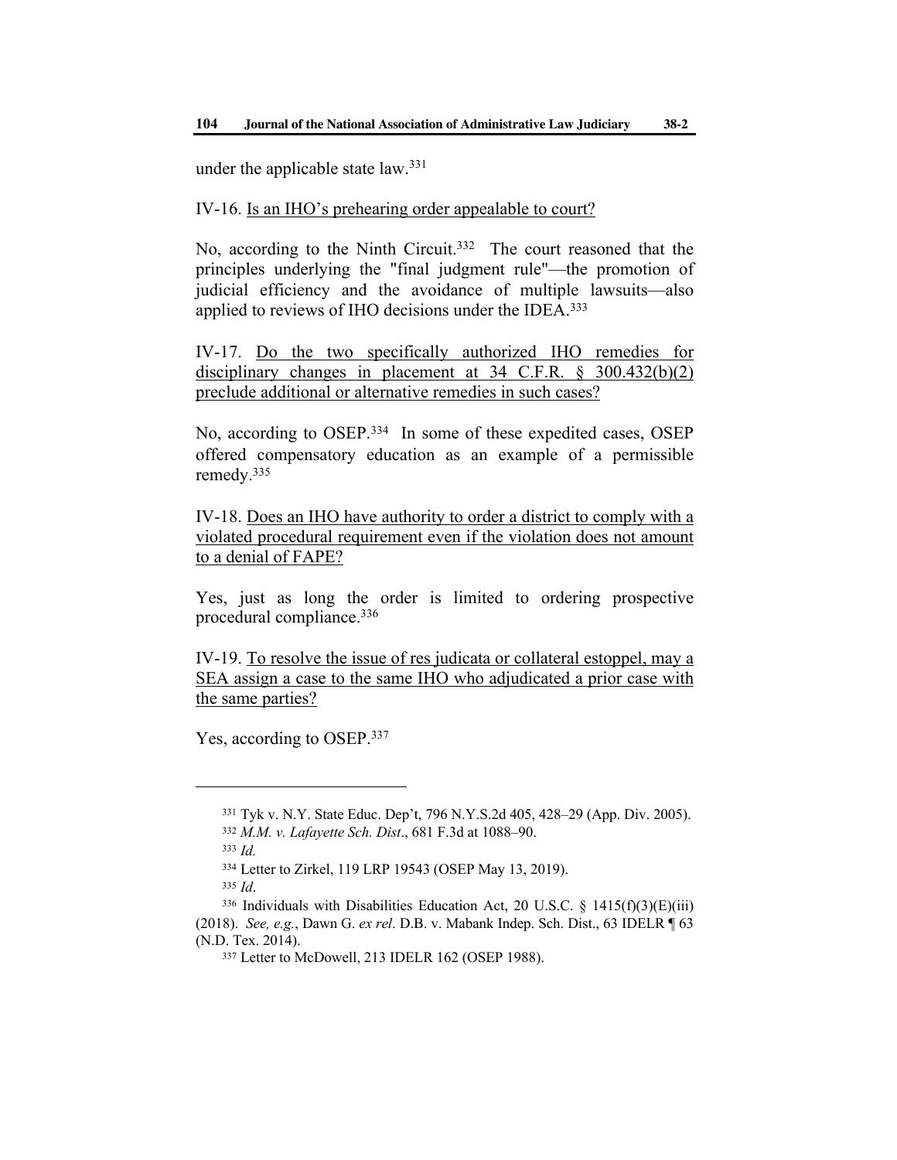under the applicable state law.331

IV-16. Is an IHO's prehearing order appealable to court?

No, according to the Ninth Circuit.<sup>332</sup> The court reasoned that the principles underlying the "final judgment rule"—the promotion of judicial efficiency and the avoidance of multiple lawsuits—also applied to reviews of IHO decisions under the IDEA.333

IV-17. Do the two specifically authorized IHO remedies for disciplinary changes in placement at 34 C.F.R. § 300.432(b)(2) preclude additional or alternative remedies in such cases?

No, according to OSEP.334 In some of these expedited cases, OSEP offered compensatory education as an example of a permissible remedy.335

IV-18. Does an IHO have authority to order a district to comply with a violated procedural requirement even if the violation does not amount to a denial of FAPE?

Yes, just as long the order is limited to ordering prospective procedural compliance.<sup>336</sup>

IV-19. To resolve the issue of res judicata or collateral estoppel, may a SEA assign a case to the same IHO who adjudicated a prior case with the same parties?

Yes, according to OSEP.337

<sup>331</sup> Tyk v. N.Y. State Educ. Dep't, 796 N.Y.S.2d 405, 428–29 (App. Div. 2005).

<sup>332</sup> *M.M. v. Lafayette Sch. Dist*., 681 F.3d at 1088–90.

<sup>333</sup> *Id.*

<sup>334</sup> Letter to Zirkel, 119 LRP 19543 (OSEP May 13, 2019).

<sup>335</sup> *Id*.

<sup>336</sup> Individuals with Disabilities Education Act, 20 U.S.C. § 1415(f)(3)(E)(iii) (2018). *See, e.g.*, Dawn G. *ex rel*. D.B. v. Mabank Indep. Sch. Dist., 63 IDELR ¶ 63 (N.D. Tex. 2014).

<sup>337</sup> Letter to McDowell, 213 IDELR 162 (OSEP 1988).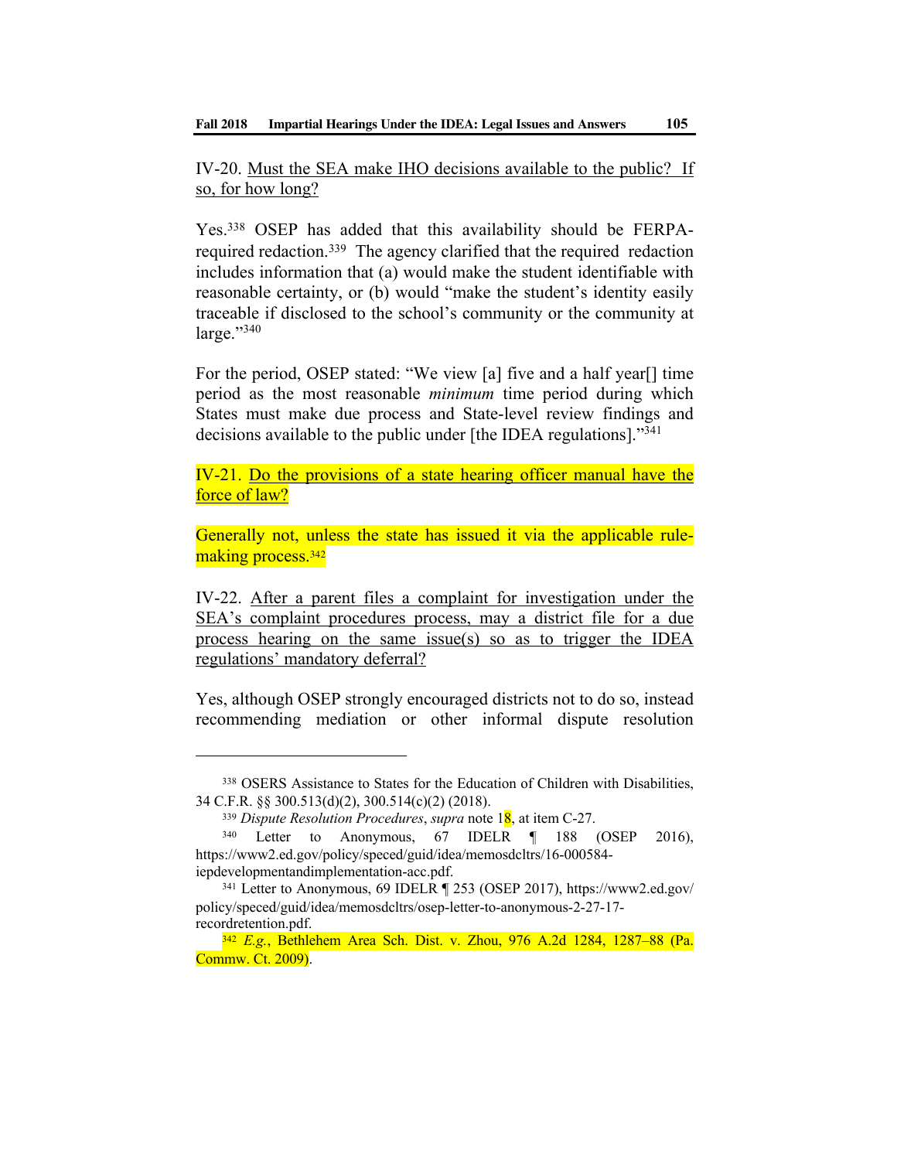IV-20. Must the SEA make IHO decisions available to the public? If so, for how long?

Yes. <sup>338</sup> OSEP has added that this availability should be FERPArequired redaction. 339 The agency clarified that the required redaction includes information that (a) would make the student identifiable with reasonable certainty, or (b) would "make the student's identity easily traceable if disclosed to the school's community or the community at large."340

For the period, OSEP stated: "We view [a] five and a half year[] time period as the most reasonable *minimum* time period during which States must make due process and State-level review findings and decisions available to the public under [the IDEA regulations]."341

IV-21. Do the provisions of a state hearing officer manual have the force of law?

Generally not, unless the state has issued it via the applicable rulemaking process.<sup>342</sup>

IV-22. After a parent files a complaint for investigation under the SEA's complaint procedures process, may a district file for a due process hearing on the same issue(s) so as to trigger the IDEA regulations' mandatory deferral?

Yes, although OSEP strongly encouraged districts not to do so, instead recommending mediation or other informal dispute resolution

<sup>338</sup> OSERS Assistance to States for the Education of Children with Disabilities, 34 C.F.R. §§ 300.513(d)(2), 300.514(c)(2) (2018).

<sup>339</sup> *Dispute Resolution Procedures*, *supra* note 18, at item C-27.

<sup>340</sup> Letter to Anonymous, 67 IDELR ¶ 188 (OSEP 2016), https://www2.ed.gov/policy/speced/guid/idea/memosdcltrs/16-000584 iepdevelopmentandimplementation-acc.pdf.

<sup>341</sup> Letter to Anonymous, 69 IDELR ¶ 253 (OSEP 2017), https://www2.ed.gov/ policy/speced/guid/idea/memosdcltrs/osep-letter-to-anonymous-2-27-17 recordretention.pdf.

<sup>342</sup> *E.g.*, Bethlehem Area Sch. Dist. v. Zhou, 976 A.2d 1284, 1287–88 (Pa. Commw. Ct. 2009).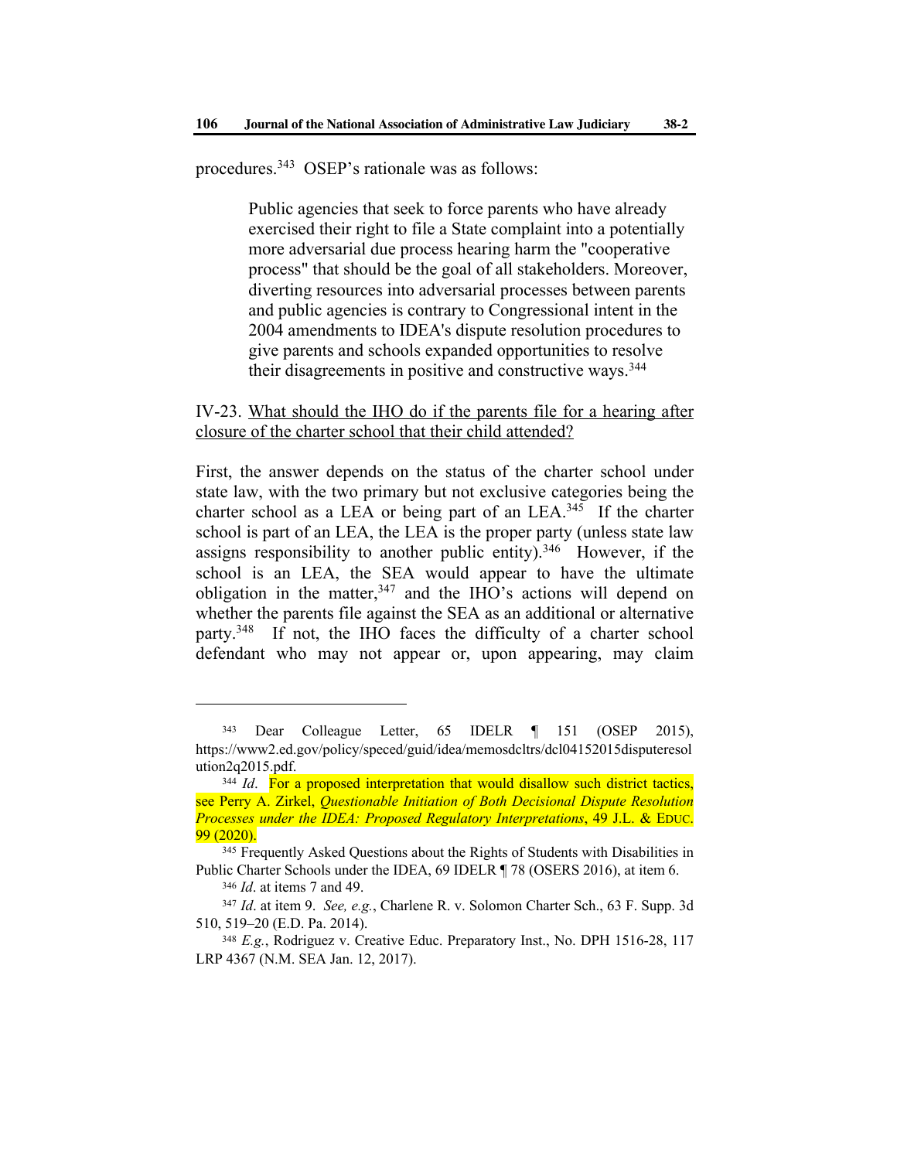procedures. 343 OSEP's rationale was as follows:

Public agencies that seek to force parents who have already exercised their right to file a State complaint into a potentially more adversarial due process hearing harm the "cooperative process" that should be the goal of all stakeholders. Moreover, diverting resources into adversarial processes between parents and public agencies is contrary to Congressional intent in the 2004 amendments to IDEA's dispute resolution procedures to give parents and schools expanded opportunities to resolve their disagreements in positive and constructive ways.<sup>344</sup>

## IV-23. What should the IHO do if the parents file for a hearing after closure of the charter school that their child attended?

First, the answer depends on the status of the charter school under state law, with the two primary but not exclusive categories being the charter school as a LEA or being part of an LEA.345 If the charter school is part of an LEA, the LEA is the proper party (unless state law assigns responsibility to another public entity).<sup>346</sup> However, if the school is an LEA, the SEA would appear to have the ultimate obligation in the matter,  $347$  and the IHO's actions will depend on whether the parents file against the SEA as an additional or alternative party.348 If not, the IHO faces the difficulty of a charter school defendant who may not appear or, upon appearing, may claim

<sup>343</sup> Dear Colleague Letter, 65 IDELR ¶ 151 (OSEP 2015), https://www2.ed.gov/policy/speced/guid/idea/memosdcltrs/dcl04152015disputeresol ution2q2015.pdf.

<sup>&</sup>lt;sup>344</sup> *Id.* For a proposed interpretation that would disallow such district tactics, see Perry A. Zirkel, *Questionable Initiation of Both Decisional Dispute Resolution Processes under the IDEA: Proposed Regulatory Interpretations*, 49 J.L. & EDUC. 99 (2020).

<sup>345</sup> Frequently Asked Questions about the Rights of Students with Disabilities in Public Charter Schools under the IDEA, 69 IDELR ¶ 78 (OSERS 2016), at item 6.

<sup>346</sup> *Id*. at items 7 and 49.

<sup>347</sup> *Id*. at item 9. *See, e.g.*, Charlene R. v. Solomon Charter Sch., 63 F. Supp. 3d 510, 519–20 (E.D. Pa. 2014).

<sup>348</sup> *E.g.*, Rodriguez v. Creative Educ. Preparatory Inst., No. DPH 1516-28, 117 LRP 4367 (N.M. SEA Jan. 12, 2017).